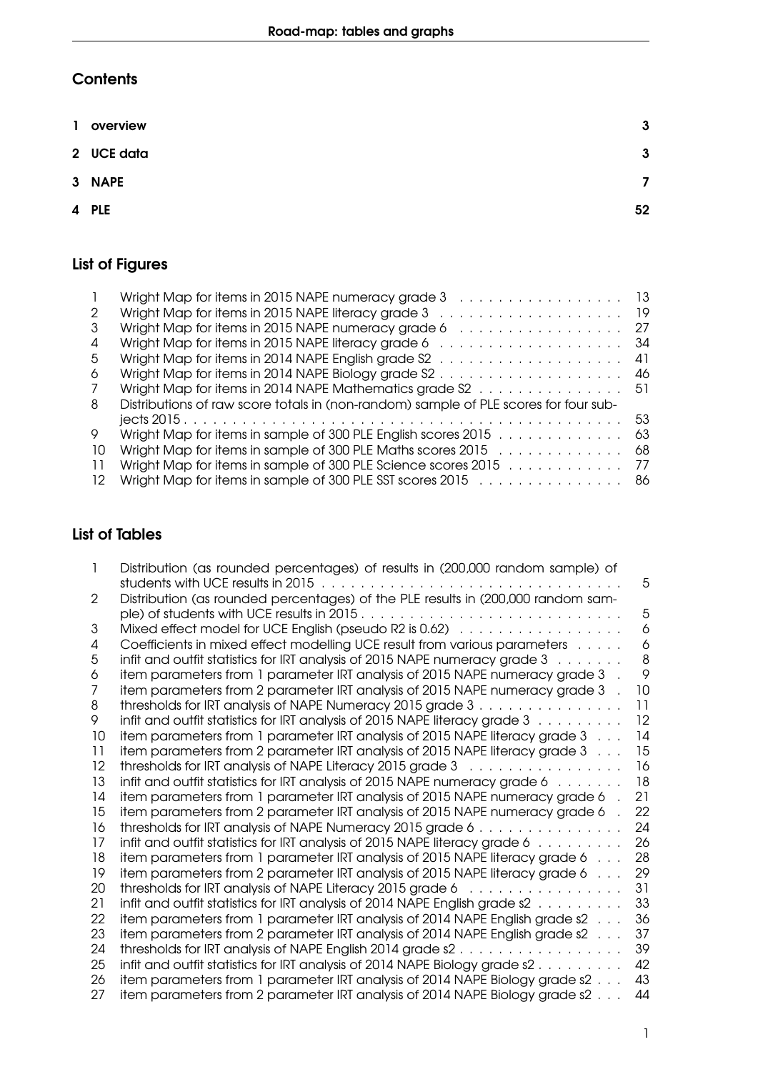# **Contents**

| 1 overview | 3            |
|------------|--------------|
| 2 UCE data | $\mathbf{3}$ |
| 3 NAPE     | 7            |
| 4 PLE      | 52           |

# List of Figures

|    | Wright Map for items in 2015 NAPE numeracy grade 3 13                                                 |      |
|----|-------------------------------------------------------------------------------------------------------|------|
| 2  | Wright Map for items in 2015 NAPE literacy grade $3 \ldots \ldots \ldots \ldots \ldots \ldots$        | - 19 |
| 3  | Wright Map for items in 2015 NAPE numeracy grade $6 \ldots \ldots \ldots \ldots \ldots$               | 27   |
| 4  | Wright Map for items in 2015 NAPE literacy grade $6 \ldots \ldots \ldots \ldots \ldots \ldots \ldots$ | 34   |
| 5  | Wright Map for items in 2014 NAPE English grade $S2$                                                  | 41   |
| 6  | Wright Map for items in 2014 NAPE Biology grade $S2$                                                  | 46   |
| 7  | Wright Map for items in 2014 NAPE Mathematics grade S2 51                                             |      |
| 8  | Distributions of raw score totals in (non-random) sample of PLE scores for four sub-                  |      |
|    |                                                                                                       | 53   |
| 9  | Wright Map for items in sample of 300 PLE English scores 2015                                         | -63  |
| 10 | Wright Map for items in sample of 300 PLE Maths scores 2015                                           | - 68 |
| 11 | Wright Map for items in sample of 300 PLE Science scores 2015 77                                      |      |
| 12 | Wright Map for items in sample of 300 PLE SST scores 2015 86                                          |      |

## List of Tables

|    | Distribution (as rounded percentages) of results in (200,000 random sample) of                    |    |
|----|---------------------------------------------------------------------------------------------------|----|
|    |                                                                                                   | 5  |
| 2  | Distribution (as rounded percentages) of the PLE results in (200,000 random sam-                  |    |
|    |                                                                                                   | 5  |
| 3  |                                                                                                   | 6  |
| 4  | Coefficients in mixed effect modelling UCE result from various parameters                         | 6  |
| 5  | infit and outfit statistics for IRT analysis of 2015 NAPE numeracy grade $3 \ldots \ldots$        | 8  |
| 6  | item parameters from 1 parameter IRT analysis of 2015 NAPE numeracy grade 3                       | 9  |
| 7  | item parameters from 2 parameter IRT analysis of 2015 NAPE numeracy grade 3                       | 10 |
| 8  | thresholds for IRT analysis of NAPE Numeracy 2015 grade 3                                         | 11 |
| 9  | infit and outfit statistics for IRT analysis of 2015 NAPE literacy grade 3                        | 12 |
| 10 | item parameters from 1 parameter IRT analysis of 2015 NAPE literacy grade 3                       | 14 |
| 11 | item parameters from 2 parameter IRT analysis of 2015 NAPE literacy grade 3                       | 15 |
| 12 | thresholds for IRT analysis of NAPE Literacy 2015 grade $3 \ldots \ldots \ldots \ldots \ldots$    | 16 |
| 13 | infit and outfit statistics for IRT analysis of 2015 NAPE numeracy grade $6 \ldots \ldots$        | 18 |
| 14 | item parameters from 1 parameter IRT analysis of 2015 NAPE numeracy grade 6                       | 21 |
| 15 | item parameters from 2 parameter IRT analysis of 2015 NAPE numeracy grade 6                       | 22 |
| 16 | thresholds for IRT analysis of NAPE Numeracy 2015 grade 6                                         | 24 |
| 17 | infit and outfit statistics for IRT analysis of 2015 NAPE literacy grade 6                        | 26 |
| 18 | item parameters from 1 parameter IRT analysis of 2015 NAPE literacy grade 6                       | 28 |
| 19 | item parameters from 2 parameter IRT analysis of 2015 NAPE literacy grade 6                       | 29 |
| 20 | thresholds for IRT analysis of NAPE Literacy 2015 grade 6 x                                       | 31 |
| 21 | infit and outfit statistics for IRT analysis of 2014 NAPE English grade $s2 \ldots \ldots \ldots$ | 33 |
| 22 | item parameters from 1 parameter IRT analysis of 2014 NAPE English grade s2                       | 36 |
| 23 | item parameters from 2 parameter IRT analysis of 2014 NAPE English grade s2                       | 37 |
| 24 |                                                                                                   | 39 |
| 25 | infit and outfit statistics for IRT analysis of 2014 NAPE Biology grade $s2$                      | 42 |
| 26 | item parameters from 1 parameter IRT analysis of 2014 NAPE Biology grade s2                       | 43 |
| 27 | item parameters from 2 parameter IRT analysis of 2014 NAPE Biology grade s2                       | 44 |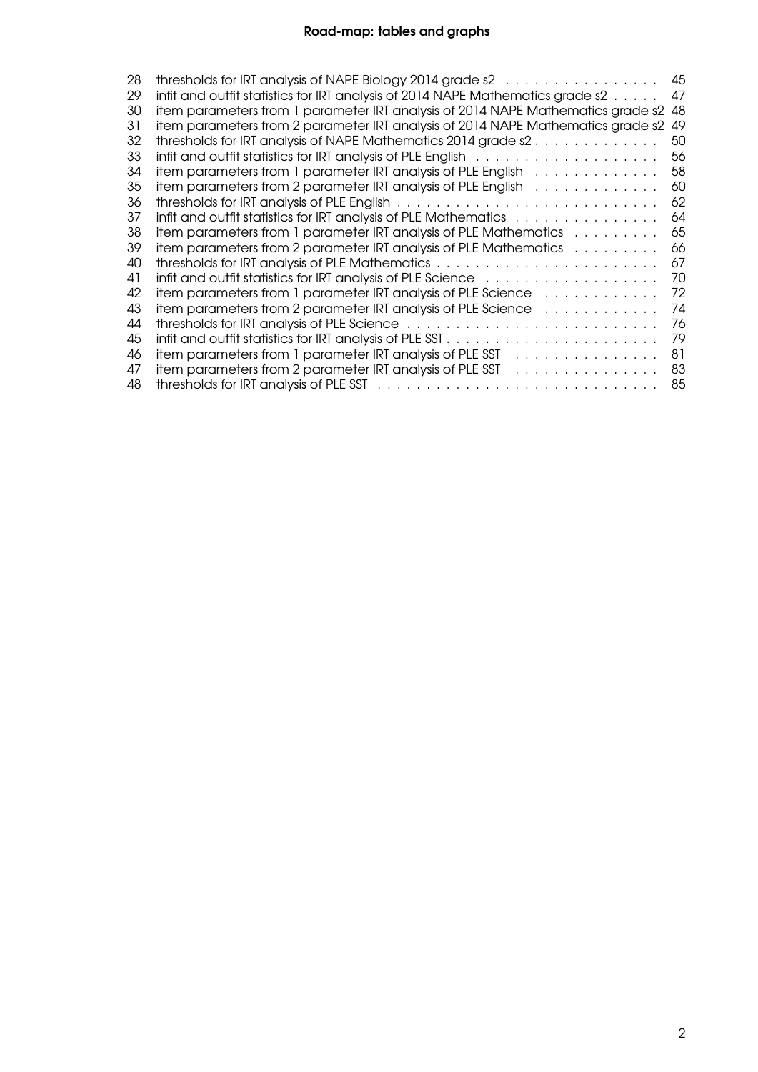| thresholds for IRT analysis of NAPE Biology 2014 grade s2 x x x x x x x x x x x x x x x x x                      | 45                                                                                                                                              |
|------------------------------------------------------------------------------------------------------------------|-------------------------------------------------------------------------------------------------------------------------------------------------|
|                                                                                                                  | 47                                                                                                                                              |
| item parameters from 1 parameter IRT analysis of 2014 NAPE Mathematics grade s2                                  | -48                                                                                                                                             |
| item parameters from 2 parameter IRT analysis of 2014 NAPE Mathematics grade s2                                  | -49                                                                                                                                             |
|                                                                                                                  | 50                                                                                                                                              |
|                                                                                                                  | 56                                                                                                                                              |
| item parameters from 1 parameter IRT analysis of PLE English                                                     | 58                                                                                                                                              |
| item parameters from 2 parameter IRT analysis of PLE English                                                     | 60                                                                                                                                              |
|                                                                                                                  | 62                                                                                                                                              |
| infit and outfit statistics for IRT analysis of PLE Mathematics                                                  | 64                                                                                                                                              |
| item parameters from 1 parameter IRT analysis of PLE Mathematics                                                 | 65                                                                                                                                              |
| item parameters from 2 parameter IRT analysis of PLE Mathematics                                                 | 66                                                                                                                                              |
|                                                                                                                  | 67                                                                                                                                              |
| infit and outfit statistics for IRT analysis of PLE Science with the window with an outfit and outfit statistics | 70                                                                                                                                              |
| item parameters from 1 parameter IRT analysis of PLE Science                                                     | 72                                                                                                                                              |
| item parameters from 2 parameter IRT analysis of PLE Science                                                     | 74                                                                                                                                              |
| thresholds for IRT analysis of PLE Science                                                                       | 76                                                                                                                                              |
|                                                                                                                  | 79                                                                                                                                              |
| item parameters from 1 parameter IRT analysis of PLE SST<br>a caracteristic and a caracteristic                  | 81                                                                                                                                              |
| item parameters from 2 parameter IRT analysis of PLE SST<br>.                                                    | 83                                                                                                                                              |
|                                                                                                                  | 85                                                                                                                                              |
|                                                                                                                  | infit and outfit statistics for IRT analysis of 2014 NAPE Mathematics grade s2<br>thresholds for IRT analysis of NAPE Mathematics 2014 grade s2 |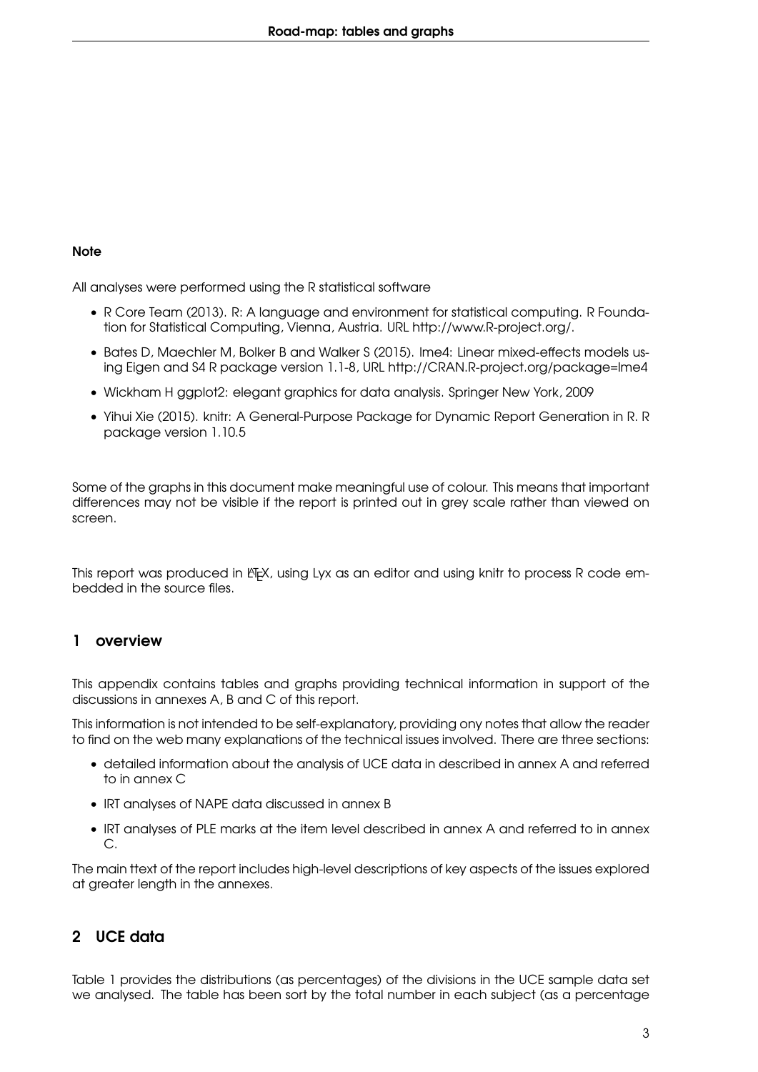#### **Note**

All analyses were performed using the R statistical software

- R Core Team (2013). R: A language and environment for statistical computing. R Foundation for Statistical Computing, Vienna, Austria. URL http://www.R-project.org/.
- Bates D, Maechler M, Bolker B and Walker S (2015). lme4: Linear mixed-effects models using Eigen and S4 R package version 1.1-8, URL http://CRAN.R-project.org/package=lme4
- Wickham H ggplot2: elegant graphics for data analysis. Springer New York, 2009
- Yihui Xie (2015). knitr: A General-Purpose Package for Dynamic Report Generation in R. R package version 1.10.5

Some of the graphs in this document make meaningful use of colour. This means that important differences may not be visible if the report is printed out in grey scale rather than viewed on screen.

This report was produced in ET<sub>E</sub>X, using Lyx as an editor and using knitr to process R code embedded in the source files.

#### <span id="page-2-0"></span>1 overview

This appendix contains tables and graphs providing technical information in support of the discussions in annexes A, B and C of this report.

This information is not intended to be self-explanatory, providing ony notes that allow the reader to find on the web many explanations of the technical issues involved. There are three sections:

- detailed information about the analysis of UCE data in described in annex A and referred to in annex C
- IRT analyses of NAPE data discussed in annex B
- IRT analyses of PLE marks at the item level described in annex A and referred to in annex C.

The main ttext of the report includes high-level descriptions of key aspects of the issues explored at greater length in the annexes.

## <span id="page-2-1"></span>2 UCE data

Table [1](#page-4-0) provides the distributions (as percentages) of the divisions in the UCE sample data set we analysed. The table has been sort by the total number in each subject (as a percentage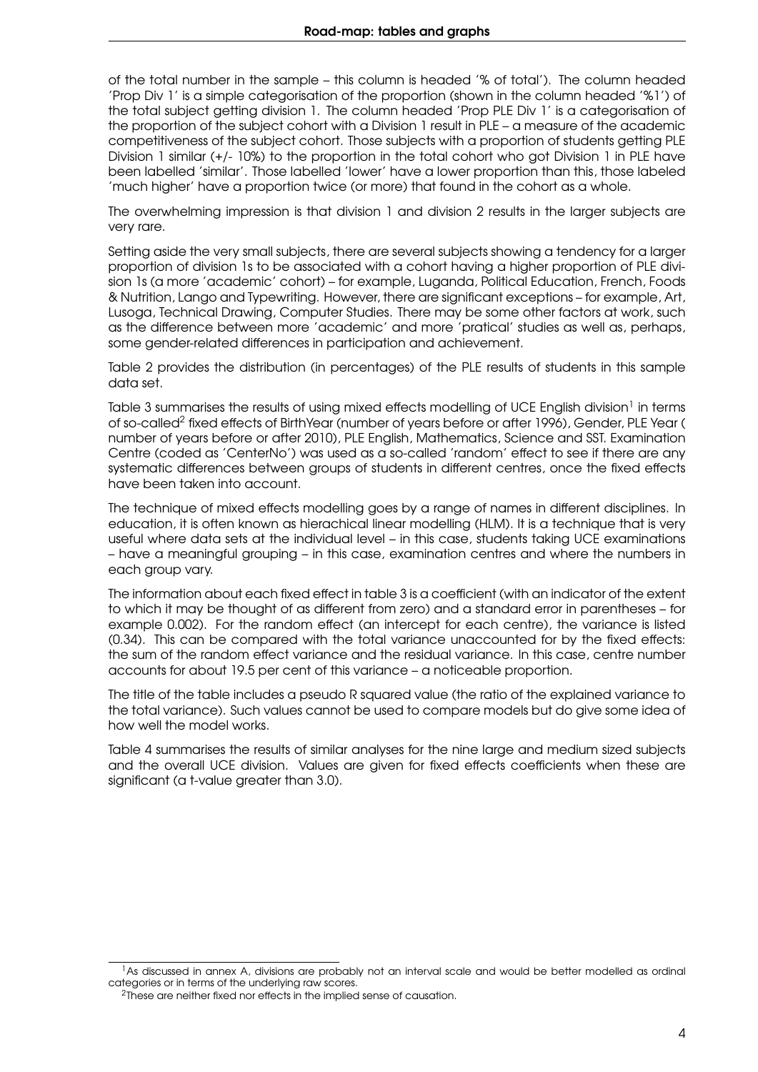of the total number in the sample – this column is headed '% of total'). The column headed 'Prop Div 1' is a simple categorisation of the proportion (shown in the column headed '%1') of the total subject getting division 1. The column headed 'Prop PLE Div 1' is a categorisation of the proportion of the subject cohort with a Division 1 result in PLE – a measure of the academic competitiveness of the subject cohort. Those subjects with a proportion of students getting PLE Division 1 similar (+/- 10%) to the proportion in the total cohort who got Division 1 in PLE have been labelled 'similar'. Those labelled 'lower' have a lower proportion than this, those labeled 'much higher' have a proportion twice (or more) that found in the cohort as a whole.

The overwhelming impression is that division 1 and division 2 results in the larger subjects are very rare.

Setting aside the very small subjects, there are several subjects showing a tendency for a larger proportion of division 1s to be associated with a cohort having a higher proportion of PLE division 1s (a more 'academic' cohort) – for example, Luganda, Political Education, French, Foods & Nutrition, Lango and Typewriting. However, there are significant exceptions – for example, Art, Lusoga, Technical Drawing, Computer Studies. There may be some other factors at work, such as the difference between more 'academic' and more 'pratical' studies as well as, perhaps, some gender-related differences in participation and achievement.

Table [2](#page-4-1) provides the distribution (in percentages) of the PLE results of students in this sample data set.

Table [3](#page-5-0) summarises the results of using mixed effects modelling of UCE English division<sup>1</sup> in terms of so-called<sup>[2](#page-3-1)</sup> fixed effects of BirthYear (number of years before or after 1996), Gender, PLE Year ( number of years before or after 2010), PLE English, Mathematics, Science and SST. Examination Centre (coded as 'CenterNo') was used as a so-called 'random' effect to see if there are any systematic differences between groups of students in different centres, once the fixed effects have been taken into account.

The technique of mixed effects modelling goes by a range of names in different disciplines. In education, it is often known as hierachical linear modelling (HLM). It is a technique that is very useful where data sets at the individual level – in this case, students taking UCE examinations – have a meaningful grouping – in this case, examination centres and where the numbers in each group vary.

The information about each fixed effect in table [3](#page-5-0) is a coefficient (with an indicator of the extent to which it may be thought of as different from zero) and a standard error in parentheses – for example 0.002). For the random effect (an intercept for each centre), the variance is listed (0.34). This can be compared with the total variance unaccounted for by the fixed effects: the sum of the random effect variance and the residual variance. In this case, centre number accounts for about 19.5 per cent of this variance – a noticeable proportion.

The title of the table includes a pseudo R squared value (the ratio of the explained variance to the total variance). Such values cannot be used to compare models but do give some idea of how well the model works.

Table [4](#page-5-1) summarises the results of similar analyses for the nine large and medium sized subjects and the overall UCE division. Values are given for fixed effects coefficients when these are significant (a t-value greater than 3.0).

<span id="page-3-0"></span> $^1$ As discussed in annex A, divisions are probably not an interval scale and would be better modelled as ordinal categories or in terms of the underlying raw scores.

<span id="page-3-1"></span><sup>&</sup>lt;sup>2</sup>These are neither fixed nor effects in the implied sense of causation.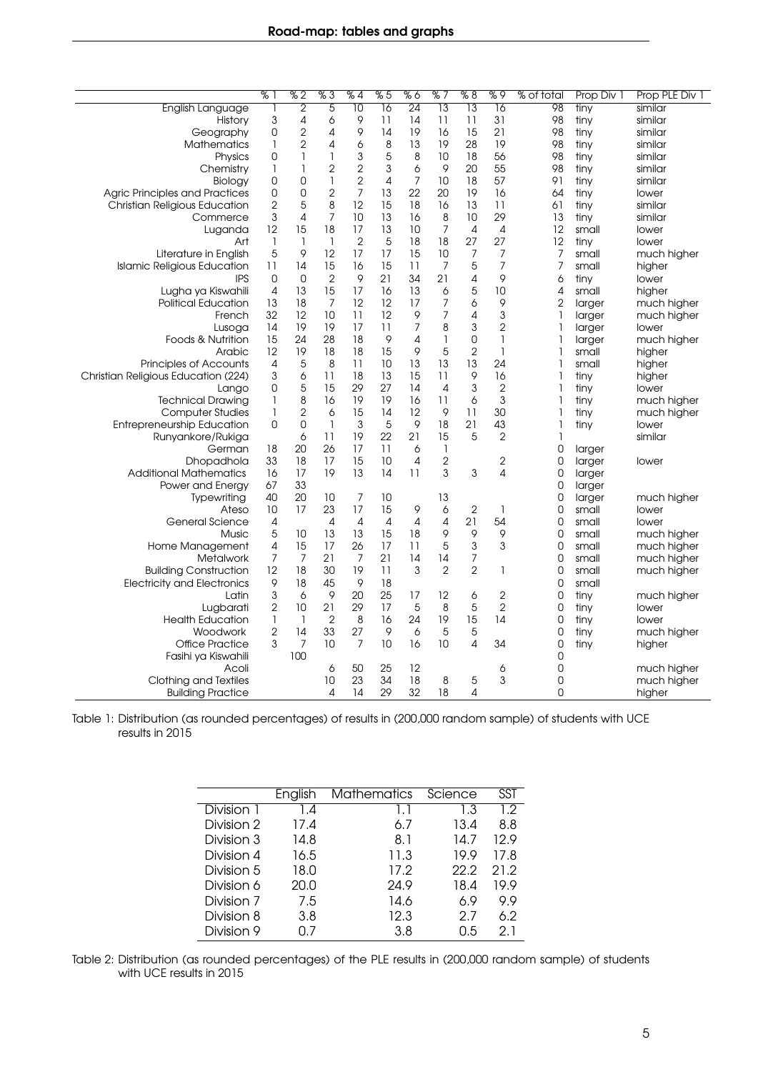<span id="page-4-0"></span>

|                                       | % 1                 | %2             | %3             | % 4             | %5              | %6              | % 7                                   | % 8             | %9              | % of total     | Prop Div 1     | Prop PLE Div 1             |
|---------------------------------------|---------------------|----------------|----------------|-----------------|-----------------|-----------------|---------------------------------------|-----------------|-----------------|----------------|----------------|----------------------------|
| <b>English Language</b>               | 1                   | $\overline{2}$ | $\overline{5}$ | $\overline{10}$ | $\overline{16}$ | $\overline{24}$ | $\overline{13}$                       | $\overline{13}$ | $\overline{16}$ | 98             | tiny           | similar                    |
| History                               | 3                   | 4              | 6              | 9               | 11              | 14              | 11                                    | 11              | 31              | 98             | tiny           | similar                    |
| Geography                             | 0                   | $\overline{2}$ | 4              | 9               | 14              | 19              | 16                                    | 15              | 21              | 98             | tiny           | similar                    |
| <b>Mathematics</b>                    | 1                   | $\overline{2}$ | 4              | 6               | 8               | 13              | 19                                    | 28              | 19              | 98             | tiny           | similar                    |
| Physics                               | 0                   | 1              | 1              | 3               | 5               | 8               | 10                                    | 18              | 56              | 98             | tiny           | similar                    |
| Chemistry                             | 1                   | 1              | $\overline{c}$ | $\overline{c}$  | 3               | 6               | $\circ$                               | 20              | 55              | 98             | tiny           | similar                    |
| Biology                               | 0                   | $\mathbf 0$    | $\mathbf{1}$   | $\overline{c}$  | 4               | 7               | 10                                    | 18              | 57              | 91             | tiny           | similar                    |
| <b>Agric Principles and Practices</b> | 0                   | $\mathbf 0$    | $\overline{2}$ | $\overline{7}$  | 13              | 22              | 20                                    | 19              | 16              | 64             | tiny           | lower                      |
| <b>Christian Religious Education</b>  | $\overline{c}$      | 5              | 8              | 12              | 15              | 18              | 16                                    | 13              | 11              | 61             | tiny           | similar                    |
| Commerce                              | 3                   | $\overline{4}$ | $\overline{7}$ | 10              | 13              | 16              | $\,8\,$                               | 10              | 29              | 13             | tiny           | similar                    |
| Luganda                               | 12                  | 15             | 18             | 17              | 13              | 10              | $\overline{7}$                        | $\overline{4}$  | 4               | 12             | small          | lower                      |
| Art                                   | $\mathbf{1}$        | 1              | $\mathbf{1}$   | $\overline{2}$  | 5               | 18              | 18                                    | 27              | 27              | 12             | tiny           | lower                      |
| Literature in English                 | 5                   | 9              | 12             | 17              | 17              | 15              | 10                                    | 7               | 7               | 7              | small          | much higher                |
| <b>Islamic Religious Education</b>    | 11                  | 14             | 15             | 16              | 15              | 11              | $\overline{7}$                        | 5               | $\overline{7}$  | 7              | small          | higher                     |
| <b>IPS</b>                            | 0                   | $\mathsf 0$    | $\overline{2}$ | 9               | 21              | 34              | 21                                    | $\sqrt{4}$      | 9               | 6              | tiny           | lower                      |
| Lugha ya Kiswahili                    | $\overline{4}$      | 13             | 15             | 17              | 16              | 13              | 6                                     | 5               | 10              | 4              | small          | higher                     |
| <b>Political Education</b>            | 13                  | 18             | 7              | 12              | 12              | 17              | $\overline{7}$                        | 6               | 9               | $\overline{2}$ | larger         | much higher                |
| French                                | 32                  | 12             | 10             | 11              | 12              | 9               | $\overline{7}$                        | 4               | 3               | 1              | larger         | much higher                |
| Lusoga                                | 14                  | 19             | 19             | 17              | 11              | $\overline{7}$  | 8                                     | 3               | $\overline{2}$  | 1              | larger         | lower                      |
| Foods & Nutrition                     | 15                  | 24             | 28             | 18              | 9               | 4               | $\begin{array}{c} \hline \end{array}$ | $\mathbf 0$     | 1               | 1              | larger         | much higher                |
| Arabic                                | 12                  | 19             | 18             | 18              | 15              | 9               | 5                                     | $\overline{2}$  | 1               | 1              | small          | higher                     |
| <b>Principles of Accounts</b>         | 4                   | 5              | 8              | 11              | 10              | 13              | 13                                    | 13              | 24              | 1              | small          | higher                     |
| Christian Religious Education (224)   | 3                   | 6              | 11             | 18              | 13              | 15              | 11                                    | 9               | 16              | 1              | tiny           | higher                     |
| Lango                                 | 0                   | $\sqrt{5}$     | 15             | 29              | 27              | 14              | $\overline{4}$                        | 3               | $\overline{2}$  | 1              | tiny           | lower                      |
| <b>Technical Drawing</b>              | $\mathbf{1}$        | 8              | 16             | 19              | 19              | 16              | 11                                    | 6               | 3               | 1              | tiny           | much higher                |
| <b>Computer Studies</b>               | 1                   | $\overline{2}$ | 6              | 15              | 14              | 12              | 9                                     | 11              | 30              | 1              | tiny           | much higher                |
| <b>Entrepreneurship Education</b>     | 0                   | $\overline{0}$ | $\mathbf{1}$   | 3               | 5               | 9               | 18                                    | 21              | 43              | 1              | tiny           | lower                      |
| Runyankore/Rukiga                     |                     | 6              | 11             | 19              | 22              | 21              | 15                                    | 5               | $\overline{2}$  | 1              |                | similar                    |
| German                                | 18                  | 20             | 26             | 17              | 11              | 6               | $\begin{array}{c} \hline \end{array}$ |                 |                 | 0              | larger         |                            |
| Dhopadhola                            | 33                  | 18             | 17             | 15              | 10              | $\overline{4}$  | $\overline{c}$                        |                 | $\overline{2}$  | 0              | larger         | lower                      |
| <b>Additional Mathematics</b>         | 16                  | 17             | 19             | 13              | 14              | 11              | 3                                     | 3               | $\overline{4}$  | 0              | larger         |                            |
| Power and Energy                      | 67                  | 33             |                |                 |                 |                 |                                       |                 |                 | 0              | larger         |                            |
| Typewriting                           | 40                  | 20             | 10             | 7               | 10              |                 | 13                                    |                 |                 | 0              | larger         | much higher                |
| Ateso                                 | 10                  | 17             | 23             | 17              | 15              | 9               | 6                                     | $\overline{2}$  | 1               | 0              | small          | lower                      |
| General Science                       | 4                   |                | $\overline{4}$ | $\overline{4}$  | $\overline{4}$  | $\overline{4}$  | 4                                     | 21              | 54              | $\overline{0}$ | small          | lower                      |
| Music                                 | 5                   | 10             | 13             | 13              | 15              | 18              | 9                                     | 9               | 9               | 0              | small          | much higher                |
|                                       |                     | 15             | 17             | 26              | 17              | 11              | 5                                     | 3               | 3               | 0              |                |                            |
| Home Management<br><b>Metalwork</b>   | 4<br>$\overline{7}$ | $\overline{7}$ | 21             | 7               | 21              | 14              | 14                                    | $\overline{7}$  |                 | 0              | small          | much higher<br>much higher |
|                                       | 12                  |                |                | 19              |                 | 3               | $\overline{2}$                        | $\overline{2}$  |                 |                | small          |                            |
| <b>Building Construction</b>          | 9                   | 18<br>18       | 30<br>45       | 9               | 11<br>18        |                 |                                       |                 | 1               | 0<br>0         | small<br>small | much higher                |
| <b>Electricity and Electronics</b>    |                     |                |                |                 |                 |                 |                                       |                 |                 |                |                |                            |
| Latin                                 | 3                   | 6              | 9              | 20              | 25              | 17              | 12                                    | 6               | $\overline{2}$  | 0              | tiny           | much higher                |
| Lugbarati                             | $\overline{c}$      | 10             | 21             | 29              | 17              | 5               | 8                                     | 5               | $\overline{2}$  | 0              | tiny           | lower                      |
| <b>Health Education</b>               | $\mathbf{1}$        | $\mathbf{1}$   | $\overline{2}$ | 8               | 16              | 24              | 19                                    | 15              | 14              | 0              | tiny           | lower                      |
| Woodwork                              | $\mathbf{2}$        | 14             | 33             | 27              | 9               | 6               | 5                                     | 5               |                 | 0              | tiny           | much higher                |
| <b>Office Practice</b>                | 3                   | 7              | 10             | $\overline{7}$  | 10              | 16              | 10                                    | 4               | 34              | $\overline{0}$ | tiny           | higher                     |
| Fasihi ya Kiswahili                   |                     | 100            |                |                 |                 |                 |                                       |                 |                 | 0              |                |                            |
| Acoli                                 |                     |                | 6              | 50              | 25              | 12              |                                       |                 | 6               | $\mathbf 0$    |                | much higher                |
| Clothing and Textiles                 |                     |                | 10             | 23              | 34              | 18              | 8                                     | 5               | 3               | $\overline{0}$ |                | much higher                |
| <b>Building Practice</b>              |                     |                | 4              | 14              | 29              | 32              | 18                                    | 4               |                 | $\overline{0}$ |                | higher                     |

<span id="page-4-1"></span>Table 1: Distribution (as rounded percentages) of results in (200,000 random sample) of students with UCE results in 2015

|            | English | <b>Mathematics</b> | Science | SST  |
|------------|---------|--------------------|---------|------|
| Division 1 | 1.4     | 1.1                | 1.3     | 1.2  |
| Division 2 | 17.4    | 6.7                | 13.4    | 8.8  |
| Division 3 | 14.8    | 8.1                | 14.7    | 12.9 |
| Division 4 | 16.5    | 11.3               | 19.9    | 17.8 |
| Division 5 | 18.0    | 17.2               | 22.2    | 21.2 |
| Division 6 | 20.0    | 24.9               | 18.4    | 19.9 |
| Division 7 | 7.5     | 14.6               | 6.9     | 9.9  |
| Division 8 | 3.8     | 12.3               | 2.7     | 6.2  |
| Division 9 | Ი.7     | 3.8                | 0.5     | 2.1  |

Table 2: Distribution (as rounded percentages) of the PLE results in (200,000 random sample) of students with UCE results in 2015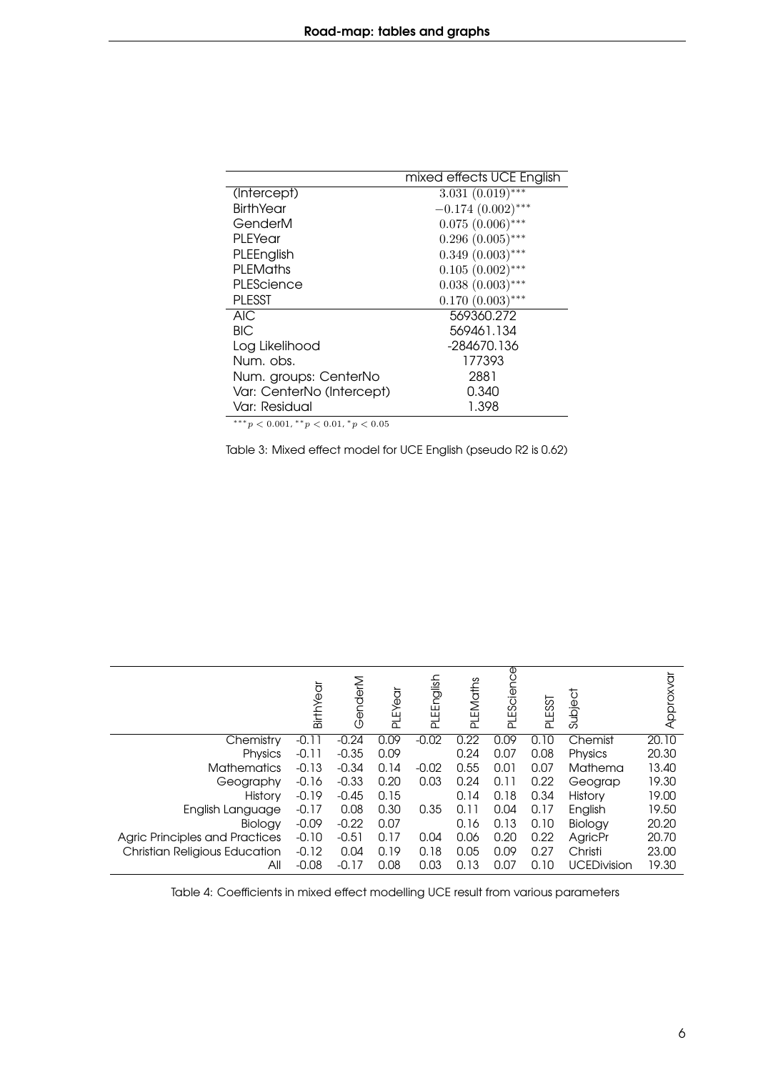<span id="page-5-0"></span>

|                           | mixed effects UCE English        |
|---------------------------|----------------------------------|
| (Intercept)               | 3.031 $(0.0\overline{19})^{***}$ |
| <b>BirthYear</b>          | $-0.174(0.002)$ ***              |
| GenderM                   | $0.075(0.006)$ ***               |
| PI FYear                  | $0.296(0.005)$ ***               |
| PLEEnglish                | $0.349(0.003)$ ***               |
| PI FMaths                 | $0.105(0.002)$ ***               |
| PLEScience                | $0.038(0.003)$ ***               |
| <b>PLESST</b>             | $0.170(0.003)$ ***               |
| AIC                       | 569360.272                       |
| <b>BIC</b>                | 569461.134                       |
| Log Likelihood            | -284670.136                      |
| Num, obs.                 | 177393                           |
| Num. groups: CenterNo     | 2881                             |
| Var: CenterNo (Intercept) | 0.340                            |
| Var: Residual             | 1.398                            |

 $***p<0.001$ ,  $**p<0.01$ ,  $p<0.05$ 

Table 3: Mixed effect model for UCE English (pseudo R2 is 0.62)

<span id="page-5-1"></span>

|                                       | BirthYear | GenderM | PLEYear | PLEEnglish | PLEMaths | PLEScience | <b>PLESST</b> | Subject            | Approxvar |
|---------------------------------------|-----------|---------|---------|------------|----------|------------|---------------|--------------------|-----------|
| Chemistry                             | $-0.11$   | $-0.24$ | 0.09    | $-0.02$    | 0.22     | 0.09       | 0.10          | Chemist            | 20.10     |
| Physics                               | $-0.11$   | $-0.35$ | 0.09    |            | 0.24     | 0.07       | 0.08          | Physics            | 20.30     |
| <b>Mathematics</b>                    | $-0.13$   | $-0.34$ | 0.14    | $-0.02$    | 0.55     | 0.01       | 0.07          | Mathema            | 13.40     |
| Geography                             | $-0.16$   | $-0.33$ | 0.20    | 0.03       | 0.24     | 0.11       | 0.22          | Geograp            | 19.30     |
| History                               | $-0.19$   | $-0.45$ | 0.15    |            | 0.14     | 0.18       | 0.34          | <b>History</b>     | 19.00     |
| English Language                      | $-0.17$   | 0.08    | 0.30    | 0.35       | 0.11     | 0.04       | 0.17          | English            | 19.50     |
| Biology                               | $-0.09$   | $-0.22$ | 0.07    |            | 0.16     | 0.13       | 0.10          | Biology            | 20.20     |
| <b>Agric Principles and Practices</b> | $-0.10$   | $-0.51$ | 0.17    | 0.04       | 0.06     | 0.20       | 0.22          | AgricPr            | 20.70     |
| <b>Christian Religious Education</b>  | $-0.12$   | 0.04    | 0.19    | 0.18       | 0.05     | 0.09       | 0.27          | Christi            | 23.00     |
| Αll                                   | $-0.08$   | $-0.17$ | 0.08    | 0.03       | 0.13     | 0.07       | 0.10          | <b>UCEDivision</b> | 19.30     |

Table 4: Coefficients in mixed effect modelling UCE result from various parameters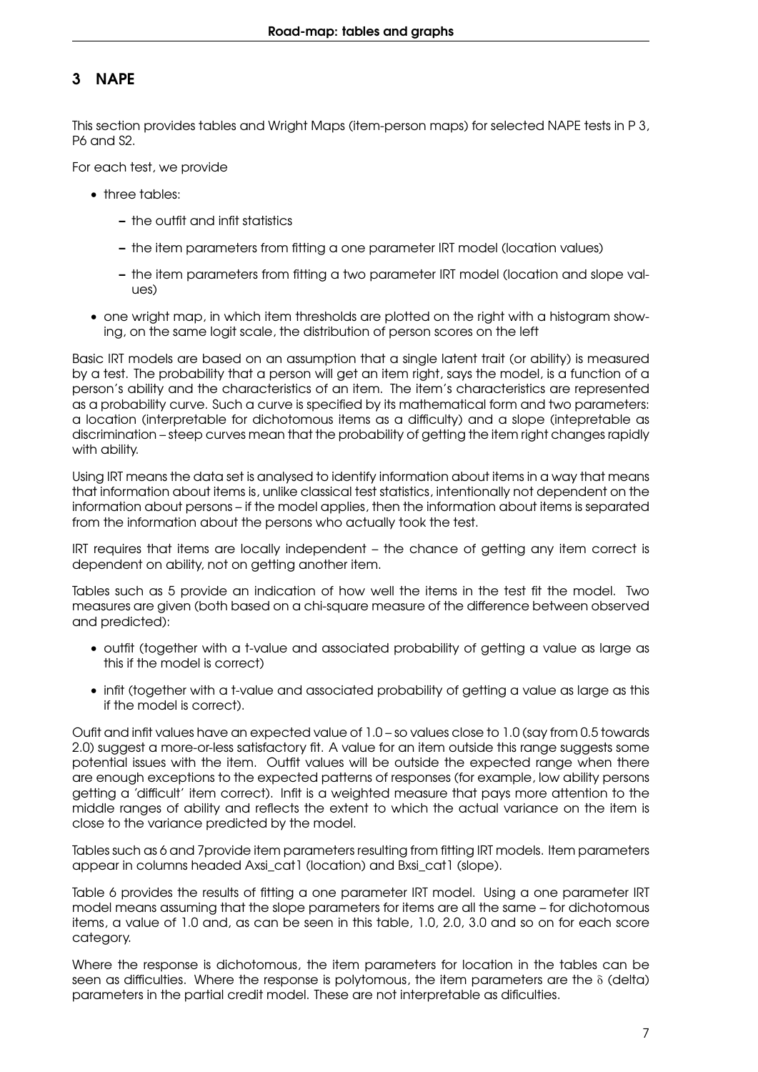## <span id="page-6-0"></span>3 NAPE

This section provides tables and Wright Maps (item-person maps) for selected NAPE tests in P 3, P6 and S2.

For each test, we provide

- three tables:
	- the outfit and infit statistics
	- the item parameters from fitting a one parameter IRT model (location values)
	- the item parameters from fitting a two parameter IRT model (location and slope values)
- one wright map, in which item thresholds are plotted on the right with a histogram showing, on the same logit scale, the distribution of person scores on the left

Basic IRT models are based on an assumption that a single latent trait (or ability) is measured by a test. The probability that a person will get an item right, says the model, is a function of a person's ability and the characteristics of an item. The item's characteristics are represented as a probability curve. Such a curve is specified by its mathematical form and two parameters: a location (interpretable for dichotomous items as a difficulty) and a slope (intepretable as discrimination – steep curves mean that the probability of getting the item right changes rapidly with ability.

Using IRT means the data set is analysed to identify information about items in a way that means that information about items is, unlike classical test statistics, intentionally not dependent on the information about persons – if the model applies, then the information about items is separated from the information about the persons who actually took the test.

IRT requires that items are locally independent – the chance of getting any item correct is dependent on ability, not on getting another item.

Tables such as [5](#page-7-0) provide an indication of how well the items in the test fit the model. Two measures are given (both based on a chi-square measure of the difference between observed and predicted):

- outfit (together with a t-value and associated probability of getting a value as large as this if the model is correct)
- infit (together with a t-value and associated probability of getting a value as large as this if the model is correct).

Oufit and infit values have an expected value of 1.0 – so values close to 1.0 (say from 0.5 towards 2.0) suggest a more-or-less satisfactory fit. A value for an item outside this range suggests some potential issues with the item. Outfit values will be outside the expected range when there are enough exceptions to the expected patterns of responses (for example, low ability persons getting a 'difficult' item correct). Infit is a weighted measure that pays more attention to the middle ranges of ability and reflects the extent to which the actual variance on the item is close to the variance predicted by the model.

Tables such as [6](#page-8-0) and [7p](#page-9-0)rovide item parameters resulting from fitting IRT models. Item parameters appear in columns headed Axsi\_cat1 (location) and Bxsi\_cat1 (slope).

Table [6](#page-8-0) provides the results of fitting a one parameter IRT model. Using a one parameter IRT model means assuming that the slope parameters for items are all the same – for dichotomous items, a value of 1.0 and, as can be seen in this table, 1.0, 2.0, 3.0 and so on for each score category.

Where the response is dichotomous, the item parameters for location in the tables can be seen as difficulties. Where the response is polytomous, the item parameters are the  $\delta$  (delta) parameters in the partial credit model. These are not interpretable as dificulties.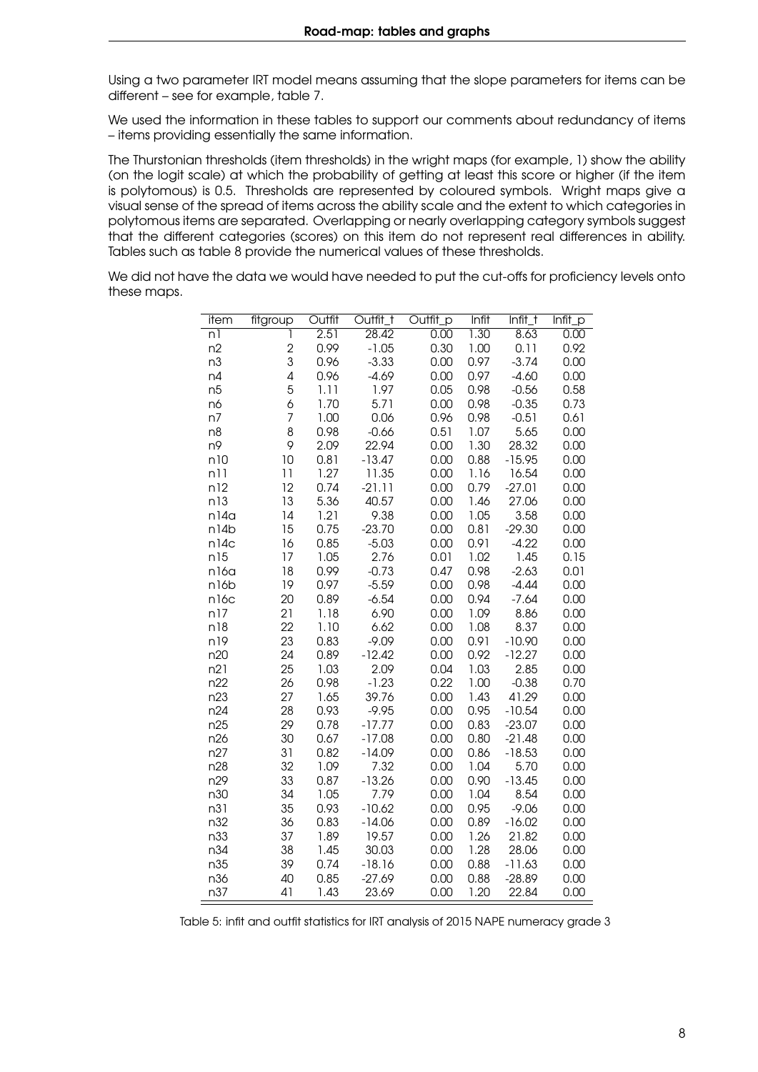Using a two parameter IRT model means assuming that the slope parameters for items can be different – see for example, table [7.](#page-9-0)

We used the information in these tables to support our comments about redundancy of items – items providing essentially the same information.

The Thurstonian thresholds (item thresholds) in the wright maps (for example, [1\)](#page-12-0) show the ability (on the logit scale) at which the probability of getting at least this score or higher (if the item is polytomous) is 0.5. Thresholds are represented by coloured symbols. Wright maps give a visual sense of the spread of items across the ability scale and the extent to which categories in polytomous items are separated. Overlapping or nearly overlapping category symbols suggest that the different categories (scores) on this item do not represent real differences in ability. Tables such as table [8](#page-10-0) provide the numerical values of these thresholds.

<span id="page-7-0"></span>We did not have the data we would have needed to put the cut-offs for proficiency levels onto these maps.

| item             | fitgroup       | Outfit | Outfit_t | Outfit_p | Infit | $Infit_t$ | $Infit$ <sub>p</sub> |
|------------------|----------------|--------|----------|----------|-------|-----------|----------------------|
| $\overline{n}$   | 1              | 2.51   | 28.42    | 0.00     | 1.30  | 8.63      | 0.00                 |
| n2               | $\overline{c}$ | 0.99   | $-1.05$  | 0.30     | 1.00  | 0.11      | 0.92                 |
| n3               | 3              | 0.96   | $-3.33$  | 0.00     | 0.97  | $-3.74$   | 0.00                 |
| n4               | 4              | 0.96   | $-4.69$  | 0.00     | 0.97  | $-4.60$   | 0.00                 |
| n <sub>5</sub>   | 5              | 1.11   | 1.97     | 0.05     | 0.98  | $-0.56$   | 0.58                 |
| n6               | 6              | 1.70   | 5.71     | 0.00     | 0.98  | $-0.35$   | 0.73                 |
| n7               | $\overline{7}$ | 1.00   | 0.06     | 0.96     | 0.98  | $-0.51$   | 0.61                 |
| n8               | 8              | 0.98   | $-0.66$  | 0.51     | 1.07  | 5.65      | 0.00                 |
| n9               | 9              | 2.09   | 22.94    | 0.00     | 1.30  | 28.32     | 0.00                 |
| n10              | 10             | 0.81   | $-13.47$ | 0.00     | 0.88  | $-15.95$  | 0.00                 |
| n11              | 11             | 1.27   | 11.35    | 0.00     | 1.16  | 16.54     | 0.00                 |
| n12              | 12             | 0.74   | $-21.11$ | 0.00     | 0.79  | $-27.01$  | 0.00                 |
| n13              | 13             | 5.36   | 40.57    | 0.00     | 1.46  | 27.06     | 0.00                 |
| n14a             | 14             | 1.21   | 9.38     | 0.00     | 1.05  | 3.58      | 0.00                 |
| n14b             | 15             | 0.75   | $-23.70$ | 0.00     | 0.81  | $-29.30$  | 0.00                 |
| n14c             | 16             | 0.85   | $-5.03$  | 0.00     | 0.91  | $-4.22$   | 0.00                 |
| n15              | 17             | 1.05   | 2.76     | 0.01     | 1.02  | 1.45      | 0.15                 |
| n16a             | 18             | 0.99   | $-0.73$  | 0.47     | 0.98  | $-2.63$   | 0.01                 |
| n16b             | 19             | 0.97   | $-5.59$  | 0.00     | 0.98  | $-4.44$   | 0.00                 |
| n <sub>16c</sub> | 20             | 0.89   | $-6.54$  | 0.00     | 0.94  | $-7.64$   | 0.00                 |
| n17              | 21             | 1.18   | 6.90     | 0.00     | 1.09  | 8.86      | 0.00                 |
| n18              | 22             | 1.10   | 6.62     | 0.00     | 1.08  | 8.37      | 0.00                 |
| n19              | 23             | 0.83   | $-9.09$  | 0.00     | 0.91  | $-10.90$  | 0.00                 |
| n20              | 24             | 0.89   | $-12.42$ | 0.00     | 0.92  | $-12.27$  | 0.00                 |
| n21              | 25             | 1.03   | 2.09     | 0.04     | 1.03  | 2.85      | 0.00                 |
| n22              | 26             | 0.98   | $-1.23$  | 0.22     | 1.00  | $-0.38$   | 0.70                 |
| n23              | 27             | 1.65   | 39.76    | 0.00     | 1.43  | 41.29     | 0.00                 |
| n24              | 28             | 0.93   | $-9.95$  | 0.00     | 0.95  | $-10.54$  | 0.00                 |
| n25              | 29             | 0.78   | $-17.77$ | 0.00     | 0.83  | $-23.07$  | 0.00                 |
| n26              | 30             | 0.67   | $-17.08$ | 0.00     | 0.80  | $-21.48$  | 0.00                 |
| n27              | 31             | 0.82   | $-14.09$ | 0.00     | 0.86  | $-18.53$  | 0.00                 |
| n28              | 32             | 1.09   | 7.32     | 0.00     | 1.04  | 5.70      | 0.00                 |
| n29              | 33             | 0.87   | $-13.26$ | 0.00     | 0.90  | $-13.45$  | 0.00                 |
| n30              | 34             | 1.05   | 7.79     | 0.00     | 1.04  | 8.54      | 0.00                 |
| n31              | 35             | 0.93   | $-10.62$ | 0.00     | 0.95  | $-9.06$   | 0.00                 |
| n32              | 36             | 0.83   | $-14.06$ | 0.00     | 0.89  | $-16.02$  | 0.00                 |
| n33              | 37             | 1.89   | 19.57    | 0.00     | 1.26  | 21.82     | 0.00                 |
| n34              | 38             | 1.45   | 30.03    | 0.00     | 1.28  | 28.06     | 0.00                 |
| n35              | 39             | 0.74   | $-18.16$ | 0.00     | 0.88  | $-11.63$  | 0.00                 |
| n36              | 40             | 0.85   | $-27.69$ | 0.00     | 0.88  | $-28.89$  | 0.00                 |
| n37              | 41             | 1.43   | 23.69    | 0.00     | 1.20  | 22.84     | 0.00                 |

Table 5: infit and outfit statistics for IRT analysis of 2015 NAPE numeracy grade 3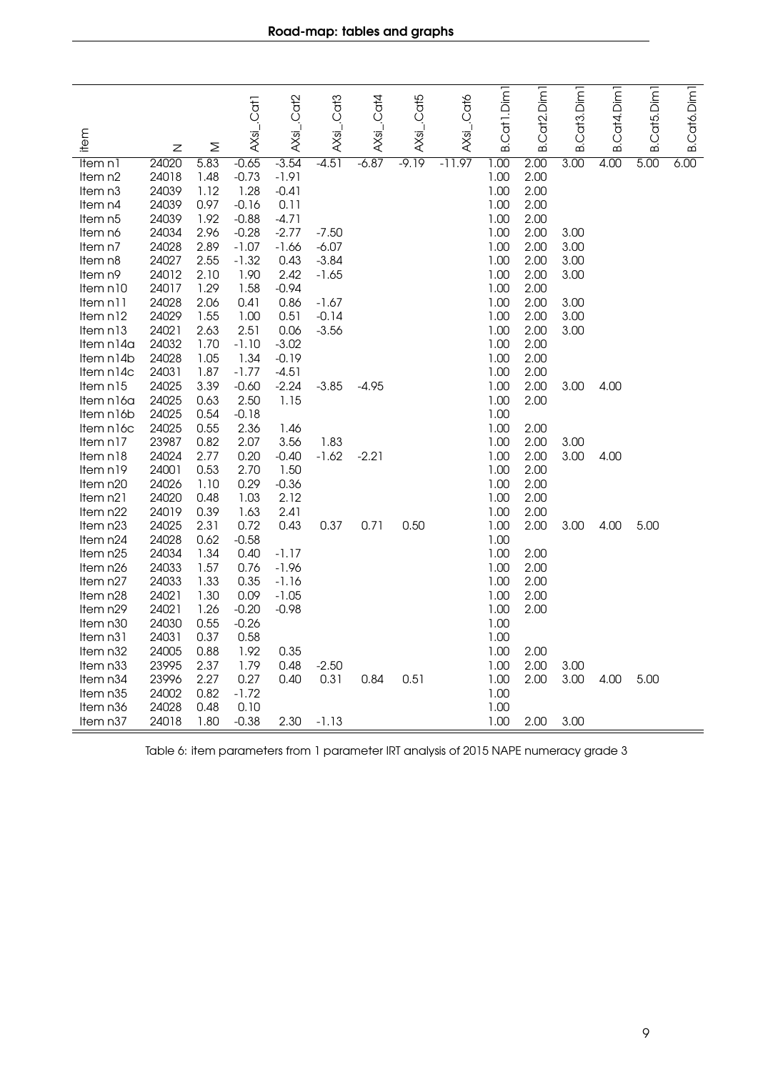<span id="page-8-0"></span>

| item                  |                |              | AXsi_.Cat1      | AXsi_.Cat2         | AXsi_Cat3 | AXsL.Cat4 | AXsi_.Cat5 | AXsi_.Cat6 | Cat1.Dim                       | Cat <sub>2</sub> .Dim | Cat <sub>3</sub> .Dim | Cat4.Dim | B.Cat5.Dim | Cat6.Dim |
|-----------------------|----------------|--------------|-----------------|--------------------|-----------|-----------|------------|------------|--------------------------------|-----------------------|-----------------------|----------|------------|----------|
|                       | Z              | Σ            |                 |                    |           |           |            |            | $\dot{\underline{\mathsf{m}}}$ | ക്                    | ക                     | ഥ        |            | ഥ        |
| ltem n1               | 24020          | 5.83         | $-0.65$         | $-3.54$            | $-4.51$   | $-6.87$   | $-9.19$    | $-11.97$   | 1.00                           | 2.00                  | 3.00                  | 4.00     | 5.00       | 6.00     |
| Item n <sub>2</sub>   | 24018          | 1.48         | $-0.73$         | $-1.91$            |           |           |            |            | 1.00                           | 2.00                  |                       |          |            |          |
| Item n <sub>3</sub>   | 24039          | 1.12         | 1.28            | $-0.41$            |           |           |            |            | 1.00                           | 2.00                  |                       |          |            |          |
| Item n4               | 24039          | 0.97         | $-0.16$         | 0.11               |           |           |            |            | 1.00                           | 2.00                  |                       |          |            |          |
| Item n5               | 24039          | 1.92         | $-0.88$         | $-4.71$            |           |           |            |            | 1.00                           | 2.00                  |                       |          |            |          |
| Item nó               | 24034          | 2.96         | $-0.28$         | $-2.77$            | $-7.50$   |           |            |            | 1.00                           | 2.00                  | 3.00                  |          |            |          |
| Item n7               | 24028          | 2.89         | $-1.07$         | $-1.66$            | $-6.07$   |           |            |            | 1.00                           | 2.00                  | 3.00                  |          |            |          |
| Item n8               | 24027          | 2.55         | $-1.32$         | 0.43               | $-3.84$   |           |            |            | 1.00                           | 2.00                  | 3.00                  |          |            |          |
| Item n9               | 24012          | 2.10         | 1.90            | 2.42               | $-1.65$   |           |            |            | 1.00                           | 2.00                  | 3.00                  |          |            |          |
| Item n10              | 24017          | 1.29         | 1.58            | $-0.94$            |           |           |            |            | 1.00                           | 2.00                  |                       |          |            |          |
| Item n11              | 24028          | 2.06         | 0.41            | 0.86               | $-1.67$   |           |            |            | 1.00                           | 2.00                  | 3.00                  |          |            |          |
| Item n12              | 24029          | 1.55         | 1.00            | 0.51               | $-0.14$   |           |            |            | 1.00                           | 2.00                  | 3.00                  |          |            |          |
| Item n13              | 24021          | 2.63         | 2.51            | 0.06               | $-3.56$   |           |            |            | 1.00                           | 2.00                  | 3.00                  |          |            |          |
| Item n14a             | 24032          | 1.70         | $-1.10$         | $-3.02$            |           |           |            |            | 1.00                           | 2.00                  |                       |          |            |          |
| Item n14b             | 24028<br>24031 | 1.05<br>1.87 | 1.34<br>$-1.77$ | $-0.19$<br>$-4.51$ |           |           |            |            | 1.00<br>1.00                   | 2.00<br>2.00          |                       |          |            |          |
| Item n14c<br>Item n15 | 24025          | 3.39         | $-0.60$         | $-2.24$            | $-3.85$   | $-4.95$   |            |            | 1.00                           | 2.00                  | 3.00                  | 4.00     |            |          |
| Item n16a             | 24025          | 0.63         | 2.50            | 1.15               |           |           |            |            | 1.00                           | 2.00                  |                       |          |            |          |
| Item n16b             | 24025          | 0.54         | $-0.18$         |                    |           |           |            |            | 1.00                           |                       |                       |          |            |          |
| Item n16c             | 24025          | 0.55         | 2.36            | 1.46               |           |           |            |            | 1.00                           | 2.00                  |                       |          |            |          |
| Item n17              | 23987          | 0.82         | 2.07            | 3.56               | 1.83      |           |            |            | 1.00                           | 2.00                  | 3.00                  |          |            |          |
| Item n18              | 24024          | 2.77         | 0.20            | $-0.40$            | $-1.62$   | $-2.21$   |            |            | 1.00                           | 2.00                  | 3.00                  | 4.00     |            |          |
| Item n19              | 24001          | 0.53         | 2.70            | 1.50               |           |           |            |            | 1.00                           | 2.00                  |                       |          |            |          |
| Item n20              | 24026          | 1.10         | 0.29            | $-0.36$            |           |           |            |            | 1.00                           | 2.00                  |                       |          |            |          |
| Item n21              | 24020          | 0.48         | 1.03            | 2.12               |           |           |            |            | 1.00                           | 2.00                  |                       |          |            |          |
| Item n22              | 24019          | 0.39         | 1.63            | 2.41               |           |           |            |            | 1.00                           | 2.00                  |                       |          |            |          |
| Item n23              | 24025          | 2.31         | 0.72            | 0.43               | 0.37      | 0.71      | 0.50       |            | 1.00                           | 2.00                  | 3.00                  | 4.00     | 5.00       |          |
| Item n24              | 24028          | 0.62         | $-0.58$         |                    |           |           |            |            | 1.00                           |                       |                       |          |            |          |
| Item n25              | 24034          | 1.34         | 0.40            | $-1.17$            |           |           |            |            | 1.00                           | 2.00                  |                       |          |            |          |
| Item n26              | 24033          | 1.57         | 0.76            | $-1.96$            |           |           |            |            | 1.00                           | 2.00                  |                       |          |            |          |
| Item n27              | 24033          | 1.33         | 0.35            | $-1.16$            |           |           |            |            | 1.00                           | 2.00                  |                       |          |            |          |
| Item n28              | 24021          | 1.30         | 0.09            | $-1.05$            |           |           |            |            | 1.00                           | 2.00                  |                       |          |            |          |
| Item n29              | 24021          | 1.26         | $-0.20$         | $-0.98$            |           |           |            |            | 1.00                           | 2.00                  |                       |          |            |          |
| Item n30              | 24030          | 0.55         | $-0.26$         |                    |           |           |            |            | 1.00                           |                       |                       |          |            |          |
| Item n31              | 24031          | 0.37         | 0.58            |                    |           |           |            |            | 1.00                           |                       |                       |          |            |          |
| Item n32              | 24005          | 0.88         | 1.92            | 0.35               |           |           |            |            | 1.00                           | 2.00                  |                       |          |            |          |
| Item n33              | 23995          | 2.37         | 1.79            | 0.48               | $-2.50$   |           |            |            | 1.00                           | 2.00                  | 3.00                  |          |            |          |
| Item n34              | 23996          | 2.27         | 0.27            | 0.40               | 0.31      | 0.84      | 0.51       |            | 1.00                           | 2.00                  | 3.00                  | 4.00     | 5.00       |          |
| Item n35              | 24002          | 0.82         | $-1.72$         |                    |           |           |            |            | 1.00                           |                       |                       |          |            |          |
| Item n <sub>36</sub>  | 24028          | 0.48         | 0.10            |                    |           |           |            |            | 1.00                           |                       |                       |          |            |          |
| Item n37              | 24018          | 1.80         | $-0.38$         | 2.30               | $-1.13$   |           |            |            | 1.00                           | 2.00                  | 3.00                  |          |            |          |

Table 6: item parameters from 1 parameter IRT analysis of 2015 NAPE numeracy grade 3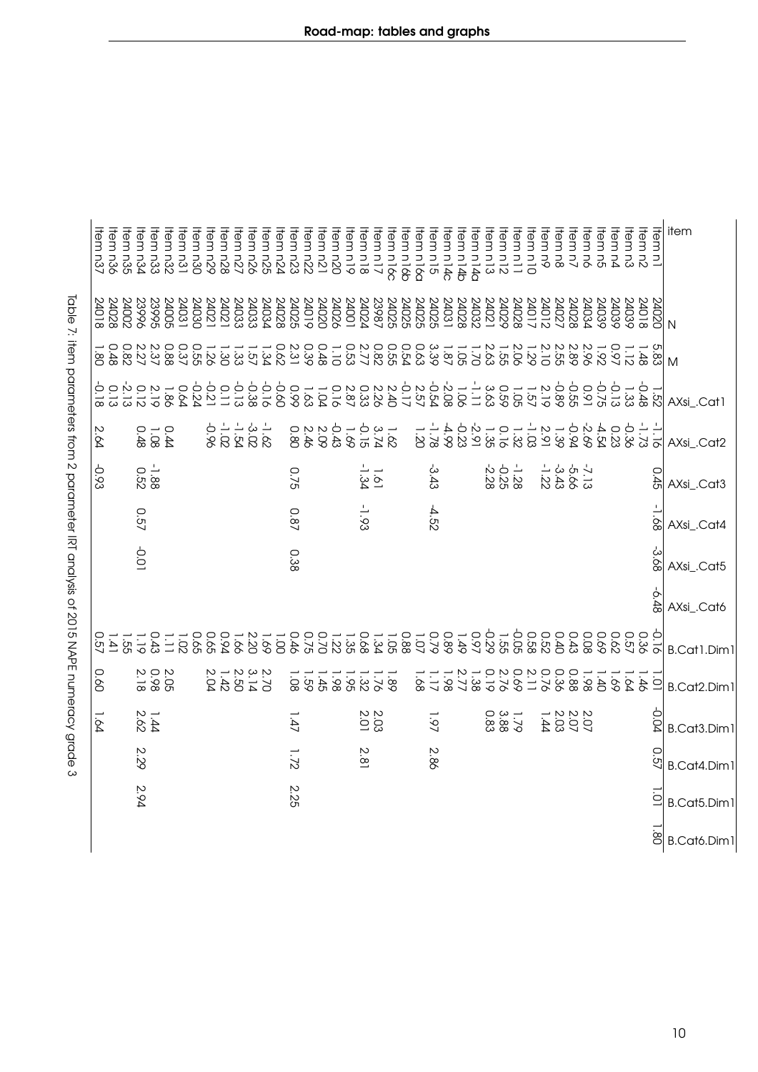| $\frac{1}{2}$                                                                                                  |
|----------------------------------------------------------------------------------------------------------------|
|                                                                                                                |
|                                                                                                                |
|                                                                                                                |
|                                                                                                                |
|                                                                                                                |
|                                                                                                                |
|                                                                                                                |
|                                                                                                                |
|                                                                                                                |
|                                                                                                                |
|                                                                                                                |
|                                                                                                                |
|                                                                                                                |
|                                                                                                                |
|                                                                                                                |
|                                                                                                                |
|                                                                                                                |
|                                                                                                                |
|                                                                                                                |
|                                                                                                                |
|                                                                                                                |
|                                                                                                                |
|                                                                                                                |
|                                                                                                                |
|                                                                                                                |
|                                                                                                                |
|                                                                                                                |
|                                                                                                                |
|                                                                                                                |
|                                                                                                                |
|                                                                                                                |
|                                                                                                                |
|                                                                                                                |
| x. IコT 2.5 cl                                                                                                  |
|                                                                                                                |
|                                                                                                                |
|                                                                                                                |
|                                                                                                                |
|                                                                                                                |
|                                                                                                                |
|                                                                                                                |
|                                                                                                                |
|                                                                                                                |
| n N N<br>N<br>N<br>خ<br>ד                                                                                      |
|                                                                                                                |
|                                                                                                                |
|                                                                                                                |
|                                                                                                                |
|                                                                                                                |
|                                                                                                                |
|                                                                                                                |
|                                                                                                                |
|                                                                                                                |
|                                                                                                                |
| בין השפעות המונייה ביותר ה                                                                                     |
| ic Diff : " fight Duck function from A DOI Different for Direct Service C ANTEL from the function Co<br>)<br>J |

<span id="page-9-0"></span>

| Item n35<br>Item n36<br>Item n37 | ltem n33<br>Item n34<br>Item n31<br>Item n32 | Item n28<br>Item n29<br>Item n30<br>Item n26<br>Item n27<br>tem n25 | ltem n23<br>ltem n24<br>ltem n21<br>Item n22<br>tem n20 | ltem n18<br>Item n19<br>Item n16c<br>Item n17 | Item n14c<br>Item n15<br>Item n16a<br>tem n14b | Item n5<br>Item n4<br>ltem n3<br>Item n11<br>Item n12<br>Item n13<br>Item n14a<br>tem n10<br>ltem n9<br>Item n8<br>ltem n7<br>ltem nó | item<br>ltem n1<br>Item n2                    |
|----------------------------------|----------------------------------------------|---------------------------------------------------------------------|---------------------------------------------------------|-----------------------------------------------|------------------------------------------------|---------------------------------------------------------------------------------------------------------------------------------------|-----------------------------------------------|
| 24018<br>24028<br>24002          | 23995<br>24031<br>23996<br>24005<br>24030    | 240225<br>24033<br>24033<br>24033<br>24021<br>24021                 | 2402<br>2402<br>2402<br>24019<br>24019                  |                                               |                                                | 24027<br>24034<br>24039<br>24039<br>24039<br>24028                                                                                    | S1077<br>24018                                |
| $\frac{0.48}{1.80}$              |                                              |                                                                     |                                                         |                                               |                                                | 1.92                                                                                                                                  | $5.488$<br>$-1.12$<br>M                       |
|                                  |                                              |                                                                     |                                                         |                                               |                                                |                                                                                                                                       | AXsi Cat1                                     |
| 2.64                             | $1.08$<br>0.48<br>0.44                       | $\frac{1}{3} \frac{3}{3} - \frac{1}{2} = \frac{1}{3}$               |                                                         |                                               |                                                | 0 4 4 6 - 4 - 4 - 6 - 6 - 4 5 - 7<br>2 3 3 3 3 3 2 3 3 4 7 8 2 8 9 8 9                                                                | $-1.28$<br>AXsi_.Cat2                         |
| -0.93                            | $-1.88$                                      |                                                                     | 0.75                                                    | 1.61                                          | ى<br>3.43                                      | $-1.528$<br>$-2.28$<br>- 3 3 3<br>1 3 3 3 3<br>1 3 3 3                                                                                | 0.45<br>AXsi_.Cat3                            |
|                                  | 0.57                                         |                                                                     | <b>0.87</b>                                             | $-1.93$                                       | -4.52                                          |                                                                                                                                       | $-1.68$<br>AXsi_.Cat4                         |
|                                  | $-0.01$                                      |                                                                     | 0.38                                                    |                                               |                                                |                                                                                                                                       | -3.68<br>AXsi_.Cat5                           |
|                                  |                                              |                                                                     |                                                         |                                               |                                                |                                                                                                                                       | 87'9-<br>AXsi_.Cat6                           |
| 0.57<br>1.55                     | $1.19$<br>$1.19$                             |                                                                     |                                                         | 0 - - - 0 - - - 0 0<br>8 9 3 3 8 9 2 1 2 2    |                                                | 9 9 9 9 9 9 9 9<br>7 3 9 9 9 9 9 9<br>9 9 9 9 9 9 9                                                                                   | B.Cat1.Dim1                                   |
| 0.60                             | $0.98$<br>2.18<br>2.05                       | $1.42$<br>2.04<br>2.302222                                          | $1.59$<br>$1.59$                                        | $1.89$<br>$-1.38$<br>$-1.88$                  | 2.77<br>1.178<br>36'1<br>1.38                  | 0<br>22<br>29<br>29<br>0.76<br>$1.980$<br>0.36<br>$\overline{a}$<br>$-56$<br>$\overline{5}$                                           | $-46$<br>$\overline{O}$<br><b>B.Cat2.Dim1</b> |
| 1.64                             | $1.44$<br>2.62                               |                                                                     | 1.47                                                    | 2.03                                          | 1.97                                           | $1.79$<br>0.83<br>0.83<br>2023<br>2023<br>21                                                                                          | -0.04<br><b>B.Cat3.Dim1</b>                   |
|                                  | 2.29                                         |                                                                     | 1.72                                                    | 2.81                                          | 2.86                                           |                                                                                                                                       | <b>0.57</b><br>B.Cat4.Dim1                    |
|                                  | 2.94                                         |                                                                     | 2.25                                                    |                                               |                                                |                                                                                                                                       | $\overline{\square}$<br>B.Cat5.Dim1           |
|                                  |                                              |                                                                     |                                                         |                                               |                                                |                                                                                                                                       | ë<br>B.Cató.Dim1                              |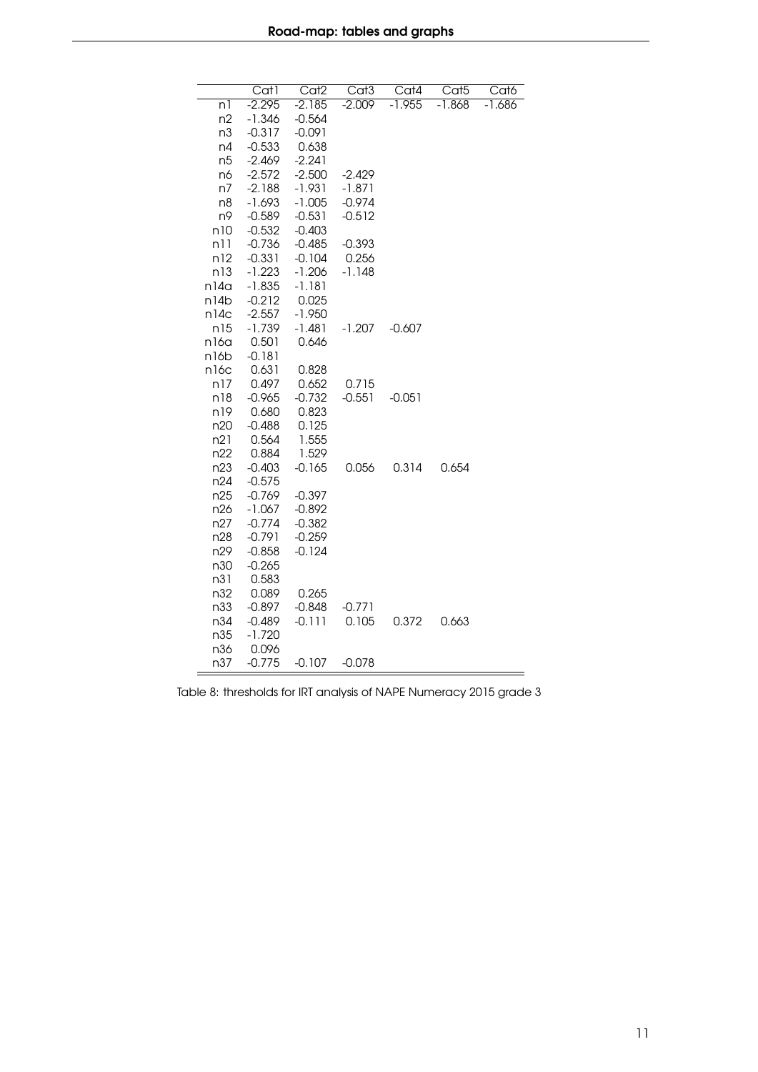<span id="page-10-0"></span>

|                   | $\overline{Cat}$ | Cat2     | Cat3     | Cat4     | $\overline{\text{Cat5}}$ | Cat6     |
|-------------------|------------------|----------|----------|----------|--------------------------|----------|
| nl                | $-2.295$         | $-2.185$ | $-2.009$ | $-1.955$ | $-1.868$                 | $-1.686$ |
| n2                | -1.346           | $-0.564$ |          |          |                          |          |
| n3                | $-0.317$         | $-0.091$ |          |          |                          |          |
| n4                | $-0.533$         | 0.638    |          |          |                          |          |
| n <sub>5</sub>    | $-2.469$         | $-2.241$ |          |          |                          |          |
| n6                | $-2.572$         | $-2.500$ | $-2.429$ |          |                          |          |
| n7                | $-2.188$         | $-1.931$ | $-1.871$ |          |                          |          |
| n8                | $-1.693$         | $-1.005$ | $-0.974$ |          |                          |          |
| n9                | $-0.589$         | $-0.531$ | $-0.512$ |          |                          |          |
| n10               | $-0.532$         | $-0.403$ |          |          |                          |          |
| n11               | $-0.736$         | $-0.485$ | $-0.393$ |          |                          |          |
| n12               | $-0.331$         | $-0.104$ | 0.256    |          |                          |          |
| n13               | $-1.223$         | $-1.206$ | $-1.148$ |          |                          |          |
| n14a              | $-1.835$         | $-1.181$ |          |          |                          |          |
| n14b              | $-0.212$         | 0.025    |          |          |                          |          |
| n14c              | $-2.557$         | $-1.950$ |          |          |                          |          |
| n15               | $-1.739$         | $-1.481$ | $-1.207$ | $-0.607$ |                          |          |
| n16a              | 0.501            | 0.646    |          |          |                          |          |
| n <sub>16</sub> b | $-0.181$         |          |          |          |                          |          |
| n16c              | 0.631            | 0.828    |          |          |                          |          |
| n17               | 0.497            | 0.652    | 0.715    |          |                          |          |
| n18               | $-0.965$         | $-0.732$ | $-0.551$ | $-0.051$ |                          |          |
| n19               | 0.680            | 0.823    |          |          |                          |          |
| n20               | $-0.488$         | 0.125    |          |          |                          |          |
| n21               | 0.564            | 1.555    |          |          |                          |          |
| n22               | 0.884            | 1.529    |          |          |                          |          |
| n <sub>23</sub>   | $-0.403$         | $-0.165$ | 0.056    | 0.314    | 0.654                    |          |
| n24               | $-0.575$         |          |          |          |                          |          |
| n25               | $-0.769$         | $-0.397$ |          |          |                          |          |
| n26               | $-1.067$         | $-0.892$ |          |          |                          |          |
| n27               | $-0.774$         | $-0.382$ |          |          |                          |          |
| n28               | $-0.791$         | $-0.259$ |          |          |                          |          |
| n29               | $-0.858$         | $-0.124$ |          |          |                          |          |
| n30               | $-0.265$         |          |          |          |                          |          |
| n31               | 0.583            |          |          |          |                          |          |
| n32               | 0.089            | 0.265    |          |          |                          |          |
| n33               | $-0.897$         | $-0.848$ | $-0.771$ |          |                          |          |
| n34               | $-0.489$         | $-0.111$ | 0.105    | 0.372    | 0.663                    |          |
| n35               | $-1.720$         |          |          |          |                          |          |
| n36               | 0.096            |          |          |          |                          |          |
| n37               | $-0.775$         | $-0.107$ | $-0.078$ |          |                          |          |

Table 8: thresholds for IRT analysis of NAPE Numeracy 2015 grade 3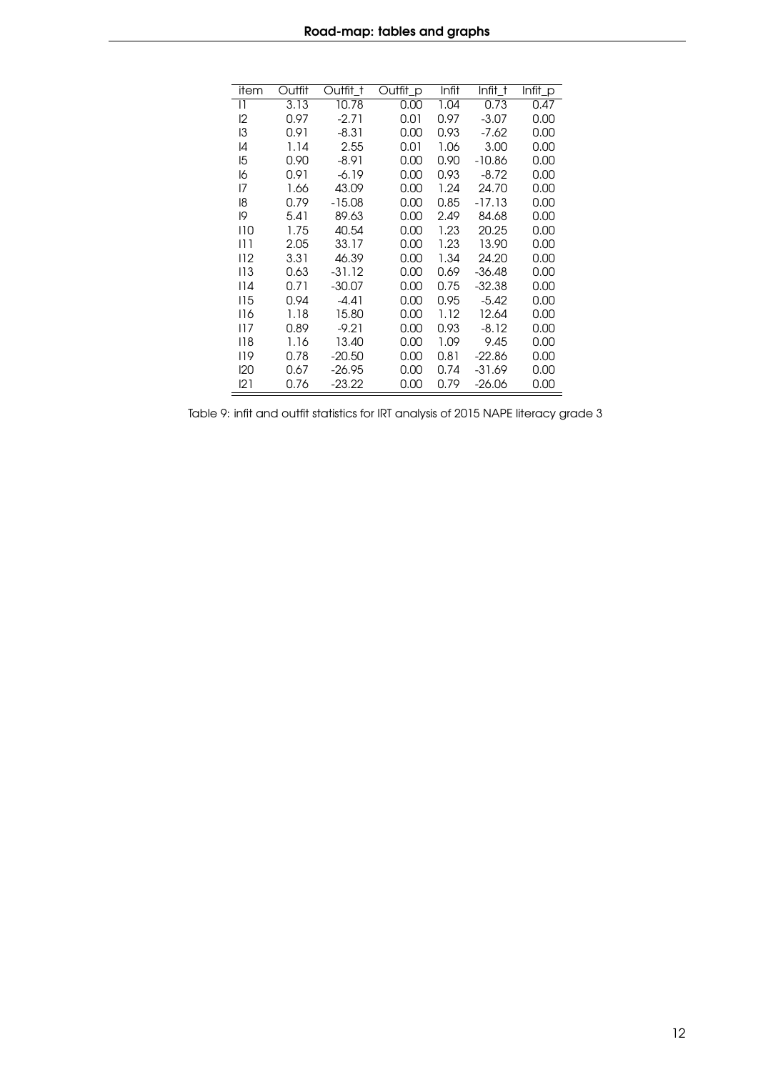<span id="page-11-0"></span>

| item         | Outfit | Outfit t | Outfit_p | Infit | Infit t  | Infit_p |
|--------------|--------|----------|----------|-------|----------|---------|
|              |        |          |          |       |          |         |
| $\mathsf{I}$ | 3.13   | 10.78    | 0.00     | 1.04  | 0.73     | 0.47    |
| 12           | 0.97   | $-2.71$  | 0.01     | 0.97  | $-3.07$  | 0.00    |
| 13           | 0.91   | -8.31    | 0.00     | 0.93  | $-7.62$  | 0.00    |
| 14           | 1.14   | 2.55     | 0.01     | 1.06  | 3.00     | 0.00    |
| 15           | 0.90   | $-8.91$  | 0.00     | 0.90  | $-10.86$ | 0.00    |
| 16           | 0.91   | $-6.19$  | 0.00     | 0.93  | $-8.72$  | 0.00    |
| 17           | 1.66   | 43.09    | 0.00     | 1.24  | 24.70    | 0.00    |
| 18           | 0.79   | $-15.08$ | 0.00     | 0.85  | -17.13   | 0.00    |
| 19           | 5.41   | 89.63    | 0.00     | 2.49  | 84.68    | 0.00    |
| 110          | 1.75   | 40.54    | 0.00     | 1.23  | 20.25    | 0.00    |
| 11 1         | 2.05   | 33.17    | 0.00     | 1.23  | 13.90    | 0.00    |
| 112          | 3.31   | 46.39    | 0.00     | 1.34  | 24.20    | 0.00    |
| 113          | 0.63   | -31.12   | 0.00     | 0.69  | -36.48   | 0.00    |
| 14           | 0.71   | $-30.07$ | 0.00     | 0.75  | $-32.38$ | 0.00    |
| 115          | 0.94   | $-4.41$  | 0.00     | 0.95  | $-5.42$  | 0.00    |
| 116          | 1.18   | 15.80    | 0.00     | 1.12  | 12.64    | 0.00    |
| 117          | 0.89   | $-9.21$  | 0.00     | 0.93  | $-8.12$  | 0.00    |
| 118          | 1.16   | 13.40    | 0.00     | 1.09  | 9.45     | 0.00    |
| 119          | 0.78   | $-20.50$ | 0.00     | 0.81  | $-22.86$ | 0.00    |
| 120          | 0.67   | $-26.95$ | 0.00     | 0.74  | -31.69   | 0.00    |
| 121          | 0.76   | -23.22   | 0.00     | 0.79  | -26.06   | 0.00    |

Table 9: infit and outfit statistics for IRT analysis of 2015 NAPE literacy grade 3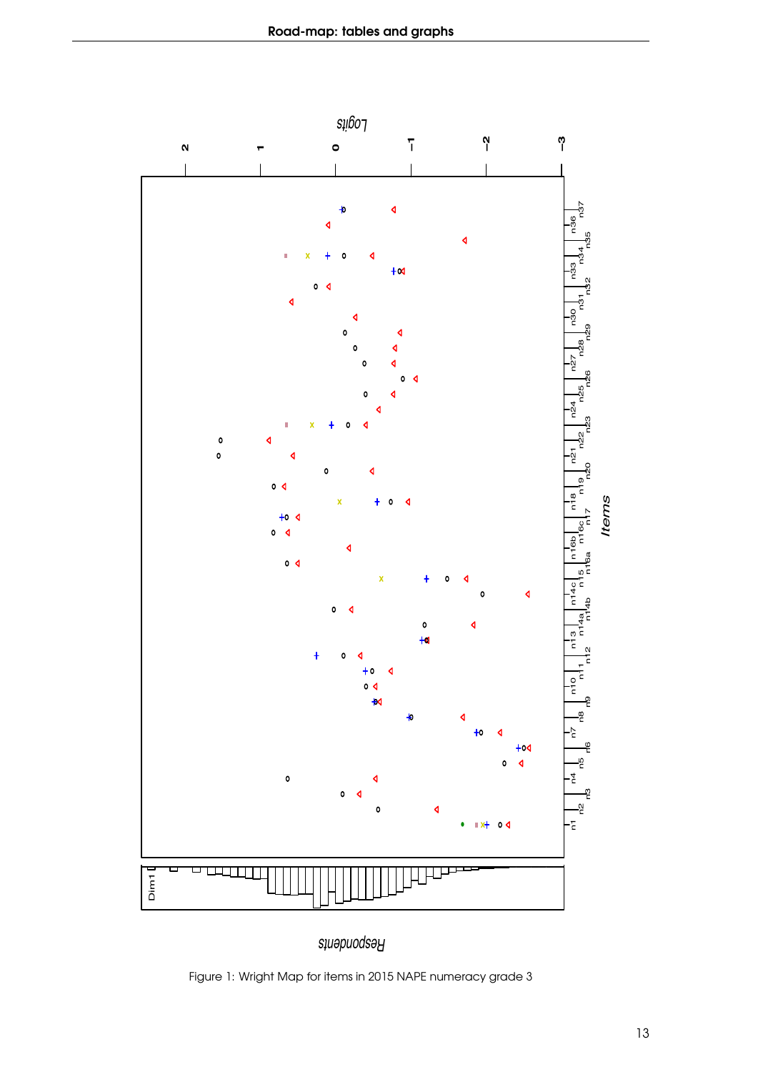<span id="page-12-0"></span>

*Respondents*

Figure 1: Wright Map for items in 2015 NAPE numeracy grade 3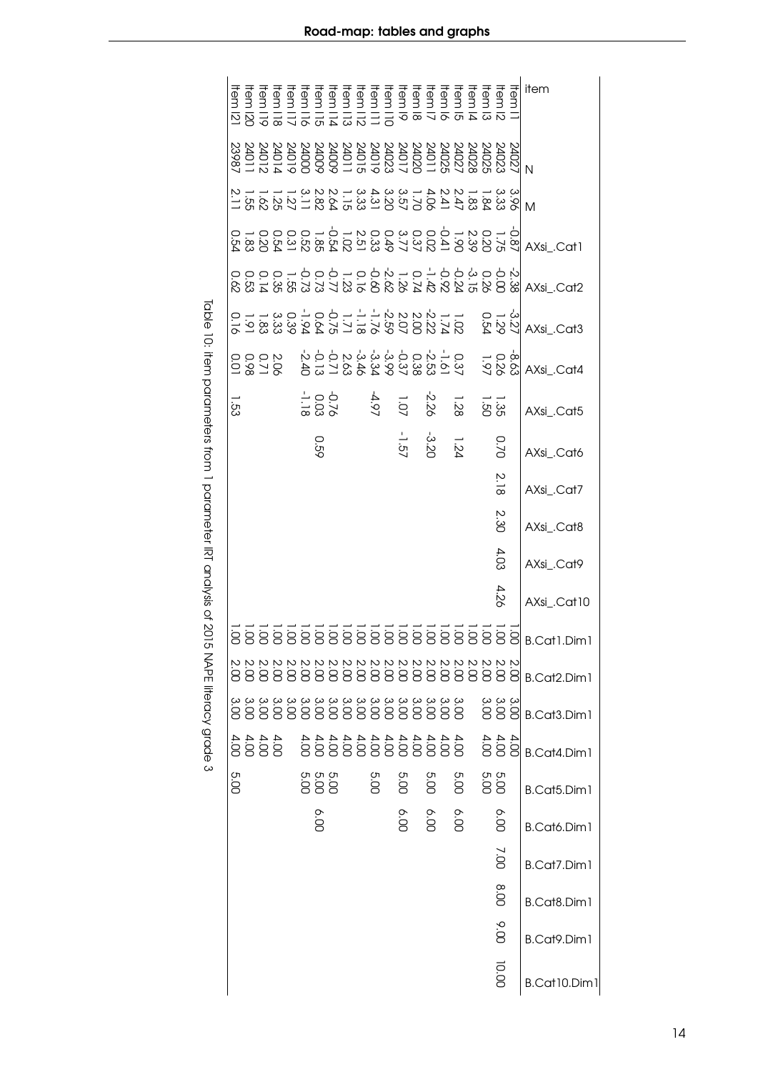Table 10: item parameters from 1 parameterIRT analysis of 2015 NAPE literacy grade 3

<span id="page-13-0"></span>

|          |  |  |                         |      |  |      |         |                                                                                                                                                       |      |              |                           | item               |
|----------|--|--|-------------------------|------|--|------|---------|-------------------------------------------------------------------------------------------------------------------------------------------------------|------|--------------|---------------------------|--------------------|
|          |  |  |                         |      |  |      |         |                                                                                                                                                       |      |              |                           |                    |
|          |  |  |                         |      |  |      |         |                                                                                                                                                       |      |              |                           | M                  |
|          |  |  |                         |      |  |      |         |                                                                                                                                                       |      |              |                           |                    |
|          |  |  |                         |      |  |      |         |                                                                                                                                                       |      |              |                           |                    |
|          |  |  |                         |      |  |      |         |                                                                                                                                                       |      |              |                           |                    |
|          |  |  |                         |      |  |      |         | も01 012003332002 200000000000000 おけおおおおみなんだい いちの                                                                                                      |      |              |                           | AXsi_.Cat4         |
| رج<br>23 |  |  | -1.18<br>00.11<br>11.18 |      |  |      |         | $\frac{1}{3}$<br>$\frac{1}{3}$<br>$\frac{1}{3}$<br>$\frac{1}{3}$<br>$\frac{1}{3}$<br>$\frac{1}{3}$<br>$\frac{1}{3}$<br>$\frac{1}{3}$<br>$\frac{1}{3}$ |      |              |                           | AXsi_.Cat5         |
|          |  |  |                         | 690  |  |      | $-1.57$ | ى<br>20                                                                                                                                               | 1.24 |              | 0.70                      | AXsi_.Cat6         |
|          |  |  |                         |      |  |      |         |                                                                                                                                                       |      |              | 2.18                      | AXsi_.Cat7         |
|          |  |  |                         |      |  |      |         |                                                                                                                                                       |      |              | 2.30                      | AXsi_.Cat8         |
|          |  |  |                         |      |  |      |         |                                                                                                                                                       |      |              | 4.03                      | AXsi_Cat9          |
|          |  |  |                         |      |  |      |         |                                                                                                                                                       |      |              | 4.26                      | AXsi_.Cat10        |
|          |  |  |                         |      |  |      |         |                                                                                                                                                       |      |              |                           | B.Cat1.Dim1        |
|          |  |  |                         |      |  |      |         | מטמטמטמטמטמטק<br> 2888888888888888888                                                                                                                 |      |              |                           | B.Cat2.Dim1        |
|          |  |  |                         |      |  |      |         |                                                                                                                                                       |      |              | 3 3 3 3<br>8 8 8<br>8 8 9 | B.Cat3.Dim1        |
|          |  |  |                         |      |  |      |         | 444 4444444444 4444<br>888 88888888888 8888                                                                                                           |      |              |                           | <b>B.Cat4.Dim1</b> |
| 5.00     |  |  |                         |      |  | 5.OC | 5.OC    | 5.0C                                                                                                                                                  | 5.00 | 5.0C<br>5.0C |                           | B.Cat5.Dim1        |
|          |  |  |                         | 00.0 |  |      | 9.00    | O.OC                                                                                                                                                  | 0.0C |              | 00'9                      | B.Cat6.Dim1        |
|          |  |  |                         |      |  |      |         |                                                                                                                                                       |      |              | 2.00                      | B.Cat7.Dim1        |
|          |  |  |                         |      |  |      |         |                                                                                                                                                       |      |              | 6.00                      | B.Cat8.Dim1        |
|          |  |  |                         |      |  |      |         |                                                                                                                                                       |      |              | $00^{\circ}$              | B.Cat9.Dim1        |
|          |  |  |                         |      |  |      |         |                                                                                                                                                       |      |              | 10.00                     | B.Cat10.Dim1       |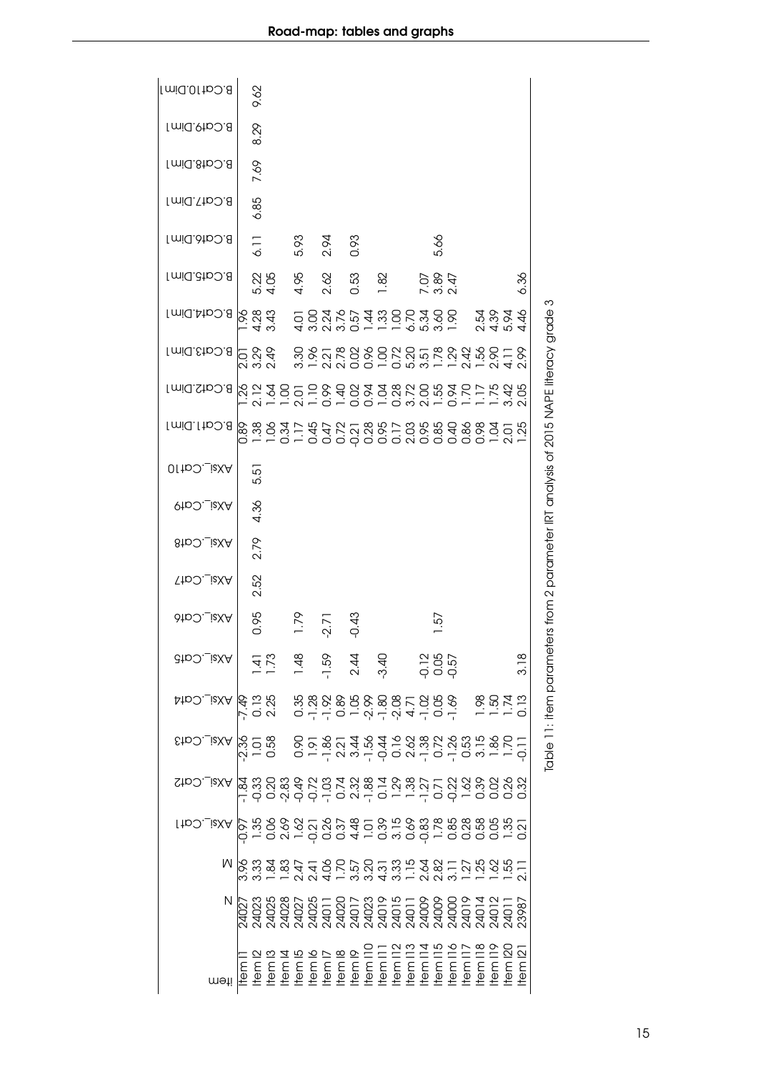<span id="page-14-0"></span>

| $B$ .Cat10.Dim1                                                                                            |        | 9.62             |                           |        |      |         |      |                                                                                                                                                                                                                                                                                                                                                                                                                                                                       |  |                      |                                |  |                                 |     |               |                                                              |
|------------------------------------------------------------------------------------------------------------|--------|------------------|---------------------------|--------|------|---------|------|-----------------------------------------------------------------------------------------------------------------------------------------------------------------------------------------------------------------------------------------------------------------------------------------------------------------------------------------------------------------------------------------------------------------------------------------------------------------------|--|----------------------|--------------------------------|--|---------------------------------|-----|---------------|--------------------------------------------------------------|
| <b>Imid.9tp2.8</b>                                                                                         |        | 8.29             |                           |        |      |         |      |                                                                                                                                                                                                                                                                                                                                                                                                                                                                       |  |                      |                                |  |                                 |     |               |                                                              |
| Imid.8tpO.8                                                                                                |        | 7.69             |                           |        |      |         |      |                                                                                                                                                                                                                                                                                                                                                                                                                                                                       |  |                      |                                |  |                                 |     |               |                                                              |
| <b>Imid. Tho. 8</b>                                                                                        |        | 6.85             |                           |        |      |         |      |                                                                                                                                                                                                                                                                                                                                                                                                                                                                       |  |                      |                                |  |                                 |     |               |                                                              |
| B.Cat6.Dim1                                                                                                |        | 6.11             |                           |        | 5.93 | 2.94    | 0.93 |                                                                                                                                                                                                                                                                                                                                                                                                                                                                       |  | 5.66                 |                                |  |                                 |     |               |                                                              |
| <b>Imid.dtp.0.8</b>                                                                                        |        |                  | 5.22<br>4.05              |        | 4.95 | 2.62    | 0.53 | 1.82                                                                                                                                                                                                                                                                                                                                                                                                                                                                  |  | 7.86<br>2.87<br>2.97 |                                |  |                                 |     | 6.36          |                                                              |
| B.Cat4.Dim1                                                                                                |        |                  | $\frac{8}{6}$ 3.43        |        |      |         |      | 4 w 0 w 0 – – – – 0 m w –<br>O 0 0 1 – 0 4 w 0 L w 0 0<br>O 0 4 0 L 4 w 0 0 4 0 0                                                                                                                                                                                                                                                                                                                                                                                     |  |                      |                                |  | 0<br>10<br>10<br>10<br>10<br>10 |     |               | S                                                            |
| <b>Imid.chp.0.8</b>                                                                                        |        |                  | 5 8 <del>9</del><br>ನ ನ ನ |        |      |         |      | sscrees constrees de la ser<br>sscrees constrees de la                                                                                                                                                                                                                                                                                                                                                                                                                |  |                      |                                |  |                                 |     |               | rs from 2 parameter IRT analysis of 2015 NAPE literacy grade |
| <b>Imid.StpO.8</b>                                                                                         |        |                  |                           |        |      |         |      |                                                                                                                                                                                                                                                                                                                                                                                                                                                                       |  |                      |                                |  |                                 |     |               |                                                              |
| B.Cat1.Dim1                                                                                                |        |                  |                           |        |      |         |      |                                                                                                                                                                                                                                                                                                                                                                                                                                                                       |  |                      |                                |  |                                 |     |               |                                                              |
| OI to O. LisXA                                                                                             |        | 5.5              |                           |        |      |         |      |                                                                                                                                                                                                                                                                                                                                                                                                                                                                       |  |                      |                                |  |                                 |     |               |                                                              |
| <b>QtDO._isXA</b>                                                                                          |        | 4.36             |                           |        |      |         |      |                                                                                                                                                                                                                                                                                                                                                                                                                                                                       |  |                      |                                |  |                                 |     |               |                                                              |
| 8tbO._izXA                                                                                                 |        | 2.79             |                           |        |      |         |      |                                                                                                                                                                                                                                                                                                                                                                                                                                                                       |  |                      |                                |  |                                 |     |               |                                                              |
| <b>NXsi_Cat7</b>                                                                                           |        | 2.52             |                           |        |      |         |      |                                                                                                                                                                                                                                                                                                                                                                                                                                                                       |  |                      |                                |  |                                 |     |               |                                                              |
| AXsi_Cat6                                                                                                  |        | 0.95             |                           |        | 1.79 | $-2.71$ | 0.43 |                                                                                                                                                                                                                                                                                                                                                                                                                                                                       |  | <u>رم</u>            |                                |  |                                 |     |               |                                                              |
| cto: ieXA                                                                                                  |        |                  |                           |        |      |         |      |                                                                                                                                                                                                                                                                                                                                                                                                                                                                       |  |                      |                                |  |                                 |     | 3.18          | lable 11: item paramete                                      |
| AXsi_Cat4                                                                                                  |        |                  |                           |        |      |         |      | 628 \$88888888588588 \$857<br>628 \$8888888855885                                                                                                                                                                                                                                                                                                                                                                                                                     |  |                      |                                |  |                                 |     |               |                                                              |
| EtpO._izXA                                                                                                 |        |                  |                           |        |      |         |      |                                                                                                                                                                                                                                                                                                                                                                                                                                                                       |  |                      |                                |  |                                 |     |               |                                                              |
| $X$ si_Cat $\Sigma$                                                                                        |        |                  |                           |        |      |         |      | ה ססטסס ביטמה סריך ססרס ססטס<br>ממטמס לאמינה המשלחה והרווחים ססט<br>ממטמס לאמינה האמינה האמינה א                                                                                                                                                                                                                                                                                                                                                                      |  |                      |                                |  |                                 |     |               |                                                              |
| ._izXA                                                                                                     |        |                  |                           |        |      |         |      |                                                                                                                                                                                                                                                                                                                                                                                                                                                                       |  |                      |                                |  |                                 |     |               |                                                              |
| N 8 3 3 3 4 4 8 5 6 6 7 5 8 5 8 5 7 8 8 7 7 8 8 5 7<br>N 8 3 3 3 4 4 8 5 6 6 7 5 8 5 8 5 7 8 8 7 7 8 8 5 7 |        |                  |                           |        |      |         |      |                                                                                                                                                                                                                                                                                                                                                                                                                                                                       |  |                      |                                |  |                                 |     |               |                                                              |
| Ν                                                                                                          |        |                  |                           |        |      |         |      | $\begin{array}{l} \hline \mathbb{R} \; \mathbb{S} \; \mathbb{S} \; \mathbb{S} \; \mathbb{S} \; \mathbb{S} \; \mathbb{S} \; \mathbb{S} \; \mathbb{S} \; \mathbb{S} \; \mathbb{S} \; \mathbb{S} \; \mathbb{S} \; \mathbb{S} \; \mathbb{S} \; \mathbb{S} \; \mathbb{S} \; \mathbb{S} \; \mathbb{S} \; \mathbb{S} \; \mathbb{S} \; \mathbb{S} \; \mathbb{S} \; \mathbb{S} \; \mathbb{S} \; \mathbb{S} \; \math$                                                           |  |                      |                                |  |                                 |     |               |                                                              |
|                                                                                                            |        |                  |                           |        |      |         |      |                                                                                                                                                                                                                                                                                                                                                                                                                                                                       |  |                      |                                |  |                                 |     | <u>ន</u><br>គ |                                                              |
| meti                                                                                                       | tem II | tem <sub>2</sub> |                           | tem l4 |      |         |      | $\begin{array}{l} \hbox{He} \, \mathrm{me} \, \mathrm{6} \\ \hbox{He} \, \mathrm{me} \, \mathrm{pc} \\ \hbox{He} \, \mathrm{me} \, \mathrm{pc} \\ \hbox{He} \, \mathrm{me} \, \mathrm{pc} \\ \hbox{He} \, \mathrm{me} \, \mathrm{pc} \\ \hbox{He} \, \mathrm{me} \, \mathrm{pc} \\ \hbox{He} \, \mathrm{me} \, \mathrm{pc} \\ \hbox{He} \, \mathrm{me} \, \mathrm{pc} \\ \hbox{He} \, \mathrm{me} \, \mathrm{pc} \\ \hbox{He} \, \mathrm{me} \, \mathrm{pc} \\ \hbox$ |  |                      | ltem 116<br>tem 117<br>tem 118 |  | tem                             | tem | tem           |                                                              |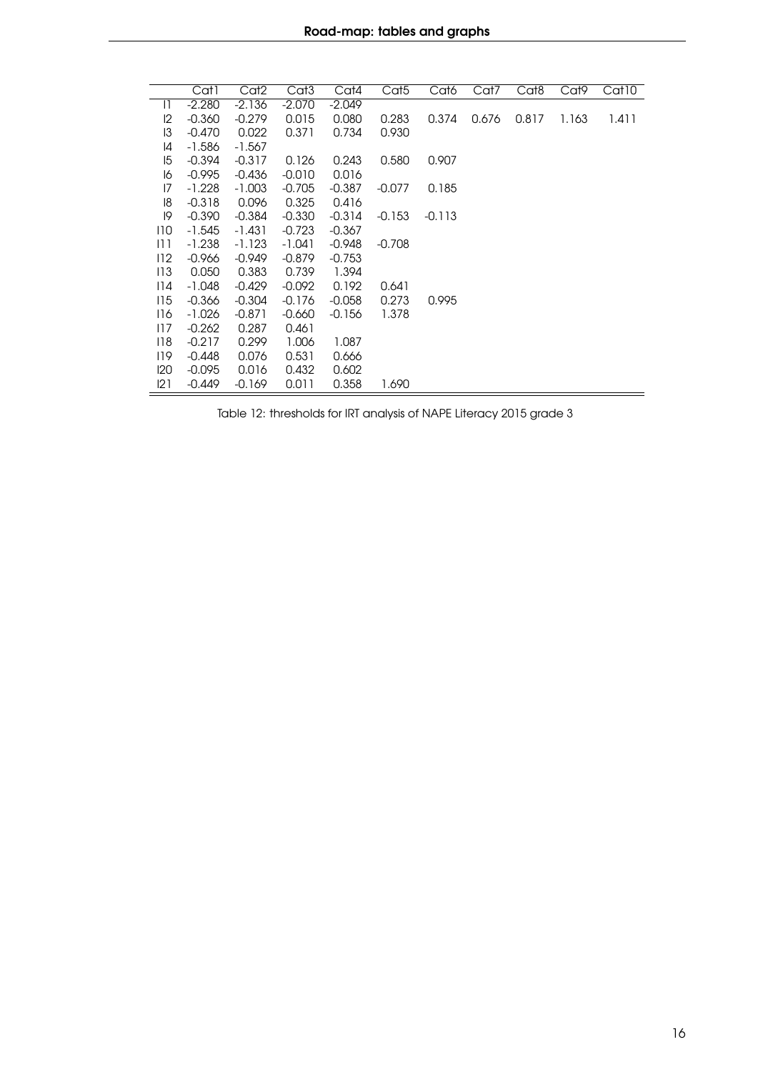<span id="page-15-0"></span>

|              | Cat1     | Cat2     | Cat <sub>3</sub> | Cat4     | Cat <sub>5</sub> | Cat6     | Cat7  | Cat8  | Cat9  | Cat10 |
|--------------|----------|----------|------------------|----------|------------------|----------|-------|-------|-------|-------|
| $\mathsf{I}$ | $-2.280$ | $-2.136$ | $-2.070$         | $-2.049$ |                  |          |       |       |       |       |
| 12           | $-0.360$ | $-0.279$ | 0.015            | 0.080    | 0.283            | 0.374    | 0.676 | 0.817 | 1.163 | 1.411 |
| 13           | $-0.470$ | 0.022    | 0.371            | 0.734    | 0.930            |          |       |       |       |       |
| 14           | $-1.586$ | $-1.567$ |                  |          |                  |          |       |       |       |       |
| 15           | $-0.394$ | $-0.317$ | 0.126            | 0.243    | 0.580            | 0.907    |       |       |       |       |
| 16           | $-0.995$ | $-0.436$ | $-0.010$         | 0.016    |                  |          |       |       |       |       |
| 17           | $-1.228$ | $-1.003$ | $-0.705$         | $-0.387$ | $-0.077$         | 0.185    |       |       |       |       |
| 18           | $-0.318$ | 0.096    | 0.325            | 0.416    |                  |          |       |       |       |       |
| 19           | $-0.390$ | $-0.384$ | $-0.330$         | $-0.314$ | $-0.153$         | $-0.113$ |       |       |       |       |
| 110          | $-1.545$ | $-1.431$ | $-0.723$         | $-0.367$ |                  |          |       |       |       |       |
| 11 1         | $-1.238$ | $-1.123$ | $-1.041$         | $-0.948$ | $-0.708$         |          |       |       |       |       |
| 112          | $-0.966$ | $-0.949$ | $-0.879$         | $-0.753$ |                  |          |       |       |       |       |
| 113          | 0.050    | 0.383    | 0.739            | 1.394    |                  |          |       |       |       |       |
| 114          | $-1.048$ | $-0.429$ | $-0.092$         | 0.192    | 0.641            |          |       |       |       |       |
| 115          | $-0.366$ | $-0.304$ | $-0.176$         | $-0.058$ | 0.273            | 0.995    |       |       |       |       |
| 116          | $-1.026$ | $-0.871$ | $-0.660$         | $-0.156$ | 1.378            |          |       |       |       |       |
| 117          | $-0.262$ | 0.287    | 0.461            |          |                  |          |       |       |       |       |
| 118          | $-0.217$ | 0.299    | 1.006            | 1.087    |                  |          |       |       |       |       |
| 119          | $-0.448$ | 0.076    | 0.531            | 0.666    |                  |          |       |       |       |       |
| 120          | $-0.095$ | 0.016    | 0.432            | 0.602    |                  |          |       |       |       |       |
| 121          | $-0.449$ | $-0.169$ | 0.011            | 0.358    | 1.690            |          |       |       |       |       |

Table 12: thresholds for IRT analysis of NAPE Literacy 2015 grade 3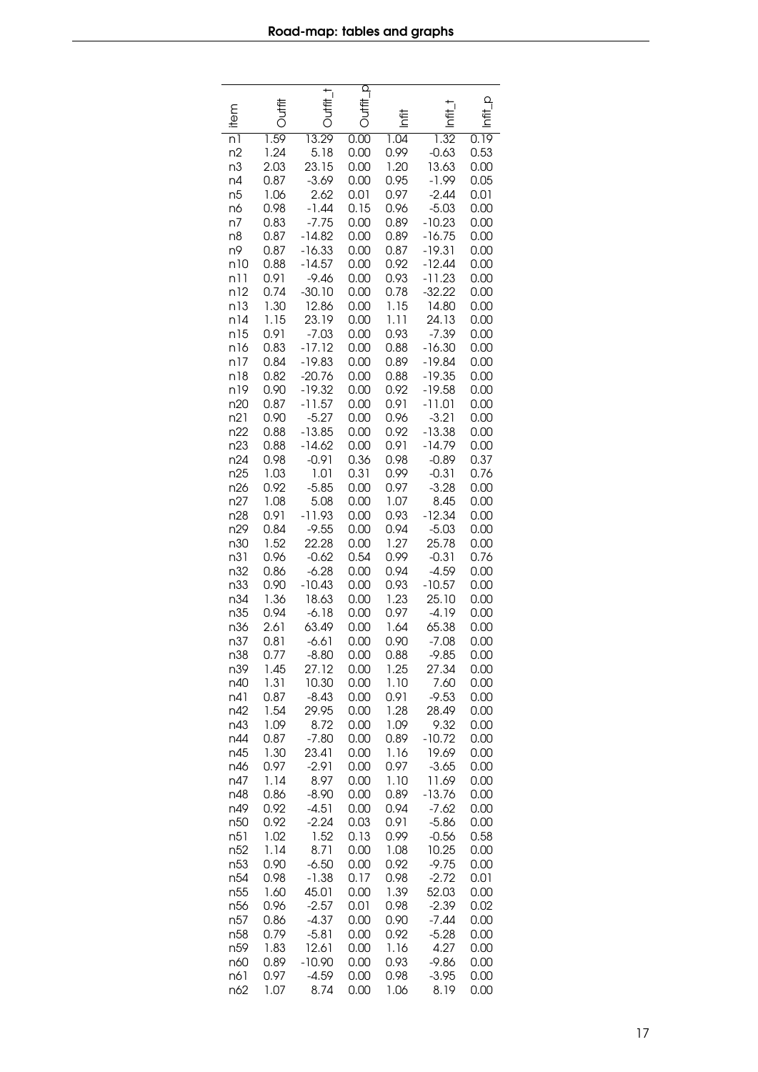<span id="page-16-0"></span>

|                | 号            | IHH 1            | a<br>Tilih   |              |                  | $\Omega$     |
|----------------|--------------|------------------|--------------|--------------|------------------|--------------|
| item           |              |                  |              | もと           | ŧ                | 호            |
| n1             | 1.59         | 13.29            | 0.00         | 1.04         | 1.32             | 0.19         |
| n2             | 1.24         | 5.18             | 0.00         | 0.99         | $-0.63$          | 0.53         |
| n3             | 2.03         | 23.15            | 0.00         | 1.20         | 13.63            | 0.00         |
| n4             | 0.87         | $-3.69$          | 0.00         | 0.95         | $-1.99$          | 0.05         |
| n <sub>5</sub> | 1.06         | 2.62             | 0.01         | 0.97         | $-2.44$          | 0.01         |
| n6             | 0.98         | $-1.44$          | 0.15         | 0.96         | $-5.03$          | 0.00         |
| n7             | 0.83         | $-7.75$          | 0.00         | 0.89         | $-10.23$         | 0.00         |
| n8             | 0.87         | $-14.82$         | 0.00         | 0.89         | $-16.75$         | 0.00         |
| n9             | 0.87         | $-16.33$         | 0.00         | 0.87         | $-19.31$         | 0.00         |
| n10            | 0.88         | $-14.57$         | 0.00         | 0.92         | $-12.44$         | 0.00         |
| n11            | 0.91         | $-9.46$          | 0.00         | 0.93         | $-11.23$         | 0.00         |
| n12            | 0.74         | $-30.10$         | 0.00         | 0.78         | $-32.22$         | 0.00         |
| n13            | 1.30         | 12.86            | 0.00         | 1.15         | 14.80            | 0.00         |
| n14            | 1.15         | 23.19            | 0.00         | 1.11         | 24.13            | 0.00         |
| n15            | 0.91         | $-7.03$          | 0.00         | 0.93         | $-7.39$          | 0.00         |
| n16            | 0.83         | $-17.12$         | 0.00         | 0.88         | $-16.30$         | 0.00         |
| n17            | 0.84         | $-19.83$         | 0.00         | 0.89         | $-19.84$         | 0.00         |
| n18            | 0.82         | $-20.76$         | 0.00         | 0.88         | $-19.35$         | 0.00         |
| n19            | 0.90         | $-19.32$         | 0.00         | 0.92         | $-19.58$         | 0.00         |
| n20            | 0.87         | $-11.57$         | 0.00         | 0.91         | $-11.01$         | 0.00         |
| n21            | 0.90         | $-5.27$          | 0.00         | 0.96         | $-3.21$          | 0.00         |
| n22            | 0.88         | $-13.85$         | 0.00         | 0.92         | $-13.38$         | 0.00         |
| n23            | 0.88         | $-14.62$         | 0.00         | 0.91         | $-14.79$         | 0.00         |
| n24            | 0.98         | $-0.91$          | 0.36         | 0.98         | $-0.89$          | 0.37         |
| n25            | 1.03         | 1.01             | 0.31         | 0.99         | $-0.31$          | 0.76         |
| n26<br>n27     | 0.92<br>1.08 | $-5.85$          | 0.00         | 0.97<br>1.07 | $-3.28$          | 0.00         |
| n28            | 0.91         | 5.08<br>$-11.93$ | 0.00<br>0.00 | 0.93         | 8.45<br>$-12.34$ | 0.00<br>0.00 |
| n29            | 0.84         | $-9.55$          | 0.00         | 0.94         | $-5.03$          | 0.00         |
| n30            | 1.52         | 22.28            | 0.00         | 1.27         | 25.78            | 0.00         |
| n31            | 0.96         | $-0.62$          | 0.54         | 0.99         | $-0.31$          | 0.76         |
| n32            | 0.86         | $-6.28$          | 0.00         | 0.94         | $-4.59$          | 0.00         |
| n33            | 0.90         | $-10.43$         | 0.00         | 0.93         | $-10.57$         | 0.00         |
| n34            | 1.36         | 18.63            | 0.00         | 1.23         | 25.10            | 0.00         |
| n35            | 0.94         | $-6.18$          | 0.00         | 0.97         | $-4.19$          | 0.00         |
| n36            | 2.61         | 63.49            | 0.00         | 1.64         | 65.38            | 0.00         |
| n37            | 0.81         | $-6.61$          | 0.00         | 0.90         | $-7.08$          | 0.00         |
| n38            | 0.77         | $-8.80$          | 0.00         | 0.88         | $-9.85$          | 0.00         |
| n39            | 1.45         | 27.12            | 0.00         | 1.25         | 27.34            | 0.00         |
| n40            | 1.31         | 10.30            | 0.00         | 1.10         | 7.60             | 0.00         |
| n41            | 0.87         | $-8.43$          | 0.00         | 0.91         | $-9.53$          | 0.00         |
| n42            | 1.54         | 29.95            | 0.00         | 1.28         | 28.49            | 0.00         |
| n43            | 1.09         | 8.72             | 0.00         | 1.09         | 9.32             | 0.00         |
| n44            | 0.87         | $-7.80$          | 0.00         | 0.89         | $-10.72$         | 0.00         |
| n45            | 1.30         | 23.41            | 0.00         | 1.16         | 19.69            | 0.00         |
| n46            | 0.97         | $-2.91$          | 0.00         | 0.97         | $-3.65$          | 0.00         |
| n47            | 1.14         | 8.97             | 0.00         | 1.10         | 11.69            | 0.00         |
| n48            | 0.86         | $-8.90$          | 0.00         | 0.89         | $-13.76$         | 0.00         |
| n49            | 0.92         | $-4.51$          | 0.00         | 0.94         | $-7.62$          | 0.00         |
| n50            | 0.92         | $-2.24$          | 0.03         | 0.91         | $-5.86$          | 0.00         |
| n51            | 1.02         | 1.52             | 0.13         | 0.99         | $-0.56$          | 0.58         |
| n52            | 1.14         | 8.71             | 0.00         | 1.08         | 10.25            | 0.00         |
| n53            | 0.90         | $-6.50$          | 0.00         | 0.92         | $-9.75$          | 0.00         |
| n54            | 0.98         | $-1.38$          | 0.17         | 0.98         | $-2.72$          | 0.01         |
| n55            | 1.60         | 45.01            | 0.00         | 1.39         | 52.03            | 0.00         |
| n56            | 0.96         | $-2.57$          | 0.01         | 0.98         | $-2.39$          | 0.02         |
| n57            | 0.86         | $-4.37$          | 0.00         | 0.90         | $-7.44$          | 0.00         |
| n58            | 0.79         | $-5.81$          | 0.00         | 0.92         | $-5.28$          | 0.00         |
| n59            | 1.83         | 12.61            | 0.00         | 1.16         | 4.27             | 0.00         |
| n60            | 0.89         | $-10.90$         | 0.00         | 0.93         | -9.86            | 0.00         |
| n61            | 0.97         | $-4.59$          | 0.00         | 0.98         | $-3.95$          | 0.00         |
| n62            | 1.07         | 8.74             | 0.00         | 1.06         | 8.19             | 0.00         |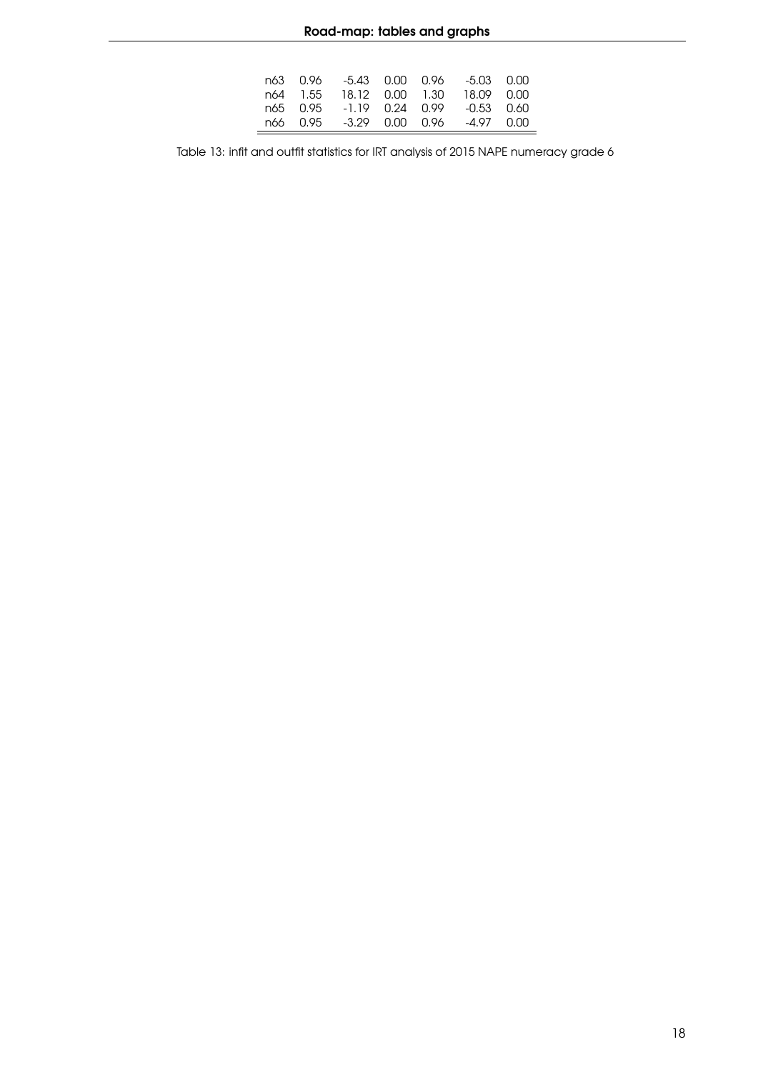|  |  | n63 0.96 -5.43 0.00 0.96 -5.03 0.00 |  |
|--|--|-------------------------------------|--|
|  |  | n64 1.55 18.12 0.00 1.30 18.09 0.00 |  |
|  |  | n65 0.95 -1.19 0.24 0.99 -0.53 0.60 |  |
|  |  | n66 0.95 -3.29 0.00 0.96 -4.97 0.00 |  |
|  |  |                                     |  |

Table 13: infit and outfit statistics for IRT analysis of 2015 NAPE numeracy grade 6

 $=$ 

Ĭ.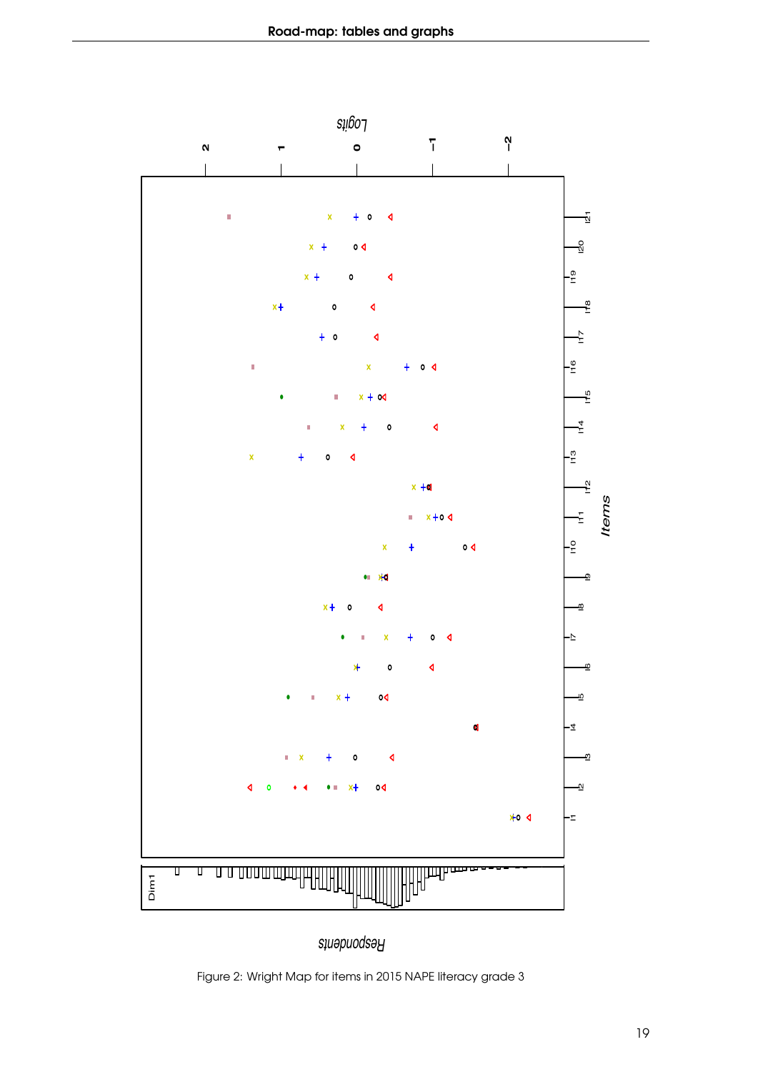<span id="page-18-0"></span>

*Respondents*

Figure 2: Wright Map for items in 2015 NAPE literacy grade 3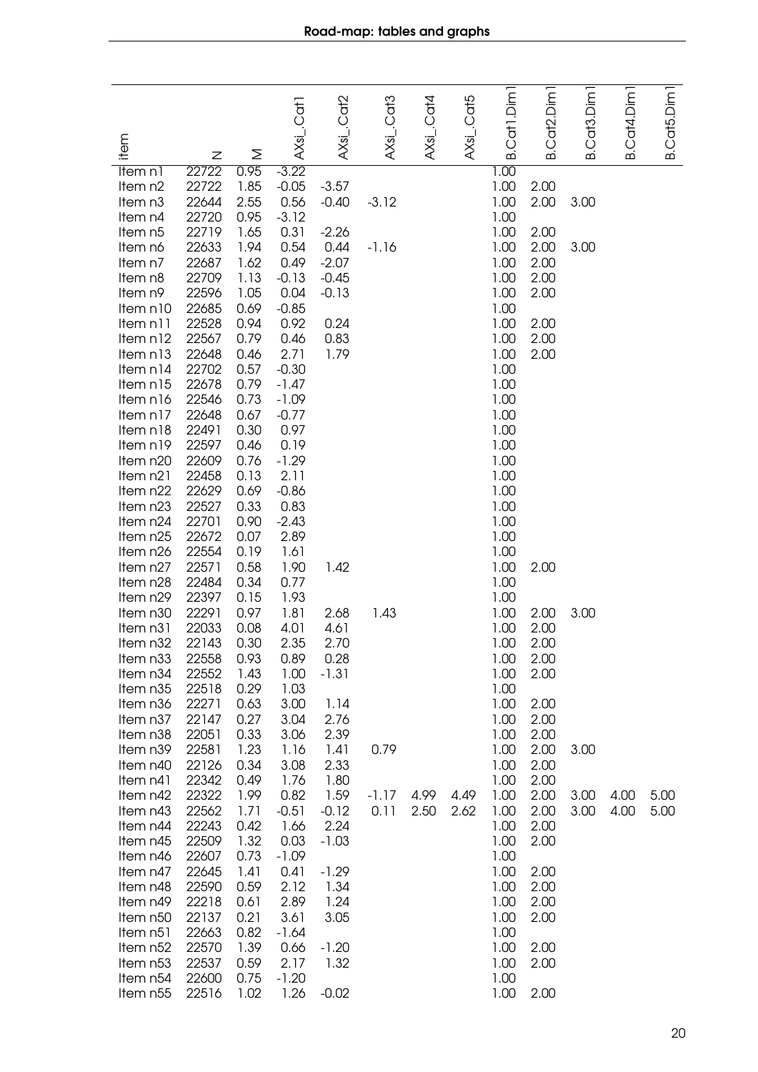<span id="page-19-0"></span>

| item                 | Z              | Σ            | AXsi_.Cat1         | $AXsi$ Cat2     | AXsi_.Cat3 | AXsL.Cat4 | AXsi_.Cat5 | B.Cat1.Dim1  | Cat2.Dim1<br>ഥ | Cat <sub>3</sub> .Dim1<br>ഥ | Cat4.Dim<br>ക് | B.Cat5.Dim |
|----------------------|----------------|--------------|--------------------|-----------------|------------|-----------|------------|--------------|----------------|-----------------------------|----------------|------------|
| Item n1              | 22722          | 0.95         | $-3.22$            |                 |            |           |            | 1.00         |                |                             |                |            |
| Item n2              | 22722          | 1.85         | $-0.05$            | $-3.57$         |            |           |            | 1.00         | 2.00           |                             |                |            |
| Item n3              | 22644          | 2.55         | 0.56               | $-0.40$         | $-3.12$    |           |            | 1.00         | 2.00           | 3.00                        |                |            |
| Item n4              | 22720          | 0.95         | $-3.12$            |                 |            |           |            | 1.00         |                |                             |                |            |
| Item n5              | 22719          | 1.65         | 0.31               | $-2.26$         |            |           |            | 1.00         | 2.00           |                             |                |            |
| Item n6<br>Item n7   | 22633<br>22687 | 1.94<br>1.62 | 0.54<br>0.49       | 0.44<br>$-2.07$ | $-1.16$    |           |            | 1.00<br>1.00 | 2.00<br>2.00   | 3.00                        |                |            |
| Item n8              | 22709          | 1.13         | $-0.13$            | $-0.45$         |            |           |            | 1.00         | 2.00           |                             |                |            |
| Item n9              | 22596          | 1.05         | 0.04               | $-0.13$         |            |           |            | 1.00         | 2.00           |                             |                |            |
| Item n10             | 22685          | 0.69         | $-0.85$            |                 |            |           |            | 1.00         |                |                             |                |            |
| Item n11             | 22528          | 0.94         | 0.92               | 0.24            |            |           |            | 1.00         | 2.00           |                             |                |            |
| Item n12             | 22567          | 0.79         | 0.46               | 0.83            |            |           |            | 1.00         | 2.00           |                             |                |            |
| Item n13             | 22648          | 0.46         | 2.71               | 1.79            |            |           |            | 1.00         | 2.00           |                             |                |            |
| Item n14             | 22702<br>22678 | 0.57<br>0.79 | $-0.30$<br>$-1.47$ |                 |            |           |            | 1.00         |                |                             |                |            |
| Item n15<br>Item n16 | 22546          | 0.73         | $-1.09$            |                 |            |           |            | 1.00<br>1.00 |                |                             |                |            |
| Item n17             | 22648          | 0.67         | $-0.77$            |                 |            |           |            | 1.00         |                |                             |                |            |
| Item n18             | 22491          | 0.30         | 0.97               |                 |            |           |            | 1.00         |                |                             |                |            |
| Item n19             | 22597          | 0.46         | 0.19               |                 |            |           |            | 1.00         |                |                             |                |            |
| Item n20             | 22609          | 0.76         | $-1.29$            |                 |            |           |            | 1.00         |                |                             |                |            |
| Item n21             | 22458          | 0.13         | 2.11               |                 |            |           |            | 1.00         |                |                             |                |            |
| Item n22             | 22629          | 0.69<br>0.33 | $-0.86$            |                 |            |           |            | 1.00         |                |                             |                |            |
| Item n23<br>Item n24 | 22527<br>22701 | 0.90         | 0.83<br>$-2.43$    |                 |            |           |            | 1.00<br>1.00 |                |                             |                |            |
| Item n25             | 22672          | 0.07         | 2.89               |                 |            |           |            | 1.00         |                |                             |                |            |
| Item n26             | 22554          | 0.19         | 1.61               |                 |            |           |            | 1.00         |                |                             |                |            |
| Item n27             | 22571          | 0.58         | 1.90               | 1.42            |            |           |            | 1.00         | 2.00           |                             |                |            |
| Item n28             | 22484          | 0.34         | 0.77               |                 |            |           |            | 1.00         |                |                             |                |            |
| Item n29             | 22397          | 0.15         | 1.93               |                 |            |           |            | 1.00         |                |                             |                |            |
| Item n30             | 22291<br>22033 | 0.97         | 1.81               | 2.68<br>4.61    | 1.43       |           |            | 1.00         | 2.00           | 3.00                        |                |            |
| Item n31<br>Item n32 | 22143          | 0.08<br>0.30 | 4.01<br>2.35       | 2.70            |            |           |            | 1.00<br>1.00 | 2.00<br>2.00   |                             |                |            |
| Item n33             | 22558          | 0.93         | 0.89               | 0.28            |            |           |            | 1.00         | 2.00           |                             |                |            |
| Item n34             | 22552          | 1.43         | 1.00               | $-1.31$         |            |           |            | 1.00         | 2.00           |                             |                |            |
| Item n35             | 22518          | 0.29         | 1.03               |                 |            |           |            | 1.00         |                |                             |                |            |
| Item n <sub>36</sub> | 22271          | 0.63         | 3.00               | 1.14            |            |           |            | 1.00         | 2.00           |                             |                |            |
| Item n37             | 22147          | 0.27         | 3.04               | 2.76            |            |           |            | 1.00         | 2.00           |                             |                |            |
| Item n38             | 22051          | 0.33         | 3.06               | 2.39            |            |           |            | 1.00         | 2.00           |                             |                |            |
| Item n39<br>Item n40 | 22581<br>22126 | 1.23<br>0.34 | 1.16<br>3.08       | 1.41<br>2.33    | 0.79       |           |            | 1.00<br>1.00 | 2.00<br>2.00   | 3.00                        |                |            |
| Item n41             | 22342          | 0.49         | 1.76               | 1.80            |            |           |            | 1.00         | 2.00           |                             |                |            |
| Item n42             | 22322          | 1.99         | 0.82               | 1.59            | $-1.17$    | 4.99      | 4.49       | 1.00         | 2.00           | 3.00                        | 4.00           | 5.00       |
| Item n43             | 22562          | 1.71         | $-0.51$            | $-0.12$         | 0.11       | 2.50      | 2.62       | 1.00         | 2.00           | 3.00                        | 4.00           | 5.00       |
| Item n44             | 22243          | 0.42         | 1.66               | 2.24            |            |           |            | 1.00         | 2.00           |                             |                |            |
| Item n45             | 22509          | 1.32         | 0.03               | $-1.03$         |            |           |            | 1.00         | 2.00           |                             |                |            |
| Item n46             | 22607          | 0.73         | $-1.09$            |                 |            |           |            | 1.00         |                |                             |                |            |
| Item n47<br>Item n48 | 22645<br>22590 | 1.41<br>0.59 | 0.41<br>2.12       | $-1.29$<br>1.34 |            |           |            | 1.00<br>1.00 | 2.00<br>2.00   |                             |                |            |
| Item n49             | 22218          | 0.61         | 2.89               | 1.24            |            |           |            | 1.00         | 2.00           |                             |                |            |
| Item n50             | 22137          | 0.21         | 3.61               | 3.05            |            |           |            | 1.00         | 2.00           |                             |                |            |
| Item n51             | 22663          | 0.82         | $-1.64$            |                 |            |           |            | 1.00         |                |                             |                |            |
| Item n52             | 22570          | 1.39         | 0.66               | $-1.20$         |            |           |            | 1.00         | 2.00           |                             |                |            |
| Item n <sub>53</sub> | 22537          | 0.59         | 2.17               | 1.32            |            |           |            | 1.00         | 2.00           |                             |                |            |
| Item n54             | 22600          | 0.75         | $-1.20$            |                 |            |           |            | 1.00         |                |                             |                |            |
| Item n55             | 22516          | 1.02         | 1.26               | $-0.02$         |            |           |            | 1.00         | 2.00           |                             |                |            |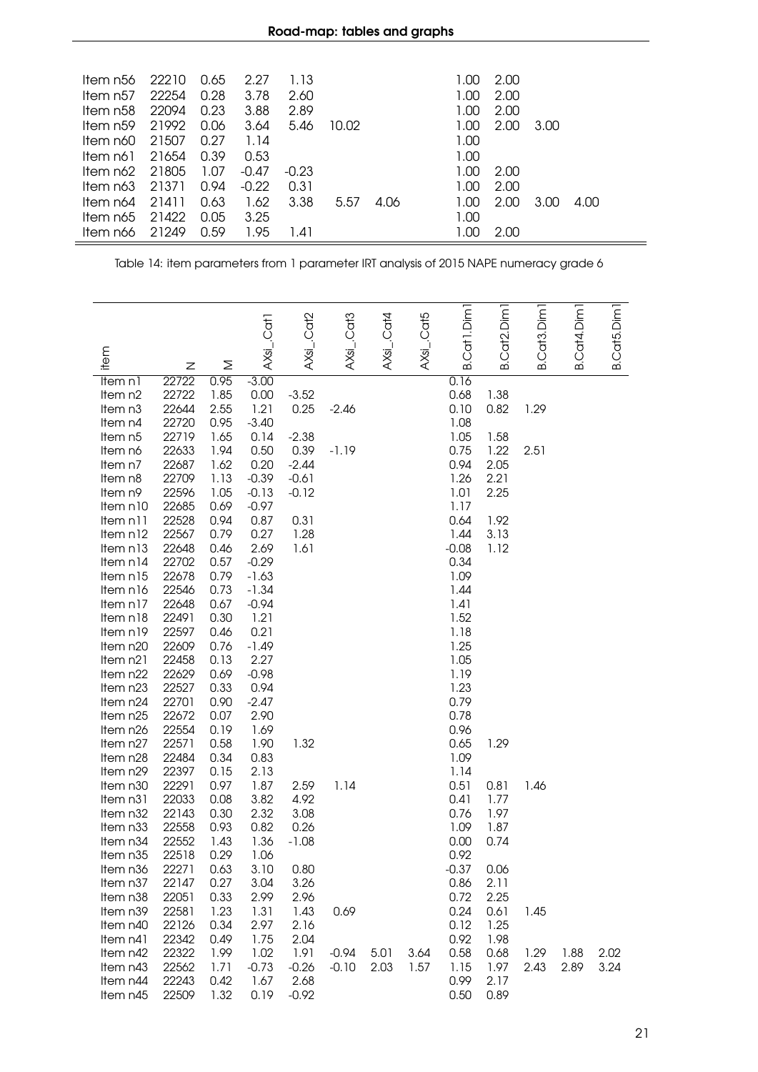| ltem n56             | 22210 | 0.65 | 2.27    | 1.13    |       |      | 1.00 | 2.00 |      |      |
|----------------------|-------|------|---------|---------|-------|------|------|------|------|------|
| Item n57             | 22254 | 0.28 | 3.78    | 2.60    |       |      | 1.00 | 2.00 |      |      |
| Item n58             | 22094 | 0.23 | 3.88    | 2.89    |       |      | 1.00 | 2.00 |      |      |
| Item n <sub>59</sub> | 21992 | 0.06 | 3.64    | 5.46    | 10.02 |      | 1.00 | 2.00 | 3.00 |      |
| ltem n60             | 21507 | 0.27 | 1.14    |         |       |      | 1.00 |      |      |      |
| ltem n61             | 21654 | 0.39 | 0.53    |         |       |      | 1.00 |      |      |      |
| ltem n62             | 21805 | 1.07 | $-0.47$ | $-0.23$ |       |      | 1.00 | 2.00 |      |      |
| ltem n63             | 21371 | 0.94 | $-0.22$ | 0.31    |       |      | 1.00 | 2.00 |      |      |
| ltem n64             | 21411 | 0.63 | 1.62    | 3.38    | 5.57  | 4.06 | 1.00 | 2.00 | 3.00 | 4.00 |
| ltem n65             | 21422 | 0.05 | 3.25    |         |       |      | 1.00 |      |      |      |
| ltem n66             | 21249 | 0.59 | 1.95    | 1.41    |       |      | 1.00 | 2.00 |      |      |
|                      |       |      |         |         |       |      |      |      |      |      |

Table 14: item parameters from 1 parameter IRT analysis of 2015 NAPE numeracy grade 6

<span id="page-20-0"></span>

|                      |                |              | AXsi_.Cat1   | AXsi_.Cat2 | AXsi_.Cat3 | $AXs$ i_.Cat4 | AXsi_.Cat5 | B.Cat1.Dim1  | Cat <sub>2</sub> .Dim <sub>1</sub> | B.Cat3.Dim1 | Cat4.Dim1 | B.Cat5.Dim1 |
|----------------------|----------------|--------------|--------------|------------|------------|---------------|------------|--------------|------------------------------------|-------------|-----------|-------------|
| item                 | z              | Σ            |              |            |            |               |            |              | ക                                  |             | ക         |             |
| Item n1              | 22722          | 0.95         | $-3.00$      |            |            |               |            | 0.16         |                                    |             |           |             |
| Item n2              | 22722          | 1.85         | 0.00         | $-3.52$    |            |               |            | 0.68         | 1.38                               |             |           |             |
| Item n <sub>3</sub>  | 22644          | 2.55         | 1.21         | 0.25       | $-2.46$    |               |            | 0.10         | 0.82                               | 1.29        |           |             |
| Item n4              | 22720          | 0.95         | $-3.40$      |            |            |               |            | 1.08         |                                    |             |           |             |
| Item n5              | 22719          | 1.65         | 0.14         | $-2.38$    |            |               |            | 1.05         | 1.58                               |             |           |             |
| Item n6              | 22633          | 1.94         | 0.50         | 0.39       | $-1.19$    |               |            | 0.75         | 1.22                               | 2.51        |           |             |
| Item n7              | 22687          | 1.62         | 0.20         | $-2.44$    |            |               |            | 0.94         | 2.05                               |             |           |             |
| Item n8              | 22709          | 1.13         | $-0.39$      | $-0.61$    |            |               |            | 1.26         | 2.21                               |             |           |             |
| Item n9              | 22596          | 1.05         | $-0.13$      | $-0.12$    |            |               |            | 1.01         | 2.25                               |             |           |             |
| Item n10             | 22685          | 0.69         | $-0.97$      |            |            |               |            | 1.17         |                                    |             |           |             |
| Item n11             | 22528          | 0.94         | 0.87         | 0.31       |            |               |            | 0.64         | 1.92                               |             |           |             |
| Item n12             | 22567          | 0.79         | 0.27         | 1.28       |            |               |            | 1.44         | 3.13                               |             |           |             |
| Item n13             | 22648          | 0.46         | 2.69         | 1.61       |            |               |            | $-0.08$      | 1.12                               |             |           |             |
| Item n14             | 22702          | 0.57         | $-0.29$      |            |            |               |            | 0.34         |                                    |             |           |             |
| Item n15             | 22678          | 0.79         | $-1.63$      |            |            |               |            | 1.09         |                                    |             |           |             |
| Item n16             | 22546          | 0.73         | $-1.34$      |            |            |               |            | 1.44         |                                    |             |           |             |
| Item n17             | 22648          | 0.67         | $-0.94$      |            |            |               |            | 1.41<br>1.52 |                                    |             |           |             |
| Item n18             | 22491<br>22597 | 0.30<br>0.46 | 1.21<br>0.21 |            |            |               |            | 1.18         |                                    |             |           |             |
| Item n19<br>Item n20 | 22609          | 0.76         | $-1.49$      |            |            |               |            | 1.25         |                                    |             |           |             |
| Item n21             | 22458          | 0.13         | 2.27         |            |            |               |            | 1.05         |                                    |             |           |             |
| Item n22             | 22629          | 0.69         | $-0.98$      |            |            |               |            | 1.19         |                                    |             |           |             |
| Item n23             | 22527          | 0.33         | 0.94         |            |            |               |            | 1.23         |                                    |             |           |             |
| Item n24             | 22701          | 0.90         | $-2.47$      |            |            |               |            | 0.79         |                                    |             |           |             |
| Item n25             | 22672          | 0.07         | 2.90         |            |            |               |            | 0.78         |                                    |             |           |             |
| Item n26             | 22554          | 0.19         | 1.69         |            |            |               |            | 0.96         |                                    |             |           |             |
| Item n27             | 22571          | 0.58         | 1.90         | 1.32       |            |               |            | 0.65         | 1.29                               |             |           |             |
| Item n28             | 22484          | 0.34         | 0.83         |            |            |               |            | 1.09         |                                    |             |           |             |
| Item n29             | 22397          | 0.15         | 2.13         |            |            |               |            | 1.14         |                                    |             |           |             |
| Item n30             | 22291          | 0.97         | 1.87         | 2.59       | 1.14       |               |            | 0.51         | 0.81                               | 1.46        |           |             |
| Item n31             | 22033          | 0.08         | 3.82         | 4.92       |            |               |            | 0.41         | 1.77                               |             |           |             |
| Item n32             | 22143          | 0.30         | 2.32         | 3.08       |            |               |            | 0.76         | 1.97                               |             |           |             |
| Item n33             | 22558          | 0.93         | 0.82         | 0.26       |            |               |            | 1.09         | 1.87                               |             |           |             |
| Item n34             | 22552          | 1.43         | 1.36         | $-1.08$    |            |               |            | 0.00         | 0.74                               |             |           |             |
| Item n35             | 22518          | 0.29         | 1.06         |            |            |               |            | 0.92         |                                    |             |           |             |
| ltem n36             | 22271          | 0.63         | 3.10         | 0.80       |            |               |            | $-0.37$      | 0.06                               |             |           |             |
| Item n37             | 22147          | 0.27         | 3.04         | 3.26       |            |               |            | 0.86         | 2.11                               |             |           |             |
| Item n38             | 22051          | 0.33         | 2.99         | 2.96       |            |               |            | 0.72         | 2.25                               |             |           |             |
| Item n39             | 22581          | 1.23         | 1.31         | 1.43       | 0.69       |               |            | 0.24         | 0.61                               | 1.45        |           |             |
| Item n40             | 22126          | 0.34         | 2.97         | 2.16       |            |               |            | 0.12         | 1.25                               |             |           |             |
| Item n41             | 22342          | 0.49         | 1.75         | 2.04       |            |               |            | 0.92         | 1.98                               |             |           |             |
| Item n42             | 22322          | 1.99         | 1.02         | 1.91       | $-0.94$    | 5.01          | 3.64       | 0.58         | 0.68                               | 1.29        | 1.88      | 2.02        |
| Item n43             | 22562          | 1.71         | $-0.73$      | $-0.26$    | $-0.10$    | 2.03          | 1.57       | 1.15         | 1.97                               | 2.43        | 2.89      | 3.24        |
| Item n44             | 22243          | 0.42         | 1.67         | 2.68       |            |               |            | 0.99         | 2.17                               |             |           |             |
| Item n45             | 22509          | 1.32         | 0.19         | $-0.92$    |            |               |            | 0.50         | 0.89                               |             |           |             |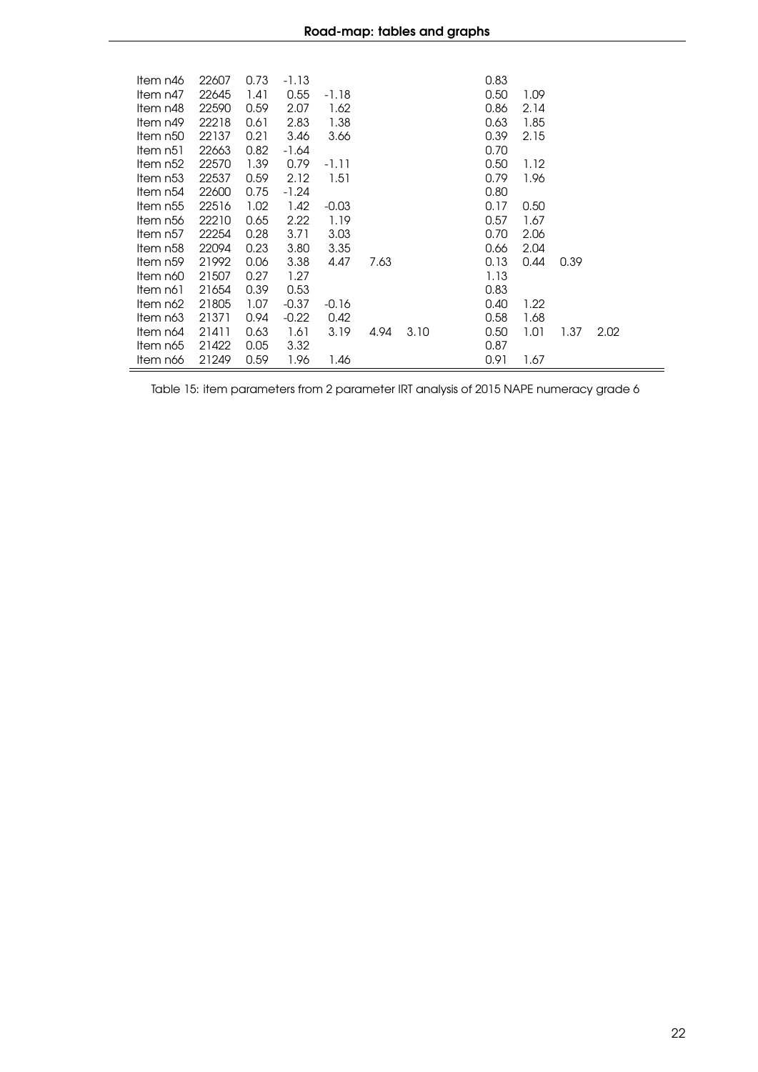| ltem n46 | 22607 | 0.73 | $-1.13$ |         |      |      | 0.83 |      |      |      |
|----------|-------|------|---------|---------|------|------|------|------|------|------|
| Item n47 | 22645 | 1.41 | 0.55    | -1.18   |      |      | 0.50 | 1.09 |      |      |
| Item n48 | 22590 | 0.59 | 2.07    | 1.62    |      |      | 0.86 | 2.14 |      |      |
| Item n49 | 22218 | 0.61 | 2.83    | 1.38    |      |      | 0.63 | 1.85 |      |      |
| Item n50 | 22137 | 0.21 | 3.46    | 3.66    |      |      | 0.39 | 2.15 |      |      |
| ltem n51 | 22663 | 0.82 | -1.64   |         |      |      | 0.70 |      |      |      |
| Item n52 | 22570 | 1.39 | 0.79    | $-1.11$ |      |      | 0.50 | 1.12 |      |      |
| ltem n53 | 22537 | 0.59 | 2.12    | 1.51    |      |      | 0.79 | 1.96 |      |      |
| Item n54 | 22600 | 0.75 | $-1.24$ |         |      |      | 0.80 |      |      |      |
| Item n55 | 22516 | 1.02 | 1.42    | $-0.03$ |      |      | 0.17 | 0.50 |      |      |
| Item n56 | 22210 | 0.65 | 2.22    | 1.19    |      |      | 0.57 | 1.67 |      |      |
| Item n57 | 22254 | 0.28 | 3.71    | 3.03    |      |      | 0.70 | 2.06 |      |      |
| Item n58 | 22094 | 0.23 | 3.80    | 3.35    |      |      | 0.66 | 2.04 |      |      |
| Item n59 | 21992 | 0.06 | 3.38    | 4.47    | 7.63 |      | 0.13 | 0.44 | 0.39 |      |
| ltem n60 | 21507 | 0.27 | 1.27    |         |      |      | 1.13 |      |      |      |
| ltem n61 | 21654 | 0.39 | 0.53    |         |      |      | 0.83 |      |      |      |
| Item n62 | 21805 | 1.07 | $-0.37$ | $-0.16$ |      |      | 0.40 | 1.22 |      |      |
| ltem n63 | 21371 | 0.94 | $-0.22$ | 0.42    |      |      | 0.58 | 1.68 |      |      |
| Item n64 | 21411 | 0.63 | 1.61    | 3.19    | 4.94 | 3.10 | 0.50 | 1.01 | 1.37 | 2.02 |
| ltem n65 | 21422 | 0.05 | 3.32    |         |      |      | 0.87 |      |      |      |
| Item n66 | 21249 | 0.59 | 1.96    | 1.46    |      |      | 0.91 | 1.67 |      |      |

Table 15: item parameters from 2 parameter IRT analysis of 2015 NAPE numeracy grade 6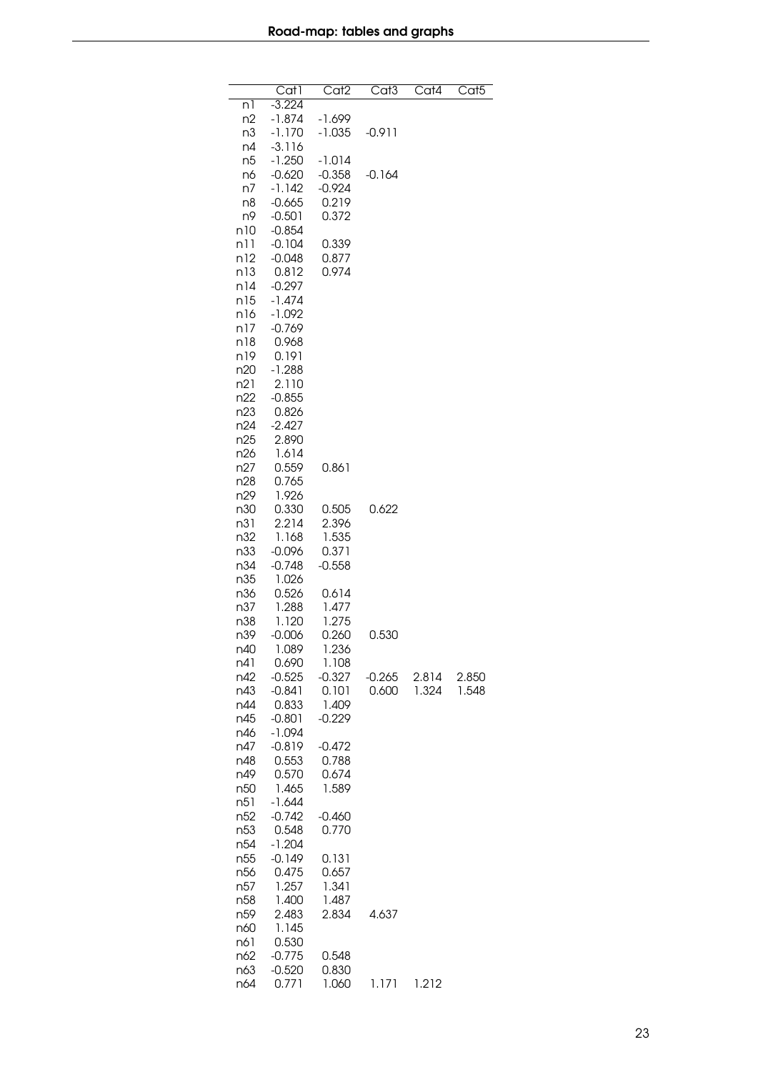<span id="page-22-0"></span>

|            | $\overline{\mathrm{Cat}}$ 1 | Cat <sub>2</sub> | $\overline{\text{Cat}}3$ | Cat4  | Cat <sub>5</sub> |
|------------|-----------------------------|------------------|--------------------------|-------|------------------|
| n1         | $-3.224$                    |                  |                          |       |                  |
| n2         | $-1.874$                    | -1.699           |                          |       |                  |
| n3         | -1.170                      | $-1.035$         | $-0.911$                 |       |                  |
| n4<br>n5   | -3.116<br>$-1.250$          | $-1.014$         |                          |       |                  |
| n6         | $-0.620$                    | $-0.358$         | $-0.164$                 |       |                  |
| n7         | $-1.142$                    | $-0.924$         |                          |       |                  |
| n8         | $-0.665$                    | 0.219            |                          |       |                  |
| n9         | $-0.501$                    | 0.372            |                          |       |                  |
| n10        | $-0.854$                    |                  |                          |       |                  |
| n11        | $-0.104$                    | 0.339            |                          |       |                  |
| n12        | $-0.048$                    | 0.877            |                          |       |                  |
| n13<br>n14 | 0.812<br>$-0.297$           | 0.974            |                          |       |                  |
| n15        | $-1.474$                    |                  |                          |       |                  |
| n16        | $-1.092$                    |                  |                          |       |                  |
| n17        | $-0.769$                    |                  |                          |       |                  |
| n18        | 0.968                       |                  |                          |       |                  |
| n19        | 0.191                       |                  |                          |       |                  |
| n20        | $-1.288$                    |                  |                          |       |                  |
| n21        | 2.110                       |                  |                          |       |                  |
| n22<br>n23 | $-0.855$<br>0.826           |                  |                          |       |                  |
| n24        | $-2.427$                    |                  |                          |       |                  |
| n25        | 2.890                       |                  |                          |       |                  |
| n26        | 1.614                       |                  |                          |       |                  |
| n27        | 0.559                       | 0.861            |                          |       |                  |
| n28        | 0.765                       |                  |                          |       |                  |
| n29        | 1.926                       |                  |                          |       |                  |
| n30<br>n31 | 0.330<br>2.214              | 0.505<br>2.396   | 0.622                    |       |                  |
| n32        | 1.168                       | 1.535            |                          |       |                  |
| n33        | $-0.096$                    | 0.371            |                          |       |                  |
| n34        | $-0.748$                    | $-0.558$         |                          |       |                  |
| n35        | 1.026                       |                  |                          |       |                  |
| n36        | 0.526                       | 0.614            |                          |       |                  |
| n37        | 1.288                       | 1.477            |                          |       |                  |
| n38<br>n39 | 1.120<br>$-0.006$           | 1.275<br>0.260   |                          |       |                  |
| n40        | 1.089                       | 1.236            | 0.530                    |       |                  |
| n41        | 0.690                       | 1.108            |                          |       |                  |
| n42        | $-0.525$                    | $-0.327$         | $-0.265$                 | 2.814 | 2.850            |
| n43        | -0.841                      | 0.101            | 0.600                    | 1.324 | 1.548            |
| n44        | 0.833                       | 1.409            |                          |       |                  |
| n45        | $-0.801$                    | $-0.229$         |                          |       |                  |
| n46        | $-1.094$                    | $-0.472$         |                          |       |                  |
| n47<br>n48 | $-0.819$<br>0.553           | 0.788            |                          |       |                  |
| n49        | 0.570                       | 0.674            |                          |       |                  |
| n50        | 1.465                       | 1.589            |                          |       |                  |
| n51        | $-1.644$                    |                  |                          |       |                  |
| n52        | $-0.742$                    | $-0.460$         |                          |       |                  |
| n53        | 0.548                       | 0.770            |                          |       |                  |
| n54        | $-1.204$                    |                  |                          |       |                  |
| n55<br>n56 | -0.149<br>0.475             | 0.131<br>0.657   |                          |       |                  |
| n57        | 1.257                       | 1.341            |                          |       |                  |
| n58        | 1.400                       | 1.487            |                          |       |                  |
| n59        | 2.483                       | 2.834            | 4.637                    |       |                  |
| n60        | 1.145                       |                  |                          |       |                  |
| n61        | 0.530                       |                  |                          |       |                  |
| n62        | $-0.775$                    | 0.548            |                          |       |                  |
| n63        | $-0.520$                    | 0.830            |                          |       |                  |
| n64        | 0.771                       | 1.060            | 1.171                    | 1.212 |                  |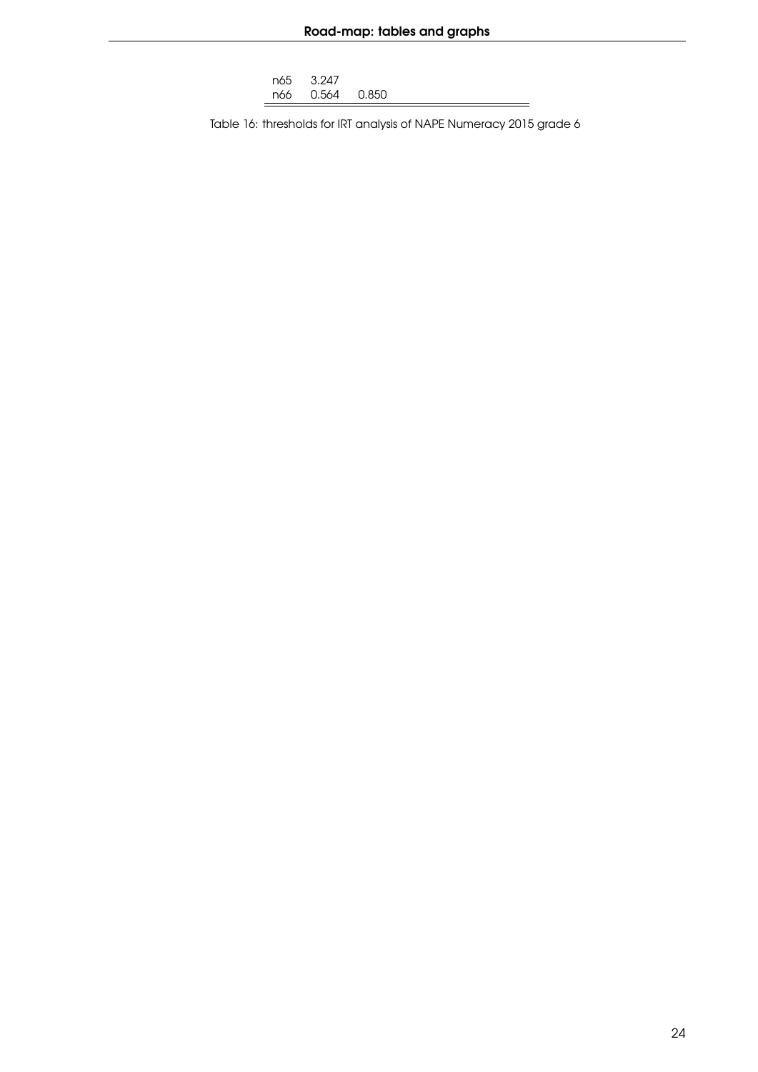| n65 - | 3.247     |         |  |
|-------|-----------|---------|--|
|       | n66 0.564 | . 0.850 |  |

 $\equiv$ 

Table 16: thresholds for IRT analysis of NAPE Numeracy 2015 grade 6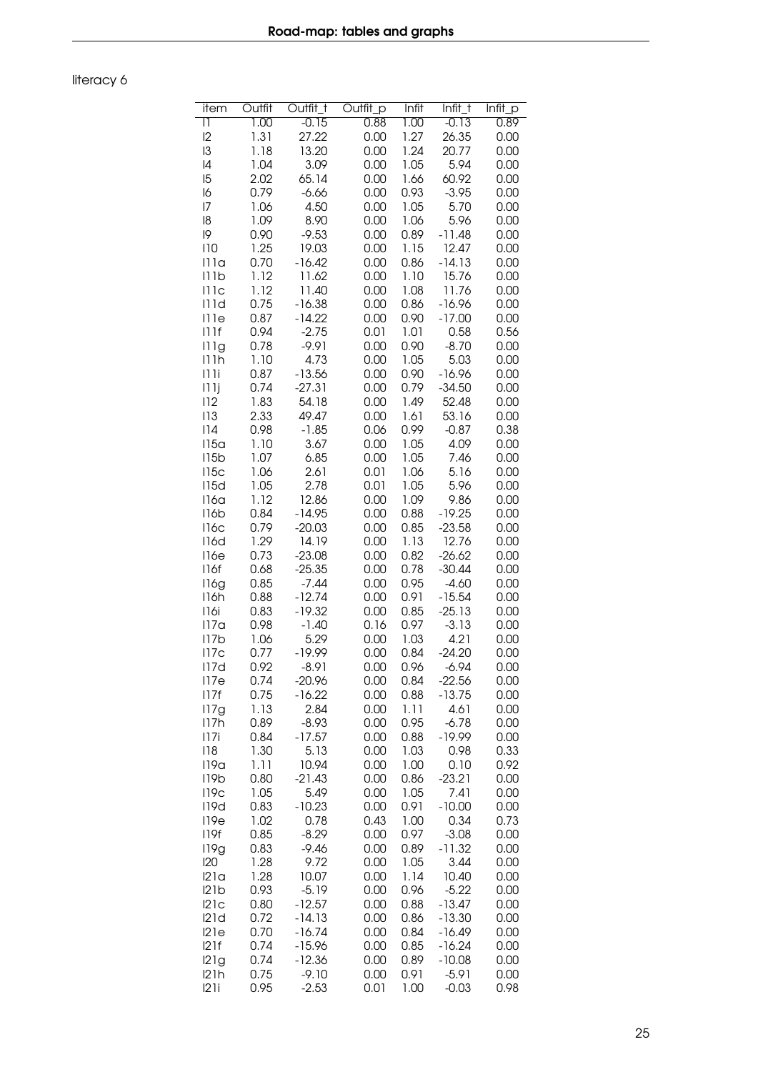<span id="page-24-0"></span>literacy 6

| item             | Outfit       | Outfit_t      | Outfit_p     | <b>Infit</b> | Infit_t       | Infit_p      |
|------------------|--------------|---------------|--------------|--------------|---------------|--------------|
| $\mathsf{I}$     | 1.00         | $-0.15$       | 0.88         | 1.00         | $-0.13$       | 0.89         |
| 2                | 1.31         | 27.22         | 0.00         | 1.27         | 26.35         | 0.00         |
| $\mathsf{I}3$    | 1.18         | 13.20         | 0.00         | 1.24         | 20.77         | 0.00         |
| 4                | 1.04         | 3.09          | 0.00         | 1.05         | 5.94          | 0.00         |
| 15               | 2.02         | 65.14         | 0.00         | 1.66         | 60.92         | 0.00         |
| 16               | 0.79         | $-6.66$       | 0.00         | 0.93         | $-3.95$       | 0.00         |
| 7                | 1.06         | 4.50          | 0.00         | 1.05         | 5.70          | 0.00         |
| 18               | 1.09         | 8.90          | 0.00         | 1.06         | 5.96          | 0.00         |
| 19               | 0.90         | $-9.53$       | 0.00         | 0.89         | $-11.48$      | 0.00         |
| 110              | 1.25         | 19.03         | 0.00         | 1.15         | 12.47         | 0.00         |
| 111a             | 0.70         | $-16.42$      | 0.00         | 0.86         | $-14.13$      | 0.00         |
| 111b             | 1.12         | 11.62         | 0.00         | 1.10         | 15.76         | 0.00         |
| 111c             | 1.12         | 11.40         | 0.00         | 1.08         | 11.76         | 0.00         |
| 111d             | 0.75         | $-16.38$      | 0.00         | 0.86         | $-16.96$      | 0.00         |
| 111e             | 0.87         | $-14.22$      | 0.00         | 0.90         | $-17.00$      | 0.00         |
| 111f             | 0.94         | $-2.75$       | 0.01         | 1.01         | 0.58          | 0.56         |
| 111g             | 0.78         | $-9.91$       | 0.00         | 0.90         | $-8.70$       | 0.00         |
| 111h             | 1.10         | 4.73          | 0.00         | 1.05         | 5.03          | 0.00         |
| 111i             | 0.87         | $-13.56$      | 0.00         | 0.90         | $-16.96$      | 0.00         |
| 11 1 j           | 0.74         | $-27.31$      | 0.00         | 0.79         | $-34.50$      | 0.00         |
| 112              | 1.83         | 54.18         | 0.00         | 1.49         | 52.48         | 0.00         |
| 113              | 2.33         | 49.47         | 0.00         | 1.61         | 53.16         | 0.00         |
| 114              | 0.98         | $-1.85$       | 0.06         | 0.99         | $-0.87$       | 0.38         |
| 115a             | 1.10         | 3.67          | 0.00         | 1.05         | 4.09          | 0.00         |
| 115b             | 1.07         | 6.85          | 0.00         | 1.05         | 7.46          | 0.00         |
| 115c             | 1.06         | 2.61          | 0.01         | 1.06         | 5.16          | 0.00         |
| 115d             | 1.05         | 2.78          | 0.01         | 1.05         | 5.96          | 0.00         |
| 116a             | 1.12         | 12.86         | 0.00         | 1.09         | 9.86          | 0.00         |
| 116b             | 0.84         | -14.95        | 0.00         | 0.88         | $-19.25$      | 0.00         |
| 116c             | 0.79         | $-20.03$      | 0.00         | 0.85         | $-23.58$      | 0.00         |
| 116d             | 1.29         | 14.19         | 0.00         | 1.13         | 12.76         | 0.00         |
| 116e             | 0.73         | $-23.08$      | 0.00         | 0.82         | $-26.62$      | 0.00         |
| 116f             | 0.68         | $-25.35$      | 0.00         | 0.78         | $-30.44$      | 0.00         |
| 116g             | 0.85         | $-7.44$       | 0.00         | 0.95         | $-4.60$       | 0.00         |
| 116h             | 0.88         | $-12.74$      | 0.00         | 0.91         | $-15.54$      | 0.00         |
| 116i             | 0.83         | $-19.32$      | 0.00         | 0.85         | $-25.13$      | 0.00         |
| 117a             | 0.98         | $-1.40$       | 0.16         | 0.97         | $-3.13$       | 0.00         |
| 117b             | 1.06         | 5.29          | 0.00         | 1.03         | 4.21          | 0.00         |
| 117c             | 0.77         | $-19.99$      | 0.00         | 0.84         | $-24.20$      | 0.00         |
| 117d             | 0.92         | $-8.91$       | 0.00         | 0.96         | $-6.94$       | 0.00         |
| 117e             | 0.74         | -20.96        | 0.00         | 0.84         | $-22.56$      | 0.00         |
| 117f             | 0.75         | $-16.22$      | 0.00         | 0.88         | $-13.75$      | 0.00         |
| 117g             | 1.13         | 2.84          | 0.00         | 1.11         | 4.61          | 0.00         |
| 117h             | 0.89         | $-8.93$       | 0.00         | 0.95         | $-6.78$       | 0.00         |
| 117i             | 0.84         | $-17.57$      | 0.00         | 0.88         | -19.99        | 0.00         |
| 118              | 1.30         | 5.13          | 0.00         | 1.03         | 0.98          | 0.33         |
| 119a             | 1.11         | 10.94         | 0.00         | 1.00         | 0.10          | 0.92         |
| 119 <sub>b</sub> | 0.80         | $-21.43$      | 0.00         | 0.86         | $-23.21$      | 0.00         |
| 119 <sub>C</sub> | 1.05         | 5.49          | 0.00         | 1.05         | 7.41          | 0.00         |
| 119d             | 0.83         | $-10.23$      | 0.00         | 0.91         | $-10.00$      | 0.00         |
| 119e             | 1.02         | 0.78          | 0.43         | 1.00         | 0.34          | 0.73         |
| 119f             | 0.85         | $-8.29$       | 0.00         | 0.97         | $-3.08$       | 0.00         |
| 119g             | 0.83         | $-9.46$       | 0.00         | 0.89         | $-11.32$      | 0.00         |
| 120<br>121a      | 1.28         | 9.72<br>10.07 | 0.00<br>0.00 | 1.05<br>1.14 | 3.44<br>10.40 | 0.00<br>0.00 |
| 121b             | 1.28<br>0.93 | $-5.19$       | 0.00         | 0.96         | $-5.22$       | 0.00         |
| 121c             | 0.80         | $-12.57$      | 0.00         | 0.88         | $-13.47$      | 0.00         |
| 121d             | 0.72         | $-14.13$      | 0.00         |              | $-13.30$      | 0.00         |
| 121e             | 0.70         | $-16.74$      | 0.00         | 0.86<br>0.84 | $-16.49$      | 0.00         |
| 121f             | 0.74         | $-15.96$      | 0.00         | 0.85         | $-16.24$      | 0.00         |
| 121g             | 0.74         | $-12.36$      | 0.00         | 0.89         | $-10.08$      | 0.00         |
| 121h             | 0.75         | $-9.10$       | 0.00         | 0.91         | $-5.91$       | 0.00         |
| 121i             | 0.95         | $-2.53$       | 0.01         | 1.00         | $-0.03$       | 0.98         |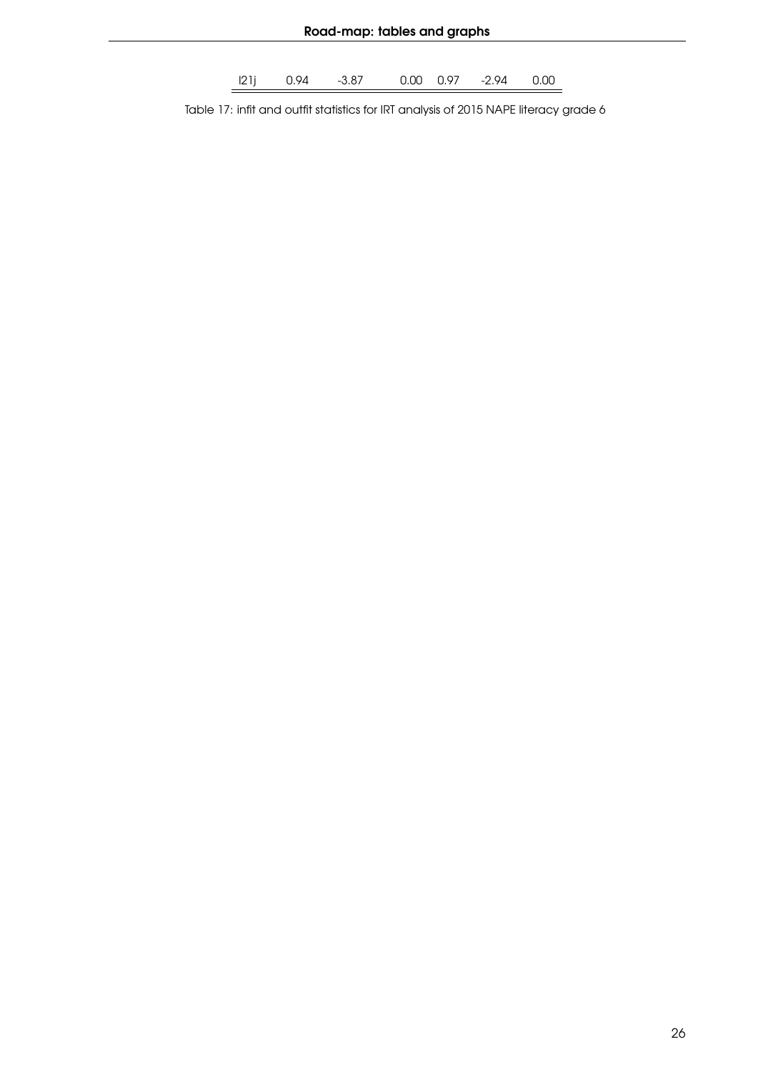l21j 0.94 -3.87 0.00 0.97 -2.94 0.00

Table 17: infit and outfit statistics for IRT analysis of 2015 NAPE literacy grade 6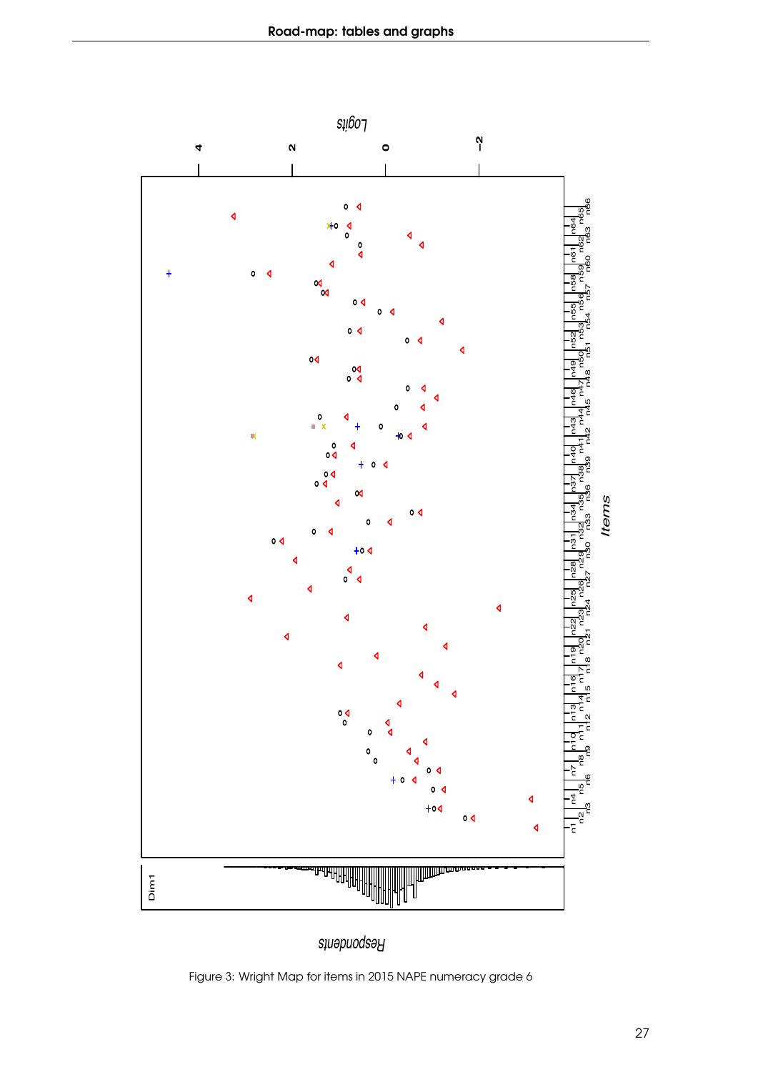<span id="page-26-0"></span>

*Respondents*

Figure 3: Wright Map for items in 2015 NAPE numeracy grade 6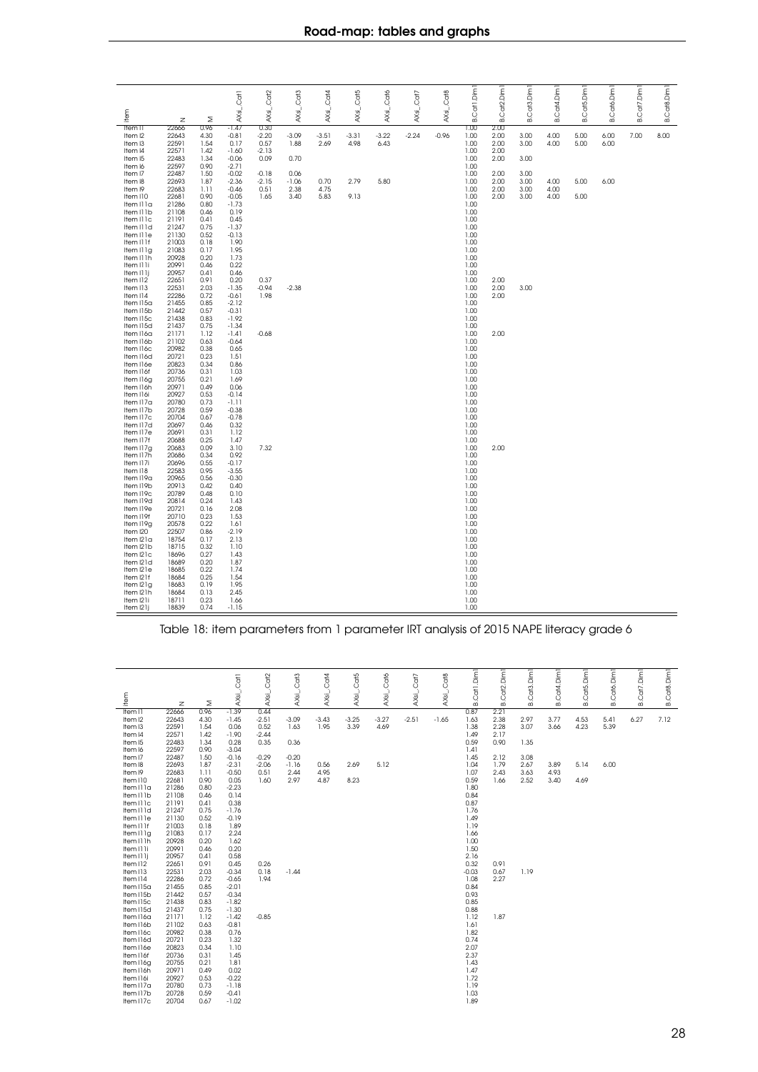<span id="page-27-0"></span>

| tem                                                                                           |                                                                      |                                                              | AXsi_Cat1                                                                      | AXsi_Cat2                                  | AXsi_Cat3                       | AXsi_Cat4            | AXsi_Cat5       | AXsi_Cat6       | AXsi_Cat7 | AXsi_Cat8 | B.Cat1.Dim                                                   | B.Cat <sub>2</sub> .Dim              | <b>B.Cat3.Dim</b>            | <b>B.Cat4.Dim</b>    | B.Cat5.Dim   | B.Cató.Dim   | B.Cat7.Dim | <b>B.Cat8.Dim</b> |
|-----------------------------------------------------------------------------------------------|----------------------------------------------------------------------|--------------------------------------------------------------|--------------------------------------------------------------------------------|--------------------------------------------|---------------------------------|----------------------|-----------------|-----------------|-----------|-----------|--------------------------------------------------------------|--------------------------------------|------------------------------|----------------------|--------------|--------------|------------|-------------------|
|                                                                                               | $\overline{z}$                                                       | Σ                                                            |                                                                                |                                            |                                 |                      |                 |                 |           |           |                                                              |                                      |                              |                      |              |              |            |                   |
| Item I1<br>Item I2<br>Item I3<br>Item I4<br>Item I5<br>Item I6                                | 22666<br>22643<br>22591<br>22571<br>22483<br>22597                   | 0.96<br>4.30<br>1.54<br>1.42<br>1.34<br>0.90                 | $-1.47$<br>$-0.81$<br>0.17<br>$-1.60$<br>$-0.06$<br>$-2.71$                    | 0.30<br>$-2.20$<br>0.57<br>$-2.13$<br>0.09 | $-3.09$<br>1.88<br>0.70         | $-3.51$<br>2.69      | $-3.31$<br>4.98 | $-3.22$<br>6.43 | $-2.24$   | $-0.96$   | 1.00<br>1.00<br>1.00<br>1.00<br>1.00<br>1.00                 | 2.00<br>2.00<br>2.00<br>2.00<br>2.00 | 3.00<br>3.00<br>3.00         | 4.00<br>4.00         | 5.00<br>5.00 | 6.00<br>6.00 | 7.00       | 8.00              |
| Item I7<br>Item I8<br>Item I9<br>Item I10<br>Item Illa<br>Item Illb<br>Item Illc<br>Item IIId | 22487<br>22693<br>22683<br>22681<br>21286<br>21108<br>21191<br>21247 | 1.50<br>1.87<br>1.11<br>0.90<br>0.80<br>0.46<br>0.41<br>0.75 | $-0.02$<br>$-2.36$<br>$-0.46$<br>$-0.05$<br>$-1.73$<br>0.19<br>0.45<br>$-1.37$ | $-0.18$<br>$-2.15$<br>0.51<br>1.65         | 0.06<br>$-1.06$<br>2.38<br>3.40 | 0.70<br>4.75<br>5.83 | 2.79<br>9.13    | 5.80            |           |           | 1.00<br>1.00<br>1.00<br>1.00<br>1.00<br>1.00<br>1.00<br>1.00 | 2.00<br>2.00<br>2.00<br>2.00         | 3.00<br>3.00<br>3.00<br>3.00 | 4.00<br>4.00<br>4.00 | 5.00<br>5.00 | 6.00         |            |                   |
| Item Il le<br>Item I11f<br>Item Illg<br>Item II Ih<br>Item Il li<br>Item I11j<br>Item I12     | 21130<br>21003<br>21083<br>20928<br>20991<br>20957<br>22651          | 0.52<br>0.18<br>0.17<br>0.20<br>0.46<br>0.41<br>0.91         | $-0.13$<br>1.90<br>1.95<br>1.73<br>0.22<br>0.46<br>0.20                        | 0.37                                       |                                 |                      |                 |                 |           |           | 1.00<br>1.00<br>1.00<br>1.00<br>1.00<br>1.00<br>1.00         | 2.00                                 |                              |                      |              |              |            |                   |
| Item I13<br>Item I14<br>Item I15a<br>Item I15b<br>Item I15c<br>Item I15d                      | 22531<br>22286<br>21455<br>21442<br>21438<br>21437                   | 2.03<br>0.72<br>0.85<br>0.57<br>0.83<br>0.75                 | $-1.35$<br>$-0.61$<br>$-2.12$<br>$-0.31$<br>$-1.92$<br>$-1.34$                 | $-0.94$<br>1.98                            | $-2.38$                         |                      |                 |                 |           |           | 1.00<br>1.00<br>1.00<br>1.00<br>1.00<br>1.00                 | 2.00<br>2.00                         | 3.00                         |                      |              |              |            |                   |
| Item I16a<br>Item I16b<br>Item I16c<br>Item I16d<br>Item I16e<br>Item I16f<br>Item I16g       | 21171<br>21102<br>20982<br>20721<br>20823<br>20736<br>20755          | 1.12<br>0.63<br>0.38<br>0.23<br>0.34<br>0.31<br>0.21         | $-1.41$<br>$-0.64$<br>0.65<br>1.51<br>0.86<br>1.03<br>1.69                     | $-0.68$                                    |                                 |                      |                 |                 |           |           | 1.00<br>1.00<br>1.00<br>1.00<br>1.00<br>1.00<br>1.00         | 2.00                                 |                              |                      |              |              |            |                   |
| Item I16h<br>Item I16i<br>Item I17a<br>Item I17b<br>Item I17c<br>Item I17d                    | 20971<br>20927<br>20780<br>20728<br>20704<br>20697                   | 0.49<br>0.53<br>0.73<br>0.59<br>0.67<br>0.46                 | 0.06<br>$-0.14$<br>-1.11<br>$-0.38$<br>$-0.78$<br>0.32                         |                                            |                                 |                      |                 |                 |           |           | 1.00<br>1.00<br>1.00<br>1.00<br>1.00<br>1.00                 |                                      |                              |                      |              |              |            |                   |
| Item I17e<br>Item I17f<br>Item I17g<br>Item I17h<br>Item I17i<br>Item I18                     | 20691<br>20688<br>20683<br>20686<br>20696<br>22583                   | 0.31<br>0.25<br>0.09<br>0.34<br>0.55<br>0.95                 | 1.12<br>1.47<br>3.10<br>0.92<br>$-0.17$<br>$-3.55$                             | 7.32                                       |                                 |                      |                 |                 |           |           | 1.00<br>1.00<br>1.00<br>1.00<br>1.00<br>1.00                 | 2.00                                 |                              |                      |              |              |            |                   |
| Item I19a<br>Item I19b<br>Item I19c<br>Item I19d<br>Item I19e<br>Item I19f<br>Item I19g       | 20965<br>20913<br>20789<br>20814<br>20721<br>20710<br>20578          | 0.56<br>0.42<br>0.48<br>0.24<br>0.16<br>0.23<br>0.22         | $-0.30$<br>0.40<br>0.10<br>1.43<br>2.08<br>1.53<br>1.61                        |                                            |                                 |                      |                 |                 |           |           | 1.00<br>1.00<br>1.00<br>1.00<br>1.00<br>1.00<br>1.00         |                                      |                              |                      |              |              |            |                   |
| Item I20<br>Item I21a<br>Item I21b<br>Item I21c<br>Item I21d<br>Item I21e                     | 22507<br>18754<br>18715<br>18696<br>18689<br>18685                   | 0.86<br>0.17<br>0.32<br>0.27<br>0.20<br>0.22                 | $-2.19$<br>2.13<br>1.10<br>1.43<br>1.87<br>1.74                                |                                            |                                 |                      |                 |                 |           |           | 1.00<br>1.00<br>1.00<br>1.00<br>1.00<br>1.00                 |                                      |                              |                      |              |              |            |                   |
| Item I21f<br>Item I21g<br>Item I21h<br>Item I21i<br>Item I21j                                 | 18684<br>18683<br>18684<br>18711<br>18839                            | 0.25<br>0.19<br>0.13<br>0.23<br>0.74                         | 1.54<br>1.95<br>2.45<br>1.66<br>$-1.15$                                        |                                            |                                 |                      |                 |                 |           |           | 1.00<br>1.00<br>1.00<br>1.00<br>1.00                         |                                      |                              |                      |              |              |            |                   |

Table 18: item parameters from 1 parameter IRT analysis of 2015 NAPE literacy grade 6

<span id="page-27-1"></span>

|                         |                |              |                    | Cat2               |                 | Cat4            | Ca <sub>15</sub> | Cató            | Cat7    | Ca <sub>18</sub> | Catl.Dim1       | Cat2.Dim     | B.Cat3.Dim1  | <b>B.Cat4.Dim1</b> | B.Cat5.Dim1  | B.Cat6.Dim1  | Cat7.Dim1 | <b>B.Cat8.Dim1</b> |
|-------------------------|----------------|--------------|--------------------|--------------------|-----------------|-----------------|------------------|-----------------|---------|------------------|-----------------|--------------|--------------|--------------------|--------------|--------------|-----------|--------------------|
| tem                     | $\mathbb Z$    | Σ            | AXsi_.Cat1         | $AXs$ <sub>L</sub> | AXsl_Cat3       | AXsi_           | AXsi_.           | $Ax_1$          | $Ax =$  | AXsi_.           | Ωó              | ΩÓ           |              |                    |              |              | œi        |                    |
| Item II                 | 22666          | 0.96         | $-1.39$            | 0.44               |                 |                 |                  |                 |         |                  | 0.87            | 2.21         |              |                    |              |              |           |                    |
| Item I2<br>Item I3      | 22643<br>22591 | 4.30<br>1.54 | $-1.45$<br>0.06    | $-2.51$<br>0.52    | $-3.09$<br>1.63 | $-3.43$<br>1.95 | $-3.25$<br>3.39  | $-3.27$<br>4.69 | $-2.51$ | $-1.65$          | 1.63<br>1.38    | 2.38<br>2.28 | 2.97<br>3.07 | 3.77<br>3.66       | 4.53<br>4.23 | 5.41<br>5.39 | 6.27      | 7.12               |
| Item I4                 | 22571          | 1.42         | $-1.90$            | $-2.44$            |                 |                 |                  |                 |         |                  | 1.49            | 2.17         |              |                    |              |              |           |                    |
| Item I5                 | 22483          | 1.34         | 0.28               | 0.35               | 0.36            |                 |                  |                 |         |                  | 0.59            | 0.90         | 1.35         |                    |              |              |           |                    |
| Item I6                 | 22597          | 0.90         | $-3.04$            |                    |                 |                 |                  |                 |         |                  | 1.41            |              |              |                    |              |              |           |                    |
| Item I7                 | 22487          | 1.50         | $-0.16$            | $-0.29$            | $-0.20$         |                 |                  |                 |         |                  | 1.45            | 2.12         | 3.08         |                    |              |              |           |                    |
| Item I8                 | 22693          | 1.87         | $-2.31$            | $-2.06$            | $-1.16$         | 0.56            | 2.69             | 5.12            |         |                  | 1.04            | 1.79         | 2.67         | 3.89               | 5.14         | 6.00         |           |                    |
| Item I9                 | 22683          | 1.11         | $-0.50$            | 0.51               | 2.44            | 4.95            |                  |                 |         |                  | 1.07            | 2.43         | 3.63         | 4.93               |              |              |           |                    |
| Item I10                | 22681          | 0.90         | 0.05               | 1.60               | 2.97            | 4.87            | 8.23             |                 |         |                  | 0.59            | 1.66         | 2.52         | 3.40               | 4.69         |              |           |                    |
| Item Illa<br>Item II Ib | 21286<br>21108 | 0.80<br>0.46 | $-2.23$<br>0.14    |                    |                 |                 |                  |                 |         |                  | 1.80<br>0.84    |              |              |                    |              |              |           |                    |
| Item IIIc               | 21191          | 0.41         | 0.38               |                    |                 |                 |                  |                 |         |                  | 0.87            |              |              |                    |              |              |           |                    |
| Item IIId               | 21247          | 0.75         | $-1.76$            |                    |                 |                 |                  |                 |         |                  | 1.76            |              |              |                    |              |              |           |                    |
| Item Il le              | 21130          | 0.52         | $-0.19$            |                    |                 |                 |                  |                 |         |                  | 1.49            |              |              |                    |              |              |           |                    |
| Item I11f               | 21003          | 0.18         | 1.89               |                    |                 |                 |                  |                 |         |                  | 1.19            |              |              |                    |              |              |           |                    |
| Item Illg               | 21083          | 0.17         | 2.24               |                    |                 |                 |                  |                 |         |                  | 1.66            |              |              |                    |              |              |           |                    |
| Item II Ih              | 20928          | 0.20         | 1.62               |                    |                 |                 |                  |                 |         |                  | 1.00            |              |              |                    |              |              |           |                    |
| Item II Ii              | 20991          | 0.46         | 0.20               |                    |                 |                 |                  |                 |         |                  | 1.50            |              |              |                    |              |              |           |                    |
| Item I11j               | 20957          | 0.41         | 0.58               |                    |                 |                 |                  |                 |         |                  | 2.16            |              |              |                    |              |              |           |                    |
| Item I12                | 22651          | 0.91         | 0.45               | 0.26               |                 |                 |                  |                 |         |                  | 0.32            | 0.91         |              |                    |              |              |           |                    |
| Item I13<br>Item I14    | 22531<br>22286 | 2.03<br>0.72 | $-0.34$            | 0.18<br>1.94       | $-1.44$         |                 |                  |                 |         |                  | $-0.03$<br>1.08 | 0.67<br>2.27 | 1.19         |                    |              |              |           |                    |
| Item I15a               | 21455          | 0.85         | $-0.65$<br>$-2.01$ |                    |                 |                 |                  |                 |         |                  | 0.84            |              |              |                    |              |              |           |                    |
| Item I15b               | 21442          | 0.57         | $-0.34$            |                    |                 |                 |                  |                 |         |                  | 0.93            |              |              |                    |              |              |           |                    |
| Item I15c               | 21438          | 0.83         | $-1.82$            |                    |                 |                 |                  |                 |         |                  | 0.85            |              |              |                    |              |              |           |                    |
| Item I15d               | 21437          | 0.75         | $-1.30$            |                    |                 |                 |                  |                 |         |                  | 0.88            |              |              |                    |              |              |           |                    |
| Item I16a               | 21171          | 1.12         | $-1.42$            | $-0.85$            |                 |                 |                  |                 |         |                  | 1.12            | 1.87         |              |                    |              |              |           |                    |
| Item I16b               | 21102          | 0.63         | $-0.81$            |                    |                 |                 |                  |                 |         |                  | 1.61            |              |              |                    |              |              |           |                    |
| Item I16c               | 20982          | 0.38         | 0.76               |                    |                 |                 |                  |                 |         |                  | 1.82            |              |              |                    |              |              |           |                    |
| Item I16d               | 20721          | 0.23         | 1.32               |                    |                 |                 |                  |                 |         |                  | 0.74            |              |              |                    |              |              |           |                    |
| Item I16e               | 20823          | 0.34         | 1.10               |                    |                 |                 |                  |                 |         |                  | 2.07            |              |              |                    |              |              |           |                    |
| Item I16f               | 20736          | 0.31         | 1.45               |                    |                 |                 |                  |                 |         |                  | 2.37            |              |              |                    |              |              |           |                    |
| Item I16g<br>Item I16h  | 20755<br>20971 | 0.21<br>0.49 | 1.81<br>0.02       |                    |                 |                 |                  |                 |         |                  | 1.43<br>1.47    |              |              |                    |              |              |           |                    |
| Item I16i               | 20927          | 0.53         | $-0.22$            |                    |                 |                 |                  |                 |         |                  | 1.72            |              |              |                    |              |              |           |                    |
| Item I17a               | 20780          | 0.73         | $-1.18$            |                    |                 |                 |                  |                 |         |                  | 1.19            |              |              |                    |              |              |           |                    |
| Item I17b               | 20728          | 0.59         | $-0.41$            |                    |                 |                 |                  |                 |         |                  | 1.03            |              |              |                    |              |              |           |                    |
| Item I17c               | 20704          | 0.67         | $-1.02$            |                    |                 |                 |                  |                 |         |                  | 1.89            |              |              |                    |              |              |           |                    |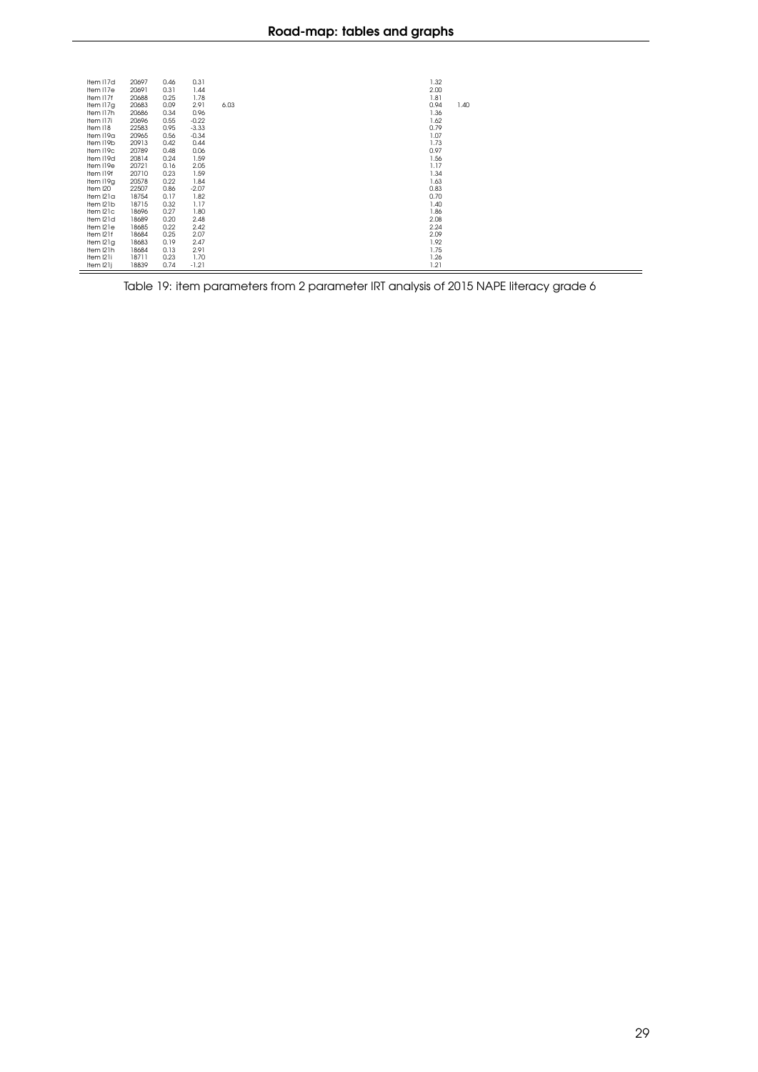| 20697 | 0.46 | 0.31    |      |  |                                                                                                                                                                                                      |  |  |
|-------|------|---------|------|--|------------------------------------------------------------------------------------------------------------------------------------------------------------------------------------------------------|--|--|
| 20691 | 0.31 | 1.44    |      |  |                                                                                                                                                                                                      |  |  |
| 20688 | 0.25 | 1.78    |      |  |                                                                                                                                                                                                      |  |  |
| 20683 | 0.09 | 2.91    | 6.03 |  | 1.40                                                                                                                                                                                                 |  |  |
| 20686 | 0.34 | 0.96    |      |  |                                                                                                                                                                                                      |  |  |
| 20696 | 0.55 | $-0.22$ |      |  |                                                                                                                                                                                                      |  |  |
| 22583 | 0.95 | $-3.33$ |      |  |                                                                                                                                                                                                      |  |  |
| 20965 | 0.56 | $-0.34$ |      |  |                                                                                                                                                                                                      |  |  |
| 20913 | 0.42 | 0.44    |      |  |                                                                                                                                                                                                      |  |  |
| 20789 | 0.48 | 0.06    |      |  |                                                                                                                                                                                                      |  |  |
| 20814 | 0.24 | 1.59    |      |  |                                                                                                                                                                                                      |  |  |
| 20721 | 0.16 | 2.05    |      |  |                                                                                                                                                                                                      |  |  |
| 20710 | 0.23 | 1.59    |      |  |                                                                                                                                                                                                      |  |  |
| 20578 | 0.22 | 1.84    |      |  |                                                                                                                                                                                                      |  |  |
| 22507 | 0.86 | $-2.07$ |      |  |                                                                                                                                                                                                      |  |  |
| 18754 | 0.17 | 1.82    |      |  |                                                                                                                                                                                                      |  |  |
| 18715 | 0.32 | 1.17    |      |  |                                                                                                                                                                                                      |  |  |
| 18696 | 0.27 | 1.80    |      |  |                                                                                                                                                                                                      |  |  |
| 18689 | 0.20 | 2.48    |      |  |                                                                                                                                                                                                      |  |  |
| 18685 | 0.22 | 2.42    |      |  |                                                                                                                                                                                                      |  |  |
| 18684 | 0.25 | 2.07    |      |  |                                                                                                                                                                                                      |  |  |
| 18683 | 0.19 | 2.47    |      |  |                                                                                                                                                                                                      |  |  |
| 18684 | 0.13 | 2.91    |      |  |                                                                                                                                                                                                      |  |  |
| 18711 | 0.23 | 1.70    |      |  |                                                                                                                                                                                                      |  |  |
| 18839 | 0.74 | $-1.21$ |      |  |                                                                                                                                                                                                      |  |  |
|       |      |         |      |  | 1.32<br>2.00<br>1.81<br>0.94<br>1.36<br>1.62<br>0.79<br>1.07<br>1.73<br>0.97<br>1.56<br>1.17<br>1.34<br>1.63<br>0.83<br>0.70<br>1.40<br>1.86<br>2.08<br>2.24<br>2.09<br>1.92<br>1.75<br>1.26<br>1.21 |  |  |

Table 19: item parameters from 2 parameter IRT analysis of 2015 NAPE literacy grade 6

Ė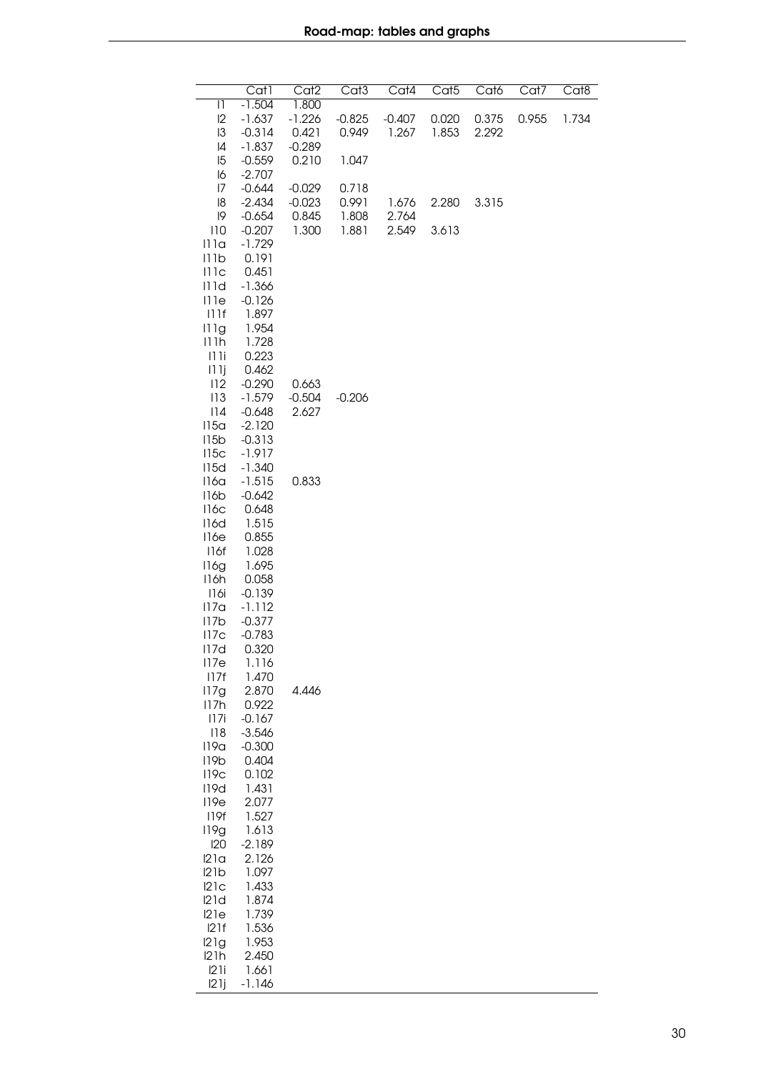<span id="page-29-0"></span>

|                  | Cat1                 | Cat <sub>2</sub> | Cat <sub>3</sub> | Cat4     | Cat <sub>5</sub> | Cat <sub>6</sub> | Cat7  | Cat <sub>8</sub> |
|------------------|----------------------|------------------|------------------|----------|------------------|------------------|-------|------------------|
| 11               | $-1.504$             | 1.800            |                  |          |                  |                  |       |                  |
| 12               | $-1.637$             | $-1.226$         | $-0.825$         | $-0.407$ | 0.020            | 0.375            | 0.955 | 1.734            |
| 13               | $-0.314$             | 0.421            | 0.949            | 1.267    | 1.853            | 2.292            |       |                  |
| 14               | $-1.837$             | $-0.289$         |                  |          |                  |                  |       |                  |
| 15               | $-0.559$             | 0.210            | 1.047            |          |                  |                  |       |                  |
| 16               | $-2.707$             |                  |                  |          |                  |                  |       |                  |
| 17               | $-0.644$             | $-0.029$         | 0.718            |          |                  |                  |       |                  |
| 18               | $-2.434$             | $-0.023$         | 0.991            | 1.676    | 2.280            | 3.315            |       |                  |
| 9                | $-0.654$             | 0.845            | 1.808            | 2.764    |                  |                  |       |                  |
| 110              | $-0.207$             | 1.300            | 1.881            | 2.549    | 3.613            |                  |       |                  |
| 111a             | $-1.729$             |                  |                  |          |                  |                  |       |                  |
| 111b             | 0.191                |                  |                  |          |                  |                  |       |                  |
| 111c             | 0.451                |                  |                  |          |                  |                  |       |                  |
| 111d             | $-1.366$             |                  |                  |          |                  |                  |       |                  |
| 111e             | $-0.126$             |                  |                  |          |                  |                  |       |                  |
| 111f             | 1.897                |                  |                  |          |                  |                  |       |                  |
| 111g             | 1.954                |                  |                  |          |                  |                  |       |                  |
| 111h             | 1.728                |                  |                  |          |                  |                  |       |                  |
| 111i             | 0.223                |                  |                  |          |                  |                  |       |                  |
| 111j             | 0.462                |                  |                  |          |                  |                  |       |                  |
| 112              | $-0.290$             | 0.663            |                  |          |                  |                  |       |                  |
| 113              | $-1.579$             | $-0.504$         | $-0.206$         |          |                  |                  |       |                  |
| 114              | $-0.648$             | 2.627            |                  |          |                  |                  |       |                  |
| 115a<br>115b     | $-2.120$<br>$-0.313$ |                  |                  |          |                  |                  |       |                  |
| 115c             | $-1.917$             |                  |                  |          |                  |                  |       |                  |
| 115d             | $-1.340$             |                  |                  |          |                  |                  |       |                  |
| 116a             | $-1.515$             | 0.833            |                  |          |                  |                  |       |                  |
| 116b             | $-0.642$             |                  |                  |          |                  |                  |       |                  |
| 116c             | 0.648                |                  |                  |          |                  |                  |       |                  |
| 116d             | 1.515                |                  |                  |          |                  |                  |       |                  |
| 116e             | 0.855                |                  |                  |          |                  |                  |       |                  |
| 116f             | 1.028                |                  |                  |          |                  |                  |       |                  |
| 116g             | 1.695                |                  |                  |          |                  |                  |       |                  |
| 116h             | 0.058                |                  |                  |          |                  |                  |       |                  |
| 116i             | $-0.139$             |                  |                  |          |                  |                  |       |                  |
| 117 <sub>a</sub> | $-1.112$             |                  |                  |          |                  |                  |       |                  |
| 117b             | $-0.377$             |                  |                  |          |                  |                  |       |                  |
| 117c             | $-0.783$             |                  |                  |          |                  |                  |       |                  |
| 117d             | 0.320                |                  |                  |          |                  |                  |       |                  |
| 117e             | 1.116                |                  |                  |          |                  |                  |       |                  |
| 117f             | 1.470                |                  |                  |          |                  |                  |       |                  |
| 117g             | 2.870                | 4.446            |                  |          |                  |                  |       |                  |
| 117h             | 0.922                |                  |                  |          |                  |                  |       |                  |
| 117i             | $-0.167$             |                  |                  |          |                  |                  |       |                  |
| 118              | $-3.546$             |                  |                  |          |                  |                  |       |                  |
| 119a             | $-0.300$             |                  |                  |          |                  |                  |       |                  |
| 119 <sub>b</sub> | 0.404                |                  |                  |          |                  |                  |       |                  |
| 119c             | 0.102                |                  |                  |          |                  |                  |       |                  |
| 119d             | 1.431                |                  |                  |          |                  |                  |       |                  |
| 119e             | 2.077                |                  |                  |          |                  |                  |       |                  |
| 119f             | 1.527                |                  |                  |          |                  |                  |       |                  |
| 119g             | 1.613                |                  |                  |          |                  |                  |       |                  |
| 120              | $-2.189$             |                  |                  |          |                  |                  |       |                  |
| 121a             | 2.126                |                  |                  |          |                  |                  |       |                  |
| 121b             | 1.097                |                  |                  |          |                  |                  |       |                  |
| 121c<br>121d     | 1.433<br>1.874       |                  |                  |          |                  |                  |       |                  |
| 121e             | 1.739                |                  |                  |          |                  |                  |       |                  |
| 121f             | 1.536                |                  |                  |          |                  |                  |       |                  |
| 121g             | 1.953                |                  |                  |          |                  |                  |       |                  |
| 121h             | 2.450                |                  |                  |          |                  |                  |       |                  |
| 121i             | 1.661                |                  |                  |          |                  |                  |       |                  |
| 121j             | $-1.146$             |                  |                  |          |                  |                  |       |                  |
|                  |                      |                  |                  |          |                  |                  |       |                  |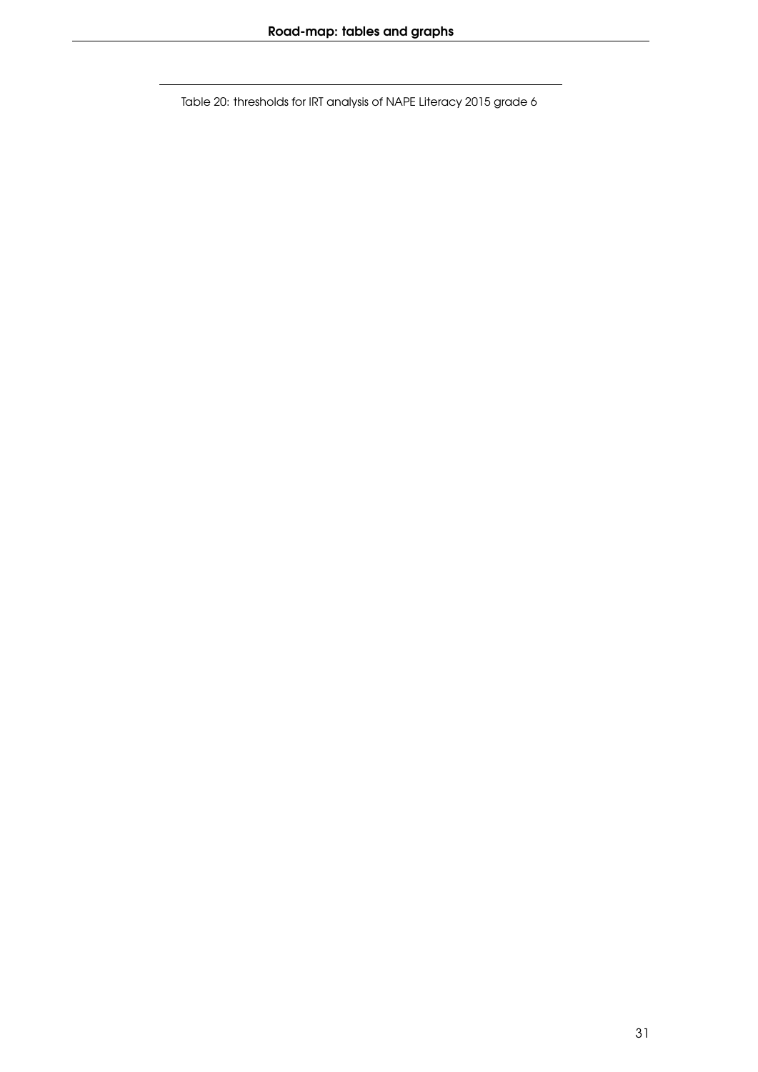Table 20: thresholds for IRT analysis of NAPE Literacy 2015 grade 6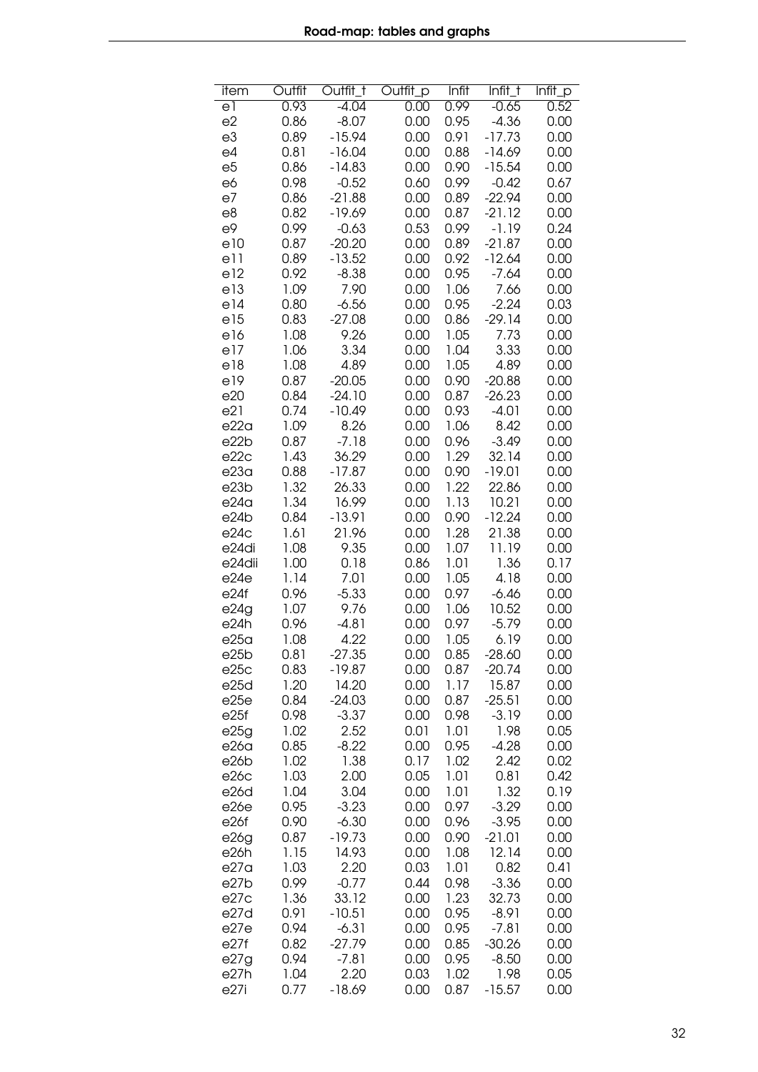<span id="page-31-0"></span>

| item             | Outfit | Outfit_T | Outfit_p | Infit | Infit_t  | Infit_p |
|------------------|--------|----------|----------|-------|----------|---------|
| el               | 0.93   | $-4.04$  | 0.00     | 0.99  | $-0.65$  | 0.52    |
| e2               | 0.86   | $-8.07$  | 0.00     | 0.95  | $-4.36$  | 0.00    |
| e3               | 0.89   | $-15.94$ | 0.00     | 0.91  | $-17.73$ | 0.00    |
| e4               | 0.81   | $-16.04$ | 0.00     | 0.88  | $-14.69$ | 0.00    |
| e <sub>5</sub>   | 0.86   | $-14.83$ | 0.00     | 0.90  | $-15.54$ | 0.00    |
| e6               | 0.98   | $-0.52$  | 0.60     | 0.99  | $-0.42$  | 0.67    |
| e7               | 0.86   | $-21.88$ | 0.00     | 0.89  | $-22.94$ | 0.00    |
|                  | 0.82   |          |          |       |          | 0.00    |
| e8               |        | $-19.69$ | 0.00     | 0.87  | $-21.12$ |         |
| e9               | 0.99   | $-0.63$  | 0.53     | 0.99  | $-1.19$  | 0.24    |
| e10              | 0.87   | $-20.20$ | 0.00     | 0.89  | $-21.87$ | 0.00    |
| e11              | 0.89   | $-13.52$ | 0.00     | 0.92  | $-12.64$ | 0.00    |
| e12              | 0.92   | $-8.38$  | 0.00     | 0.95  | $-7.64$  | 0.00    |
| e13              | 1.09   | 7.90     | 0.00     | 1.06  | 7.66     | 0.00    |
| e14              | 0.80   | $-6.56$  | 0.00     | 0.95  | $-2.24$  | 0.03    |
| e15              | 0.83   | $-27.08$ | 0.00     | 0.86  | $-29.14$ | 0.00    |
| e16              | 1.08   | 9.26     | 0.00     | 1.05  | 7.73     | 0.00    |
| e17              | 1.06   | 3.34     | 0.00     | 1.04  | 3.33     | 0.00    |
| e18              | 1.08   | 4.89     | 0.00     | 1.05  | 4.89     | 0.00    |
| e19              | 0.87   | $-20.05$ | 0.00     | 0.90  | $-20.88$ | 0.00    |
| e20              | 0.84   | $-24.10$ | 0.00     | 0.87  | $-26.23$ | 0.00    |
| e21              | 0.74   | $-10.49$ | 0.00     | 0.93  | $-4.01$  | 0.00    |
| e22a             | 1.09   | 8.26     | 0.00     | 1.06  | 8.42     | 0.00    |
| e22b             | 0.87   | $-7.18$  |          | 0.96  | $-3.49$  | 0.00    |
|                  |        |          | 0.00     |       |          |         |
| e22c             | 1.43   | 36.29    | 0.00     | 1.29  | 32.14    | 0.00    |
| e23a             | 0.88   | $-17.87$ | 0.00     | 0.90  | $-19.01$ | 0.00    |
| e23b             | 1.32   | 26.33    | 0.00     | 1.22  | 22.86    | 0.00    |
| e24a             | 1.34   | 16.99    | 0.00     | 1.13  | 10.21    | 0.00    |
| e24b             | 0.84   | $-13.91$ | 0.00     | 0.90  | $-12.24$ | 0.00    |
| e24c             | 1.61   | 21.96    | 0.00     | 1.28  | 21.38    | 0.00    |
| e24di            | 1.08   | 9.35     | 0.00     | 1.07  | 11.19    | 0.00    |
| e24dii           | 1.00   | 0.18     | 0.86     | 1.01  | 1.36     | 0.17    |
| e24e             | 1.14   | 7.01     | 0.00     | 1.05  | 4.18     | 0.00    |
| e24f             | 0.96   | $-5.33$  | 0.00     | 0.97  | $-6.46$  | 0.00    |
| e24g             | 1.07   | 9.76     | 0.00     | 1.06  | 10.52    | 0.00    |
| e24h             | 0.96   | $-4.81$  | 0.00     | 0.97  | $-5.79$  | 0.00    |
| e25a             | 1.08   | 4.22     | 0.00     | 1.05  | 6.19     | 0.00    |
| e25b             | 0.81   | $-27.35$ | 0.00     | 0.85  | $-28.60$ | 0.00    |
| e25c             | 0.83   | $-19.87$ | 0.00     | 0.87  | $-20.74$ | 0.00    |
| e25d             | 1.20   | 14.20    | 0.00     | 1.17  | 15.87    | 0.00    |
| e25e             | 0.84   | $-24.03$ | 0.00     | 0.87  | $-25.51$ | 0.00    |
| e25f             | 0.98   | $-3.37$  | 0.00     | 0.98  | $-3.19$  | 0.00    |
| e25g             | 1.02   | 2.52     | 0.01     | 1.01  | 1.98     | 0.05    |
| e26 <sub>a</sub> | 0.85   | $-8.22$  | 0.00     | 0.95  | $-4.28$  | 0.00    |
| e26b             | 1.02   | 1.38     | 0.17     | 1.02  | 2.42     | 0.02    |
| e26c             | 1.03   | 2.00     | 0.05     | 1.01  | 0.81     | 0.42    |
| e26d             | 1.04   | 3.04     | 0.00     | 1.01  | 1.32     | 0.19    |
| e26e             | 0.95   | $-3.23$  | 0.00     | 0.97  | $-3.29$  | 0.00    |
| e26f             |        |          |          |       |          |         |
|                  | 0.90   | $-6.30$  | 0.00     | 0.96  | $-3.95$  | 0.00    |
| e26g             | 0.87   | $-19.73$ | 0.00     | 0.90  | $-21.01$ | 0.00    |
| e26h             | 1.15   | 14.93    | 0.00     | 1.08  | 12.14    | 0.00    |
| e27a             | 1.03   | 2.20     | 0.03     | 1.01  | 0.82     | 0.41    |
| e27b             | 0.99   | $-0.77$  | 0.44     | 0.98  | $-3.36$  | 0.00    |
| e27c             | 1.36   | 33.12    | 0.00     | 1.23  | 32.73    | 0.00    |
| e27d             | 0.91   | $-10.51$ | 0.00     | 0.95  | $-8.91$  | 0.00    |
| e27e             | 0.94   | $-6.31$  | 0.00     | 0.95  | $-7.81$  | 0.00    |
| e27f             | 0.82   | $-27.79$ | 0.00     | 0.85  | $-30.26$ | 0.00    |
| e27g             | 0.94   | $-7.81$  | 0.00     | 0.95  | $-8.50$  | 0.00    |
| e27h             | 1.04   | 2.20     | 0.03     | 1.02  | 1.98     | 0.05    |
| e27i             | 0.77   | $-18.69$ | 0.00     | 0.87  | $-15.57$ | 0.00    |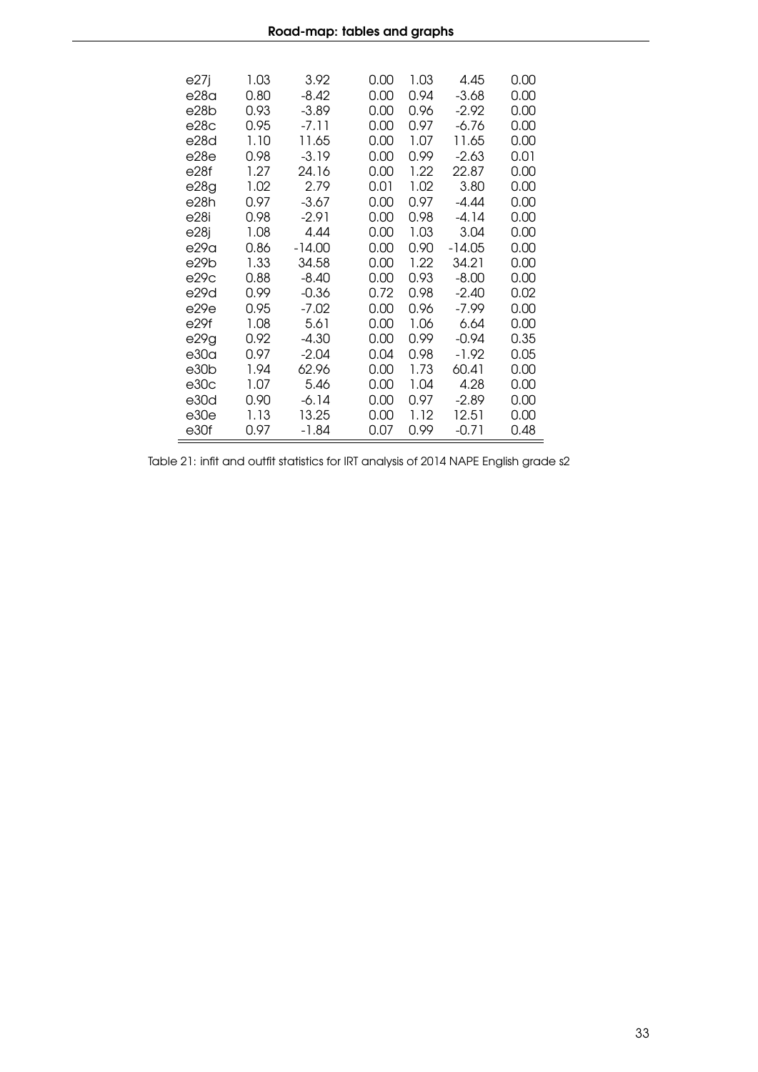| e27j | 1.03 | 3.92     | 0.00 | 1.03 | 4.45    | 0.00 |
|------|------|----------|------|------|---------|------|
| e28a | 0.80 | -8.42    | 0.00 | 0.94 | -3.68   | 0.00 |
| e28b | 0.93 | $-3.89$  | 0.00 | 0.96 | $-2.92$ | 0.00 |
| e28c | 0.95 | $-7.11$  | 0.00 | 0.97 | -6.76   | 0.00 |
| e28d | 1.10 | 11.65    | 0.00 | 1.07 | 11.65   | 0.00 |
| e28e | 0.98 | $-3.19$  | 0.00 | 0.99 | $-2.63$ | 0.01 |
| e28f | 1.27 | 24.16    | 0.00 | 1.22 | 22.87   | 0.00 |
| e28g | 1.02 | 2.79     | 0.01 | 1.02 | 3.80    | 0.00 |
| e28h | 0.97 | -3.67    | 0.00 | 0.97 | -4.44   | 0.00 |
| e28i | 0.98 | $-2.91$  | 0.00 | 0.98 | -4.14   | 0.00 |
| e28j | 1.08 | 4.44     | 0.00 | 1.03 | 3.04    | 0.00 |
| e29a | 0.86 | $-14.00$ | 0.00 | 0.90 | -14.05  | 0.00 |
| e29b | 1.33 | 34.58    | 0.00 | 1.22 | 34.21   | 0.00 |
| e29c | 0.88 | $-8.40$  | 0.00 | 0.93 | $-8.00$ | 0.00 |
| e29d | 0.99 | $-0.36$  | 0.72 | 0.98 | $-2.40$ | 0.02 |
| e29e | 0.95 | $-7.02$  | 0.00 | 0.96 | -7.99   | 0.00 |
| e29f | 1.08 | 5.61     | 0.00 | 1.06 | 6.64    | 0.00 |
| e29g | 0.92 | $-4.30$  | 0.00 | 0.99 | $-0.94$ | 0.35 |
| e30a | 0.97 | $-2.04$  | 0.04 | 0.98 | $-1.92$ | 0.05 |
| e30b | 1.94 | 62.96    | 0.00 | 1.73 | 60.41   | 0.00 |
| e30c | 1.07 | 5.46     | 0.00 | 1.04 | 4.28    | 0.00 |
| e30d | 0.90 | $-6.14$  | 0.00 | 0.97 | $-2.89$ | 0.00 |
| e30e | 1.13 | 13.25    | 0.00 | 1.12 | 12.51   | 0.00 |
| e30f | 0.97 | -1.84    | 0.07 | 0.99 | $-0.71$ | 0.48 |

Table 21: infit and outfit statistics for IRT analysis of 2014 NAPE English grade s2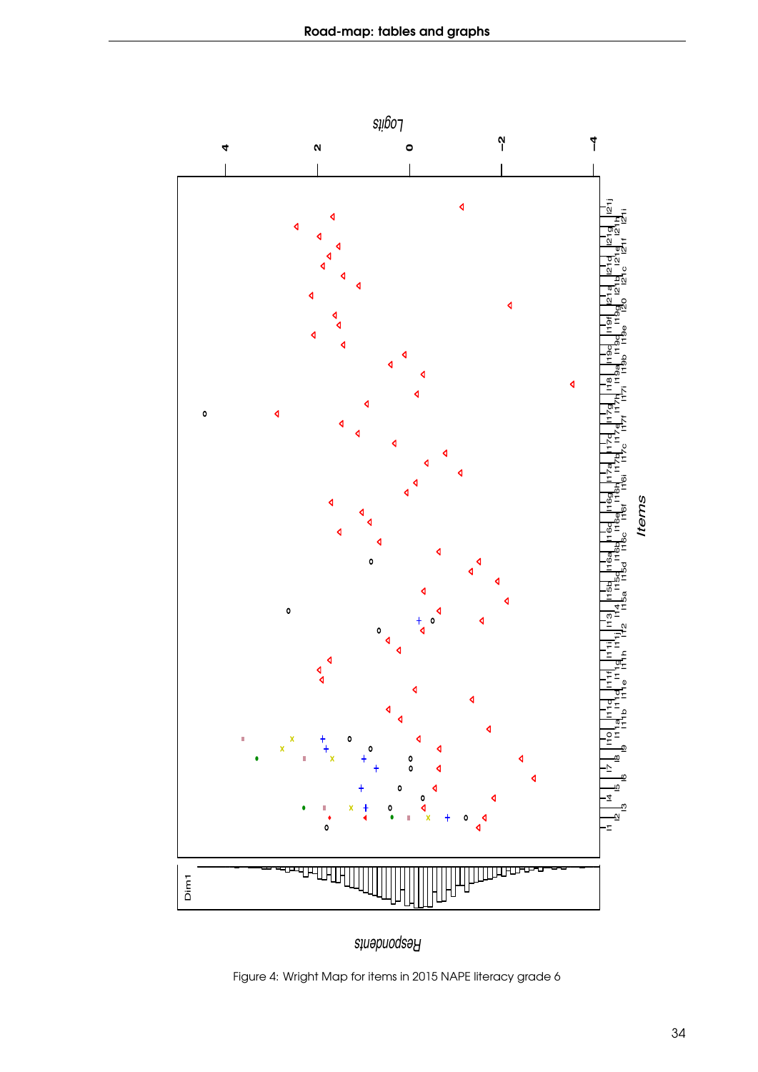<span id="page-33-0"></span>

*Respondents*

Figure 4: Wright Map for items in 2015 NAPE literacy grade 6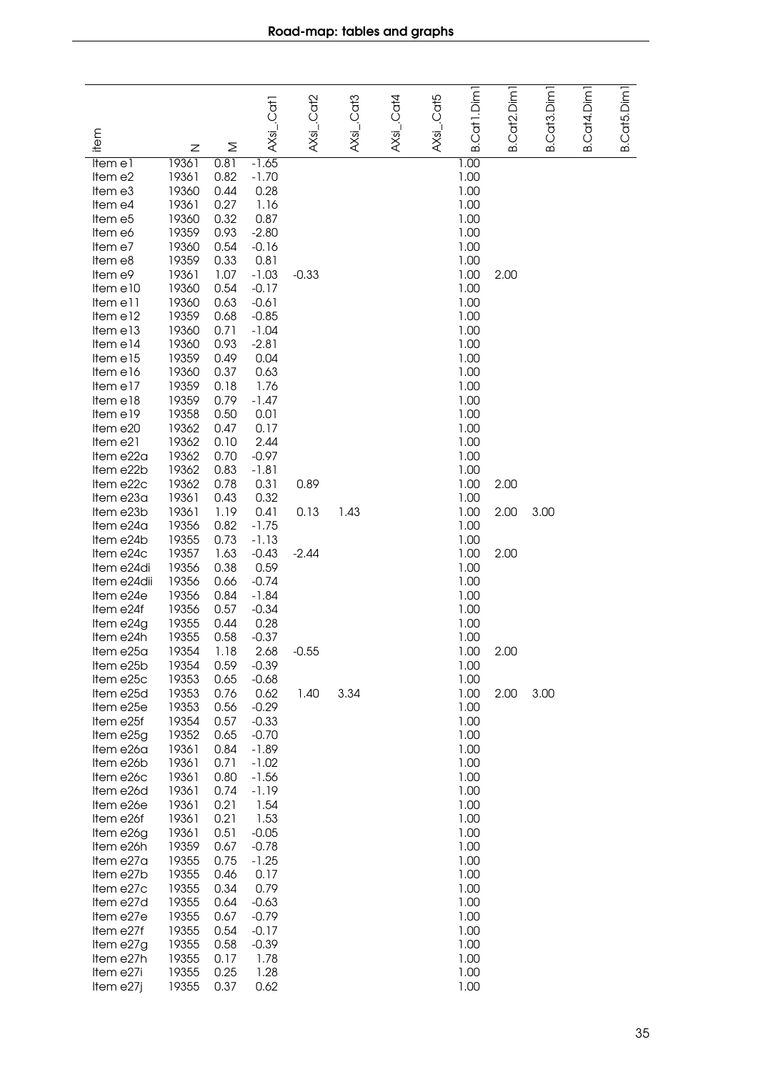<span id="page-34-0"></span>

|                                                                                                                                                                                                                                                                                                                                                                                                                                                                                         | Ζ                                                                                                                                                                                                                                                                                                                                                  | Σ                                                                                                                                                                                                                                                                                                            |                                                                                                                                                                                                                                                                                                                                                                                                  |                                                             |                    |           |            | ക്                                                                                                                                                                                                                                                                                                                       | ഥ                                                             | ഥ                             | ഥ        | ക്       |
|-----------------------------------------------------------------------------------------------------------------------------------------------------------------------------------------------------------------------------------------------------------------------------------------------------------------------------------------------------------------------------------------------------------------------------------------------------------------------------------------|----------------------------------------------------------------------------------------------------------------------------------------------------------------------------------------------------------------------------------------------------------------------------------------------------------------------------------------------------|--------------------------------------------------------------------------------------------------------------------------------------------------------------------------------------------------------------------------------------------------------------------------------------------------------------|--------------------------------------------------------------------------------------------------------------------------------------------------------------------------------------------------------------------------------------------------------------------------------------------------------------------------------------------------------------------------------------------------|-------------------------------------------------------------|--------------------|-----------|------------|--------------------------------------------------------------------------------------------------------------------------------------------------------------------------------------------------------------------------------------------------------------------------------------------------------------------------|---------------------------------------------------------------|-------------------------------|----------|----------|
| item<br>Item e1<br>Item e2<br>Item e3<br>Item e4<br>Item e5<br>Item e6<br>Item e7<br>Item e8<br>Item e9<br>Item e10<br>Item e11<br>Item e12<br>Item e13<br>Item e14<br>Item e15<br>Item e16<br>Item e17<br>Item e18<br>Item e19<br>Item e20<br>Item e21<br>Item e22a<br>Item e22b<br>Item e22c<br>Item e23a<br>Item e23b<br>Item e24a<br>Item e24b<br>Item e24c<br>Item e24di<br>Item e24dii<br>Item e24e<br>Item e24f<br>Item e24g<br>Item e24h<br>Item e25a<br>Item e25b<br>Item e25c | 19361<br>19361<br>19360<br>19361<br>19360<br>19359<br>19360<br>19359<br>19361<br>19360<br>19360<br>19359<br>19360<br>19360<br>19359<br>19360<br>19359<br>19359<br>19358<br>19362<br>19362<br>19362<br>19362<br>19362<br>19361<br>19361<br>19356<br>19355<br>19357<br>19356<br>19356<br>19356<br>19356<br>19355<br>19355<br>19354<br>19354<br>19353 | 0.81<br>0.82<br>0.44<br>0.27<br>0.32<br>0.93<br>0.54<br>0.33<br>1.07<br>0.54<br>0.63<br>0.68<br>0.71<br>0.93<br>0.49<br>0.37<br>0.18<br>0.79<br>0.50<br>0.47<br>0.10<br>0.70<br>0.83<br>0.78<br>0.43<br>1.19<br>0.82<br>0.73<br>1.63<br>0.38<br>0.66<br>0.84<br>0.57<br>0.44<br>0.58<br>1.18<br>0.59<br>0.65 | $AXs1$ . Cat 1<br>$-1.65$<br>$-1.70$<br>0.28<br>1.16<br>0.87<br>$-2.80$<br>$-0.16$<br>0.81<br>$-1.03$<br>$-0.17$<br>$-0.61$<br>$-0.85$<br>$-1.04$<br>$-2.81$<br>0.04<br>0.63<br>1.76<br>$-1.47$<br>0.01<br>0.17<br>2.44<br>$-0.97$<br>$-1.81$<br>0.31<br>0.32<br>0.41<br>$-1.75$<br>$-1.13$<br>$-0.43$<br>0.59<br>$-0.74$<br>$-1.84$<br>$-0.34$<br>0.28<br>$-0.37$<br>2.68<br>$-0.39$<br>$-0.68$ | AXsi_.Cat2<br>$-0.33$<br>0.89<br>0.13<br>$-2.44$<br>$-0.55$ | AXsi_.Cat3<br>1.43 | AXsL.Cat4 | AXsi_.Cat5 | Cat1.Dim<br>1.00<br>1.00<br>1.00<br>1.00<br>1.00<br>1.00<br>1.00<br>1.00<br>1.00<br>1.00<br>1.00<br>1.00<br>1.00<br>1.00<br>1.00<br>1.00<br>1.00<br>1.00<br>1.00<br>1.00<br>1.00<br>1.00<br>1.00<br>1.00<br>1.00<br>1.00<br>1.00<br>1.00<br>1.00<br>1.00<br>1.00<br>1.00<br>1.00<br>1.00<br>1.00<br>1.00<br>1.00<br>1.00 | Cat <sub>2</sub> .Dim<br>2.00<br>2.00<br>2.00<br>2.00<br>2.00 | Cat <sub>3</sub> .Dim<br>3.00 | Cat4.Dim | Cat5.Dim |
| Item e25d<br>Item e25e<br>Item e25f<br>Item e25g<br>Item e26a<br>Item e26b<br>Item e26c<br>Item e26d<br>Item e26e<br>Item e26f<br>Item e26g<br>Item e26h<br>Item e27a<br>Item e27b<br>Item e27c<br>Item e27d<br>Item e27e<br>Item e27f<br>Item e27g<br>Item e27h<br>Item e27i<br>Item e27j                                                                                                                                                                                              | 19353<br>19353<br>19354<br>19352<br>19361<br>19361<br>19361<br>19361<br>19361<br>19361<br>19361<br>19359<br>19355<br>19355<br>19355<br>19355<br>19355<br>19355<br>19355<br>19355<br>19355<br>19355                                                                                                                                                 | 0.76<br>0.56<br>0.57<br>0.65<br>0.84<br>0.71<br>0.80<br>0.74<br>0.21<br>0.21<br>0.51<br>0.67<br>0.75<br>0.46<br>0.34<br>0.64<br>0.67<br>0.54<br>0.58<br>0.17<br>0.25<br>0.37                                                                                                                                 | 0.62<br>$-0.29$<br>$-0.33$<br>$-0.70$<br>-1.89<br>$-1.02$<br>$-1.56$<br>$-1.19$<br>1.54<br>1.53<br>$-0.05$<br>$-0.78$<br>$-1.25$<br>0.17<br>0.79<br>$-0.63$<br>$-0.79$<br>$-0.17$<br>$-0.39$<br>1.78<br>1.28<br>0.62                                                                                                                                                                             | 1.40                                                        | 3.34               |           |            | 1.00<br>1.00<br>1.00<br>1.00<br>1.00<br>1.00<br>1.00<br>1.00<br>1.00<br>1.00<br>1.00<br>1.00<br>1.00<br>1.00<br>1.00<br>1.00<br>1.00<br>1.00<br>1.00<br>1.00<br>1.00<br>1.00                                                                                                                                             | 2.00                                                          | 3.00                          |          |          |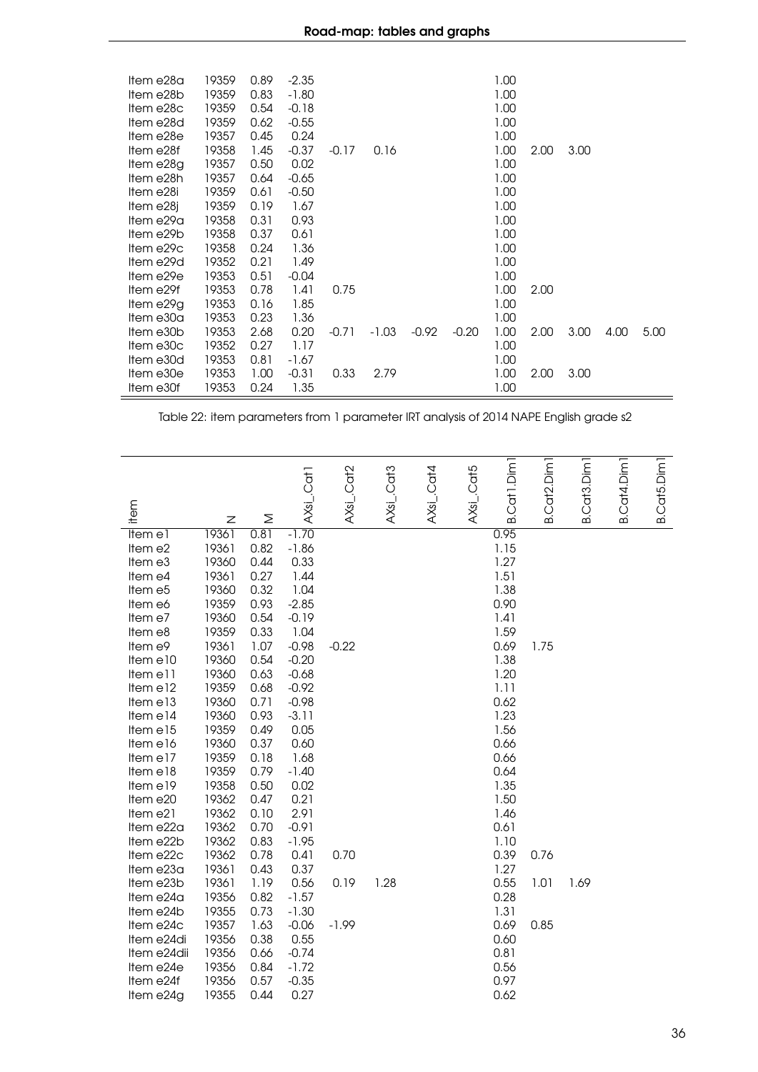| Item e28a<br>Item e28b<br>Item e28c<br>Item e28d<br>Item e28e<br>Item e28f<br>Item e28g<br>Item e28h<br>Item e28i<br>Item e28j<br>Item e29a<br>Item e29b<br>Item e29c<br>Item e29d<br>Item e29e<br>Item e29f | 19359<br>19359<br>19359<br>19359<br>19357<br>19358<br>19357<br>19357<br>19359<br>19359<br>19358<br>19358<br>19358<br>19352<br>19353<br>19353 | 0.89<br>0.83<br>0.54<br>0.62<br>0.45<br>1.45<br>0.50<br>0.64<br>0.61<br>0.19<br>0.31<br>0.37<br>0.24<br>0.21<br>0.51<br>0.78 | $-2.35$<br>$-1.80$<br>$-0.18$<br>$-0.55$<br>0.24<br>$-0.37$<br>0.02<br>$-0.65$<br>$-0.50$<br>1.67<br>0.93<br>0.61<br>1.36<br>1.49<br>$-0.04$<br>1.41 | $-0.17$<br>0.75 | 0.16    |         |         | 1.00<br>1.00<br>1.00<br>1.00<br>1.00<br>1.00<br>1.00<br>1.00<br>1.00<br>1.00<br>1.00<br>1.00<br>1.00<br>1.00<br>1.00<br>1.00 | 2.00<br>2.00 | 3.00 |      |      |
|--------------------------------------------------------------------------------------------------------------------------------------------------------------------------------------------------------------|----------------------------------------------------------------------------------------------------------------------------------------------|------------------------------------------------------------------------------------------------------------------------------|------------------------------------------------------------------------------------------------------------------------------------------------------|-----------------|---------|---------|---------|------------------------------------------------------------------------------------------------------------------------------|--------------|------|------|------|
| Item e29g                                                                                                                                                                                                    | 19353                                                                                                                                        | 0.16                                                                                                                         | 1.85                                                                                                                                                 |                 |         |         |         | 1.00                                                                                                                         |              |      |      |      |
| Item e30a                                                                                                                                                                                                    | 19353                                                                                                                                        | 0.23                                                                                                                         | 1.36                                                                                                                                                 |                 |         |         |         | 1.00                                                                                                                         |              |      |      |      |
| Item e30b                                                                                                                                                                                                    | 19353                                                                                                                                        | 2.68                                                                                                                         | 0.20                                                                                                                                                 | $-0.71$         | $-1.03$ | $-0.92$ | $-0.20$ | 1.00                                                                                                                         | 2.00         | 3.00 | 4.00 | 5.00 |
| Item e30c                                                                                                                                                                                                    | 19352                                                                                                                                        | 0.27                                                                                                                         | 1.17                                                                                                                                                 |                 |         |         |         | 1.00                                                                                                                         |              |      |      |      |
| Item e30d                                                                                                                                                                                                    | 19353                                                                                                                                        | 0.81                                                                                                                         | -1.67                                                                                                                                                |                 |         |         |         | 1.00                                                                                                                         |              |      |      |      |
| Item e30e                                                                                                                                                                                                    | 19353                                                                                                                                        | 1.00                                                                                                                         | $-0.31$                                                                                                                                              | 0.33            | 2.79    |         |         | 1.00                                                                                                                         | 2.00         | 3.00 |      |      |
| Item e30f                                                                                                                                                                                                    | 19353                                                                                                                                        | 0.24                                                                                                                         | 1.35                                                                                                                                                 |                 |         |         |         | 1.00                                                                                                                         |              |      |      |      |

Table 22: item parameters from 1 parameter IRT analysis of 2014 NAPE English grade s2

<span id="page-35-0"></span>

|             |       |      | AXsi_.Cat1 | AXsi_.Cat2 | $AXs$ i_.Cat3 | $AXs$ i_Cat4 | AXsi_.Cat5 | Cat1.Dim1 | B.Cat2.Dim <sub>1</sub> | Cat <sub>3</sub> .Dim <sub>1</sub> | B.Cat4.Dim <sub>1</sub> | B.Cat5.Dim <sub>1</sub> |
|-------------|-------|------|------------|------------|---------------|--------------|------------|-----------|-------------------------|------------------------------------|-------------------------|-------------------------|
| item        | Z     | Σ    |            |            |               |              |            | ക         |                         | ഥ                                  |                         |                         |
| Item e1     | 19361 | 0.81 | $-1.70$    |            |               |              |            | 0.95      |                         |                                    |                         |                         |
| Item e2     | 19361 | 0.82 | $-1.86$    |            |               |              |            | 1.15      |                         |                                    |                         |                         |
| Item e3     | 19360 | 0.44 | 0.33       |            |               |              |            | 1.27      |                         |                                    |                         |                         |
| Item e4     | 19361 | 0.27 | 1.44       |            |               |              |            | 1.51      |                         |                                    |                         |                         |
| Item e5     | 19360 | 0.32 | 1.04       |            |               |              |            | 1.38      |                         |                                    |                         |                         |
| Item e6     | 19359 | 0.93 | $-2.85$    |            |               |              |            | 0.90      |                         |                                    |                         |                         |
| Item e7     | 19360 | 0.54 | $-0.19$    |            |               |              |            | 1.41      |                         |                                    |                         |                         |
| Item e8     | 19359 | 0.33 | 1.04       |            |               |              |            | 1.59      |                         |                                    |                         |                         |
| Item e9     | 19361 | 1.07 | $-0.98$    | $-0.22$    |               |              |            | 0.69      | 1.75                    |                                    |                         |                         |
| Item e10    | 19360 | 0.54 | $-0.20$    |            |               |              |            | 1.38      |                         |                                    |                         |                         |
| Item el 1   | 19360 | 0.63 | $-0.68$    |            |               |              |            | 1.20      |                         |                                    |                         |                         |
| Item e12    | 19359 | 0.68 | $-0.92$    |            |               |              |            | 1.11      |                         |                                    |                         |                         |
| Item e13    | 19360 | 0.71 | $-0.98$    |            |               |              |            | 0.62      |                         |                                    |                         |                         |
| Item e14    | 19360 | 0.93 | $-3.11$    |            |               |              |            | 1.23      |                         |                                    |                         |                         |
| Item e15    | 19359 | 0.49 | 0.05       |            |               |              |            | 1.56      |                         |                                    |                         |                         |
| Item e16    | 19360 | 0.37 | 0.60       |            |               |              |            | 0.66      |                         |                                    |                         |                         |
| Item e17    | 19359 | 0.18 | 1.68       |            |               |              |            | 0.66      |                         |                                    |                         |                         |
| Item e18    | 19359 | 0.79 | $-1.40$    |            |               |              |            | 0.64      |                         |                                    |                         |                         |
| Item e19    | 19358 | 0.50 | 0.02       |            |               |              |            | 1.35      |                         |                                    |                         |                         |
| Item e20    | 19362 | 0.47 | 0.21       |            |               |              |            | 1.50      |                         |                                    |                         |                         |
| Item e21    | 19362 | 0.10 | 2.91       |            |               |              |            | 1.46      |                         |                                    |                         |                         |
| Item e22a   | 19362 | 0.70 | $-0.91$    |            |               |              |            | 0.61      |                         |                                    |                         |                         |
| Item e22b   | 19362 | 0.83 | $-1.95$    |            |               |              |            | 1.10      |                         |                                    |                         |                         |
| Item e22c   | 19362 | 0.78 | 0.41       | 0.70       |               |              |            | 0.39      | 0.76                    |                                    |                         |                         |
| Item e23a   | 19361 | 0.43 | 0.37       |            |               |              |            | 1.27      |                         |                                    |                         |                         |
| Item e23b   | 19361 | 1.19 | 0.56       | 0.19       | 1.28          |              |            | 0.55      | 1.01                    | 1.69                               |                         |                         |
| Item e24a   | 19356 | 0.82 | $-1.57$    |            |               |              |            | 0.28      |                         |                                    |                         |                         |
| Item e24b   | 19355 | 0.73 | $-1.30$    |            |               |              |            | 1.31      |                         |                                    |                         |                         |
| Item e24c   | 19357 | 1.63 | $-0.06$    | $-1.99$    |               |              |            | 0.69      | 0.85                    |                                    |                         |                         |
| Item e24di  | 19356 | 0.38 | 0.55       |            |               |              |            | 0.60      |                         |                                    |                         |                         |
| Item e24dii | 19356 | 0.66 | $-0.74$    |            |               |              |            | 0.81      |                         |                                    |                         |                         |
| Item e24e   | 19356 | 0.84 | $-1.72$    |            |               |              |            | 0.56      |                         |                                    |                         |                         |
| Item e24f   | 19356 | 0.57 | $-0.35$    |            |               |              |            | 0.97      |                         |                                    |                         |                         |
| Item e24g   | 19355 | 0.44 | 0.27       |            |               |              |            | 0.62      |                         |                                    |                         |                         |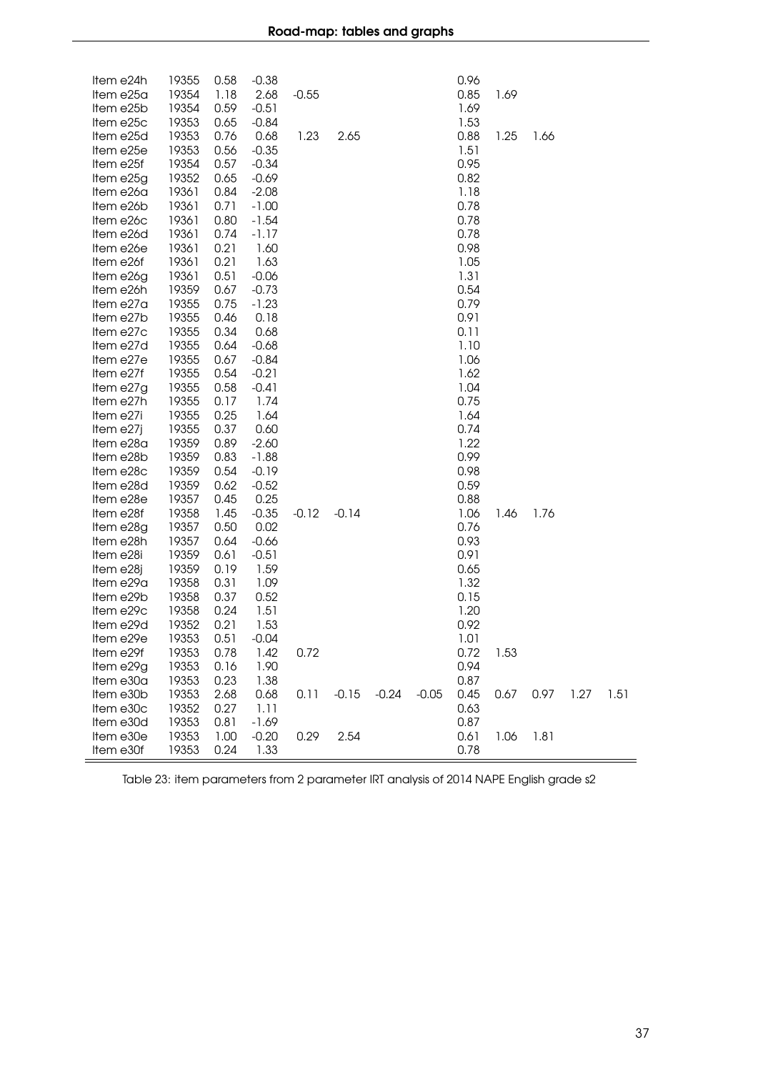| Item e24h | 19355 | 0.58 | $-0.38$ |         |         |         |         | 0.96 |      |      |      |      |
|-----------|-------|------|---------|---------|---------|---------|---------|------|------|------|------|------|
| Item e25a | 19354 | 1.18 | 2.68    | $-0.55$ |         |         |         | 0.85 | 1.69 |      |      |      |
| Item e25b | 19354 | 0.59 | $-0.51$ |         |         |         |         | 1.69 |      |      |      |      |
| Item e25c | 19353 | 0.65 | $-0.84$ |         |         |         |         | 1.53 |      |      |      |      |
| Item e25d | 19353 | 0.76 | 0.68    | 1.23    | 2.65    |         |         | 0.88 | 1.25 | 1.66 |      |      |
| Item e25e | 19353 | 0.56 | $-0.35$ |         |         |         |         | 1.51 |      |      |      |      |
| Item e25f | 19354 | 0.57 | $-0.34$ |         |         |         |         | 0.95 |      |      |      |      |
| Item e25g | 19352 | 0.65 | $-0.69$ |         |         |         |         | 0.82 |      |      |      |      |
| Item e26a | 19361 | 0.84 | $-2.08$ |         |         |         |         | 1.18 |      |      |      |      |
| Item e26b | 19361 | 0.71 | $-1.00$ |         |         |         |         | 0.78 |      |      |      |      |
| Item e26c | 19361 | 0.80 | $-1.54$ |         |         |         |         | 0.78 |      |      |      |      |
| Item e26d | 19361 | 0.74 | $-1.17$ |         |         |         |         | 0.78 |      |      |      |      |
| Item e26e | 19361 | 0.21 | 1.60    |         |         |         |         | 0.98 |      |      |      |      |
| Item e26f | 19361 | 0.21 | 1.63    |         |         |         |         | 1.05 |      |      |      |      |
| Item e26g | 19361 | 0.51 | $-0.06$ |         |         |         |         | 1.31 |      |      |      |      |
| Item e26h | 19359 | 0.67 | $-0.73$ |         |         |         |         | 0.54 |      |      |      |      |
| Item e27a | 19355 | 0.75 | $-1.23$ |         |         |         |         | 0.79 |      |      |      |      |
| Item e27b | 19355 | 0.46 | 0.18    |         |         |         |         | 0.91 |      |      |      |      |
| Item e27c | 19355 | 0.34 | 0.68    |         |         |         |         | 0.11 |      |      |      |      |
| Item e27d | 19355 | 0.64 | $-0.68$ |         |         |         |         | 1.10 |      |      |      |      |
| Item e27e | 19355 | 0.67 | $-0.84$ |         |         |         |         | 1.06 |      |      |      |      |
| Item e27f | 19355 | 0.54 | $-0.21$ |         |         |         |         | 1.62 |      |      |      |      |
| Item e27g | 19355 | 0.58 | $-0.41$ |         |         |         |         | 1.04 |      |      |      |      |
| Item e27h | 19355 | 0.17 | 1.74    |         |         |         |         | 0.75 |      |      |      |      |
| Item e27i | 19355 | 0.25 | 1.64    |         |         |         |         | 1.64 |      |      |      |      |
| Item e27j | 19355 | 0.37 | 0.60    |         |         |         |         | 0.74 |      |      |      |      |
| Item e28a | 19359 | 0.89 | $-2.60$ |         |         |         |         | 1.22 |      |      |      |      |
| Item e28b | 19359 | 0.83 | $-1.88$ |         |         |         |         | 0.99 |      |      |      |      |
| Item e28c | 19359 | 0.54 | $-0.19$ |         |         |         |         | 0.98 |      |      |      |      |
| Item e28d | 19359 | 0.62 | $-0.52$ |         |         |         |         | 0.59 |      |      |      |      |
| Item e28e | 19357 | 0.45 | 0.25    |         |         |         |         | 0.88 |      |      |      |      |
| Item e28f | 19358 | 1.45 | $-0.35$ | $-0.12$ | $-0.14$ |         |         | 1.06 | 1.46 | 1.76 |      |      |
| Item e28g | 19357 | 0.50 | 0.02    |         |         |         |         | 0.76 |      |      |      |      |
| Item e28h | 19357 | 0.64 | $-0.66$ |         |         |         |         | 0.93 |      |      |      |      |
| Item e28i | 19359 | 0.61 | $-0.51$ |         |         |         |         | 0.91 |      |      |      |      |
| Item e28j | 19359 | 0.19 | 1.59    |         |         |         |         | 0.65 |      |      |      |      |
| Item e29a | 19358 | 0.31 | 1.09    |         |         |         |         | 1.32 |      |      |      |      |
| Item e29b | 19358 | 0.37 | 0.52    |         |         |         |         | 0.15 |      |      |      |      |
| Item e29c | 19358 | 0.24 | 1.51    |         |         |         |         | 1.20 |      |      |      |      |
| Item e29d | 19352 | 0.21 | 1.53    |         |         |         |         | 0.92 |      |      |      |      |
| Item e29e | 19353 | 0.51 | $-0.04$ |         |         |         |         | 1.01 |      |      |      |      |
| Item e29f | 19353 | 0.78 | 1.42    | 0.72    |         |         |         | 0.72 | 1.53 |      |      |      |
| Item e29g | 19353 | 0.16 | 1.90    |         |         |         |         | 0.94 |      |      |      |      |
| Item e30a | 19353 | 0.23 | 1.38    |         |         |         |         | 0.87 |      |      |      |      |
| Item e30b | 19353 | 2.68 | 0.68    | 0.11    | $-0.15$ | $-0.24$ | $-0.05$ | 0.45 | 0.67 | 0.97 | 1.27 | 1.51 |
| Item e30c | 19352 | 0.27 | 1.11    |         |         |         |         | 0.63 |      |      |      |      |
| Item e30d | 19353 | 0.81 | $-1.69$ |         |         |         |         | 0.87 |      |      |      |      |
| Item e30e | 19353 | 1.00 | $-0.20$ | 0.29    | 2.54    |         |         | 0.61 | 1.06 | 1.81 |      |      |
| Item e30f | 19353 | 0.24 | 1.33    |         |         |         |         | 0.78 |      |      |      |      |

Table 23: item parameters from 2 parameter IRT analysis of 2014 NAPE English grade s2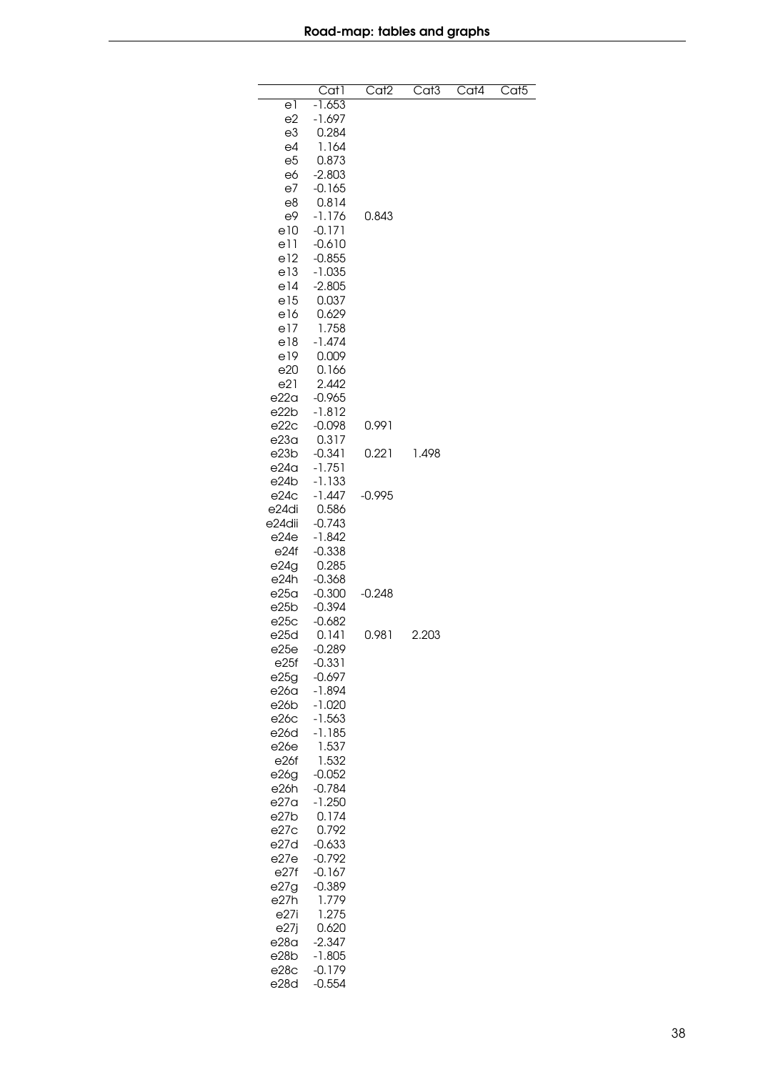|        | $\overline{Cat}$ | Cat <sub>2</sub> | Cat <sub>3</sub> | Cat4 | $\overline{\text{Cat}}$ 5 |
|--------|------------------|------------------|------------------|------|---------------------------|
|        |                  |                  |                  |      |                           |
| e1     | $-1.653$         |                  |                  |      |                           |
| e2     | $-1.697$         |                  |                  |      |                           |
| e3     | 0.284            |                  |                  |      |                           |
| e4     | 1.164            |                  |                  |      |                           |
| e5     | 0.873            |                  |                  |      |                           |
|        |                  |                  |                  |      |                           |
| e6     | $-2.803$         |                  |                  |      |                           |
| e7     | $-0.165$         |                  |                  |      |                           |
| e8     | 0.814            |                  |                  |      |                           |
| e9     | $-1.176$         | 0.843            |                  |      |                           |
| e10    | $-0.171$         |                  |                  |      |                           |
| e11    | $-0.610$         |                  |                  |      |                           |
|        |                  |                  |                  |      |                           |
| e12    | $-0.855$         |                  |                  |      |                           |
| e13    | $-1.035$         |                  |                  |      |                           |
| e14    | $-2.805$         |                  |                  |      |                           |
| e15    | 0.037            |                  |                  |      |                           |
| e16    | 0.629            |                  |                  |      |                           |
| e17    | 1.758            |                  |                  |      |                           |
|        |                  |                  |                  |      |                           |
| e18    | $-1.474$         |                  |                  |      |                           |
| e19    | 0.009            |                  |                  |      |                           |
| e20    | 0.166            |                  |                  |      |                           |
| e21    | 2.442            |                  |                  |      |                           |
| e22a   | $-0.965$         |                  |                  |      |                           |
|        |                  |                  |                  |      |                           |
| e22b   | $-1.812$         |                  |                  |      |                           |
| e22c   | $-0.098$         | 0.991            |                  |      |                           |
| e23a   | 0.317            |                  |                  |      |                           |
| e23b   | $-0.341$         | 0.221            | 1.498            |      |                           |
| e24a   | $-1.751$         |                  |                  |      |                           |
| e24b   | $-1.133$         |                  |                  |      |                           |
|        |                  |                  |                  |      |                           |
| e24c   | -1.447           | $-0.995$         |                  |      |                           |
| e24di  | 0.586            |                  |                  |      |                           |
| e24dii | $-0.743$         |                  |                  |      |                           |
| e24e   | $-1.842$         |                  |                  |      |                           |
| e24f   | $-0.338$         |                  |                  |      |                           |
|        |                  |                  |                  |      |                           |
| e24g   | 0.285            |                  |                  |      |                           |
| e24h   | $-0.368$         |                  |                  |      |                           |
| e25a   | $-0.300$         | $-0.248$         |                  |      |                           |
| e25b   | $-0.394$         |                  |                  |      |                           |
| e25c   | $-0.682$         |                  |                  |      |                           |
| e25d   | 0.141            | 0.981            | 2.203            |      |                           |
|        |                  |                  |                  |      |                           |
| e25e   | $-0.289$         |                  |                  |      |                           |
| e25f   | $-0.331$         |                  |                  |      |                           |
| e25g   | $-0.697$         |                  |                  |      |                           |
| e26a   | -1.894           |                  |                  |      |                           |
| e26b   | $-1.020$         |                  |                  |      |                           |
| e26c   | $-1.563$         |                  |                  |      |                           |
| e26d   | $-1.185$         |                  |                  |      |                           |
|        |                  |                  |                  |      |                           |
| e26e   | 1.537            |                  |                  |      |                           |
| e26f   | 1.532            |                  |                  |      |                           |
| e26g   | $-0.052$         |                  |                  |      |                           |
| e26h   | $-0.784$         |                  |                  |      |                           |
| e27a   | $-1.250$         |                  |                  |      |                           |
|        |                  |                  |                  |      |                           |
| e27b   | 0.174            |                  |                  |      |                           |
| e27c   | 0.792            |                  |                  |      |                           |
| e27d   | $-0.633$         |                  |                  |      |                           |
| e27e   | $-0.792$         |                  |                  |      |                           |
| e27f   | $-0.167$         |                  |                  |      |                           |
| e27g   | $-0.389$         |                  |                  |      |                           |
| e27h   |                  |                  |                  |      |                           |
|        | 1.779            |                  |                  |      |                           |
| e27i   | 1.275            |                  |                  |      |                           |
| e27j   | 0.620            |                  |                  |      |                           |
| e28a   | $-2.347$         |                  |                  |      |                           |
| e28b   | -1.805           |                  |                  |      |                           |
| e28c   | $-0.179$         |                  |                  |      |                           |
|        |                  |                  |                  |      |                           |
| e28d   | $-0.554$         |                  |                  |      |                           |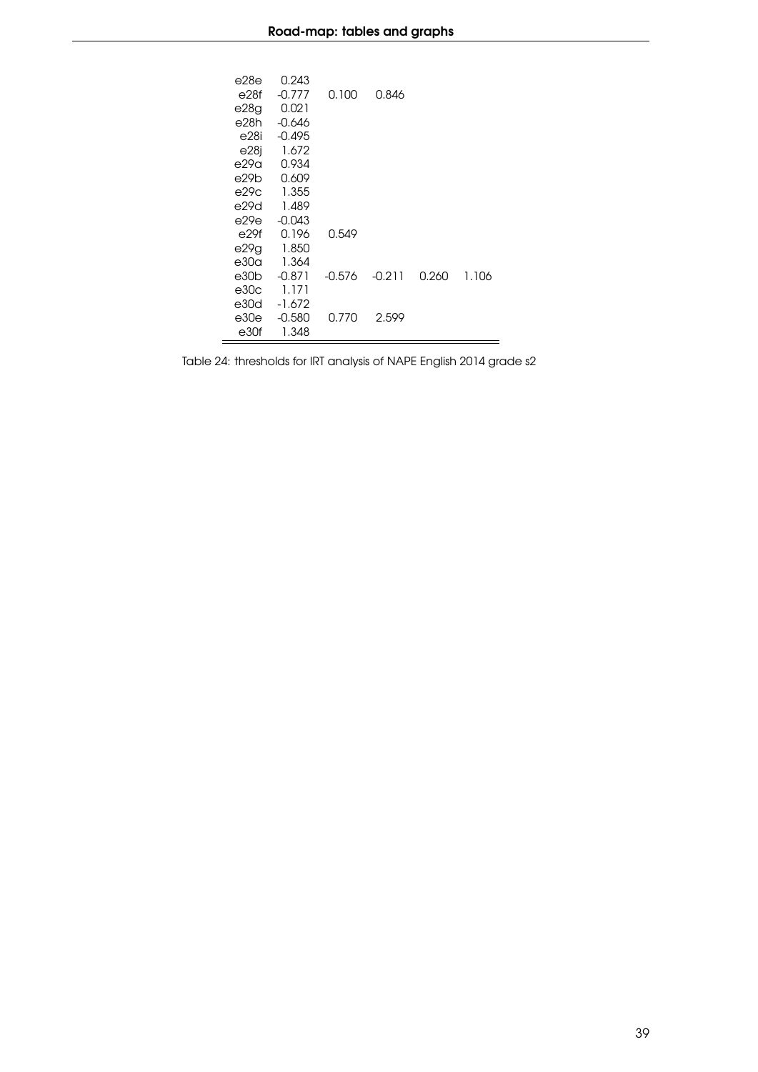| e28e | 0.243    |          |          |       |       |
|------|----------|----------|----------|-------|-------|
| e28f | $-0.777$ | 0.100    | 0.846    |       |       |
| e28g | 0.021    |          |          |       |       |
| e28h | $-0.646$ |          |          |       |       |
| e28i | $-0.495$ |          |          |       |       |
| e28j | 1.672    |          |          |       |       |
| e29a | 0.934    |          |          |       |       |
| e29b | 0.609    |          |          |       |       |
| e29c | 1.355    |          |          |       |       |
| e29d | 1.489    |          |          |       |       |
| e29e | $-0.043$ |          |          |       |       |
| e29f | 0.196    | 0.549    |          |       |       |
| e29g | 1.850    |          |          |       |       |
| e30a | 1.364    |          |          |       |       |
| e30b | $-0.871$ | $-0.576$ | $-0.211$ | በ.26በ | 1.106 |
| e30c | 1.171    |          |          |       |       |
| e30d | $-1.672$ |          |          |       |       |
| e30e | $-0.580$ | 0.770    | 2.599    |       |       |
| e30f | 1.348    |          |          |       |       |

Table 24: thresholds for IRT analysis of NAPE English 2014 grade s2

 $\equiv$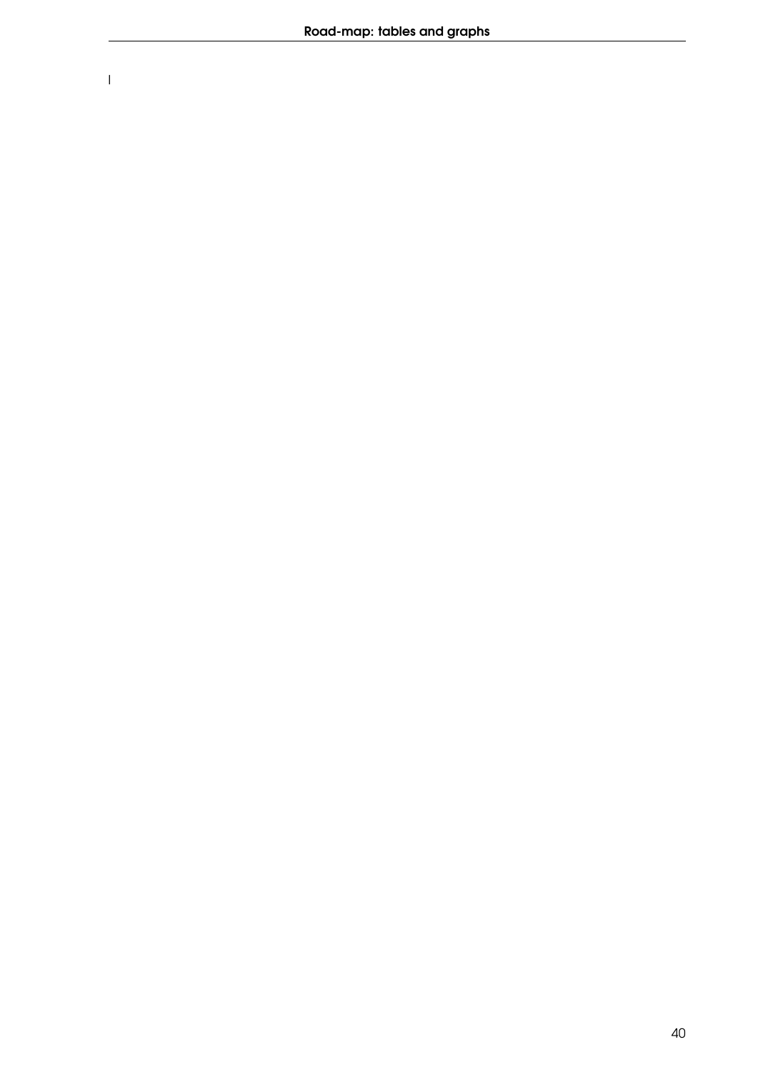$\overline{1}$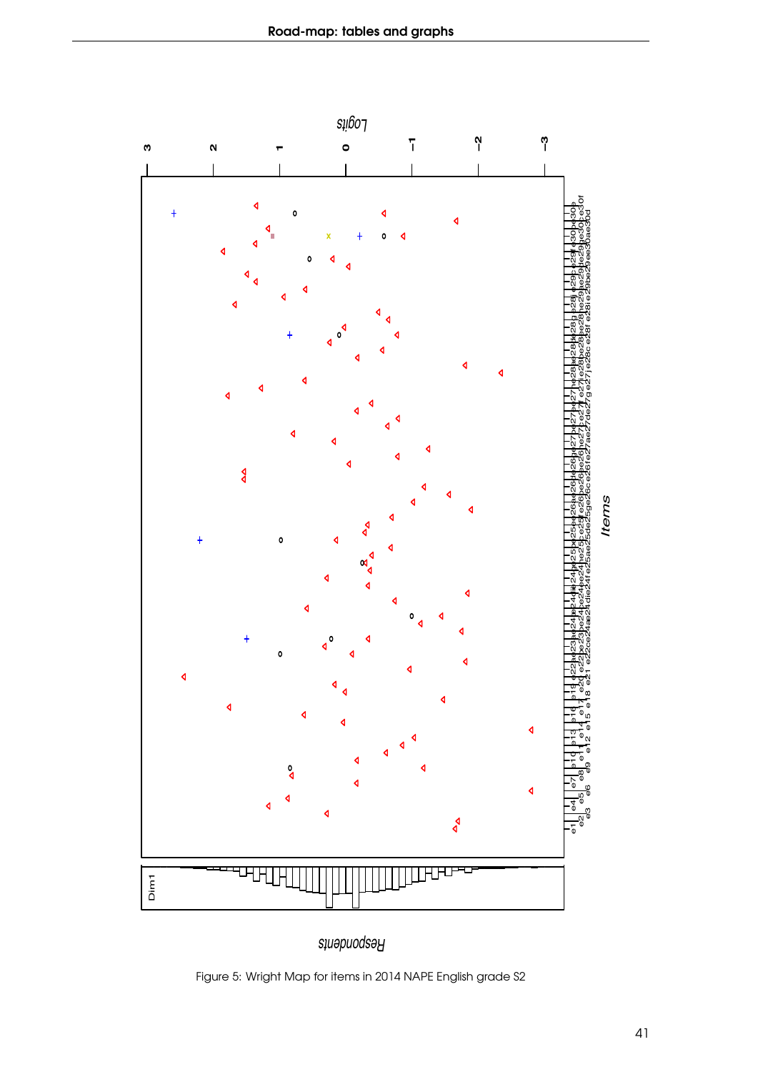

*Respondents*

Figure 5: Wright Map for items in 2014 NAPE English grade S2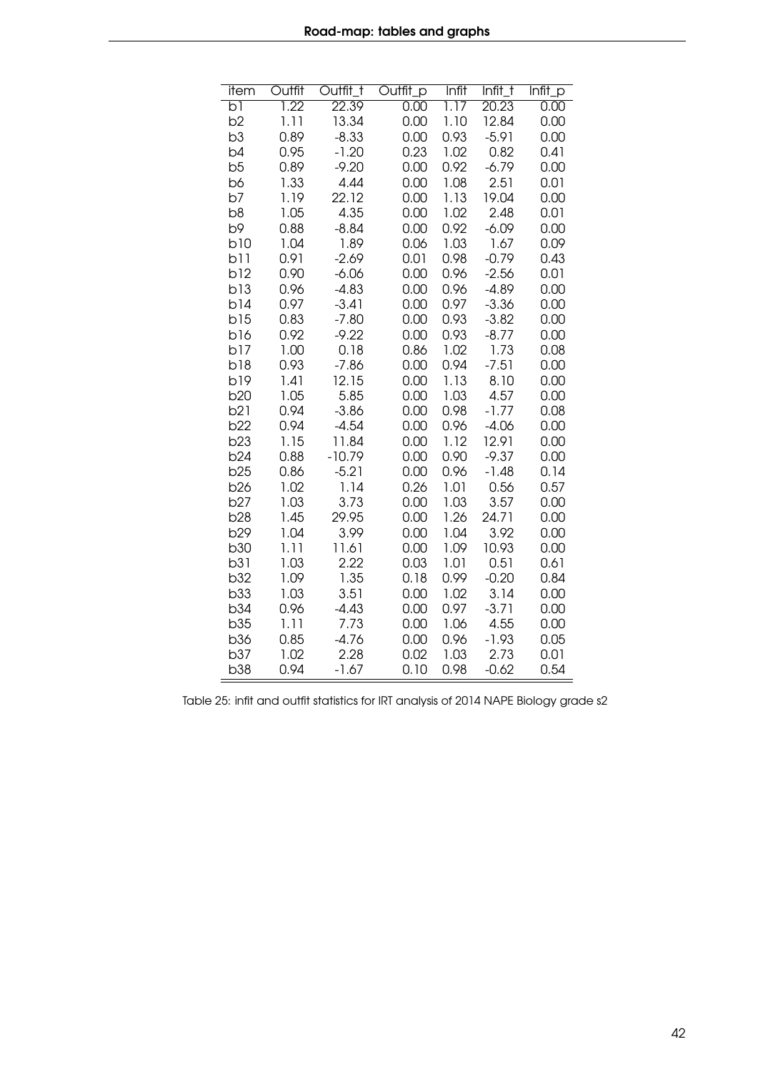| item           | Outfit | Outfit_t | Outfit_p | Infit | Infit_t | Infit_p |
|----------------|--------|----------|----------|-------|---------|---------|
| ы              | 1.22   | 22.39    | 0.00     | 1.17  | 20.23   | 0.00    |
| b <sub>2</sub> | 1.11   | 13.34    | 0.00     | 1.10  | 12.84   | 0.00    |
| b3             | 0.89   | $-8.33$  | 0.00     | 0.93  | $-5.91$ | 0.00    |
| b4             | 0.95   | $-1.20$  | 0.23     | 1.02  | 0.82    | 0.41    |
| b5             | 0.89   | $-9.20$  | 0.00     | 0.92  | $-6.79$ | 0.00    |
| b6             | 1.33   | 4.44     | 0.00     | 1.08  | 2.51    | 0.01    |
| b7             | 1.19   | 22.12    | 0.00     | 1.13  | 19.04   | 0.00    |
| b8             | 1.05   | 4.35     | 0.00     | 1.02  | 2.48    | 0.01    |
| b9             | 0.88   | $-8.84$  | 0.00     | 0.92  | $-6.09$ | 0.00    |
| b10            | 1.04   | 1.89     | 0.06     | 1.03  | 1.67    | 0.09    |
| b11            | 0.91   | $-2.69$  | 0.01     | 0.98  | $-0.79$ | 0.43    |
| b12            | 0.90   | $-6.06$  | 0.00     | 0.96  | $-2.56$ | 0.01    |
| b13            | 0.96   | $-4.83$  | 0.00     | 0.96  | $-4.89$ | 0.00    |
| b14            | 0.97   | $-3.41$  | 0.00     | 0.97  | $-3.36$ | 0.00    |
| b15            | 0.83   | $-7.80$  | 0.00     | 0.93  | $-3.82$ | 0.00    |
| b16            | 0.92   | $-9.22$  | 0.00     | 0.93  | $-8.77$ | 0.00    |
| b17            | 1.00   | 0.18     | 0.86     | 1.02  | 1.73    | 0.08    |
| b18            | 0.93   | $-7.86$  | 0.00     | 0.94  | $-7.51$ | 0.00    |
| b19            | 1.41   | 12.15    | 0.00     | 1.13  | 8.10    | 0.00    |
| <b>b20</b>     | 1.05   | 5.85     | 0.00     | 1.03  | 4.57    | 0.00    |
| b21            | 0.94   | $-3.86$  | 0.00     | 0.98  | $-1.77$ | 0.08    |
| b22            | 0.94   | $-4.54$  | 0.00     | 0.96  | $-4.06$ | 0.00    |
| b23            | 1.15   | 11.84    | 0.00     | 1.12  | 12.91   | 0.00    |
| b24            | 0.88   | $-10.79$ | 0.00     | 0.90  | $-9.37$ | 0.00    |
| b25            | 0.86   | $-5.21$  | 0.00     | 0.96  | $-1.48$ | 0.14    |
| <b>b26</b>     | 1.02   | 1.14     | 0.26     | 1.01  | 0.56    | 0.57    |
| b27            | 1.03   | 3.73     | 0.00     | 1.03  | 3.57    | 0.00    |
| <b>b28</b>     | 1.45   | 29.95    | 0.00     | 1.26  | 24.71   | 0.00    |
| b29            | 1.04   | 3.99     | 0.00     | 1.04  | 3.92    | 0.00    |
| <b>b30</b>     | 1.11   | 11.61    | 0.00     | 1.09  | 10.93   | 0.00    |
| b31            | 1.03   | 2.22     | 0.03     | 1.01  | 0.51    | 0.61    |
| b32            | 1.09   | 1.35     | 0.18     | 0.99  | $-0.20$ | 0.84    |
| b33            | 1.03   | 3.51     | 0.00     | 1.02  | 3.14    | 0.00    |
| b34            | 0.96   | $-4.43$  | 0.00     | 0.97  | $-3.71$ | 0.00    |
| b35            | 1.11   | 7.73     | 0.00     | 1.06  | 4.55    | 0.00    |
| <b>b36</b>     | 0.85   | $-4.76$  | 0.00     | 0.96  | $-1.93$ | 0.05    |
| b37            | 1.02   | 2.28     | 0.02     | 1.03  | 2.73    | 0.01    |
| <b>b38</b>     | 0.94   | $-1.67$  | 0.10     | 0.98  | $-0.62$ | 0.54    |

Table 25: infit and outfit statistics for IRT analysis of 2014 NAPE Biology grade s2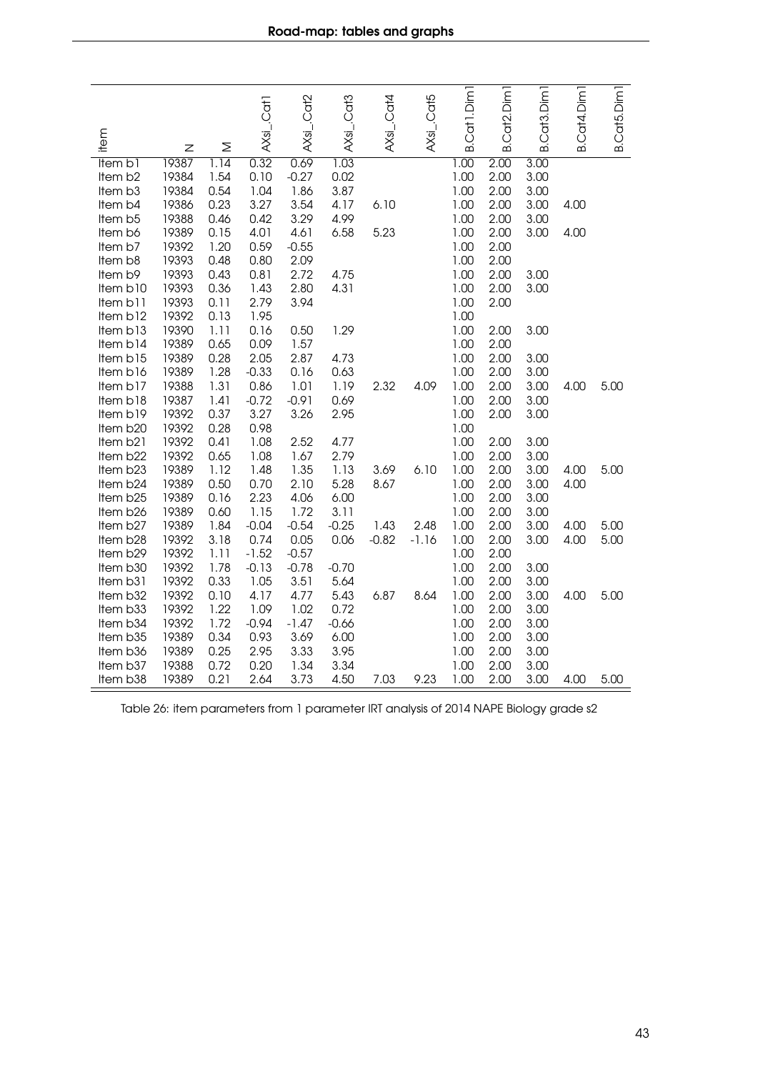|                      |                |              | AXsi_.Cat1   | AXsi_.Cat2   | AXsi_.Cat3 | AXsL.Cat4 | AXsi_.Cat5 | B.Cat1.Dim   | Cat2.Dim1    | Cat <sub>3</sub> .Dim <sub>1</sub> | B.Cat4.Dim | <b>B.Cat5.Dim</b> |
|----------------------|----------------|--------------|--------------|--------------|------------|-----------|------------|--------------|--------------|------------------------------------|------------|-------------------|
| item                 | Z              | Σ            |              |              |            |           |            |              | ഥ            | ഥ                                  |            |                   |
| Item b1              | 19387          | 1.14         | 0.32         | 0.69         | 1.03       |           |            | 1.00         | 2.00         | 3.00                               |            |                   |
| Item b2              | 19384          | 1.54         | 0.10         | $-0.27$      | 0.02       |           |            | 1.00         | 2.00         | 3.00                               |            |                   |
| Item b3              | 19384          | 0.54         | 1.04         | 1.86         | 3.87       |           |            | 1.00         | 2.00         | 3.00                               |            |                   |
| Item b4              | 19386          | 0.23         | 3.27         | 3.54         | 4.17       | 6.10      |            | 1.00         | 2.00         | 3.00                               | 4.00       |                   |
| Item b5              | 19388          | 0.46         | 0.42         | 3.29         | 4.99       |           |            | 1.00         | 2.00         | 3.00                               |            |                   |
| Item b6              | 19389          | 0.15         | 4.01         | 4.61         | 6.58       | 5.23      |            | 1.00         | 2.00         | 3.00                               | 4.00       |                   |
| Item b7              | 19392          | 1.20         | 0.59         | $-0.55$      |            |           |            | 1.00         | 2.00         |                                    |            |                   |
| Item b8              | 19393          | 0.48         | 0.80         | 2.09         |            |           |            | 1.00         | 2.00         |                                    |            |                   |
| Item b9              | 19393          | 0.43         | 0.81         | 2.72         | 4.75       |           |            | 1.00         | 2.00         | 3.00                               |            |                   |
| Item b10<br>Item b11 | 19393<br>19393 | 0.36<br>0.11 | 1.43<br>2.79 | 2.80<br>3.94 | 4.31       |           |            | 1.00<br>1.00 | 2.00<br>2.00 | 3.00                               |            |                   |
| Item b12             | 19392          | 0.13         | 1.95         |              |            |           |            | 1.00         |              |                                    |            |                   |
| Item b13             | 19390          | 1.11         | 0.16         | 0.50         | 1.29       |           |            | 1.00         | 2.00         | 3.00                               |            |                   |
| Item b14             | 19389          | 0.65         | 0.09         | 1.57         |            |           |            | 1.00         | 2.00         |                                    |            |                   |
| Item b15             | 19389          | 0.28         | 2.05         | 2.87         | 4.73       |           |            | 1.00         | 2.00         | 3.00                               |            |                   |
| Item b16             | 19389          | 1.28         | $-0.33$      | 0.16         | 0.63       |           |            | 1.00         | 2.00         | 3.00                               |            |                   |
| Item b17             | 19388          | 1.31         | 0.86         | 1.01         | 1.19       | 2.32      | 4.09       | 1.00         | 2.00         | 3.00                               | 4.00       | 5.00              |
| Item b18             | 19387          | 1.41         | $-0.72$      | $-0.91$      | 0.69       |           |            | 1.00         | 2.00         | 3.00                               |            |                   |
| Item b19             | 19392          | 0.37         | 3.27         | 3.26         | 2.95       |           |            | 1.00         | 2.00         | 3.00                               |            |                   |
| Item b20             | 19392          | 0.28         | 0.98         |              |            |           |            | 1.00         |              |                                    |            |                   |
| Item b21             | 19392          | 0.41         | 1.08         | 2.52         | 4.77       |           |            | 1.00         | 2.00         | 3.00                               |            |                   |
| Item b22             | 19392          | 0.65         | 1.08         | 1.67         | 2.79       |           |            | 1.00         | 2.00         | 3.00                               |            |                   |
| Item b23             | 19389          | 1.12         | 1.48         | 1.35         | 1.13       | 3.69      | 6.10       | 1.00         | 2.00         | 3.00                               | 4.00       | 5.00              |
| Item b24             | 19389          | 0.50         | 0.70         | 2.10         | 5.28       | 8.67      |            | 1.00         | 2.00         | 3.00                               | 4.00       |                   |
| Item b25             | 19389          | 0.16         | 2.23         | 4.06         | 6.00       |           |            | 1.00         | 2.00         | 3.00                               |            |                   |
| Item b26             | 19389          | 0.60         | 1.15         | 1.72         | 3.11       |           |            | 1.00         | 2.00         | 3.00                               |            |                   |
| Item b27             | 19389          | 1.84         | $-0.04$      | $-0.54$      | $-0.25$    | 1.43      | 2.48       | 1.00         | 2.00         | 3.00                               | 4.00       | 5.00              |
| Item b28             | 19392          | 3.18         | 0.74         | 0.05         | 0.06       | $-0.82$   | $-1.16$    | 1.00         | 2.00         | 3.00                               | 4.00       | 5.00              |
| Item b29             | 19392          | 1.11         | $-1.52$      | $-0.57$      |            |           |            | 1.00         | 2.00         |                                    |            |                   |
| Item b30             | 19392          | 1.78         | $-0.13$      | $-0.78$      | $-0.70$    |           |            | 1.00         | 2.00         | 3.00                               |            |                   |
| Item b31             | 19392          | 0.33         | 1.05         | 3.51         | 5.64       |           |            | 1.00         | 2.00         | 3.00                               |            |                   |
| Item b32             | 19392          | 0.10         | 4.17         | 4.77         | 5.43       | 6.87      | 8.64       | 1.00         | 2.00         | 3.00                               | 4.00       | 5.00              |
| Item b33             | 19392          | 1.22         | 1.09         | 1.02         | 0.72       |           |            | 1.00         | 2.00         | 3.00                               |            |                   |
| Item b34             | 19392          | 1.72         | $-0.94$      | $-1.47$      | $-0.66$    |           |            | 1.00         | 2.00         | 3.00                               |            |                   |
| Item b35             | 19389          | 0.34         | 0.93         | 3.69         | 6.00       |           |            | 1.00         | 2.00         | 3.00                               |            |                   |
| Item b36             | 19389          | 0.25         | 2.95         | 3.33         | 3.95       |           |            | 1.00         | 2.00         | 3.00                               |            |                   |
| Item b37             | 19388          | 0.72         | 0.20         | 1.34         | 3.34       |           |            | 1.00         | 2.00         | 3.00                               |            |                   |
| Item b38             | 19389          | 0.21         | 2.64         | 3.73         | 4.50       | 7.03      | 9.23       | 1.00         | 2.00         | 3.00                               | 4.00       | 5.00              |

Table 26: item parameters from 1 parameter IRT analysis of 2014 NAPE Biology grade s2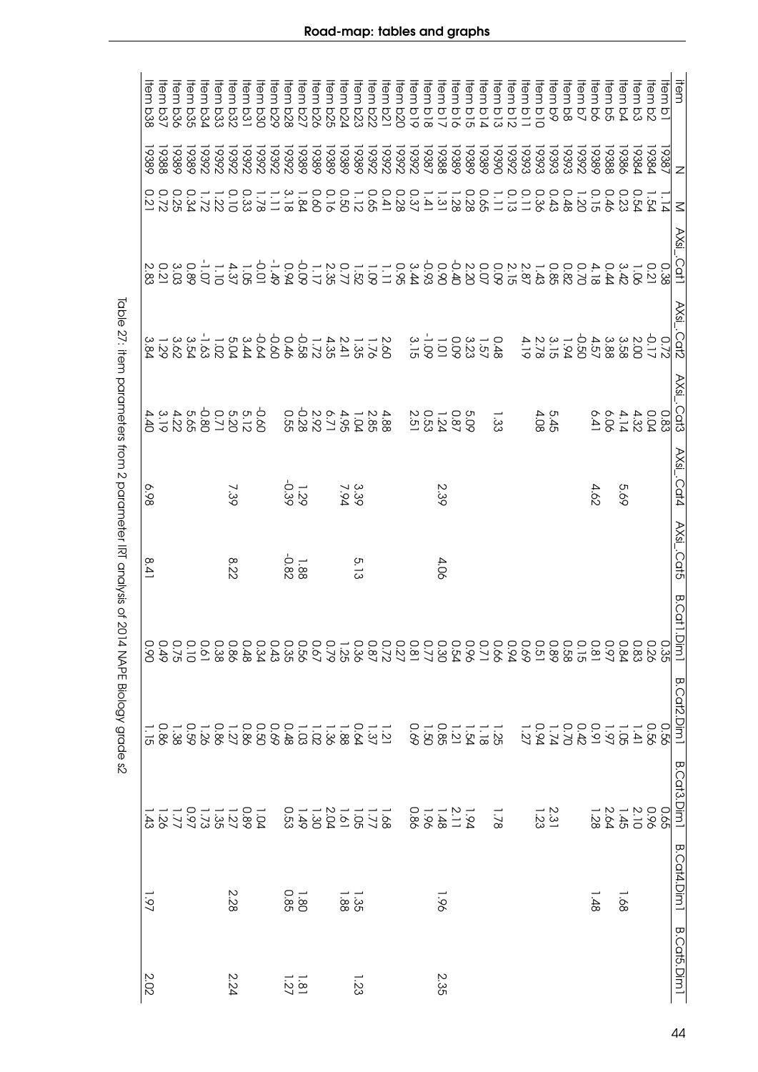| ltem<br><b>b38</b> | ltem<br><b>b37</b> | ltem<br><b>b36</b>       | hem<br><b>b35</b> | Hem<br><b>bSd</b> | Hem<br>b33 | tem<br><b>D32</b> | tem<br><b>D31</b>                                                                                                   | tem<br>DSQ | tem<br>670 | tem<br><b>b28</b>                        | tem<br>5<br>28<br>27<br>27 | tem | tem | tem<br><b>b24</b> | Hem<br><b>b23</b> | 自己<br>522 | tem<br>521 | tem<br>020                                        | tem<br>61q                 | tem<br>$\frac{1}{8}$ | 自己<br>$\frac{1}{2}$                           | tem<br>910 | tem<br>910 | tem<br>D d                      | tem<br>613          | tem<br>$\frac{1}{2}$ | tem<br>$\overline{a}$ | Hem<br>$\frac{1}{2}$ | Hem<br>$\overline{6}$ | tem<br>$\stackrel{\textstyle\rm{O}}{8}$ | tem<br>$\overline{Q}$ | Hem<br>$\overline{Q}$ | tem<br>ΟÓ | len<br>$\overline{5}$                  | Hem<br>δ | ltem<br>$\overline{5}$ | ltem<br>$\sigma$ | item               |
|--------------------|--------------------|--------------------------|-------------------|-------------------|------------|-------------------|---------------------------------------------------------------------------------------------------------------------|------------|------------|------------------------------------------|----------------------------|-----|-----|-------------------|-------------------|-----------|------------|---------------------------------------------------|----------------------------|----------------------|-----------------------------------------------|------------|------------|---------------------------------|---------------------|----------------------|-----------------------|----------------------|-----------------------|-----------------------------------------|-----------------------|-----------------------|-----------|----------------------------------------|----------|------------------------|------------------|--------------------|
| 9389               | 19388              | 19389                    | 9389              | 19392             | 19392      | 19392             | 19392                                                                                                               | 19392      | 19392      | 19392                                    | 19389<br>19389<br>19389    |     |     | 19389             | 19389             | 19392     | 26861      | 19392                                             | 29292                      | 19387                | 19388                                         | 19389      | 19389      | 19389                           | 19390               | 19392                | 19393                 | 19393                | 19393                 | 19393                                   | 19392                 | 19389                 | 19388     | 19386                                  | 19384    | 19384                  | 19387            | $\mathbf{z}$       |
|                    |                    | 0 0 0<br>22 2 0<br>2 2 1 | 0.34              |                   | 1.22       | 0.10              | $1.78$<br>0.33                                                                                                      |            | $\Box$     | 3.18                                     | $0.16$<br>$-1.84$          |     |     | 1.120             |                   | 0.65      |            | 0 - - - - 0 0 0<br>2 3 3 4 4 7<br>2 8 - - - 2 8 4 |                            |                      |                                               |            |            | 0.65                            | $\frac{0.13}{1.11}$ |                      | 0.11                  | 0.36                 | 0.43                  | 0.48                                    | $0.46$<br>1.20        |                       |           | 0.23                                   | 0.54     | 1.54                   |                  | $\leq$             |
|                    |                    |                          |                   |                   |            |                   |                                                                                                                     |            |            |                                          |                            |     |     |                   |                   |           |            |                                                   |                            |                      |                                               |            |            |                                 |                     |                      |                       |                      |                       |                                         |                       |                       |           | 0 0 1 3 3<br>3 2 9 9 9<br>3 7 9 9 4 4  |          |                        |                  | AXsi_.Cat1         |
|                    |                    |                          |                   |                   |            |                   |                                                                                                                     |            |            |                                          |                            |     |     |                   |                   |           |            |                                                   | $1.01$<br>$3.15$<br>$3.15$ |                      |                                               |            |            | 0 – 3 0<br>4 10 3 0<br>4 10 3 0 |                     |                      |                       | $137224$<br>21522    |                       |                                         |                       |                       |           | 21 32 32 32<br>00 32 32 50<br>00 32 50 |          | $-0.17$                | $\subset$        | AXsi_.Cat2         |
|                    |                    |                          |                   |                   |            |                   | d s s d d s d d d d<br>S l S l S S S S l P d<br>S l S l S S S S l P d                                               |            |            | 4 2 1 - 4 2 2 9 0<br>8 8 9 9 5 7 8 2 8 9 |                            |     |     |                   |                   |           |            |                                                   |                            |                      | 5<br>0 0 1 0 0<br>0 0 0 1 0 0<br>0 0 1 0 0    |            |            |                                 | $\frac{1}{33}$      |                      |                       | 5.45<br>4.08         |                       |                                         |                       | 6.41                  | 6.06      | $0.334$<br>$0.304$                     |          |                        | 0.83             | AXsi_.Cat3         |
| 6.98               |                    |                          |                   |                   |            | 7.39              |                                                                                                                     |            |            | $1.29$<br>92.1                           |                            |     |     | 3.39<br>7.94      |                   |           |            |                                                   |                            |                      | 2.39                                          |            |            |                                 |                     |                      |                       |                      |                       |                                         |                       | 4.62                  |           | 9.69                                   |          |                        |                  | AXsi_.Cat4         |
| ∞<br>خ.            |                    |                          |                   |                   |            | 8.22              |                                                                                                                     |            |            | $1.88$<br>$-0.82$                        |                            |     |     |                   | 5.13              |           |            |                                                   |                            |                      | 4.06                                          |            |            |                                 |                     |                      |                       |                      |                       |                                         |                       |                       |           |                                        |          |                        |                  | AXsi_.Cat5         |
|                    |                    |                          |                   |                   |            |                   |                                                                                                                     |            |            |                                          |                            |     |     |                   |                   |           |            |                                                   |                            |                      |                                               |            |            |                                 |                     |                      |                       |                      |                       |                                         |                       |                       |           |                                        |          |                        |                  | <b>B.Cat1.Dim1</b> |
| O.<br>S            | <b>0.49</b>        | 0.75                     | 0.10              |                   |            |                   | 0 0 0 0 0<br>3 4 8 8 8 9<br>4 8 9 8 9 1                                                                             |            | 0.43       |                                          |                            |     |     |                   |                   |           |            |                                                   |                            |                      |                                               |            |            |                                 |                     |                      |                       |                      |                       |                                         |                       |                       |           |                                        |          | 0.26                   | 0.35             |                    |
|                    | 0.86               |                          |                   |                   |            |                   | 1 1 0 1 1 1 1 0 0 0 0 0 1 0 1 0 1 0 1<br>2 1 2 3 3 3 0 0 4 6 6 6 8 6 8 6 7 8 7<br>2 2 3 3 6 0 3 8 6 0 6 7 6 6 6 8 8 |            |            |                                          |                            |     |     |                   |                   |           |            |                                                   |                            |                      | 1 1 1 2 3 4 7<br>2 3 4 7 8 9 0<br>2 4 7 9 0 0 |            |            |                                 |                     |                      | 1.27                  |                      |                       |                                         |                       |                       |           |                                        |          | 0.56                   |                  | <b>B.Cat2.Dim1</b> |
|                    |                    | 1.78<br>1.843            |                   |                   |            |                   | $\begin{array}{c} 1.00 - 1.00 \\ 0.00 - 1.00 \\ 0.00 \\ \end{array}$                                                |            |            |                                          |                            |     |     |                   |                   |           |            |                                                   |                            |                      | $1.21 - 24 = 88$<br>$-1.38$                   |            |            |                                 | 1.78                |                      |                       | $\frac{2.31}{1.23}$  |                       |                                         |                       |                       |           | 2 – 2 – 2<br>2 – 3 – 2<br>2 – 2 – 2    |          | 0.65<br>0.96           |                  | B.Cat3.Dim1        |
| 1.97               |                    |                          |                   |                   |            | 2.28              |                                                                                                                     |            |            | $1.80$<br>0.85                           |                            |     |     | $-35$             |                   |           |            |                                                   |                            |                      | $-96$                                         |            |            |                                 |                     |                      |                       |                      |                       |                                         |                       | 1.48                  |           | -.68                                   |          |                        |                  | <b>B.Cat4.Dim1</b> |
| 2.02               |                    |                          |                   |                   |            | 2.24              |                                                                                                                     |            |            | $\frac{1.81}{27}$                        |                            |     |     |                   | żς                |           |            |                                                   |                            |                      | 2.35                                          |            |            |                                 |                     |                      |                       |                      |                       |                                         |                       |                       |           |                                        |          |                        |                  | <b>B.Cat5.Dim1</b> |

lable 27: item parameters from 2 parameter IRI analysis of 2014 NAPE Biology grade s2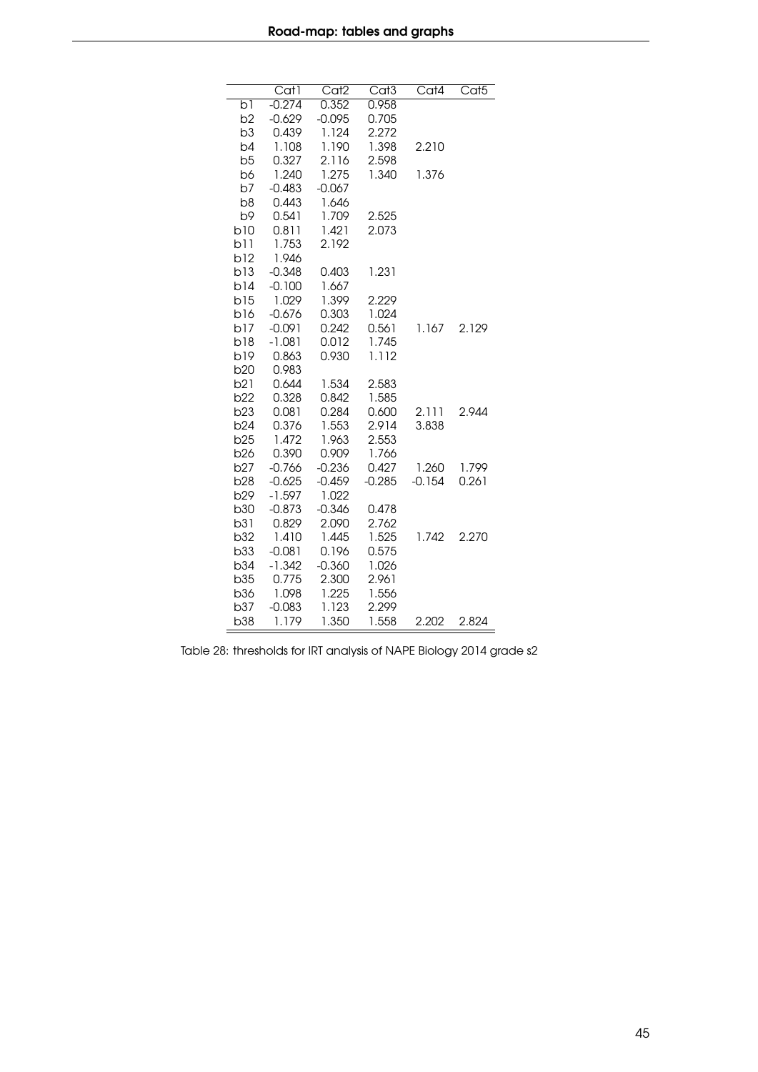|                 | Cat1     | Cat <sub>2</sub> | $\overline{\text{Cat}}3$ | Cat4     | Cat <sub>5</sub> |
|-----------------|----------|------------------|--------------------------|----------|------------------|
| b1              | $-0.274$ | 0.352            | 0.958                    |          |                  |
| b2              | $-0.629$ | $-0.095$         | 0.705                    |          |                  |
| b3              | 0.439    | 1.124            | 2.272                    |          |                  |
| b4              | 1.108    | 1.190            | 1.398                    | 2.210    |                  |
| b5              | 0.327    | 2.116            | 2.598                    |          |                  |
| b6              | 1.240    | 1.275            | 1.340                    | 1.376    |                  |
| b7              | $-0.483$ | $-0.067$         |                          |          |                  |
| b <sub>8</sub>  | 0.443    | 1.646            |                          |          |                  |
| b9              | 0.541    | 1.709            | 2.525                    |          |                  |
| b10             | 0.811    | 1.421            | 2.073                    |          |                  |
| b11             | 1.753    | 2.192            |                          |          |                  |
| b12             | 1.946    |                  |                          |          |                  |
| b13             | $-0.348$ | 0.403            | 1.231                    |          |                  |
| b14             | $-0.100$ | 1.667            |                          |          |                  |
| b15             | 1.029    | 1.399            | 2.229                    |          |                  |
| b16             | $-0.676$ | 0.303            | 1.024                    |          |                  |
| b17             | $-0.091$ | 0.242            | 0.561                    | 1.167    | 2.129            |
| b18             | $-1.081$ | 0.012            | 1.745                    |          |                  |
| b19             | 0.863    | 0.930            | 1.112                    |          |                  |
| b20             | 0.983    |                  |                          |          |                  |
| b21             | 0.644    | 1.534            | 2.583                    |          |                  |
| b22             | 0.328    | 0.842            | 1.585                    |          |                  |
| b23             | 0.081    | 0.284            | 0.600                    | 2.111    | 2.944            |
| b24             | 0.376    | 1.553            | 2.914                    | 3.838    |                  |
| b25             | 1.472    | 1.963            | 2.553                    |          |                  |
| b26             | 0.390    | 0.909            | 1.766                    |          |                  |
| b <sub>27</sub> | $-0.766$ | $-0.236$         | 0.427                    | 1.260    | 1.799            |
| <b>b28</b>      | $-0.625$ | $-0.459$         | $-0.285$                 | $-0.154$ | 0.261            |
| b29             | $-1.597$ | 1.022            |                          |          |                  |
| <b>b30</b>      | $-0.873$ | $-0.346$         | 0.478                    |          |                  |
| b31             | 0.829    | 2.090            | 2.762                    |          |                  |
| b32             | 1.410    | 1.445            | 1.525                    | 1.742    | 2.270            |
| b33             | $-0.081$ | 0.196            | 0.575                    |          |                  |
| b34             | $-1.342$ | $-0.360$         | 1.026                    |          |                  |
| b35             | 0.775    | 2.300            | 2.961                    |          |                  |
| <b>b36</b>      | 1.098    | 1.225            | 1.556                    |          |                  |
| b37             | $-0.083$ | 1.123            | 2.299                    |          |                  |
| b38             | 1.179    | 1.350            | 1.558                    | 2.202    | 2.824            |

Table 28: thresholds for IRT analysis of NAPE Biology 2014 grade s2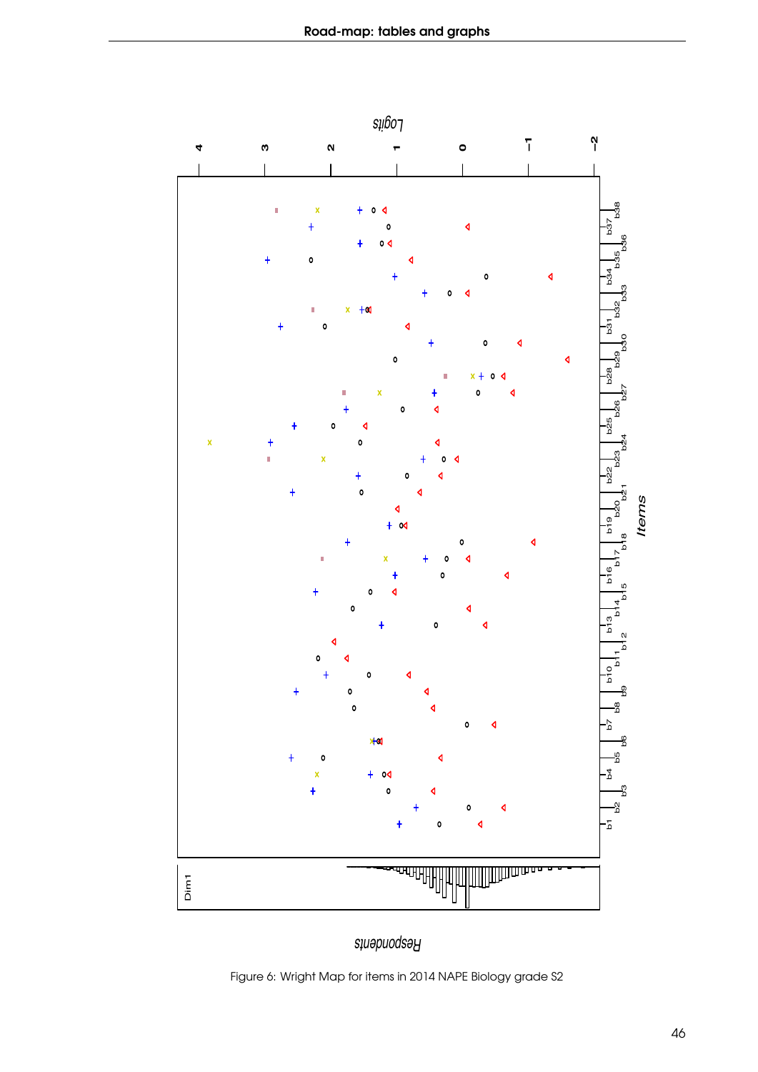

*Respondents*

Figure 6: Wright Map for items in 2014 NAPE Biology grade S2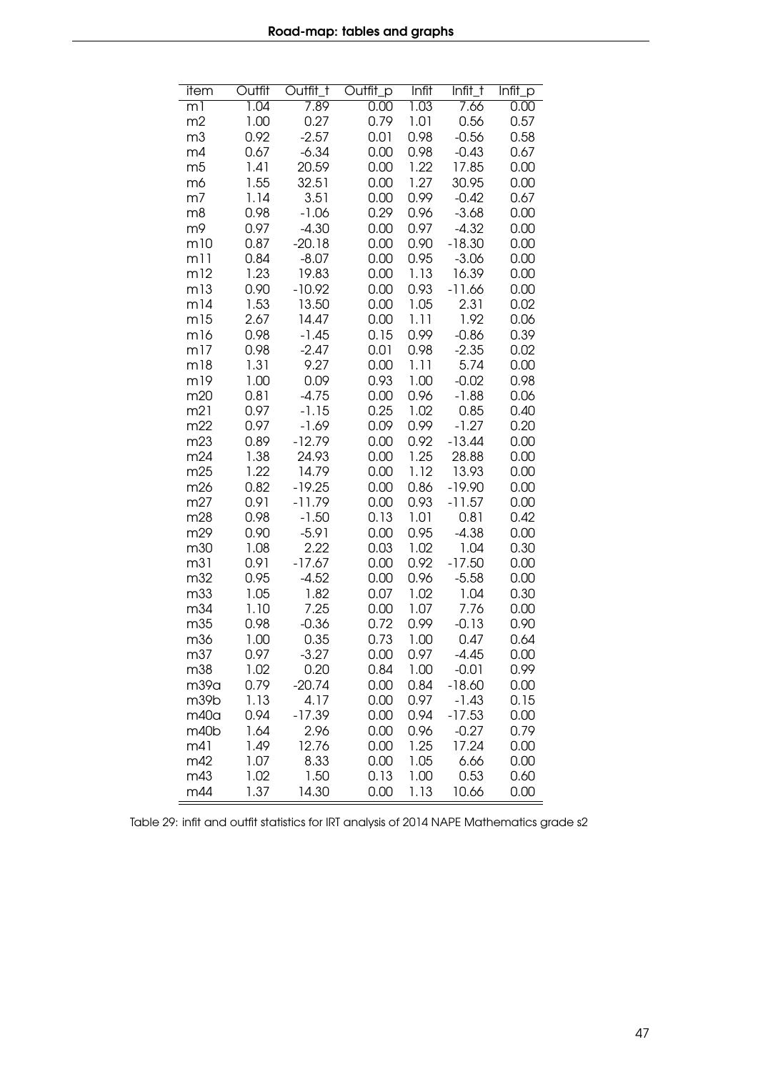| $\overline{1.04}$<br>7.89<br>7.66<br>0.00<br>1.03<br>0.00<br>ml<br>1.00<br>0.27<br>0.79<br>1.01<br>0.56<br>m2<br>0.57<br>0.92<br>$-2.57$<br>0.98<br>$-0.56$<br>0.58<br>m <sub>3</sub><br>0.01<br>$-6.34$<br>0.98<br>$-0.43$<br>0.67<br>0.00<br>0.67<br>m4<br>1.22<br>1.41<br>20.59<br>17.85<br>m <sub>5</sub><br>0.00<br>0.00<br>1.27<br>1.55<br>32.51<br>30.95<br>m6<br>0.00<br>0.00<br>1.14<br>3.51<br>0.99<br>$-0.42$<br>m7<br>0.00<br>0.67<br>0.98<br>$-1.06$<br>0.29<br>0.96<br>m8<br>$-3.68$<br>0.00<br>0.97<br>$-4.30$<br>0.97<br>$-4.32$<br>m9<br>0.00<br>0.00<br>0.87<br>$-20.18$<br>0.90<br>$-18.30$<br>m10<br>0.00<br>0.00<br>0.84<br>$-8.07$<br>0.95<br>m11<br>0.00<br>$-3.06$<br>0.00<br>1.23<br>19.83<br>1.13<br>16.39<br>m12<br>0.00<br>0.00 |
|-------------------------------------------------------------------------------------------------------------------------------------------------------------------------------------------------------------------------------------------------------------------------------------------------------------------------------------------------------------------------------------------------------------------------------------------------------------------------------------------------------------------------------------------------------------------------------------------------------------------------------------------------------------------------------------------------------------------------------------------------------------|
|                                                                                                                                                                                                                                                                                                                                                                                                                                                                                                                                                                                                                                                                                                                                                             |
|                                                                                                                                                                                                                                                                                                                                                                                                                                                                                                                                                                                                                                                                                                                                                             |
|                                                                                                                                                                                                                                                                                                                                                                                                                                                                                                                                                                                                                                                                                                                                                             |
|                                                                                                                                                                                                                                                                                                                                                                                                                                                                                                                                                                                                                                                                                                                                                             |
|                                                                                                                                                                                                                                                                                                                                                                                                                                                                                                                                                                                                                                                                                                                                                             |
|                                                                                                                                                                                                                                                                                                                                                                                                                                                                                                                                                                                                                                                                                                                                                             |
|                                                                                                                                                                                                                                                                                                                                                                                                                                                                                                                                                                                                                                                                                                                                                             |
|                                                                                                                                                                                                                                                                                                                                                                                                                                                                                                                                                                                                                                                                                                                                                             |
|                                                                                                                                                                                                                                                                                                                                                                                                                                                                                                                                                                                                                                                                                                                                                             |
|                                                                                                                                                                                                                                                                                                                                                                                                                                                                                                                                                                                                                                                                                                                                                             |
|                                                                                                                                                                                                                                                                                                                                                                                                                                                                                                                                                                                                                                                                                                                                                             |
|                                                                                                                                                                                                                                                                                                                                                                                                                                                                                                                                                                                                                                                                                                                                                             |
| 0.90<br>$-10.92$<br>0.93<br>$-11.66$<br>m13<br>0.00<br>0.00                                                                                                                                                                                                                                                                                                                                                                                                                                                                                                                                                                                                                                                                                                 |
| 1.53<br>13.50<br>1.05<br>2.31<br>m14<br>0.00<br>0.02                                                                                                                                                                                                                                                                                                                                                                                                                                                                                                                                                                                                                                                                                                        |
| 2.67<br>1.11<br>1.92<br>0.06<br>m15<br>14.47<br>0.00                                                                                                                                                                                                                                                                                                                                                                                                                                                                                                                                                                                                                                                                                                        |
| m <sub>16</sub><br>0.98<br>$-1.45$<br>0.15<br>0.99<br>$-0.86$<br>0.39                                                                                                                                                                                                                                                                                                                                                                                                                                                                                                                                                                                                                                                                                       |
| 0.98<br>0.98<br>$-2.35$<br>m17<br>$-2.47$<br>0.01<br>0.02                                                                                                                                                                                                                                                                                                                                                                                                                                                                                                                                                                                                                                                                                                   |
| 1.31<br>9.27<br>1.11<br>5.74<br>m18<br>0.00<br>0.00                                                                                                                                                                                                                                                                                                                                                                                                                                                                                                                                                                                                                                                                                                         |
| 0.09<br>1.00<br>m19<br>1.00<br>0.93<br>$-0.02$<br>0.98                                                                                                                                                                                                                                                                                                                                                                                                                                                                                                                                                                                                                                                                                                      |
| 0.96<br>$-1.88$<br>m20<br>0.81<br>$-4.75$<br>0.00<br>0.06                                                                                                                                                                                                                                                                                                                                                                                                                                                                                                                                                                                                                                                                                                   |
| 0.25<br>1.02<br>0.85<br>m21<br>0.97<br>$-1.15$<br>0.40                                                                                                                                                                                                                                                                                                                                                                                                                                                                                                                                                                                                                                                                                                      |
| 0.97<br>$-1.27$<br>m22<br>$-1.69$<br>0.09<br>0.99<br>0.20                                                                                                                                                                                                                                                                                                                                                                                                                                                                                                                                                                                                                                                                                                   |
| 0.89<br>$-12.79$<br>0.92<br>$-13.44$<br>m23<br>0.00<br>0.00                                                                                                                                                                                                                                                                                                                                                                                                                                                                                                                                                                                                                                                                                                 |
| 1.38<br>1.25<br>24.93<br>28.88<br>m24<br>0.00<br>0.00                                                                                                                                                                                                                                                                                                                                                                                                                                                                                                                                                                                                                                                                                                       |
| 1.22<br>13.93<br>14.79<br>0.00<br>1.12<br>0.00<br>m25                                                                                                                                                                                                                                                                                                                                                                                                                                                                                                                                                                                                                                                                                                       |
| $-19.25$<br>0.86<br>$-19.90$<br>m26<br>0.82<br>0.00<br>0.00                                                                                                                                                                                                                                                                                                                                                                                                                                                                                                                                                                                                                                                                                                 |
| 0.91<br>$-11.57$<br>0.00<br>m27<br>$-11.79$<br>0.00<br>0.93                                                                                                                                                                                                                                                                                                                                                                                                                                                                                                                                                                                                                                                                                                 |
| 0.98<br>$-1.50$<br>1.01<br>0.81<br>m28<br>0.13<br>0.42                                                                                                                                                                                                                                                                                                                                                                                                                                                                                                                                                                                                                                                                                                      |
| 0.90<br>$-4.38$<br>0.00<br>m29<br>$-5.91$<br>0.00<br>0.95                                                                                                                                                                                                                                                                                                                                                                                                                                                                                                                                                                                                                                                                                                   |
| 1.08<br>2.22<br>1.02<br>0.30<br>m30<br>0.03<br>1.04                                                                                                                                                                                                                                                                                                                                                                                                                                                                                                                                                                                                                                                                                                         |
| 0.91<br>$-17.50$<br>m31<br>$-17.67$<br>0.00<br>0.92<br>0.00                                                                                                                                                                                                                                                                                                                                                                                                                                                                                                                                                                                                                                                                                                 |
| m32<br>0.95<br>$-4.52$<br>0.96<br>0.00<br>$-5.58$<br>0.00                                                                                                                                                                                                                                                                                                                                                                                                                                                                                                                                                                                                                                                                                                   |
| 1.05<br>1.82<br>1.02<br>1.04<br>0.30<br>m33<br>0.07                                                                                                                                                                                                                                                                                                                                                                                                                                                                                                                                                                                                                                                                                                         |
| 7.25<br>1.10<br>1.07<br>7.76<br>0.00<br>m34<br>0.00                                                                                                                                                                                                                                                                                                                                                                                                                                                                                                                                                                                                                                                                                                         |
| $-0.36$<br>0.72<br>m35<br>0.98<br>0.99<br>$-0.13$<br>0.90<br>0.47                                                                                                                                                                                                                                                                                                                                                                                                                                                                                                                                                                                                                                                                                           |
| 1.00<br>0.35<br>m36<br>0.73<br>1.00<br>0.64                                                                                                                                                                                                                                                                                                                                                                                                                                                                                                                                                                                                                                                                                                                 |
| $-3.27$<br>m37<br>0.97<br>0.00<br>0.97<br>$-4.45$<br>0.00                                                                                                                                                                                                                                                                                                                                                                                                                                                                                                                                                                                                                                                                                                   |
| 0.99<br>m38<br>1.02<br>0.20<br>0.84<br>1.00<br>$-0.01$                                                                                                                                                                                                                                                                                                                                                                                                                                                                                                                                                                                                                                                                                                      |
| 0.79<br>$-20.74$<br>m39a<br>0.00<br>0.84<br>$-18.60$<br>0.00                                                                                                                                                                                                                                                                                                                                                                                                                                                                                                                                                                                                                                                                                                |
| 4.17<br>$-1.43$<br>m39b<br>1.13<br>0.00<br>0.97<br>0.15                                                                                                                                                                                                                                                                                                                                                                                                                                                                                                                                                                                                                                                                                                     |
| $-17.39$<br>$-17.53$<br>m40a<br>0.94<br>0.00<br>0.94<br>0.00<br>m40b<br>2.96<br>$-0.27$<br>0.79<br>1.64<br>0.96                                                                                                                                                                                                                                                                                                                                                                                                                                                                                                                                                                                                                                             |
| 0.00<br>17.24<br>m41<br>1.49<br>12.76<br>1.25<br>0.00<br>0.00                                                                                                                                                                                                                                                                                                                                                                                                                                                                                                                                                                                                                                                                                               |
| m42<br>8.33<br>1.07<br>0.00<br>1.05<br>6.66<br>0.00                                                                                                                                                                                                                                                                                                                                                                                                                                                                                                                                                                                                                                                                                                         |
| 1.50<br>0.53<br>m43<br>1.02<br>0.13<br>1.00<br>0.60                                                                                                                                                                                                                                                                                                                                                                                                                                                                                                                                                                                                                                                                                                         |
| m44<br>1.37<br>14.30<br>0.00<br>1.13<br>0.00<br>10.66                                                                                                                                                                                                                                                                                                                                                                                                                                                                                                                                                                                                                                                                                                       |

Table 29: infit and outfit statistics for IRT analysis of 2014 NAPE Mathematics grade s2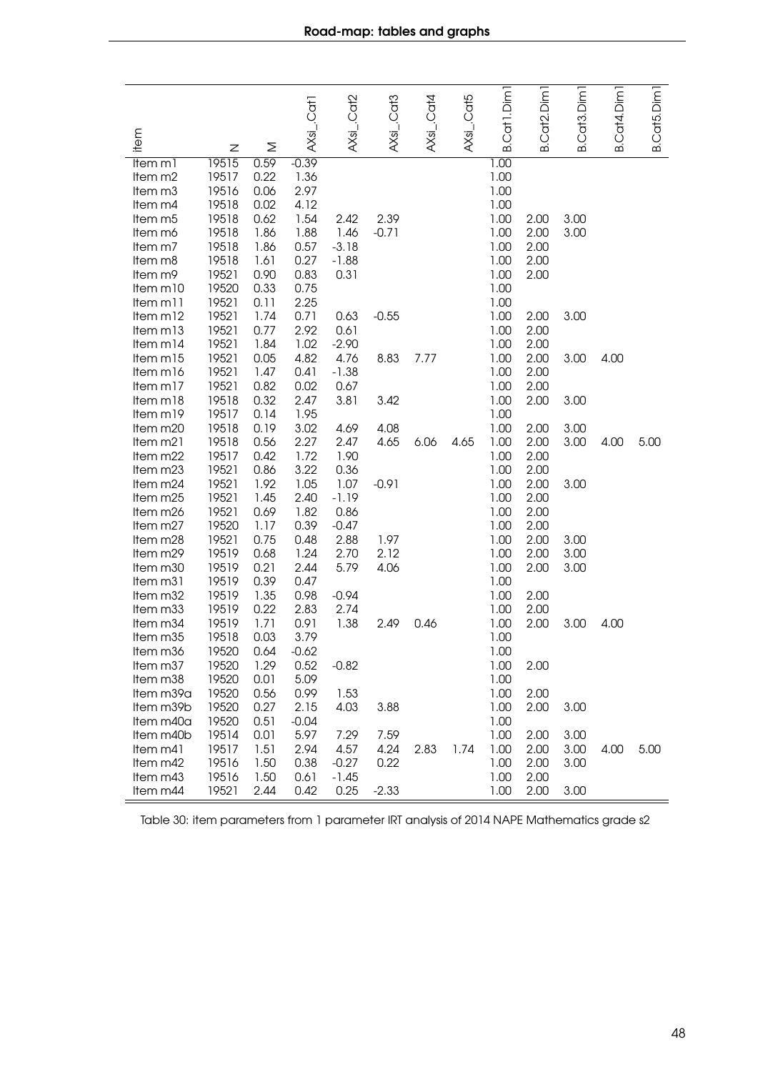| Cat <sub>3</sub> .Dim <sub>1</sub>                                                                                          | B.Cat4.Dim1<br>B.Cat5.Dim |
|-----------------------------------------------------------------------------------------------------------------------------|---------------------------|
|                                                                                                                             |                           |
| B.Cat2.Dim1<br>B.Cat1.Dim<br>AXsi_.Cat5<br>AXsi_.Cat2<br>AXsi_.Cat3<br>$AXsL$ . Cat4<br>AXsi_.Cat1<br>item<br>Σ<br>൶<br>Ζ   |                           |
| 19515<br>0.59<br>$-0.39$<br>1.00<br>Item m1                                                                                 |                           |
| 1.00<br>19517<br>0.22<br>1.36<br>Item m2                                                                                    |                           |
| 19516<br>2.97<br>1.00<br>0.06<br>Item m <sub>3</sub>                                                                        |                           |
| 19518<br>0.02<br>4.12<br>1.00<br>Item m4                                                                                    |                           |
| 19518<br>1.54<br>2.39<br>0.62<br>2.42<br>1.00<br>3.00<br>Item m5<br>2.00                                                    |                           |
| 19518<br>1.86<br>1.88<br>1.46<br>$-0.71$<br>1.00<br>2.00<br>3.00<br>Item m6                                                 |                           |
| 19518<br>1.86<br>0.57<br>$-3.18$<br>1.00<br>2.00<br>Item m7                                                                 |                           |
| 19518<br>0.27<br>$-1.88$<br>1.00<br>2.00<br>1.61<br>Item m8                                                                 |                           |
| 19521<br>0.90<br>0.83<br>0.31<br>1.00<br>2.00<br>Item m9                                                                    |                           |
| 0.33<br>0.75<br>1.00<br>Item m10<br>19520                                                                                   |                           |
| 19521<br>2.25<br>1.00<br>Item m11<br>0.11                                                                                   |                           |
| 19521<br>$-0.55$<br>Item m12<br>1.74<br>0.71<br>0.63<br>1.00<br>2.00<br>3.00<br>19521<br>2.92<br>0.61                       |                           |
| 0.77<br>1.00<br>2.00<br>Item m13<br>19521<br>1.02<br>$-2.90$<br>1.00<br>2.00                                                |                           |
| 1.84<br>Item m <sub>14</sub><br>19521<br>4.82<br>0.05<br>4.76<br>8.83<br>7.77<br>1.00<br>2.00<br>Item $m15$<br>3.00         | 4.00                      |
| 19521<br>1.47<br>0.41<br>$-1.38$<br>1.00<br>2.00<br>Item m <sub>16</sub>                                                    |                           |
| 19521<br>0.82<br>0.02<br>0.67<br>1.00<br>2.00<br>Item m17                                                                   |                           |
| 19518<br>0.32<br>2.47<br>3.81<br>1.00<br>2.00<br>Item m18<br>3.42<br>3.00                                                   |                           |
| 19517<br>0.14<br>1.95<br>1.00<br>Item m <sub>19</sub>                                                                       |                           |
| 19518<br>0.19<br>3.02<br>4.08<br>1.00<br>3.00<br>4.69<br>2.00<br>Item m20                                                   |                           |
| 2.27<br>1.00<br>Item m21<br>19518<br>0.56<br>2.47<br>4.65<br>6.06<br>4.65<br>2.00<br>3.00                                   | 4.00<br>5.00              |
| 19517<br>1.72<br>1.90<br>1.00<br>0.42<br>2.00<br>Item m22                                                                   |                           |
| 19521<br>3.22<br>0.36<br>1.00<br>2.00<br>Item m23<br>0.86                                                                   |                           |
| 19521<br>1.05<br>1.07<br>$-0.91$<br>2.00<br>Item m24<br>1.92<br>1.00<br>3.00                                                |                           |
| 19521<br>2.40<br>$-1.19$<br>2.00<br>1.45<br>1.00<br>Item m25                                                                |                           |
| 19521<br>0.69<br>1.82<br>0.86<br>1.00<br>2.00<br>Item m26                                                                   |                           |
| 0.39<br>Item m27<br>19520<br>1.17<br>$-0.47$<br>1.00<br>2.00                                                                |                           |
| 19521<br>0.75<br>0.48<br>2.88<br>1.97<br>1.00<br>2.00<br>Item m28<br>3.00                                                   |                           |
| 19519<br>0.68<br>1.24<br>2.70<br>2.12<br>1.00<br>Item m29<br>2.00<br>3.00                                                   |                           |
| 0.21<br>2.44<br>5.79<br>Item m30<br>19519<br>4.06<br>1.00<br>2.00<br>3.00                                                   |                           |
| 19519<br>0.39<br>0.47<br>1.00<br>Item m31                                                                                   |                           |
| 19519<br>Item m32<br>1.35<br>0.98<br>$-0.94$<br>1.00<br>2.00                                                                |                           |
| 0.22<br>2.83<br>2.74<br>Item m33<br>19519<br>1.00<br>2.00                                                                   |                           |
| 19519<br>0.91<br>1.71<br>1.38<br>2.49<br>0.46<br>1.00<br>2.00<br>3.00<br>Item m34                                           | 4.00                      |
| 19518<br>3.79<br>Item m35<br>0.03<br>1.00                                                                                   |                           |
| Item m36<br>19520<br>0.64<br>$-0.62$<br>1.00                                                                                |                           |
| 19520<br>Item m37<br>1.29<br>0.52<br>$-0.82$<br>1.00<br>2.00                                                                |                           |
| Item m38<br>19520<br>0.01<br>5.09<br>1.00                                                                                   |                           |
| 0.56<br>0.99<br>1.53<br>1.00<br>2.00<br>Item m39a<br>19520                                                                  |                           |
| Item m39b<br>19520<br>0.27<br>2.15<br>4.03<br>3.88<br>1.00<br>2.00<br>3.00                                                  |                           |
| Item m40a<br>19520<br>0.51<br>$-0.04$<br>1.00                                                                               |                           |
| 5.97<br>19514<br>0.01<br>7.29<br>7.59<br>1.00<br>3.00<br>Item m40b<br>2.00<br>19517<br>4.24<br>2.83<br>1.74<br>1.00<br>3.00 | 5.00                      |
| 2.94<br>2.00<br>Item m41<br>1.51<br>4.57<br>Item m42<br>19516<br>0.38<br>$-0.27$<br>1.00<br>3.00                            | 4.00                      |
| 0.22<br>1.50<br>2.00<br>Item m43<br>19516<br>1.50<br>2.00<br>0.61<br>$-1.45$<br>1.00                                        |                           |
| Item m44<br>19521<br>2.44<br>0.42<br>0.25<br>$-2.33$<br>1.00<br>2.00<br>3.00                                                |                           |

Table 30: item parameters from 1 parameter IRT analysis of 2014 NAPE Mathematics grade s2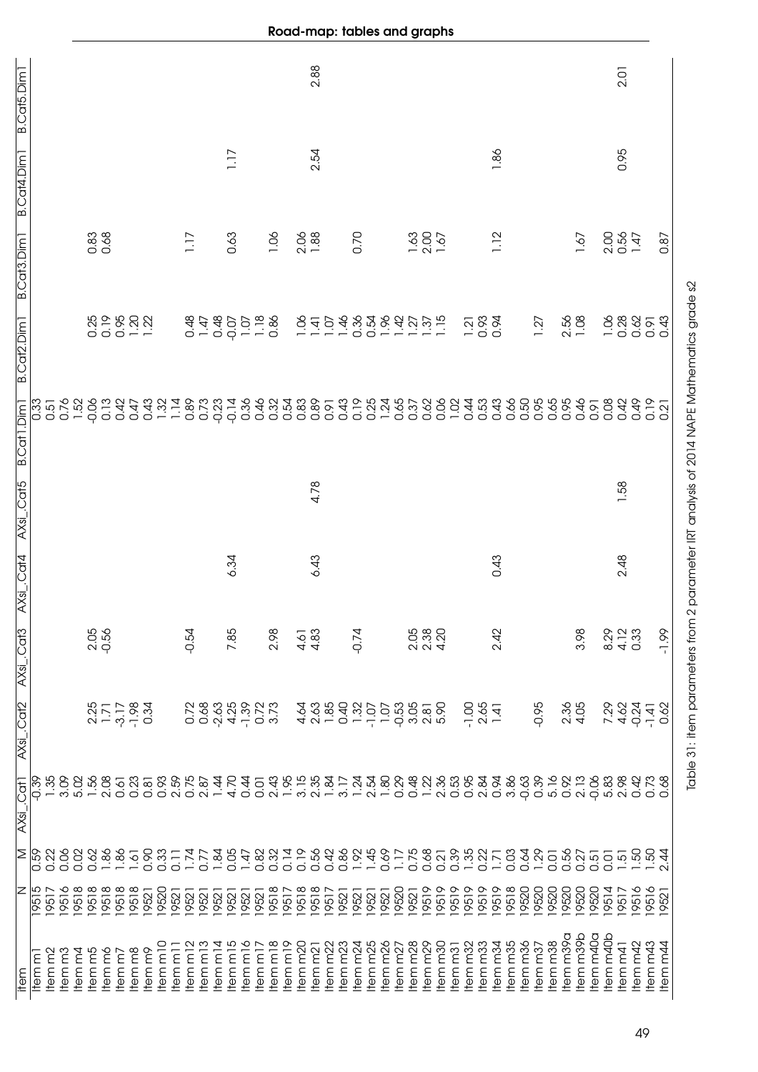| B.Cat5.Dim1             |                   |        |                   |                      |         |              |                                                               |                     |                    |                    |                  |                |                                                 |                      |                    |                      |        |                     |                                                           |                     | 2.88           |          |                                     |          |                               |                     |                    |                                                             |              |                                  |                   |                                                                  |                     |          |                    |                     |                     |         |           |                  |          |                        | 2.01            |                |                 |          |                                                                                           |
|-------------------------|-------------------|--------|-------------------|----------------------|---------|--------------|---------------------------------------------------------------|---------------------|--------------------|--------------------|------------------|----------------|-------------------------------------------------|----------------------|--------------------|----------------------|--------|---------------------|-----------------------------------------------------------|---------------------|----------------|----------|-------------------------------------|----------|-------------------------------|---------------------|--------------------|-------------------------------------------------------------|--------------|----------------------------------|-------------------|------------------------------------------------------------------|---------------------|----------|--------------------|---------------------|---------------------|---------|-----------|------------------|----------|------------------------|-----------------|----------------|-----------------|----------|-------------------------------------------------------------------------------------------|
| B.Cat4.Dim <sub>1</sub> |                   |        |                   |                      |         |              |                                                               |                     |                    |                    |                  |                |                                                 |                      | 1.17               |                      |        |                     |                                                           |                     | 2.54           |          |                                     |          |                               |                     |                    |                                                             |              |                                  |                   |                                                                  |                     | 1.86     |                    |                     |                     |         |           |                  |          |                        | 0.95            |                |                 |          |                                                                                           |
| B.Cat3.Dim1             |                   |        |                   |                      |         | 0.83<br>0.68 |                                                               |                     |                    |                    |                  | 1.17           |                                                 |                      | 0.63               |                      |        | 1.06                |                                                           |                     | $2.06$<br>1.88 |          |                                     | 0.70     |                               |                     |                    | $\frac{200}{200}$                                           |              |                                  |                   |                                                                  |                     | 1.12     |                    |                     |                     |         |           | 1.67             |          | 2.00                   |                 | $0.56$<br>1.47 |                 | 0.87     |                                                                                           |
| B.Cat2.Dim1             |                   |        |                   |                      |         | 0.25<br>0.19 |                                                               |                     | 0.20<br>0.121      |                    |                  | $0.48$<br>1.47 |                                                 | 0.48                 | $-0.07$            | $\frac{107}{1.18}$   |        |                     |                                                           | 1.06                |                |          |                                     |          | $-1000$<br>$-10480$<br>$-000$ | 1.96                | 1.42               | $1.\overline{37}$<br>$1.\overline{37}$<br>$1.\overline{15}$ |              |                                  |                   | $\frac{2}{0}$<br>$\frac{3}{0}$<br>$\frac{3}{0}$<br>$\frac{3}{0}$ |                     |          |                    |                     | 1.27                |         |           | $2.56$<br>$1.08$ |          | 1.06                   | 0.28            | 0.62           | 0.91            | 0.43     | Table 31: item parameters from 2 parameter IRT analysis of 2014 NAPE Mathematics grade s2 |
| B.Cat1.Dim1             | $\overline{0.33}$ |        |                   | 0.51<br>0.76<br>1.52 | $-0.06$ |              | $\begin{array}{c} 0.0000 \\ 0.0000 \\ \end{array}$            |                     |                    |                    | $1.32$<br>$1.14$ | 0.89           | 0.73                                            |                      | $-0.23$            | 0.36<br>0.46         |        |                     |                                                           |                     |                |          | $0.91$<br>0.43                      | 0.19     |                               | $1.24$<br>0.65      |                    | 0.37                                                        | 0.62         | 0.06                             | 1.02              | 0.53                                                             |                     | 0.43     | 0.50               |                     | 0.95                | 0.65    | 0.95      | 0.46             | 0.91     | 0.08                   | 0.42            | 0.49           | 0.19            | 0.21     |                                                                                           |
| AXsi_.Cat5              |                   |        |                   |                      |         |              |                                                               |                     |                    |                    |                  |                |                                                 |                      |                    |                      |        |                     |                                                           |                     | 4.78           |          |                                     |          |                               |                     |                    |                                                             |              |                                  |                   |                                                                  |                     |          |                    |                     |                     |         |           |                  |          |                        | 1.58            |                |                 |          |                                                                                           |
| AXsi_.Cat4              |                   |        |                   |                      |         |              |                                                               |                     |                    |                    |                  |                |                                                 |                      | 6.34               |                      |        |                     |                                                           |                     | 6.43           |          |                                     |          |                               |                     |                    |                                                             |              |                                  |                   |                                                                  |                     | 0.43     |                    |                     |                     |         |           |                  |          |                        | 2.48            |                |                 |          |                                                                                           |
| AXsi_.Cat3              |                   |        |                   |                      | 2.05    | $-0.56$      |                                                               |                     |                    |                    |                  | $-0.54$        |                                                 |                      | 7.85               |                      |        | 2.98                |                                                           | $4.83$<br>$4.83$    |                |          |                                     | $-0.74$  |                               |                     |                    | 2.05                                                        | 2.38<br>4.20 |                                  |                   |                                                                  |                     | 2.42     |                    |                     |                     |         |           | 3.98             |          | 8.29                   | 4.12            | 0.33           |                 | $-1.99$  |                                                                                           |
| AXsi_.Cat2              |                   |        |                   |                      |         |              | $2,3,7$<br>$-3,7$<br>$-1,78$<br>$-1,78$<br>$-1,78$<br>$-1,78$ |                     |                    |                    |                  | 0.72           | 0 0 4 1 0 9 9<br>0 9 9 9 9 0 9<br>0 9 9 9 9 9 9 |                      |                    |                      |        |                     |                                                           |                     |                |          | $4000$<br>$4000$<br>$4000$          | 1.32     | $-1.07$                       | 1.07                | $-0.53$            | 3.05<br>2.05<br>5.0                                         |              |                                  |                   | $-1.00$                                                          | $2.65$<br>1.41      |          |                    |                     | $-0.95$             |         |           | $2.36$<br>$4.05$ |          | 7.29                   | 4.62            | $-0.24$        | $-1.41$         | 0.62     |                                                                                           |
| AXsi_.Cat1              | $\frac{8}{9}$     | 1.35   |                   | 3.09<br>5.02         | 1.56    | 2.08         | 0.61                                                          | 0.23                | 0.81               |                    | 0.93<br>2.59     | 0.75<br>2.87   |                                                 | 1.44                 | 4.70               |                      |        |                     |                                                           |                     |                |          | $0.0999977$ $0.0499947$ $0.0499947$ |          | $1.24$<br>2.54                | 1.80                | 0.29               | 0.48                                                        |              | $\frac{22}{2}$<br>$\frac{36}{2}$ |                   | 0<br>0 8 9 8 9 9 9 0 0 0<br>0 9 9 9 9 9 9 0 0                    |                     |          |                    |                     |                     |         |           |                  |          | 06<br>063<br>063<br>06 |                 | 0.42           | 0.73            |          |                                                                                           |
| Σ                       | $\frac{65}{0}$    | 0.22   | 0.06              | 0.02                 | 0.62    | 1.86         | 1.86                                                          | 1.61                | 0.90               | 0.33               | $\overline{0}$ . | 1.74           | 0.77                                            | 1.84                 | 0.05               | 1.47                 |        |                     | $\begin{array}{c} 0.0000 \\ 0.0000 \\ \hline \end{array}$ |                     | 0.56           | 0.42     | 0.86                                |          | 1.45                          | 0.69                | 1.17               | 0.75                                                        | 0.68         | 0.21                             | 0.39              | $1.35$<br>0.22                                                   |                     | 1.71     | 0.03               | 0.64                | 1.29                | 0.01    | 0.56      | 0.27             | 0.51     | 0.01                   | $-51$           | 1.50           | $-50$           | 2.44     |                                                                                           |
| z                       | 19515             | 19517  | 19516             | 19518                | 19518   | 19518        | 19518                                                         | 19518               | 19521              | 19520              | 9521             | 19521          | 19521                                           | 19521                | 19521              | 19521                | 19521  | 19518               | 19517                                                     | 19518               | 19518          | 19517    | 19521                               | 19521    | 9521                          | 19521               | 19520              | 19521                                                       | 9519         | 19519                            | 9519              | 19519                                                            | 19519               | 19519    | 19518              | 19520               | 19520               | 19520   | 19520     | 19520            | 19520    | 19514                  | 19517           | 19516          | 19516           | 19521    |                                                                                           |
| item                    | Item m            | su meh | tem <sub>m3</sub> | tem m4               | tem m5  | tem mó       | ltem <sub>m7</sub>                                            | Item <sub>m</sub> 8 | ltem <sub>m9</sub> | tem <sub>m10</sub> | $Hem$ n $I$      | ltem m12       | Item <sub>m13</sub>                             | Item m <sub>14</sub> | tem <sub>m15</sub> | ltem m <sub>16</sub> | Hemm17 | Item <sub>m18</sub> | Item <sub>m19</sub>                                       | Item <sub>m20</sub> | <b>Hemm21</b>  | ltem m22 | Item m23                            | ltem m24 | tem <sub>m25</sub>            | Item <sub>m26</sub> | tem <sub>m27</sub> | Item <sub>m28</sub>                                         | tem m29      | Item <sub>m30</sub>              | tem <sub>m3</sub> | Item <sub>m32</sub>                                              | Item <sub>m33</sub> | Item m34 | tem <sub>m35</sub> | tem m <sub>36</sub> | Item <sub>m37</sub> | tem m38 | Item m39a | tem m39b         | tem m40a | <b>Item</b> m40b       | <b>Item m41</b> | ltem m42       | <b>Item</b> m43 | ltem m44 |                                                                                           |

Road-map: tables and graphs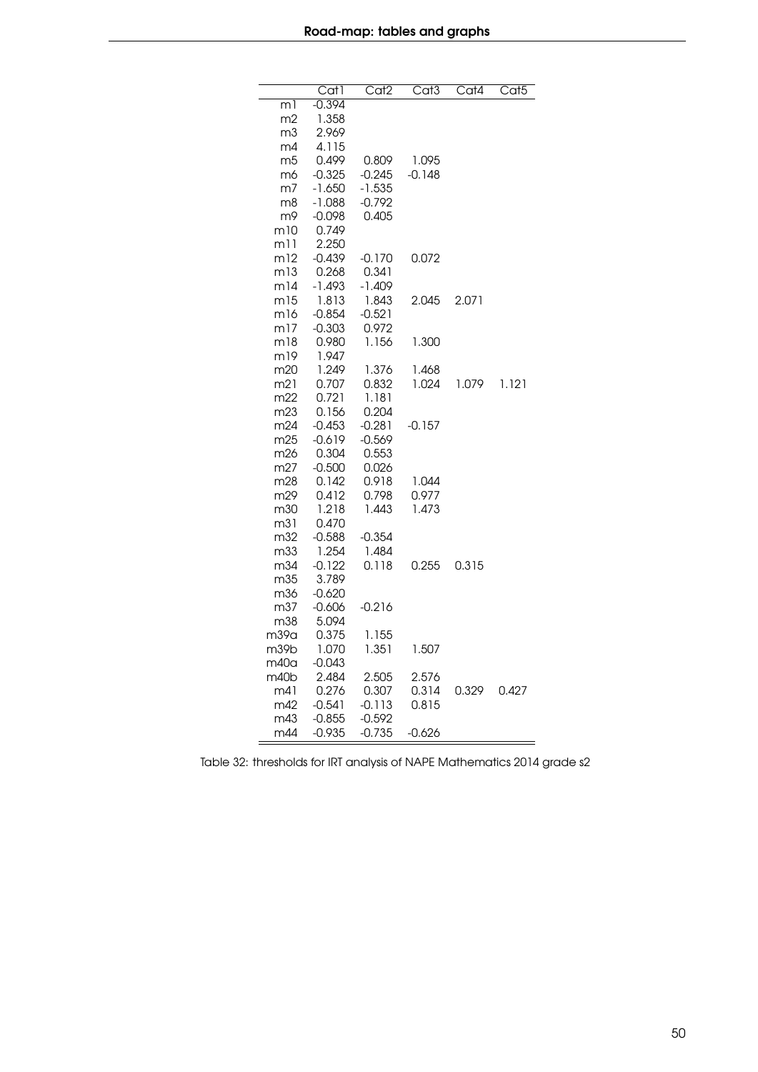|                 | Cat1              | Cat <sub>2</sub>  | $\overline{\text{Cat3}}$ | Cat4        | Cat <sub>5</sub> |
|-----------------|-------------------|-------------------|--------------------------|-------------|------------------|
| m1              | $-0.394$          |                   |                          |             |                  |
| m2              | 1.358             |                   |                          |             |                  |
| m3<br>m4        | 2.969<br>4.115    |                   |                          |             |                  |
| m5              | 0.499             | 0.809             | 1.095                    |             |                  |
| m6              | $-0.325$          | -0.245            | $-0.148$                 |             |                  |
| m7              | $-1.650$          | $-1.535$          |                          |             |                  |
| m8              | $-1.088$          | $-0.792$          |                          |             |                  |
| m9              | $-0.098$          | 0.405             |                          |             |                  |
| m10             | 0.749             |                   |                          |             |                  |
| m11             | 2.250             |                   |                          |             |                  |
| m12             | $-0.439$          | $-0.170$          | 0.072                    |             |                  |
| m13             | 0.268             | 0.341             |                          |             |                  |
| m14             | $-1.493$          | $-1.409$<br>1.843 | 2.045                    |             |                  |
| m15<br>m16      | 1.813<br>$-0.854$ | $-0.521$          |                          | 2.071       |                  |
| m17             | $-0.303$          | 0.972             |                          |             |                  |
| m18             | 0.980             | 1.156             | 1.300                    |             |                  |
| m19             | 1.947             |                   |                          |             |                  |
| m20             | 1.249             | 1.376             | 1.468                    |             |                  |
| m21             | 0.707             | 0.832             | 1.024                    | 1.079       | 1.121            |
| m22             | 0.721             | 1.181             |                          |             |                  |
| m <sub>23</sub> | 0.156             | 0.204             |                          |             |                  |
| m24             | $-0.453$          | $-0.281$          | $-0.157$                 |             |                  |
| m25             | $-0.619$          | $-0.569$          |                          |             |                  |
| m26<br>m27      | 0.304<br>$-0.500$ | 0.553<br>0.026    |                          |             |                  |
| m28             | 0.142             | 0.918             | 1.044                    |             |                  |
| m29             | 0.412             | 0.798             | 0.977                    |             |                  |
| m30             | 1.218             | 1.443             | 1.473                    |             |                  |
| m31             | 0.470             |                   |                          |             |                  |
| m32             | $-0.588$          | $-0.354$          |                          |             |                  |
| m33             | 1.254             | 1.484             |                          |             |                  |
| m34             | $-0.122$          | 0.118             |                          | 0.255 0.315 |                  |
| m35             | 3.789             |                   |                          |             |                  |
| m36             | $-0.620$          |                   |                          |             |                  |
| m37<br>m38      | $-0.606$<br>5.094 | $-0.216$          |                          |             |                  |
| m39a            | 0.375             | 1.155             |                          |             |                  |
| m39b            | 1.070             | 1.351             | 1.507                    |             |                  |
| m40a            | $-0.043$          |                   |                          |             |                  |
| m40b            | 2.484             | 2.505             | 2.576                    |             |                  |
| m41             | 0.276             | 0.307             | 0.314                    | 0.329       | 0.427            |
| m42             | $-0.541$          | $-0.113$          | 0.815                    |             |                  |
| m43             | $-0.855$          | $-0.592$          |                          |             |                  |
| m44             | $-0.935$          | $-0.735$          | $-0.626$                 |             |                  |

Table 32: thresholds for IRT analysis of NAPE Mathematics 2014 grade s2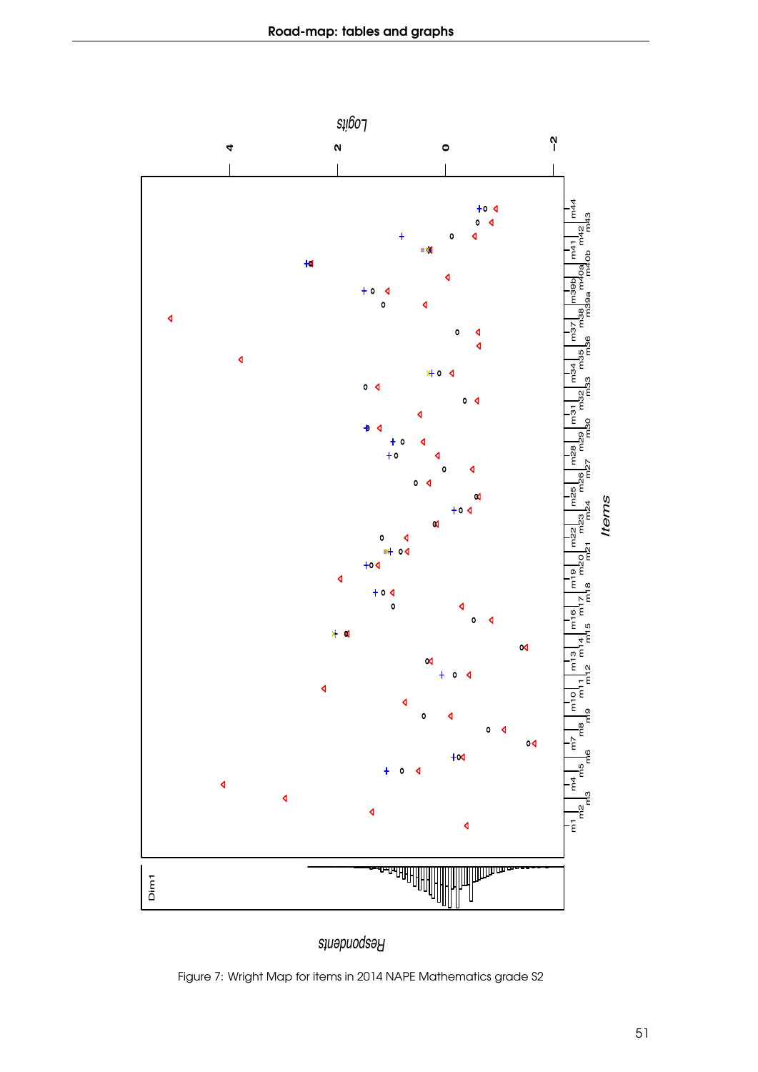

Figure 7: Wright Map for items in 2014 NAPE Mathematics grade S2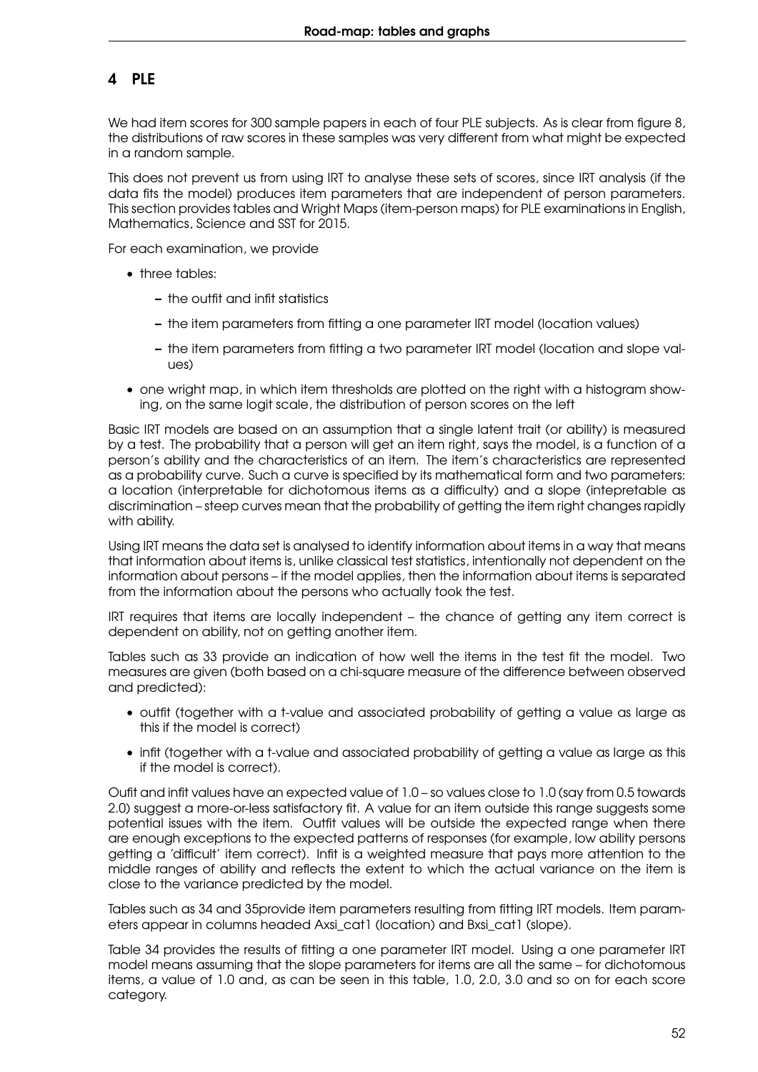## 4 PLE

We had item scores for 300 sample papers in each of four PLE subjects. As is clear from figure [8,](#page-52-0) the distributions of raw scores in these samples was very different from what might be expected in a random sample.

This does not prevent us from using IRT to analyse these sets of scores, since IRT analysis (if the data fits the model) produces item parameters that are independent of person parameters. This section provides tables and Wright Maps (item-person maps) for PLE examinations in English, Mathematics, Science and SST for 2015.

For each examination, we provide

- three tables:
	- the outfit and infit statistics
	- the item parameters from fitting a one parameter IRT model (location values)
	- the item parameters from fitting a two parameter IRT model (location and slope val- $I(es)$
- one wright map, in which item thresholds are plotted on the right with a histogram showing, on the same logit scale, the distribution of person scores on the left

Basic IRT models are based on an assumption that a single latent trait (or ability) is measured by a test. The probability that a person will get an item right, says the model, is a function of a person's ability and the characteristics of an item. The item's characteristics are represented as a probability curve. Such a curve is specified by its mathematical form and two parameters: a location (interpretable for dichotomous items as a difficulty) and a slope (intepretable as discrimination – steep curves mean that the probability of getting the item right changes rapidly with ability.

Using IRT means the data set is analysed to identify information about items in a way that means that information about items is, unlike classical test statistics, intentionally not dependent on the information about persons – if the model applies, then the information about items is separated from the information about the persons who actually took the test.

IRT requires that items are locally independent – the chance of getting any item correct is dependent on ability, not on getting another item.

Tables such as [33](#page-54-0) provide an indication of how well the items in the test fit the model. Two measures are given (both based on a chi-square measure of the difference between observed and predicted):

- outfit (together with a t-value and associated probability of getting a value as large as this if the model is correct)
- infit (together with a t-value and associated probability of getting a value as large as this if the model is correct).

Oufit and infit values have an expected value of 1.0 – so values close to 1.0 (say from 0.5 towards 2.0) suggest a more-or-less satisfactory fit. A value for an item outside this range suggests some potential issues with the item. Outfit values will be outside the expected range when there are enough exceptions to the expected patterns of responses (for example, low ability persons getting a 'difficult' item correct). Infit is a weighted measure that pays more attention to the middle ranges of ability and reflects the extent to which the actual variance on the item is close to the variance predicted by the model.

Tables such as [34](#page-56-0) and [35p](#page-57-0)rovide item parameters resulting from fitting IRT models. Item parameters appear in columns headed Axsi\_cat1 (location) and Bxsi\_cat1 (slope).

Table [34](#page-56-0) provides the results of fitting a one parameter IRT model. Using a one parameter IRT model means assuming that the slope parameters for items are all the same – for dichotomous items, a value of 1.0 and, as can be seen in this table, 1.0, 2.0, 3.0 and so on for each score category.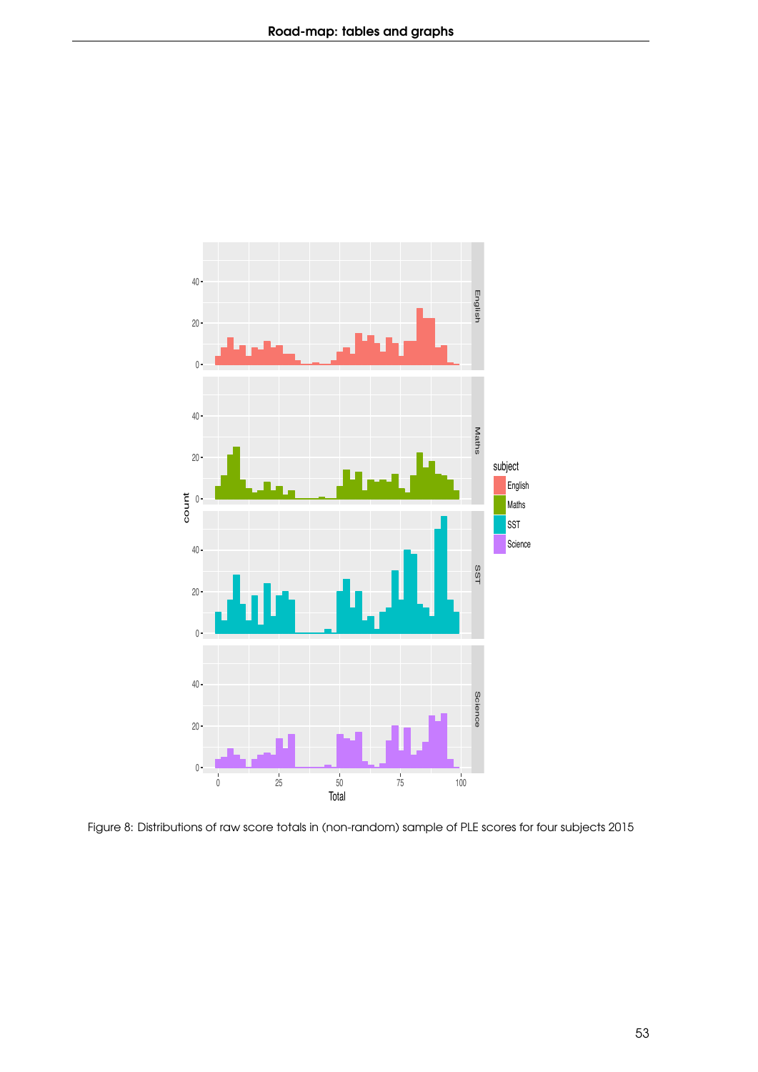<span id="page-52-0"></span>

Figure 8: Distributions of raw score totals in (non-random) sample of PLE scores for four subjects 2015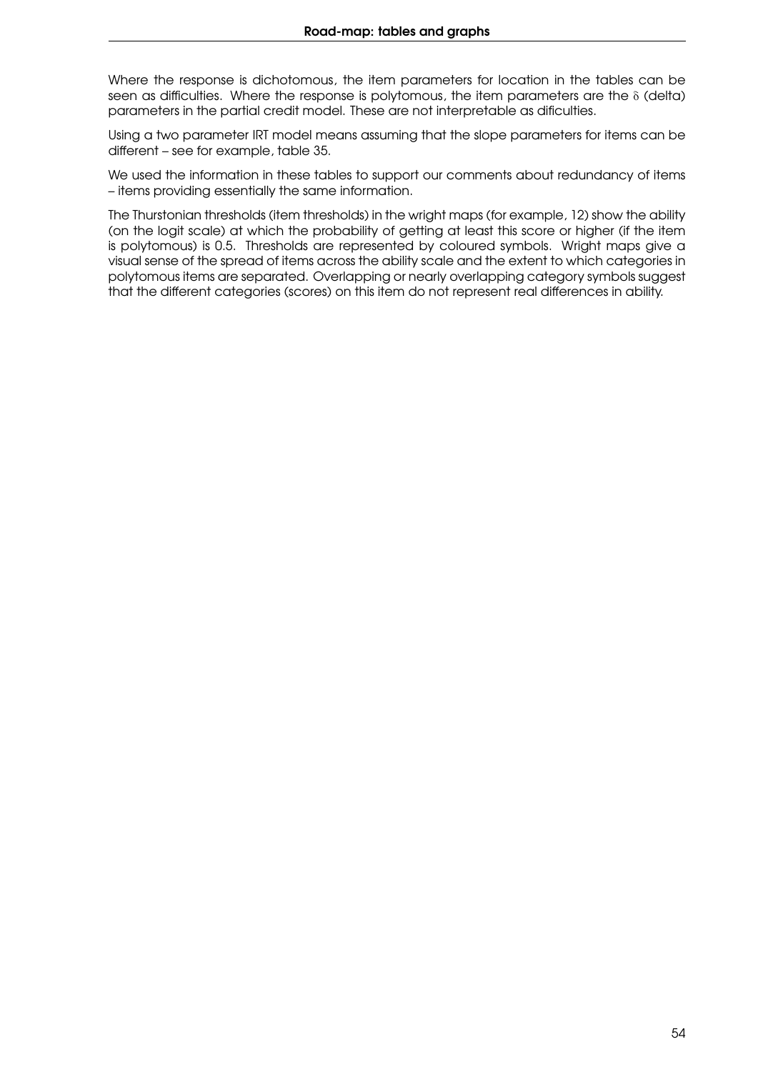Where the response is dichotomous, the item parameters for location in the tables can be seen as difficulties. Where the response is polytomous, the item parameters are the  $\delta$  (delta) parameters in the partial credit model. These are not interpretable as dificulties.

Using a two parameter IRT model means assuming that the slope parameters for items can be different – see for example, table [35.](#page-57-0)

We used the information in these tables to support our comments about redundancy of items – items providing essentially the same information.

The Thurstonian thresholds (item thresholds) in the wright maps (for example, [12\)](#page-85-0) show the ability (on the logit scale) at which the probability of getting at least this score or higher (if the item is polytomous) is 0.5. Thresholds are represented by coloured symbols. Wright maps give a visual sense of the spread of items across the ability scale and the extent to which categories in polytomous items are separated. Overlapping or nearly overlapping category symbols suggest that the different categories (scores) on this item do not represent real differences in ability.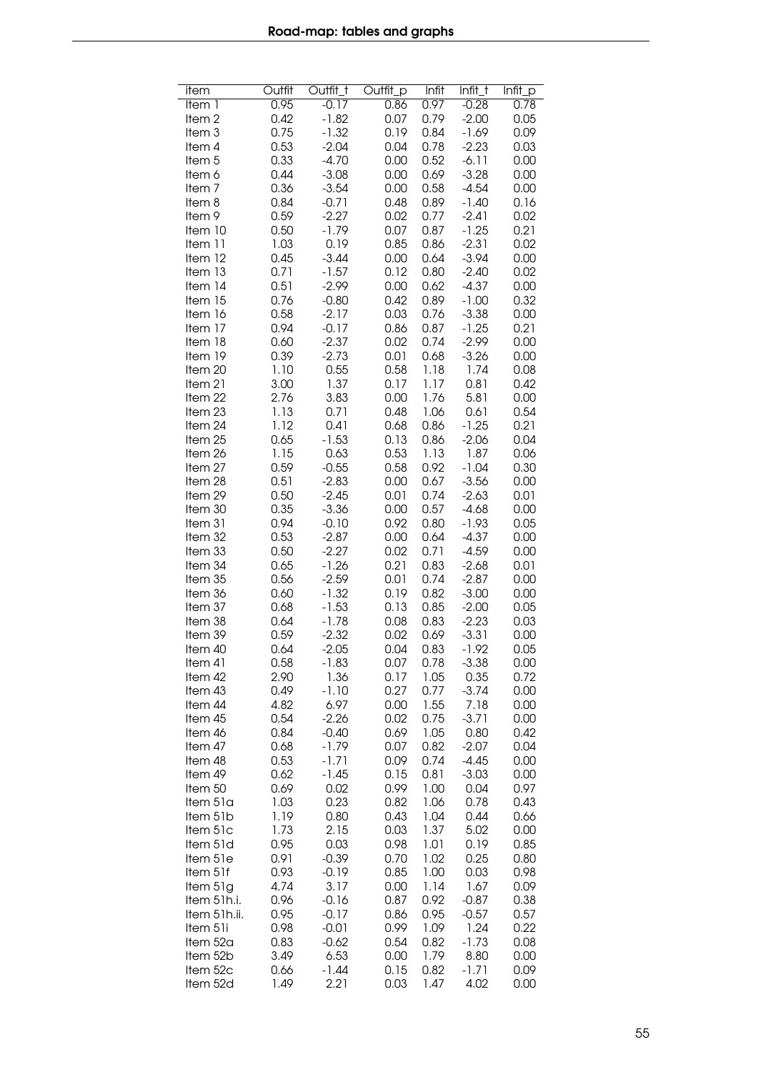<span id="page-54-0"></span>

| item              | Outfit | Outfit_t | Outfit_p | Infit | $Infit_t$ | Infit_p |
|-------------------|--------|----------|----------|-------|-----------|---------|
| Item 1            | 0.95   | $-0.17$  | 0.86     | 0.97  | $-0.28$   | 0.78    |
| Item <sub>2</sub> | 0.42   | $-1.82$  | 0.07     | 0.79  | $-2.00$   | 0.05    |
| Item <sub>3</sub> | 0.75   | $-1.32$  | 0.19     | 0.84  | $-1.69$   | 0.09    |
| Item 4            | 0.53   | $-2.04$  | 0.04     | 0.78  | $-2.23$   | 0.03    |
| Item <sub>5</sub> | 0.33   | $-4.70$  | 0.00     | 0.52  | $-6.11$   | 0.00    |
| ltem 6            | 0.44   | $-3.08$  | 0.00     | 0.69  | $-3.28$   | 0.00    |
| Item <sub>7</sub> | 0.36   | $-3.54$  | 0.00     | 0.58  | $-4.54$   | 0.00    |
| Item 8            | 0.84   | $-0.71$  | 0.48     | 0.89  | $-1.40$   | 0.16    |
| ltem 9            | 0.59   | $-2.27$  | 0.02     | 0.77  | $-2.41$   | 0.02    |
| Item 10           | 0.50   | $-1.79$  | 0.07     | 0.87  | $-1.25$   | 0.21    |
| Item 11           | 1.03   | 0.19     | 0.85     | 0.86  | $-2.31$   | 0.02    |
| Item 12           | 0.45   | $-3.44$  | 0.00     | 0.64  | $-3.94$   | 0.00    |
| Item 13           | 0.71   | $-1.57$  | 0.12     | 0.80  | $-2.40$   | 0.02    |
| Item 14           | 0.51   | $-2.99$  | 0.00     | 0.62  | $-4.37$   | 0.00    |
| Item 15           | 0.76   | $-0.80$  | 0.42     | 0.89  | $-1.00$   | 0.32    |
| Item 16           | 0.58   | $-2.17$  | 0.03     | 0.76  | $-3.38$   | 0.00    |
| Item 17           | 0.94   | $-0.17$  | 0.86     | 0.87  | $-1.25$   | 0.21    |
| Item 18           | 0.60   | $-2.37$  | 0.02     | 0.74  | $-2.99$   | 0.00    |
| Item 19           | 0.39   | $-2.73$  | 0.01     | 0.68  | $-3.26$   | 0.00    |
| Item 20           | 1.10   | 0.55     | 0.58     | 1.18  | 1.74      | 0.08    |
| Item 21           | 3.00   | 1.37     | 0.17     | 1.17  | 0.81      | 0.42    |
| Item 22           | 2.76   | 3.83     | 0.00     | 1.76  | 5.81      | 0.00    |
| Item 23           | 1.13   | 0.71     | 0.48     | 1.06  | 0.61      | 0.54    |
| Item 24           | 1.12   | 0.41     | 0.68     | 0.86  | $-1.25$   | 0.21    |
| Item 25           | 0.65   | $-1.53$  | 0.13     | 0.86  | $-2.06$   | 0.04    |
| Item 26           | 1.15   | 0.63     | 0.53     | 1.13  | 1.87      | 0.06    |
| Item 27           | 0.59   | $-0.55$  | 0.58     | 0.92  | $-1.04$   | 0.30    |
| Item 28           | 0.51   | $-2.83$  | 0.00     | 0.67  | $-3.56$   | 0.00    |
| Item 29           | 0.50   | $-2.45$  | 0.01     | 0.74  | $-2.63$   | 0.01    |
| Item 30           | 0.35   | $-3.36$  | 0.00     | 0.57  | $-4.68$   | 0.00    |
| Item 31           | 0.94   | $-0.10$  | 0.92     | 0.80  | $-1.93$   | 0.05    |
| Item 32           | 0.53   | $-2.87$  | 0.00     | 0.64  | $-4.37$   | 0.00    |
| Item 33           | 0.50   | $-2.27$  | 0.02     | 0.71  | $-4.59$   | 0.00    |
| Item 34           | 0.65   | $-1.26$  | 0.21     | 0.83  | $-2.68$   | 0.01    |
| Item 35           | 0.56   | $-2.59$  | 0.01     | 0.74  | $-2.87$   | 0.00    |
| Item 36           | 0.60   | $-1.32$  | 0.19     | 0.82  | $-3.00$   | 0.00    |
| Item 37           | 0.68   | $-1.53$  | 0.13     | 0.85  | $-2.00$   | 0.05    |
| Item 38           | 0.64   | $-1.78$  | 0.08     | 0.83  | $-2.23$   | 0.03    |
| Item 39           | 0.59   | $-2.32$  | 0.02     | 0.69  | $-3.31$   | 0.00    |
| Item 40           | 0.64   | $-2.05$  | 0.04     | 0.83  | $-1.92$   | 0.05    |
| Item 41           | 0.58   | $-1.83$  | 0.07     | 0.78  | $-3.38$   | 0.00    |
| Item 42           | 2.90   | 1.36     | 0.17     | 1.05  | 0.35      | 0.72    |
| Item 43           | 0.49   | $-1.10$  | 0.27     | 0.77  | $-3.74$   | 0.00    |
| Item 44           | 4.82   | 6.97     | 0.00     | 1.55  | 7.18      | 0.00    |
| Item 45           | 0.54   | -2.26    | 0.02     | 0.75  | $-3.71$   | 0.00    |
| Item 46           | 0.84   | $-0.40$  | 0.69     | 1.05  | 0.80      | 0.42    |
| Item 47           | 0.68   | $-1.79$  | 0.07     | 0.82  | $-2.07$   | 0.04    |
| Item 48           | 0.53   | $-1.71$  | 0.09     | 0.74  | $-4.45$   | 0.00    |
| Item 49           | 0.62   | $-1.45$  | 0.15     | 0.81  | $-3.03$   | 0.00    |
| Item 50           | 0.69   | 0.02     | 0.99     | 1.00  | 0.04      | 0.97    |
| Item 51a          | 1.03   | 0.23     | 0.82     | 1.06  | 0.78      | 0.43    |
| Item 51b          | 1.19   | 0.80     | 0.43     | 1.04  | 0.44      | 0.66    |
| Item 51c          | 1.73   | 2.15     | 0.03     | 1.37  | 5.02      | 0.00    |
| Item 51d          | 0.95   | 0.03     | 0.98     | 1.01  | 0.19      | 0.85    |
| Item 51e          | 0.91   | $-0.39$  | 0.70     | 1.02  | 0.25      | 0.80    |
| Item 51f          | 0.93   | $-0.19$  | 0.85     | 1.00  | 0.03      | 0.98    |
| Item 51g          | 4.74   | 3.17     | 0.00     | 1.14  | 1.67      | 0.09    |
| Item 51h.i.       | 0.96   | $-0.16$  | 0.87     | 0.92  | $-0.87$   | 0.38    |
| Item 51h.ii.      | 0.95   | $-0.17$  | 0.86     | 0.95  | $-0.57$   | 0.57    |
| Item 51i          | 0.98   | $-0.01$  | 0.99     | 1.09  | 1.24      | 0.22    |
| Item 52a          | 0.83   | $-0.62$  | 0.54     | 0.82  | $-1.73$   | 0.08    |
| Item 52b          | 3.49   | 6.53     | 0.00     | 1.79  | 8.80      | 0.00    |
| Item 52c          | 0.66   | $-1.44$  | 0.15     | 0.82  | $-1.71$   | 0.09    |
| Item 52d          | 1.49   | 2.21     | 0.03     | 1.47  | 4.02      | 0.00    |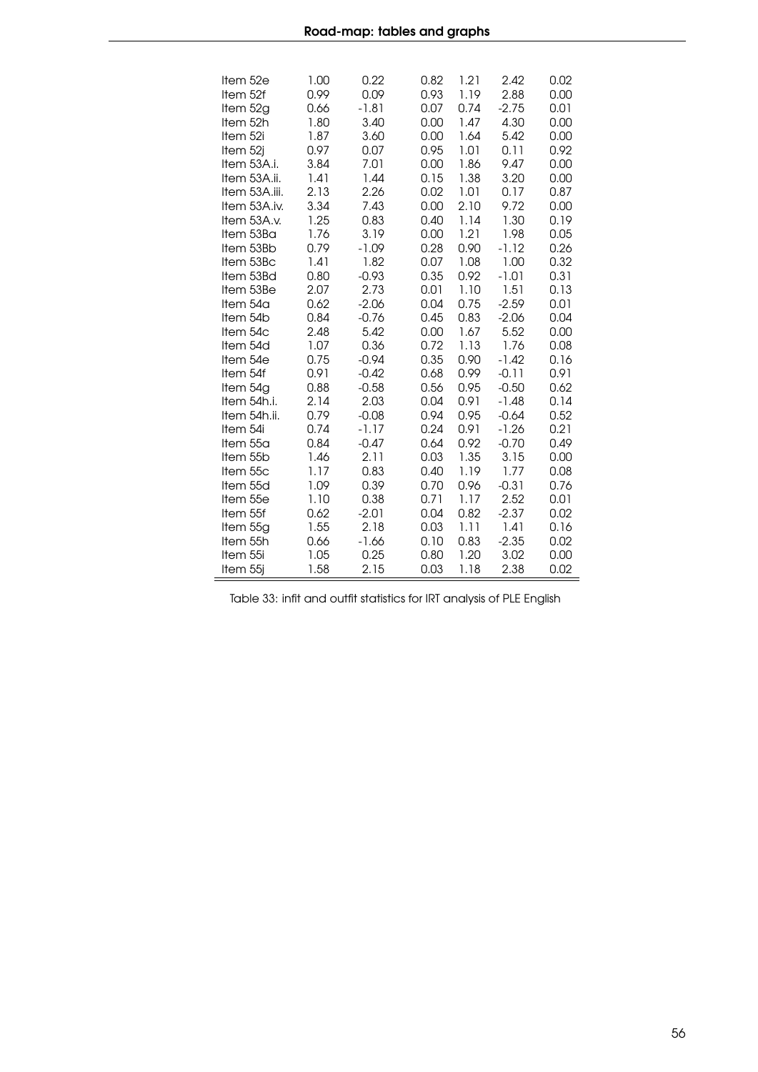| Item 52e             | 1.00         | 0.22         | 0.82         | 1.21         | 2.42            | 0.02         |
|----------------------|--------------|--------------|--------------|--------------|-----------------|--------------|
| Item 52f             | 0.99         | 0.09         | 0.93         | 1.19         | 2.88            | 0.00         |
| Item 52g             | 0.66<br>1.80 | $-1.81$      | 0.07         | 0.74         | $-2.75$<br>4.30 | 0.01         |
| Item 52h<br>Item 52i | 1.87         | 3.40<br>3.60 | 0.00<br>0.00 | 1.47<br>1.64 | 5.42            | 0.00<br>0.00 |
| Item 52j             | 0.97         | 0.07         | 0.95         | 1.01         | 0.11            | 0.92         |
| Item 53A.i.          | 3.84         | 7.01         | 0.00         | 1.86         | 9.47            | 0.00         |
| Item 53A.ii.         | 1.41         | 1.44         | 0.15         | 1.38         | 3.20            | 0.00         |
| Item 53A.iii.        | 2.13         | 2.26         | 0.02         | 1.01         | 0.17            | 0.87         |
| Item 53A.iv.         | 3.34         | 7.43         | 0.00         | 2.10         | 9.72            | 0.00         |
| Item 53A.v.          | 1.25         | 0.83         | 0.40         | 1.14         | 1.30            | 0.19         |
| Item 53Ba            | 1.76         | 3.19         | 0.00         | 1.21         | 1.98            | 0.05         |
| Item 53Bb            | 0.79         | $-1.09$      | 0.28         | 0.90         | $-1.12$         | 0.26         |
| Item 53Bc            | 1.41         | 1.82         | 0.07         | 1.08         | 1.00            | 0.32         |
| Item 53Bd            | 0.80         | $-0.93$      | 0.35         | 0.92         | $-1.01$         | 0.31         |
| Item 53Be            | 2.07         | 2.73         | 0.01         | 1.10         | 1.51            | 0.13         |
| Item 54a             | 0.62         | $-2.06$      | 0.04         | 0.75         | $-2.59$         | 0.01         |
| Item 54b             | 0.84         | $-0.76$      | 0.45         | 0.83         | $-2.06$         | 0.04         |
| Item 54c             | 2.48         | 5.42         | 0.00         | 1.67         | 5.52            | 0.00         |
| Item 54d             | 1.07         | 0.36         | 0.72         | 1.13         | 1.76            | 0.08         |
| Item 54e             | 0.75         | $-0.94$      | 0.35         | 0.90         | $-1.42$         | 0.16         |
| Item 54f             | 0.91         | $-0.42$      | 0.68         | 0.99         | $-0.11$         | 0.91         |
| Item 54g             | 0.88         | $-0.58$      | 0.56         | 0.95         | $-0.50$         | 0.62         |
| Item 54h.i.          | 2.14         | 2.03         | 0.04         | 0.91         | $-1.48$         | 0.14         |
| Item 54h.ii.         | 0.79         | $-0.08$      | 0.94         | 0.95         | $-0.64$         | 0.52         |
| Item 54i             | 0.74         | $-1.17$      | 0.24         | 0.91         | $-1.26$         | 0.21         |
| Item 55a             | 0.84         | $-0.47$      | 0.64         | 0.92         | $-0.70$         | 0.49         |
| Item 55b             | 1.46         | 2.11         | 0.03         | 1.35         | 3.15            | 0.00         |
| Item 55c             | 1.17         | 0.83         | 0.40         | 1.19         | 1.77            | 0.08         |
| Item 55d             | 1.09         | 0.39         | 0.70         | 0.96         | $-0.31$         | 0.76         |
| Item 55e             | 1.10         | 0.38         | 0.71         | 1.17         | 2.52            | 0.01         |
| Item 55f             | 0.62         | $-2.01$      | 0.04         | 0.82         | $-2.37$         | 0.02         |
| Item 55g             | 1.55         | 2.18         | 0.03         | 1.11         | 1.41            | 0.16         |
| Item 55h             | 0.66         | $-1.66$      | 0.10         | 0.83         | $-2.35$         | 0.02         |
| Item 55i<br>Item 55j | 1.05<br>1.58 | 0.25<br>2.15 | 0.80<br>0.03 | 1.20<br>1.18 | 3.02<br>2.38    | 0.00         |
|                      |              |              |              |              |                 | 0.02         |

Table 33: infit and outfit statistics for IRT analysis of PLE English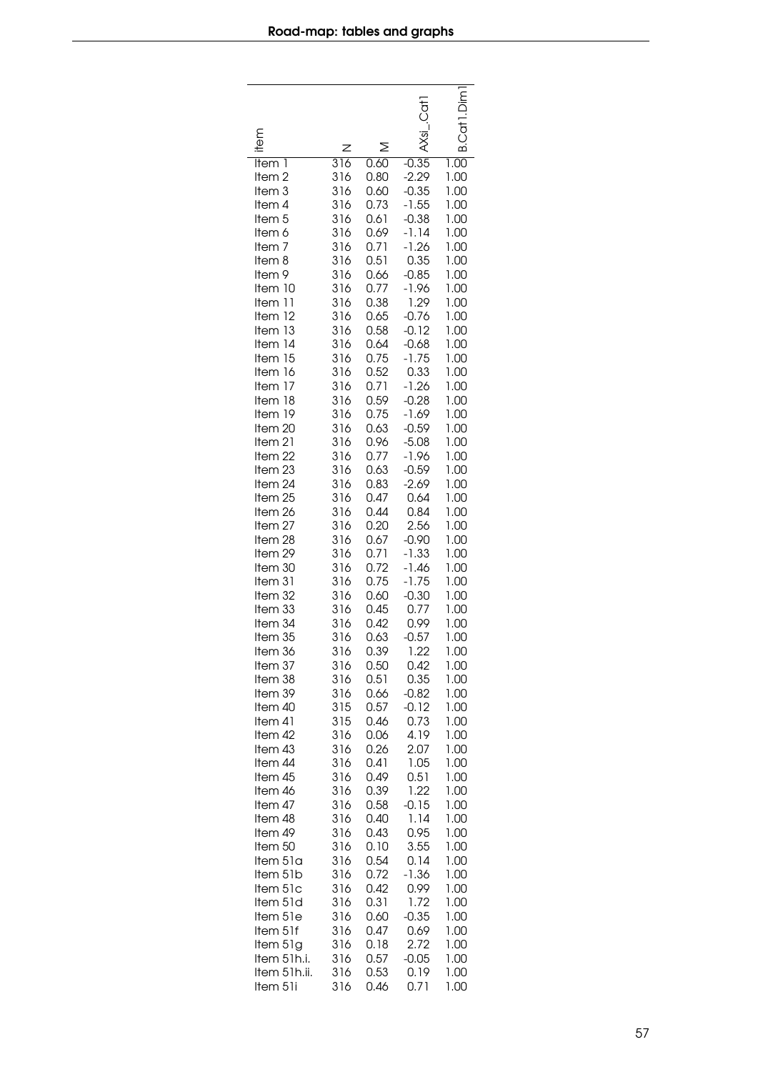<span id="page-56-0"></span>

| item<br>Item 1<br>Item <sub>2</sub><br>Item <sub>3</sub><br>Item 4<br>Item <sub>5</sub><br>Item 6<br>Item <sub>7</sub><br>Item 8<br>Item 9<br>Item 10<br>Item 11<br>Item 12<br>Item 13<br>Item 14<br>Item 15<br>Item 16<br>Item 17<br>Item 18<br>Item 19<br>Item 20<br>Item 21<br>Item 22<br>Item 23<br>Item 24<br>Item 25<br>Item 26<br>Item 27<br>Item 28<br>Item 29 | z<br>316<br>316<br>316<br>316<br>316<br>316<br>316<br>316<br>316<br>316<br>316<br>316<br>316<br>316<br>316<br>316<br>316<br>316<br>316<br>316<br>316<br>316<br>316<br>316<br>316<br>316<br>316<br>316<br>316 | ≥<br>0.60<br>0.80<br>0.60<br>0.73<br>0.61<br>0.69<br>0.71<br>0.51<br>0.66<br>0.77<br>0.38<br>0.65<br>0.58<br>0.64<br>0.75<br>0.52<br>0.71<br>0.59<br>0.75<br>0.63<br>0.96<br>0.77<br>0.63<br>0.83<br>0.47<br>0.44<br>0.20<br>0.67<br>0.71 | $-0.35$<br>$-2.29$<br>$-0.35$<br>$-1.55$<br>$-0.38$<br>$-1.14$<br>$-1.26$<br>0.35<br>$-0.85$<br>$-1.96$<br>1.29<br>$-0.76$<br>$-0.12$<br>$-0.68$<br>$-1.75$<br>0.33<br>$-1.26$<br>$-0.28$<br>$-1.69$<br>$-0.59$<br>$-5.08$<br>$-1.96$<br>$-0.59$<br>$-2.69$<br>0.64<br>0.84<br>2.56<br>$-0.90$<br>$-1.33$ | B.Cdf<br>1.00<br>1.00<br>1.00<br>1.00<br>1.00<br>1.00<br>1.00<br>1.00<br>1.00<br>1.00<br>1.00<br>1.00<br>1.00<br>1.00<br>1.00<br>1.00<br>1.00<br>1.00<br>1.00<br>1.00<br>1.00<br>1.00<br>1.00<br>1.00<br>1.00<br>1.00<br>1.00<br>1.00<br>1.00 |
|------------------------------------------------------------------------------------------------------------------------------------------------------------------------------------------------------------------------------------------------------------------------------------------------------------------------------------------------------------------------|--------------------------------------------------------------------------------------------------------------------------------------------------------------------------------------------------------------|-------------------------------------------------------------------------------------------------------------------------------------------------------------------------------------------------------------------------------------------|-----------------------------------------------------------------------------------------------------------------------------------------------------------------------------------------------------------------------------------------------------------------------------------------------------------|-----------------------------------------------------------------------------------------------------------------------------------------------------------------------------------------------------------------------------------------------|
| Item 30                                                                                                                                                                                                                                                                                                                                                                | 316                                                                                                                                                                                                          | 0.72                                                                                                                                                                                                                                      | $-1.46$                                                                                                                                                                                                                                                                                                   | 1.00                                                                                                                                                                                                                                          |
| Item 31                                                                                                                                                                                                                                                                                                                                                                | 316                                                                                                                                                                                                          | 0.75                                                                                                                                                                                                                                      | $-1.75$                                                                                                                                                                                                                                                                                                   | 1.00                                                                                                                                                                                                                                          |
| Item 32                                                                                                                                                                                                                                                                                                                                                                | 316                                                                                                                                                                                                          | 0.60                                                                                                                                                                                                                                      | $-0.30$                                                                                                                                                                                                                                                                                                   | 1.00                                                                                                                                                                                                                                          |
| Item 33                                                                                                                                                                                                                                                                                                                                                                | 316                                                                                                                                                                                                          | 0.45                                                                                                                                                                                                                                      | 0.77                                                                                                                                                                                                                                                                                                      | 1.00                                                                                                                                                                                                                                          |
| Item 34                                                                                                                                                                                                                                                                                                                                                                | 316                                                                                                                                                                                                          | 0.42                                                                                                                                                                                                                                      | 0.99                                                                                                                                                                                                                                                                                                      | 1.00                                                                                                                                                                                                                                          |
| Item 35                                                                                                                                                                                                                                                                                                                                                                | 316                                                                                                                                                                                                          | 0.63                                                                                                                                                                                                                                      | $-0.57$                                                                                                                                                                                                                                                                                                   | 1.00                                                                                                                                                                                                                                          |
| Item 36                                                                                                                                                                                                                                                                                                                                                                | 316                                                                                                                                                                                                          | 0.39                                                                                                                                                                                                                                      | 1.22                                                                                                                                                                                                                                                                                                      | 1.00                                                                                                                                                                                                                                          |
| Item 37                                                                                                                                                                                                                                                                                                                                                                | 316                                                                                                                                                                                                          | 0.50                                                                                                                                                                                                                                      | 0.42                                                                                                                                                                                                                                                                                                      | 1.00                                                                                                                                                                                                                                          |
| Item 38                                                                                                                                                                                                                                                                                                                                                                | 316                                                                                                                                                                                                          | 0.51                                                                                                                                                                                                                                      | 0.35                                                                                                                                                                                                                                                                                                      | 1.00                                                                                                                                                                                                                                          |
| Item 39                                                                                                                                                                                                                                                                                                                                                                | 316                                                                                                                                                                                                          | 0.66                                                                                                                                                                                                                                      | $-0.82$                                                                                                                                                                                                                                                                                                   | 1.00                                                                                                                                                                                                                                          |
| Item 40                                                                                                                                                                                                                                                                                                                                                                | 315                                                                                                                                                                                                          | 0.57                                                                                                                                                                                                                                      | $-0.12$                                                                                                                                                                                                                                                                                                   | 1.00                                                                                                                                                                                                                                          |
| Item 41                                                                                                                                                                                                                                                                                                                                                                | 315                                                                                                                                                                                                          | 0.46                                                                                                                                                                                                                                      | 0.73                                                                                                                                                                                                                                                                                                      | 1.00                                                                                                                                                                                                                                          |
| Item 42                                                                                                                                                                                                                                                                                                                                                                | 316                                                                                                                                                                                                          | 0.06                                                                                                                                                                                                                                      | 4.19                                                                                                                                                                                                                                                                                                      | 1.00                                                                                                                                                                                                                                          |
| Item 43                                                                                                                                                                                                                                                                                                                                                                | 316                                                                                                                                                                                                          | 0.26                                                                                                                                                                                                                                      | 2.07                                                                                                                                                                                                                                                                                                      | 1.00                                                                                                                                                                                                                                          |
| Item 44                                                                                                                                                                                                                                                                                                                                                                | 316                                                                                                                                                                                                          | 0.41                                                                                                                                                                                                                                      | 1.05                                                                                                                                                                                                                                                                                                      | 1.00                                                                                                                                                                                                                                          |
| Item 45                                                                                                                                                                                                                                                                                                                                                                | 316                                                                                                                                                                                                          | 0.49                                                                                                                                                                                                                                      | 0.51                                                                                                                                                                                                                                                                                                      | 1.00                                                                                                                                                                                                                                          |
| Item 46                                                                                                                                                                                                                                                                                                                                                                | 316                                                                                                                                                                                                          | 0.39                                                                                                                                                                                                                                      | 1.22                                                                                                                                                                                                                                                                                                      | 1.00                                                                                                                                                                                                                                          |
| Item 47                                                                                                                                                                                                                                                                                                                                                                | 316                                                                                                                                                                                                          | 0.58                                                                                                                                                                                                                                      | $-0.15$                                                                                                                                                                                                                                                                                                   | 1.00                                                                                                                                                                                                                                          |
| Item 48                                                                                                                                                                                                                                                                                                                                                                | 316                                                                                                                                                                                                          | 0.40                                                                                                                                                                                                                                      | 1.14                                                                                                                                                                                                                                                                                                      | 1.00                                                                                                                                                                                                                                          |
| Item 49                                                                                                                                                                                                                                                                                                                                                                | 316                                                                                                                                                                                                          | 0.43                                                                                                                                                                                                                                      | 0.95                                                                                                                                                                                                                                                                                                      | 1.00                                                                                                                                                                                                                                          |
| Item 50                                                                                                                                                                                                                                                                                                                                                                | 316                                                                                                                                                                                                          | 0.10                                                                                                                                                                                                                                      | 3.55                                                                                                                                                                                                                                                                                                      | 1.00                                                                                                                                                                                                                                          |
| Item 51a                                                                                                                                                                                                                                                                                                                                                               | 316                                                                                                                                                                                                          | 0.54                                                                                                                                                                                                                                      | 0.14                                                                                                                                                                                                                                                                                                      | 1.00                                                                                                                                                                                                                                          |
| Item 51b                                                                                                                                                                                                                                                                                                                                                               | 316                                                                                                                                                                                                          | 0.72                                                                                                                                                                                                                                      | $-1.36$                                                                                                                                                                                                                                                                                                   | 1.00                                                                                                                                                                                                                                          |
| Item 51c                                                                                                                                                                                                                                                                                                                                                               | 316                                                                                                                                                                                                          | 0.42                                                                                                                                                                                                                                      | 0.99                                                                                                                                                                                                                                                                                                      | 1.00                                                                                                                                                                                                                                          |
| Item 51d                                                                                                                                                                                                                                                                                                                                                               | 316                                                                                                                                                                                                          | 0.31                                                                                                                                                                                                                                      | 1.72                                                                                                                                                                                                                                                                                                      | 1.00                                                                                                                                                                                                                                          |
| Item 51e                                                                                                                                                                                                                                                                                                                                                               | 316                                                                                                                                                                                                          | 0.60                                                                                                                                                                                                                                      | $-0.35$                                                                                                                                                                                                                                                                                                   | 1.00                                                                                                                                                                                                                                          |
| Item 51f                                                                                                                                                                                                                                                                                                                                                               | 316                                                                                                                                                                                                          | 0.47                                                                                                                                                                                                                                      | 0.69                                                                                                                                                                                                                                                                                                      | 1.00                                                                                                                                                                                                                                          |
| Item 51g                                                                                                                                                                                                                                                                                                                                                               | 316                                                                                                                                                                                                          | 0.18                                                                                                                                                                                                                                      | 2.72                                                                                                                                                                                                                                                                                                      | 1.00                                                                                                                                                                                                                                          |
| Item 51h.i.                                                                                                                                                                                                                                                                                                                                                            | 316                                                                                                                                                                                                          | 0.57                                                                                                                                                                                                                                      | $-0.05$                                                                                                                                                                                                                                                                                                   | 1.00                                                                                                                                                                                                                                          |
| Item 51h.ii.                                                                                                                                                                                                                                                                                                                                                           | 316                                                                                                                                                                                                          | 0.53                                                                                                                                                                                                                                      | 0.19                                                                                                                                                                                                                                                                                                      | 1.00                                                                                                                                                                                                                                          |
| Item 51i                                                                                                                                                                                                                                                                                                                                                               | 316                                                                                                                                                                                                          | 0.46                                                                                                                                                                                                                                      | 0.71                                                                                                                                                                                                                                                                                                      |                                                                                                                                                                                                                                               |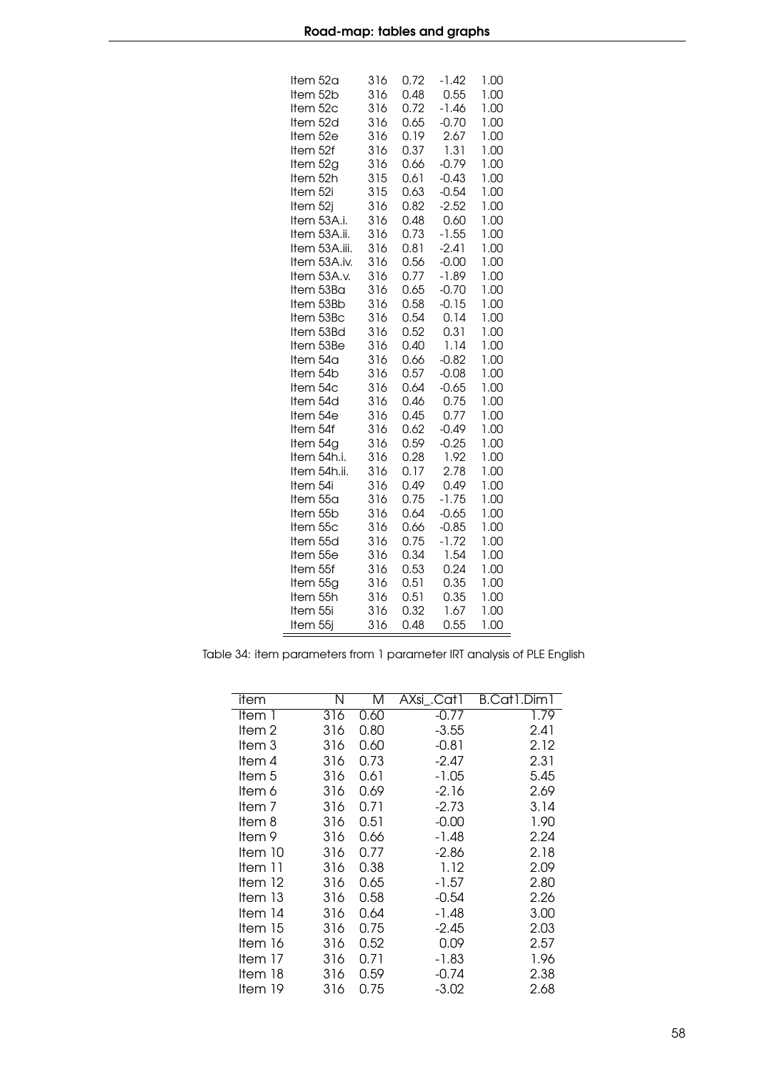| ltem 52a<br>Item 52b          | 316<br>316 | 0.72<br>0.48 | $-1.42$<br>0.55    | 1.00<br>1.00 |
|-------------------------------|------------|--------------|--------------------|--------------|
| Item 52c                      | 316        | 0.72         | $-1.46$            | 1.00         |
| Item 52d                      | 316        | 0.65         | $-0.70$            | 1.00         |
| Item 52e                      | 316        | 0.19         | 2.67               | 1.00         |
| Item 52f                      | 316        | 0.37         | 1.31               | 1.00         |
| Item 52g                      | 316        | 0.66         | $-0.79$            | 1.00         |
| Item 52h                      | 315        | 0.61         | $-0.43$            | 1.00         |
| Item 52i                      | 315        | 0.63         | $-0.54$            | 1.00         |
| Item 52j<br>Item 53A.i.       | 316<br>316 | 0.82         | $-2.52$            | 1.00         |
|                               |            | 0.48         | 0.60<br>$-1.55$    | 1.00         |
| Item 53A.ii.                  | 316<br>316 | 0.73         |                    | 1.00         |
| Item 53A.iii.<br>Item 53A.iv. | 316        | 0.81<br>0.56 | $-2.41$<br>$-0.00$ | 1.00<br>1.00 |
| Item 53A.v.                   | 316        | 0.77         | $-1.89$            | 1.00         |
| Item 53Ba                     | 316        | 0.65         | $-0.70$            | 1.00         |
| Item 53Bb                     | 316        | 0.58         | $-0.15$            | 1.00         |
| Item 53Bc                     | 316        | 0.54         | 0.14               | 1.00         |
| Item 53Bd                     | 316        | 0.52         | 0.31               | 1.00         |
| Item 53Be                     | 316        | 0.40         | 1.14               | 1.00         |
| ltem 54a                      | 316        | 0.66         | $-0.82$            | 1.00         |
| Item 54b                      | 316        | 0.57         | $-0.08$            | 1.00         |
| Item 54c                      | 316        | 0.64         | $-0.65$            | 1.00         |
| Item 54d                      | 316        | 0.46         | 0.75               | 1.00         |
| ltem 54e                      | 316        | 0.45         | 0.77               | 1.00         |
| Item 54f                      | 316        | 0.62         | $-0.49$            | 1.00         |
| ltem 54g                      | 316        | 0.59         | $-0.25$            | 1.00         |
| ltem 54h.i.                   | 316        | 0.28         | 1.92               | 1.00         |
| Item 54h.ii.                  | 316        | 0.17         | 2.78               | 1.00         |
| Item 54i                      | 316        | 0.49         | 0.49               | 1.00         |
| Item 55a                      | 316        | 0.75         | $-1.75$            | 1.00         |
| Item 55b                      | 316        | 0.64         | $-0.65$            | 1.00         |
| Item 55c                      | 316        | 0.66         | $-0.85$            | 1.00         |
| Item 55d                      | 316        | 0.75         | $-1.72$            | 1.00         |
| Item 55e                      | 316        | 0.34         | 1.54               | 1.00         |
| Item 55f                      | 316        | 0.53         | 0.24               | 1.00         |
| Item 55g                      | 316        | 0.51         | 0.35               | 1.00         |
| Item 55h                      | 316        | 0.51         | 0.35               | 1.00         |
| Item 55i                      | 316        | 0.32         | 1.67               | 1.00         |
| Item 55j                      | 316        | 0.48         | 0.55               | 1.00         |

<span id="page-57-0"></span>Table 34: item parameters from 1 parameter IRT analysis of PLE English

 $\equiv$ 

| item    | Ν   | M    | AXsi_.Cat1 | B.Cat1.Dim1 |
|---------|-----|------|------------|-------------|
| ltem 1  | 316 | 0.60 | $-0.77$    | 1.79        |
| ltem 2  | 316 | 0.80 | $-3.55$    | 2.41        |
| ltem 3  | 316 | 0.60 | $-0.81$    | 2.12        |
| ltem 4  | 316 | 0.73 | -2.47      | 2.31        |
| ltem 5  | 316 | 0.61 | $-1.05$    | 5.45        |
| ltem 6  | 316 | 0.69 | -2.16      | 2.69        |
| ltem 7  | 316 | 0.71 | -2.73      | 3.14        |
| ltem 8  | 316 | 0.51 | $-0.00$    | 1.90        |
| ltem 9  | 316 | 0.66 | -1.48      | 2.24        |
| ltem 10 | 316 | 0.77 | -2.86      | 2.18        |
| ltem 11 | 316 | 0.38 | 1.12       | 2.09        |
| ltem 12 | 316 | 0.65 | $-1.57$    | 2.80        |
| ltem 13 | 316 | 0.58 | $-0.54$    | 2.26        |
| Item 14 | 316 | 0.64 | -1.48      | 3.00        |
| ltem 15 | 316 | 0.75 | -2.45      | 2.03        |
| ltem 16 | 316 | 0.52 | 0.09       | 2.57        |
| ltem 17 | 316 | 0.71 | $-1.83$    | 1.96        |
| ltem 18 | 316 | 0.59 | $-0.74$    | 2.38        |
| ltem 19 | 316 | 0.75 | $-3.02$    | 2.68        |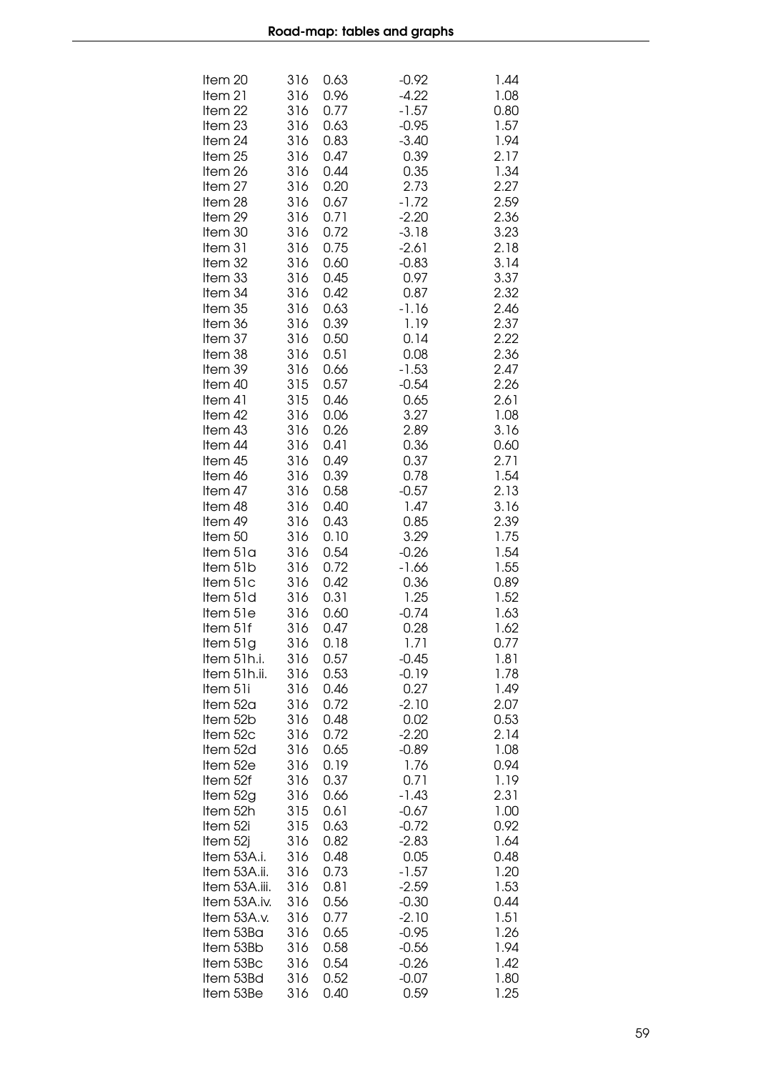| Item 20<br>Item 21<br>Item 22<br>Item 23 | 316<br>316<br>316<br>316 | 0.63<br>0.96<br>0.77<br>0.63 | $-0.92$<br>$-4.22$<br>$-1.57$<br>$-0.95$ | 1.44<br>1.08<br>0.80<br>1.57 |
|------------------------------------------|--------------------------|------------------------------|------------------------------------------|------------------------------|
| Item 24                                  | 316                      | 0.83                         | $-3.40$                                  | 1.94                         |
| Item 25                                  | 316                      | 0.47                         | 0.39<br>0.35                             | 2.17                         |
| Item 26<br>Item 27                       | 316<br>316               | 0.44<br>0.20                 | 2.73                                     | 1.34<br>2.27                 |
| Item 28                                  | 316                      | 0.67                         | $-1.72$                                  | 2.59                         |
| Item 29<br>Item 30                       | 316<br>316               | 0.71<br>0.72                 | $-2.20$<br>$-3.18$                       | 2.36<br>3.23                 |
| Item 31                                  | 316                      | 0.75                         | $-2.61$                                  | 2.18                         |
| Item 32                                  | 316                      | 0.60                         | $-0.83$                                  | 3.14                         |
| Item 33<br>Item 34                       | 316<br>316               | 0.45<br>0.42                 | 0.97<br>0.87                             | 3.37<br>2.32                 |
| Item 35                                  | 316                      | 0.63                         | $-1.16$                                  | 2.46                         |
| Item 36                                  | 316                      | 0.39                         | 1.19                                     | 2.37                         |
| Item 37<br>Item 38                       | 316<br>316               | 0.50<br>0.51                 | 0.14<br>0.08                             | 2.22<br>2.36                 |
| Item 39                                  | 316                      | 0.66                         | $-1.53$                                  | 2.47                         |
| Item 40                                  | 315                      | 0.57                         | $-0.54$                                  | 2.26                         |
| Item 41<br>Item 42                       | 315<br>316               | 0.46<br>0.06                 | 0.65<br>3.27                             | 2.61<br>1.08                 |
| Item 43                                  | 316                      | 0.26                         | 2.89                                     | 3.16                         |
| Item 44<br>Item 45                       | 316<br>316               | 0.41<br>0.49                 | 0.36<br>0.37                             | 0.60<br>2.71                 |
| Item 46                                  | 316                      | 0.39                         | 0.78                                     | 1.54                         |
| Item 47                                  | 316                      | 0.58                         | $-0.57$                                  | 2.13                         |
| Item 48<br>Item 49                       | 316<br>316               | 0.40<br>0.43                 | 1.47<br>0.85                             | 3.16<br>2.39                 |
| Item 50                                  | 316                      | 0.10                         | 3.29                                     | 1.75                         |
| Item 51a<br>ltem 51b                     | 316                      | 0.54<br>0.72                 | $-0.26$<br>-1.66                         | 1.54<br>1.55                 |
| ltem 51c                                 | 316<br>316               | 0.42                         | 0.36                                     | 0.89                         |
| Item 51d                                 | 316                      | 0.31                         | 1.25                                     | 1.52                         |
| Item 51e<br>Item 51f                     | 316<br>316               | 0.60<br>0.47                 | $-0.74$<br>0.28                          | 1.63<br>1.62                 |
| Item 51g                                 | 316                      | 0.18                         | 1.71                                     | 0.77                         |
| Item 51h.i.                              | 316                      | 0.57                         | $-0.45$                                  | 1.81                         |
| ltem 51h.ii.<br>Item 51i                 | 316<br>316               | 0.53<br>0.46                 | $-0.19$<br>0.27                          | 1.78<br>1.49                 |
| Item 52a                                 | 316                      | 0.72                         | $-2.10$                                  | 2.07                         |
| ltem 52b<br>Item 52c                     | 316<br>316               | 0.48<br>0.72                 | 0.02<br>$-2.20$                          | 0.53<br>2.14                 |
| ltem 52d                                 | 316                      | 0.65                         | $-0.89$                                  | 1.08                         |
| Item 52e                                 | 316                      | 0.19                         | 1.76                                     | 0.94                         |
| Item 52f<br>Item 52g                     | 316<br>316               | 0.37<br>0.66                 | 0.71<br>$-1.43$                          | 1.19<br>2.31                 |
| Item 52h                                 | 315                      | 0.61                         | $-0.67$                                  | 1.00                         |
| Item 52i                                 | 315<br>316               | 0.63                         | $-0.72$                                  | 0.92                         |
| Item 52j<br>ltem 53A.i.                  | 316                      | 0.82<br>0.48                 | $-2.83$<br>0.05                          | 1.64<br>0.48                 |
| Item 53A.ii.                             | 316                      | 0.73                         | $-1.57$                                  | 1.20                         |
| Item 53A.iii.<br>Item 53A.iv.            | 316<br>316               | 0.81<br>0.56                 | $-2.59$<br>$-0.30$                       | 1.53<br>0.44                 |
| Item 53A.v.                              | 316                      | 0.77                         | $-2.10$                                  | 1.51                         |
| Item 53Ba<br>Item 53Bb                   | 316<br>316               | 0.65                         | $-0.95$                                  | 1.26                         |
| Item 53Bc                                | 316                      | 0.58<br>0.54                 | $-0.56$<br>$-0.26$                       | 1.94<br>1.42                 |
| Item 53Bd                                | 316                      | 0.52                         | $-0.07$                                  | 1.80                         |
| Item 53Be                                | 316                      | 0.40                         | 0.59                                     | 1.25                         |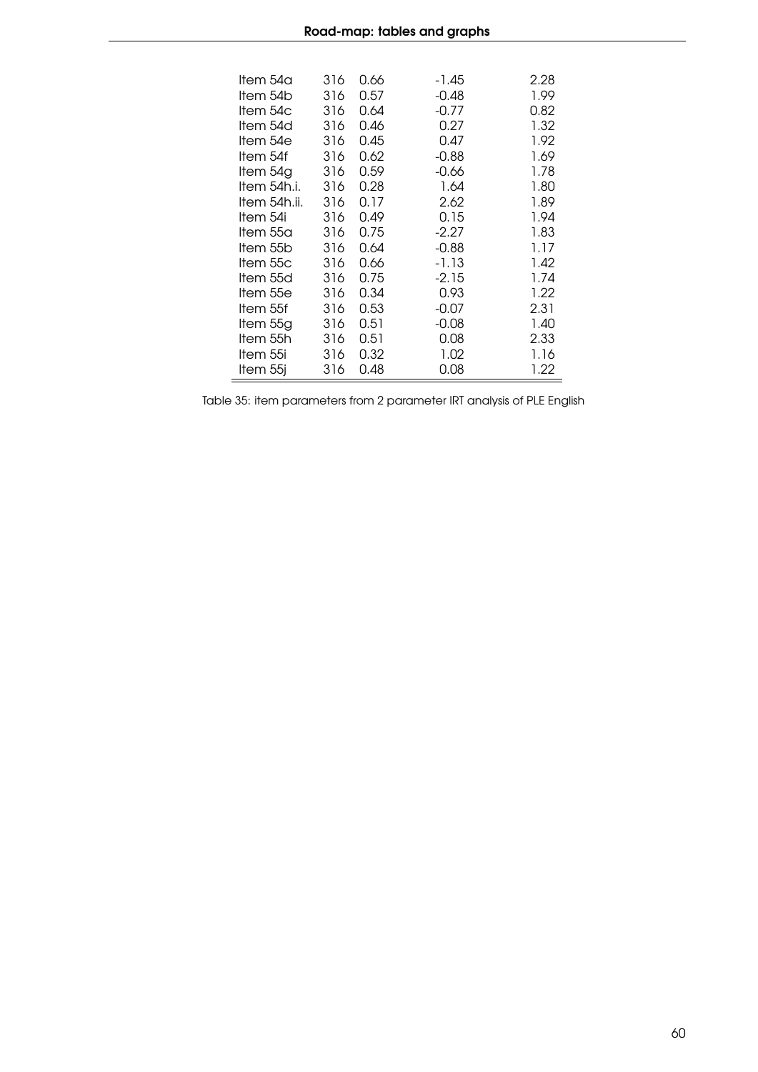| 0.66<br>ltem 54a<br>316<br>-1.45<br>ltem 54b<br>316<br>0.57<br>-0.48<br>ltem 54c<br>316<br>0.64<br>$-0.77$ | 2.28<br>1.99<br>0.82<br>1.32 |
|------------------------------------------------------------------------------------------------------------|------------------------------|
|                                                                                                            |                              |
|                                                                                                            |                              |
|                                                                                                            |                              |
| Item 54d<br>316<br>0.46<br>0.27                                                                            |                              |
| ltem 54e<br>0.45<br>316<br>0.47                                                                            | 1.92                         |
| Item 54f<br>0.62<br>316<br>$-0.88$                                                                         | 1.69                         |
| Item 54g<br>0.59<br>-0.66<br>316                                                                           | 1.78                         |
| Item 54h.i.<br>316<br>0.28<br>1.64                                                                         | 1.80                         |
| ltem 54h.ii.<br>2.62<br>316<br>0.17                                                                        | 1.89                         |
| 0.15<br>Item 54i<br>316<br>0.49                                                                            | 1.94                         |
| ltem 55a<br>0.75<br>$-2.27$<br>316                                                                         | 1.83                         |
| 0.64<br>$-0.88$<br>ltem 55b<br>316                                                                         | 1.17                         |
| Item 55c<br>0.66<br>$-1.13$<br>316                                                                         | 1.42                         |
| Item 55d<br>0.75<br>$-2.15$<br>316                                                                         | 1.74                         |
| Item 55e<br>0.34<br>0.93<br>316                                                                            | 1.22                         |
| 0.53<br>$-0.07$<br>ltem 55f<br>316                                                                         | 2.31                         |
| ltem 55g<br>0.51<br>316<br>-0.08                                                                           | 1.40                         |
| Item 55h<br>0.51<br>0.08<br>316                                                                            | 2.33                         |
| 0.32<br>1.02<br>ltem 55i<br>316                                                                            | 1.16                         |
| 0.48<br>0.08<br>ltem 55j<br>316                                                                            | 1.22                         |

Table 35: item parameters from 2 parameter IRT analysis of PLE English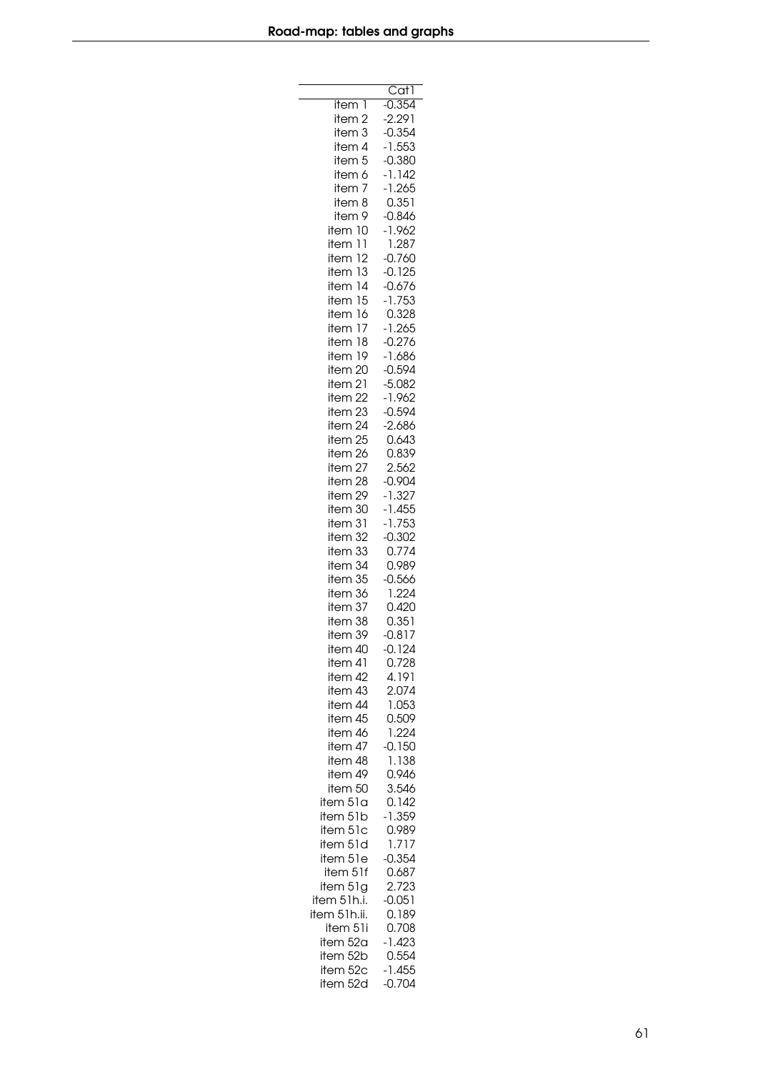|                       | CatT              |
|-----------------------|-------------------|
| item 1                | $-0.354$          |
| item 2                | -2.291            |
| item 3                | $-0.354$          |
| item 4                | $-1.553$          |
| item <sub>5</sub>     | $-0.380$          |
| item 6                | $-1.142$          |
| item<br>7             | $-1.265$          |
| 8<br>item             | 0.351             |
| item<br>9             | $-0.846$          |
| item<br>10            | $-1.962$          |
| 11<br>item            | 1.287             |
| 12<br>item            | $-0.760$          |
| 13<br>item            | $-0.125$          |
| item 14               | $-0.676$          |
| item 15               | $-1.753$          |
| 16<br>item            | 0.328             |
| 17<br>item            | $-1.265$          |
| item<br>18            | $-0.276$          |
| item 19               | $-1.686$          |
| 20<br>item            | $-0.594$          |
| item<br>21            | $-5.082$          |
| 22<br>item            | $-1.962$          |
| 23<br>item            | $-0.594$          |
| 24<br>item            | $-2.686$          |
| 25<br>item            | 0.643<br>0.839    |
| item 26               | 2.562             |
| item 27<br>item<br>28 | $-0.904$          |
| 29<br>item            | $-1.327$          |
| 30<br>item            | $-1.455$          |
| item 31               | $-1.753$          |
| item 32               | $-0.302$          |
| 33<br>item            | 0.774             |
| 34<br>item            | 0.989             |
| 35<br>item            | $-0.566$          |
| 36<br>item            | 1.224             |
| item 37               | 0.420             |
| item 38               | 0.351             |
| item 39               | $-0.817$          |
| item 40               | $-0.124$          |
| item 41               | 0.728             |
| item 42               | 4.191             |
| item 43               | 2.074             |
| item 44               | 1.053             |
| item 45               | 0.509             |
| item 46               | 1.224             |
| item 47               | 0.150             |
| item 48               | 1.138             |
| item 49               | 0.946             |
| item 50               | 3.546             |
| item 51a              | 0.142             |
| item 51b              | $-1.359$          |
| item 51c              | 0.989             |
| item 51d              | 1.717             |
| item 51e              | $-0.354$          |
| item 51f              | 0.687             |
| item 51g              | 2.723             |
| item 51h.i.           | $-0.051$          |
| item 51h.ii.          | 0.189             |
| item 51i              | 0.708             |
| item 52a              | $-1.423$<br>0.554 |
| item 52b<br>item 52c  | $-1.455$          |
| item 52d              | $-0.704$          |
|                       |                   |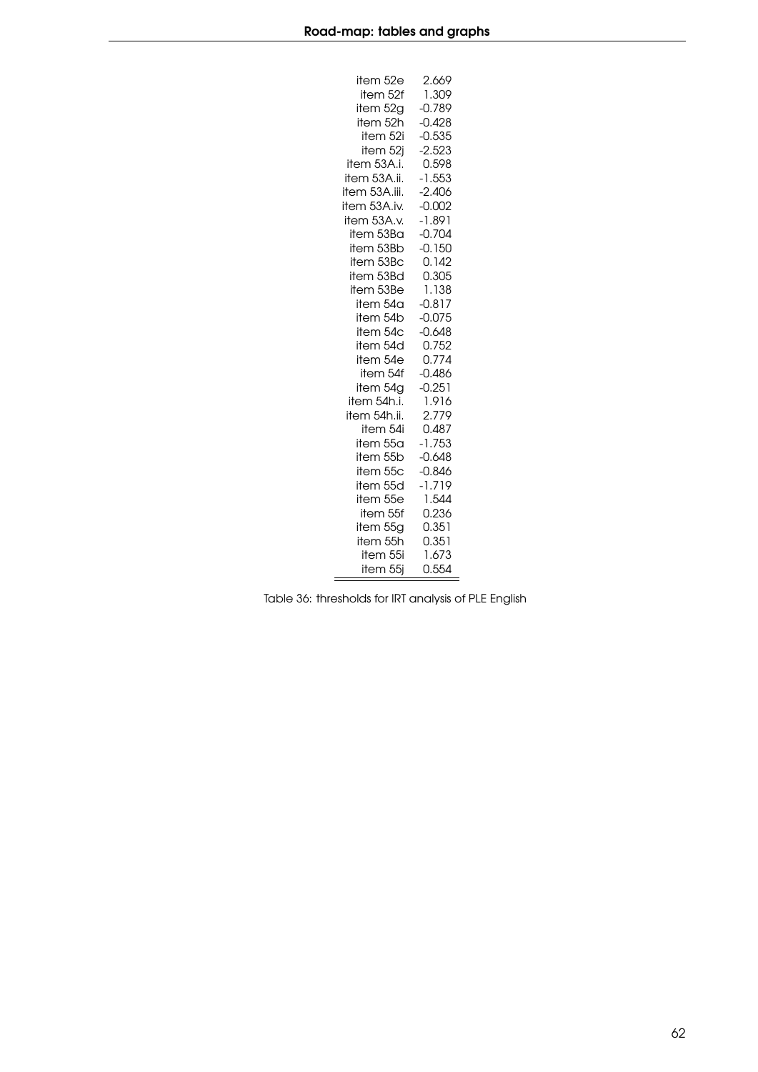| item 52e      | 2.669    |
|---------------|----------|
| item 52f      | 1.309    |
| item 52g      | $-0.789$ |
| item 52h      | $-0.428$ |
| item 52i      | $-0.535$ |
| item 52j      | $-2.523$ |
| item 53A.i.   | 0.598    |
| item 53A.ii.  | $-1.553$ |
| item 53A.iii. | $-2.406$ |
| item 53A.iv.  | -0.002   |
| item 53A.v.   | $-1.891$ |
| item 53Ba     | $-0.704$ |
| item 53Bb     | $-0.150$ |
| item 53Bc     | 0.142    |
| item 53Bd     | 0.305    |
| item 53Be     | 1.138    |
| item 54a      | $-0.817$ |
| item 54b      | $-0.075$ |
| item 54c      | $-0.648$ |
| item 54d      | 0.752    |
| item 54e      | 0.774    |
| item 54f      | $-0.486$ |
| item 54g      | $-0.251$ |
| item 54h.i.   | 1.916    |
| item 54h.ii.  | 2.779    |
| item 54i      | 0.487    |
| item 55a      | $-1.753$ |
| item 55b      | $-0.648$ |
| item 55c      | $-0.846$ |
| item 55d      | $-1.719$ |
| item 55e      | 1.544    |
| item 55f      | 0.236    |
| item 55g      | 0.351    |
| item 55h      | 0.351    |
| item 55i      | 1.673    |
| item 55j      | 0.554    |

Table 36: thresholds for IRT analysis of PLE English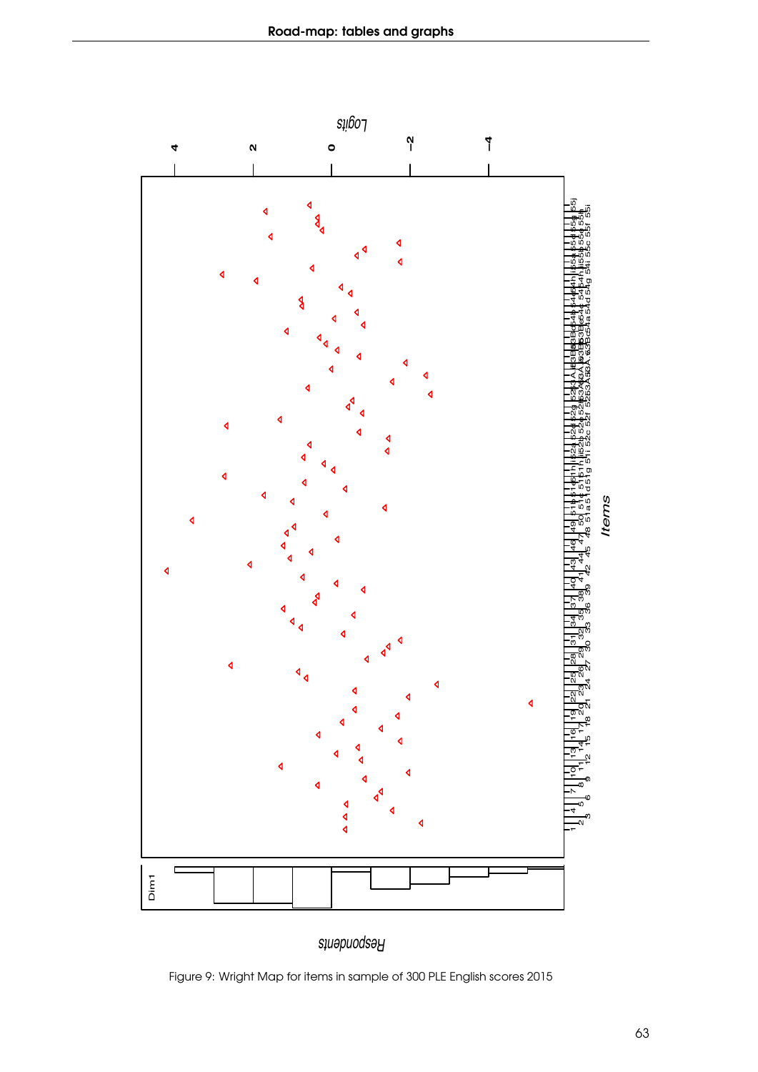

Figure 9: Wright Map for items in sample of 300 PLE English scores 2015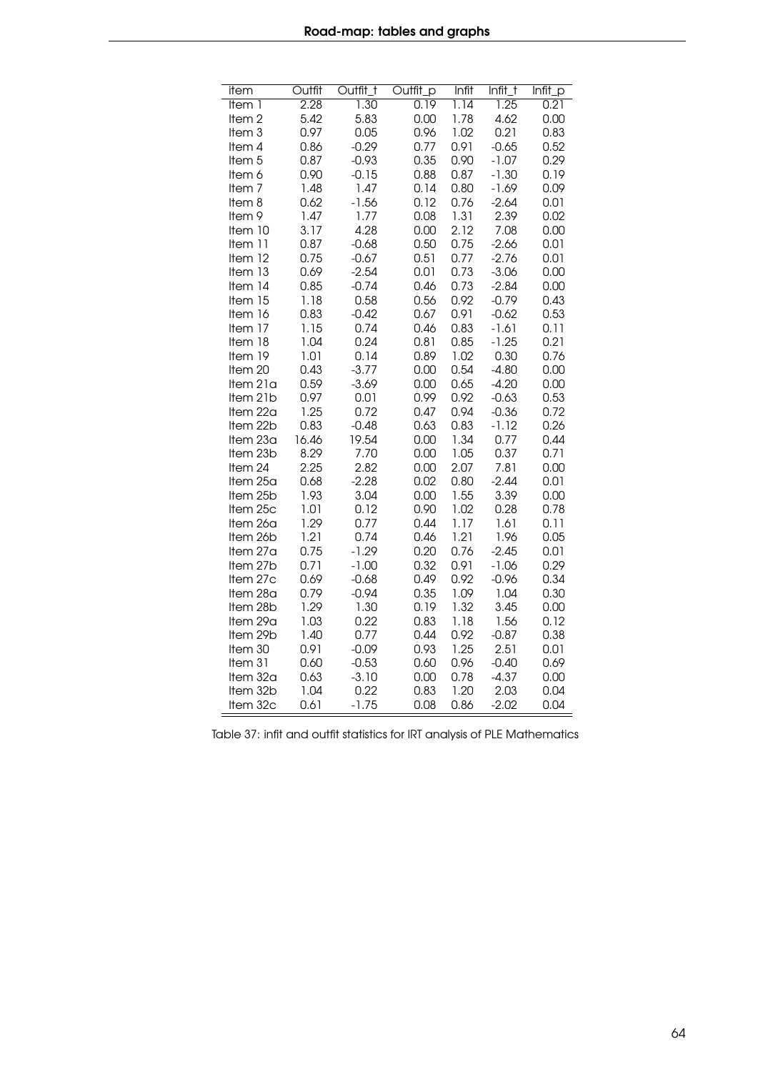| item              | Outfit | Outfit_t | Outfit_p | Infit | Infit_t | Infit_p |
|-------------------|--------|----------|----------|-------|---------|---------|
| Item 1            | 2.28   | 1.30     | 0.19     | 1.14  | 1.25    | 0.21    |
| Item <sub>2</sub> | 5.42   | 5.83     | 0.00     | 1.78  | 4.62    | 0.00    |
| Item 3            | 0.97   | 0.05     | 0.96     | 1.02  | 0.21    | 0.83    |
| ltem 4            | 0.86   | $-0.29$  | 0.77     | 0.91  | $-0.65$ | 0.52    |
| Item 5            | 0.87   | $-0.93$  | 0.35     | 0.90  | $-1.07$ | 0.29    |
| Item 6            | 0.90   | $-0.15$  | 0.88     | 0.87  | $-1.30$ | 0.19    |
| Item <sub>7</sub> | 1.48   | 1.47     | 0.14     | 0.80  | $-1.69$ | 0.09    |
| ltem 8            | 0.62   | $-1.56$  | 0.12     | 0.76  | $-2.64$ | 0.01    |
| Item 9            | 1.47   | 1.77     | 0.08     | 1.31  | 2.39    | 0.02    |
| Item 10           | 3.17   | 4.28     | 0.00     | 2.12  | 7.08    | 0.00    |
| Item 11           | 0.87   | $-0.68$  | 0.50     | 0.75  | $-2.66$ | 0.01    |
| Item 12           | 0.75   | $-0.67$  | 0.51     | 0.77  | $-2.76$ | 0.01    |
| Item 13           | 0.69   | $-2.54$  | 0.01     | 0.73  | $-3.06$ | 0.00    |
| Item 14           | 0.85   | $-0.74$  | 0.46     | 0.73  | $-2.84$ | 0.00    |
| Item 15           | 1.18   | 0.58     | 0.56     | 0.92  | $-0.79$ | 0.43    |
| Item 16           | 0.83   | $-0.42$  | 0.67     | 0.91  | $-0.62$ | 0.53    |
| Item 17           | 1.15   | 0.74     | 0.46     | 0.83  | $-1.61$ | 0.11    |
| Item 18           | 1.04   | 0.24     | 0.81     | 0.85  | $-1.25$ | 0.21    |
| Item 19           | 1.01   | 0.14     | 0.89     | 1.02  | 0.30    | 0.76    |
| Item 20           | 0.43   | $-3.77$  | 0.00     | 0.54  | $-4.80$ | 0.00    |
| Item 21a          | 0.59   | $-3.69$  | 0.00     | 0.65  | $-4.20$ | 0.00    |
| Item 21b          | 0.97   | 0.01     | 0.99     | 0.92  | $-0.63$ | 0.53    |
| Item 22a          | 1.25   | 0.72     | 0.47     | 0.94  | $-0.36$ | 0.72    |
| Item 22b          | 0.83   | $-0.48$  | 0.63     | 0.83  | $-1.12$ | 0.26    |
| Item 23a          | 16.46  | 19.54    | 0.00     | 1.34  | 0.77    | 0.44    |
| Item 23b          | 8.29   | 7.70     | 0.00     | 1.05  | 0.37    | 0.71    |
| Item 24           | 2.25   | 2.82     | 0.00     | 2.07  | 7.81    | 0.00    |
| Item 25a          | 0.68   | $-2.28$  | 0.02     | 0.80  | $-2.44$ | 0.01    |
| Item 25b          | 1.93   | 3.04     | 0.00     | 1.55  | 3.39    | 0.00    |
| Item 25c          | 1.01   | 0.12     | 0.90     | 1.02  | 0.28    | 0.78    |
| Item 26a          | 1.29   | 0.77     | 0.44     | 1.17  | 1.61    | 0.11    |
| Item 26b          | 1.21   | 0.74     | 0.46     | 1.21  | 1.96    | 0.05    |
| Item 27a          | 0.75   | $-1.29$  | 0.20     | 0.76  | $-2.45$ | 0.01    |
| Item 27b          | 0.71   | $-1.00$  | 0.32     | 0.91  | $-1.06$ | 0.29    |
| Item 27c          | 0.69   | $-0.68$  | 0.49     | 0.92  | $-0.96$ | 0.34    |
| Item 28a          | 0.79   | $-0.94$  | 0.35     | 1.09  | 1.04    | 0.30    |
| Item 28b          | 1.29   | 1.30     | 0.19     | 1.32  | 3.45    | 0.00    |
| Item 29a          | 1.03   | 0.22     | 0.83     | 1.18  | 1.56    | 0.12    |
| Item 29b          | 1.40   | 0.77     | 0.44     | 0.92  | $-0.87$ | 0.38    |
| Item 30           | 0.91   | $-0.09$  | 0.93     | 1.25  | 2.51    | 0.01    |
| Item 31           | 0.60   | $-0.53$  | 0.60     | 0.96  | $-0.40$ | 0.69    |
| Item 32a          | 0.63   | $-3.10$  | 0.00     | 0.78  | $-4.37$ | 0.00    |
| Item 32b          | 1.04   | 0.22     | 0.83     | 1.20  | 2.03    | 0.04    |
| Item 32c          | 0.61   | $-1.75$  | 0.08     | 0.86  | $-2.02$ | 0.04    |

Table 37: infit and outfit statistics for IRT analysis of PLE Mathematics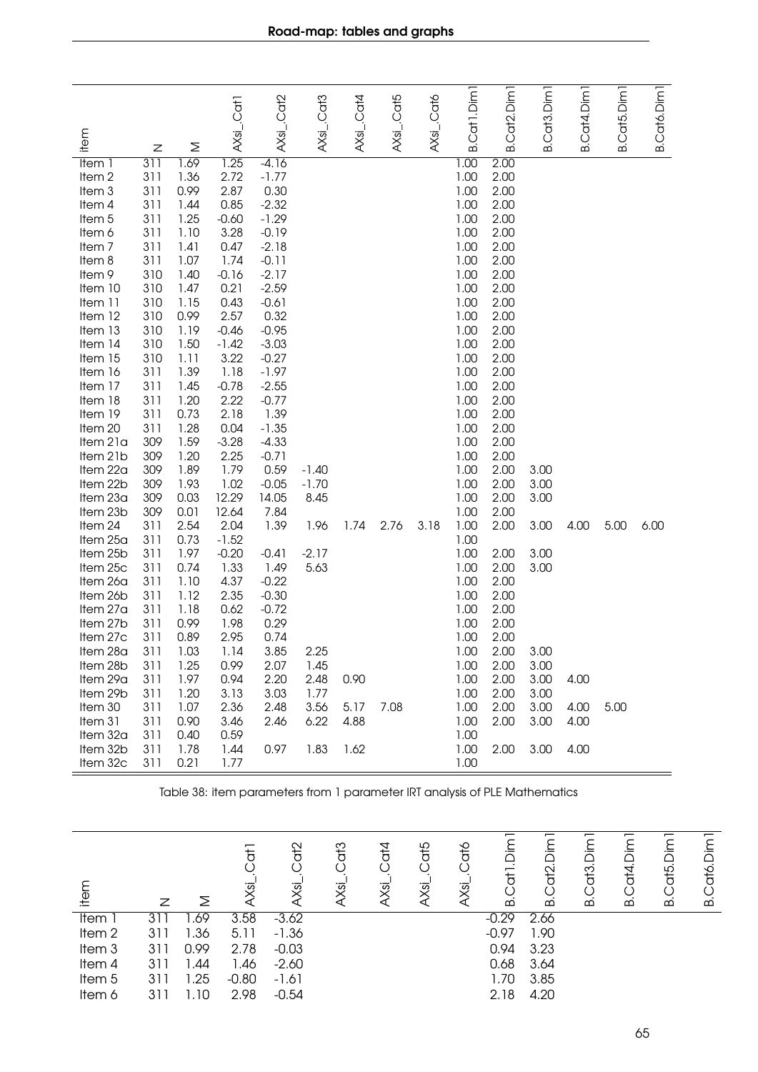| item                        |            |              | AXsL.Cat1       | AXsi_.Cat2         | AXsi_.Cat3      | $AXs$ j . Cat4 | AXsi_.Cat5 | AXsi_.Cat6 | Cat1.Dim1    | Cat <sub>2</sub> .Dim <sub>1</sub> | Cat <sub>3</sub> .Dim <sub>1</sub> | Cat4.Dim <sub>1</sub> | Cat5.Dim <sub>1</sub> | B.Cat6.Dim1 |
|-----------------------------|------------|--------------|-----------------|--------------------|-----------------|----------------|------------|------------|--------------|------------------------------------|------------------------------------|-----------------------|-----------------------|-------------|
|                             | Ζ          | Σ            |                 |                    |                 |                |            |            | ക            | ക്                                 | ഥ                                  | ക്                    | ക്                    |             |
| Item 1                      | 311        | 1.69         | 1.25            | $-4.16$            |                 |                |            |            | 1.00         | 2.00                               |                                    |                       |                       |             |
| Item <sub>2</sub><br>Item 3 | 311<br>311 | 1.36<br>0.99 | 2.72<br>2.87    | $-1.77$<br>0.30    |                 |                |            |            | 1.00<br>1.00 | 2.00<br>2.00                       |                                    |                       |                       |             |
| Item 4                      | 311        | 1.44         | 0.85            | $-2.32$            |                 |                |            |            | 1.00         | 2.00                               |                                    |                       |                       |             |
| Item 5                      | 311        | 1.25         | $-0.60$         | $-1.29$            |                 |                |            |            | 1.00         | 2.00                               |                                    |                       |                       |             |
| Item 6                      | 311        | 1.10         | 3.28            | $-0.19$            |                 |                |            |            | 1.00         | 2.00                               |                                    |                       |                       |             |
| Item <sub>7</sub>           | 311        | 1.41         | 0.47            | $-2.18$            |                 |                |            |            | 1.00         | 2.00                               |                                    |                       |                       |             |
| Item 8                      | 311        | 1.07         | 1.74            | $-0.11$            |                 |                |            |            | 1.00         | 2.00                               |                                    |                       |                       |             |
| Item 9                      | 310        | 1.40         | $-0.16$         | $-2.17$            |                 |                |            |            | 1.00         | 2.00                               |                                    |                       |                       |             |
| Item 10                     | 310        | 1.47         | 0.21            | $-2.59$            |                 |                |            |            | 1.00         | 2.00                               |                                    |                       |                       |             |
| Item 11                     | 310        | 1.15         | 0.43            | $-0.61$            |                 |                |            |            | 1.00         | 2.00                               |                                    |                       |                       |             |
| Item 12                     | 310        | 0.99         | 2.57            | 0.32               |                 |                |            |            | 1.00         | 2.00                               |                                    |                       |                       |             |
| Item 13                     | 310        | 1.19         | $-0.46$         | $-0.95$            |                 |                |            |            | 1.00         | 2.00                               |                                    |                       |                       |             |
| Item 14<br>Item 15          | 310<br>310 | 1.50<br>1.11 | $-1.42$<br>3.22 | $-3.03$<br>$-0.27$ |                 |                |            |            | 1.00<br>1.00 | 2.00<br>2.00                       |                                    |                       |                       |             |
| Item 16                     | 311        | 1.39         | 1.18            | $-1.97$            |                 |                |            |            | 1.00         | 2.00                               |                                    |                       |                       |             |
| Item 17                     | 311        | 1.45         | $-0.78$         | $-2.55$            |                 |                |            |            | 1.00         | 2.00                               |                                    |                       |                       |             |
| Item 18                     | 311        | 1.20         | 2.22            | $-0.77$            |                 |                |            |            | 1.00         | 2.00                               |                                    |                       |                       |             |
| Item 19                     | 311        | 0.73         | 2.18            | 1.39               |                 |                |            |            | 1.00         | 2.00                               |                                    |                       |                       |             |
| Item 20                     | 311        | 1.28         | 0.04            | $-1.35$            |                 |                |            |            | 1.00         | 2.00                               |                                    |                       |                       |             |
| Item 21a                    | 309        | 1.59         | $-3.28$         | $-4.33$            |                 |                |            |            | 1.00         | 2.00                               |                                    |                       |                       |             |
| Item 21b                    | 309        | 1.20         | 2.25            | $-0.71$            |                 |                |            |            | 1.00         | 2.00                               |                                    |                       |                       |             |
| Item 22a                    | 309        | 1.89         | 1.79            | 0.59               | $-1.40$         |                |            |            | 1.00         | 2.00                               | 3.00                               |                       |                       |             |
| Item 22b<br>Item 23a        | 309<br>309 | 1.93<br>0.03 | 1.02<br>12.29   | $-0.05$<br>14.05   | $-1.70$<br>8.45 |                |            |            | 1.00<br>1.00 | 2.00<br>2.00                       | 3.00<br>3.00                       |                       |                       |             |
| Item 23b                    | 309        | 0.01         | 12.64           | 7.84               |                 |                |            |            | 1.00         | 2.00                               |                                    |                       |                       |             |
| Item 24                     | 311        | 2.54         | 2.04            | 1.39               | 1.96            | 1.74           | 2.76       | 3.18       | 1.00         | 2.00                               | 3.00                               | 4.00                  | 5.00                  | 6.00        |
| Item 25a                    | 311        | 0.73         | $-1.52$         |                    |                 |                |            |            | 1.00         |                                    |                                    |                       |                       |             |
| Item 25b                    | 311        | 1.97         | $-0.20$         | $-0.41$            | $-2.17$         |                |            |            | 1.00         | 2.00                               | 3.00                               |                       |                       |             |
| Item 25c                    | 311        | 0.74         | 1.33            | 1.49               | 5.63            |                |            |            | 1.00         | 2.00                               | 3.00                               |                       |                       |             |
| Item 26a                    | 311        | 1.10         | 4.37            | $-0.22$            |                 |                |            |            | 1.00         | 2.00                               |                                    |                       |                       |             |
| Item 26b                    | 311        | 1.12         | 2.35            | $-0.30$            |                 |                |            |            | 1.00         | 2.00                               |                                    |                       |                       |             |
| Item 27a                    | 311        | 1.18         | 0.62            | $-0.72$            |                 |                |            |            | 1.00         | 2.00                               |                                    |                       |                       |             |
| Item 27b                    | 311        | 0.99         | 1.98            | 0.29               |                 |                |            |            | 1.00         | 2.00                               |                                    |                       |                       |             |
| Item 27c<br>Item 28a        | 311<br>311 | 0.89<br>1.03 | 2.95<br>1.14    | 0.74<br>3.85       | 2.25            |                |            |            | 1.00<br>1.00 | 2.00<br>2.00                       | 3.00                               |                       |                       |             |
| Item 28b                    | 311        | 1.25         | 0.99            | 2.07               | 1.45            |                |            |            | 1.00         | 2.00                               | 3.00                               |                       |                       |             |
| Item 29a                    | 311        | 1.97         | 0.94            | 2.20               | 2.48            | 0.90           |            |            | 1.00         | 2.00                               | 3.00                               | 4.00                  |                       |             |
| Item 29b                    | 311        | 1.20         | 3.13            | 3.03               | 1.77            |                |            |            | 1.00         | 2.00                               | 3.00                               |                       |                       |             |
| Item 30                     | 311        | 1.07         | 2.36            | 2.48               | 3.56            | 5.17           | 7.08       |            | 1.00         | 2.00                               | 3.00                               | 4.00                  | 5.00                  |             |
| Item 31                     | 311        | 0.90         | 3.46            | 2.46               | 6.22            | 4.88           |            |            | 1.00         | 2.00                               | 3.00                               | 4.00                  |                       |             |
| Item 32a                    | 311        | 0.40         | 0.59            |                    |                 |                |            |            | 1.00         |                                    |                                    |                       |                       |             |
| Item 32b                    | 311        | 1.78         | 1.44            | 0.97               | 1.83            | 1.62           |            |            | 1.00         | 2.00                               | 3.00                               | 4.00                  |                       |             |
| Item 32c                    | 311        | 0.21         | 1.77            |                    |                 |                |            |            | 1.00         |                                    |                                    |                       |                       |             |

Table 38: item parameters from 1 parameter IRT analysis of PLE Mathematics

| ₽                 | Ζ   | Σ    | $\overline{t}$<br>Xsi | a<br>To<br>ত | G <sub>13</sub><br>ভ | d<br>14<br>ভূ | at5<br>$\overline{\mathcal{S}}$ | dto<br>ত | mic<br>Dim<br>$\overline{a}$<br>ഥ | £<br>$\Omega$ | $\frac{1}{2}$<br>$\overline{m}$ | $\overline{\phantom{0}}$<br>Dim<br>Cat4.<br>ക് | dt5<br>മ | Dim<br>Cató.<br>മ |
|-------------------|-----|------|-----------------------|--------------|----------------------|---------------|---------------------------------|----------|-----------------------------------|---------------|---------------------------------|------------------------------------------------|----------|-------------------|
| <b>Item</b>       |     | .69  | 3.58                  | $-3.62$      |                      |               |                                 |          | $-0.29$                           | 2.66          |                                 |                                                |          |                   |
| Item <sub>2</sub> | 311 | .36  | 5.11                  | $-1.36$      |                      |               |                                 |          | $-0.97$                           | 1.90          |                                 |                                                |          |                   |
| Item <sub>3</sub> | 311 | 0.99 | 2.78                  | $-0.03$      |                      |               |                                 |          | 0.94                              | 3.23          |                                 |                                                |          |                   |
| Item 4            | 311 | .44  | 1.46                  | $-2.60$      |                      |               |                                 |          | 0.68                              | 3.64          |                                 |                                                |          |                   |
| Item <sub>5</sub> | 311 | 1.25 | $-0.80$               | $-1.61$      |                      |               |                                 |          | 1.70                              | 3.85          |                                 |                                                |          |                   |
| Item 6            | 311 | .10  | 2.98                  | $-0.54$      |                      |               |                                 |          | 2.18                              | 4.20          |                                 |                                                |          |                   |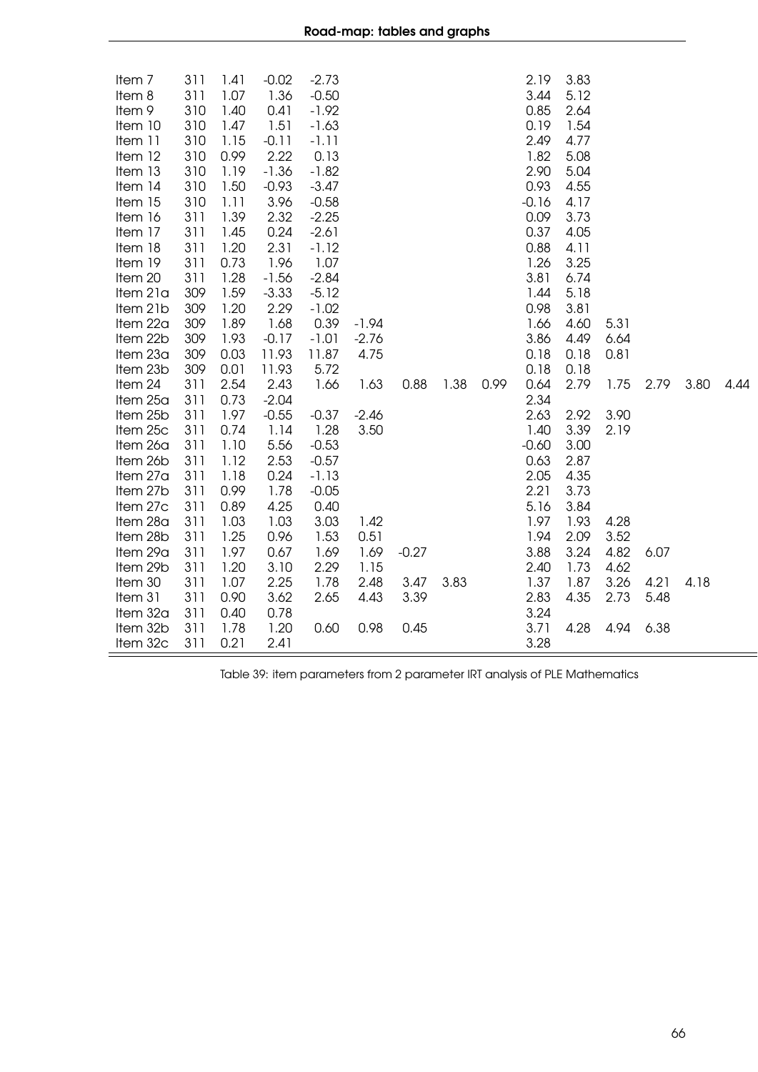| Item <sub>7</sub><br>Item 8<br>Item 9<br>Item 10<br>Item 11<br>Item 12<br>Item 13<br>Item 14<br>Item 15<br>Item 16<br>Item 17<br>Item 18<br>Item 19<br>Item 20<br>Item 21a<br>Item 21b<br>Item 22a<br>Item 22b<br>Item 23a | 311<br>311<br>310<br>310<br>310<br>310<br>310<br>310<br>310<br>311<br>311<br>311<br>311<br>311<br>309<br>309<br>309<br>309<br>309 | 1.41<br>1.07<br>1.40<br>1.47<br>1.15<br>0.99<br>1.19<br>1.50<br>1.11<br>1.39<br>1.45<br>1.20<br>0.73<br>1.28<br>1.59<br>1.20<br>1.89<br>1.93<br>0.03 | $-0.02$<br>1.36<br>0.41<br>1.51<br>$-0.11$<br>2.22<br>$-1.36$<br>$-0.93$<br>3.96<br>2.32<br>0.24<br>2.31<br>1.96<br>$-1.56$<br>$-3.33$<br>2.29<br>1.68<br>$-0.17$<br>11.93 | $-2.73$<br>$-0.50$<br>$-1.92$<br>$-1.63$<br>$-1.11$<br>0.13<br>$-1.82$<br>$-3.47$<br>$-0.58$<br>$-2.25$<br>$-2.61$<br>$-1.12$<br>1.07<br>$-2.84$<br>$-5.12$<br>$-1.02$<br>0.39<br>$-1.01$<br>11.87 | $-1.94$<br>$-2.76$<br>4.75 |         |      |      | 2.19<br>3.44<br>0.85<br>0.19<br>2.49<br>1.82<br>2.90<br>0.93<br>$-0.16$<br>0.09<br>0.37<br>0.88<br>1.26<br>3.81<br>1.44<br>0.98<br>1.66<br>3.86<br>0.18 | 3.83<br>5.12<br>2.64<br>1.54<br>4.77<br>5.08<br>5.04<br>4.55<br>4.17<br>3.73<br>4.05<br>4.11<br>3.25<br>6.74<br>5.18<br>3.81<br>4.60<br>4.49<br>0.18 | 5.31<br>6.64<br>0.81 |      |      |      |
|----------------------------------------------------------------------------------------------------------------------------------------------------------------------------------------------------------------------------|-----------------------------------------------------------------------------------------------------------------------------------|------------------------------------------------------------------------------------------------------------------------------------------------------|----------------------------------------------------------------------------------------------------------------------------------------------------------------------------|----------------------------------------------------------------------------------------------------------------------------------------------------------------------------------------------------|----------------------------|---------|------|------|---------------------------------------------------------------------------------------------------------------------------------------------------------|------------------------------------------------------------------------------------------------------------------------------------------------------|----------------------|------|------|------|
| Item 23b<br>Item 24                                                                                                                                                                                                        | 309<br>311                                                                                                                        | 0.01<br>2.54                                                                                                                                         | 11.93<br>2.43                                                                                                                                                              | 5.72<br>1.66                                                                                                                                                                                       | 1.63                       | 0.88    | 1.38 | 0.99 | 0.18<br>0.64                                                                                                                                            | 0.18<br>2.79                                                                                                                                         | 1.75                 | 2.79 | 3.80 | 4.44 |
| Item 25a                                                                                                                                                                                                                   | 311                                                                                                                               | 0.73                                                                                                                                                 | $-2.04$                                                                                                                                                                    |                                                                                                                                                                                                    |                            |         |      |      | 2.34                                                                                                                                                    |                                                                                                                                                      |                      |      |      |      |
| Item 25b                                                                                                                                                                                                                   | 311                                                                                                                               | 1.97                                                                                                                                                 | $-0.55$                                                                                                                                                                    | $-0.37$                                                                                                                                                                                            | $-2.46$                    |         |      |      | 2.63                                                                                                                                                    | 2.92                                                                                                                                                 | 3.90                 |      |      |      |
| Item 25c                                                                                                                                                                                                                   | 311                                                                                                                               | 0.74                                                                                                                                                 | 1.14                                                                                                                                                                       | 1.28                                                                                                                                                                                               | 3.50                       |         |      |      | 1.40                                                                                                                                                    | 3.39                                                                                                                                                 | 2.19                 |      |      |      |
| Item 26a                                                                                                                                                                                                                   | 311                                                                                                                               | 1.10                                                                                                                                                 | 5.56                                                                                                                                                                       | $-0.53$                                                                                                                                                                                            |                            |         |      |      | $-0.60$                                                                                                                                                 | 3.00                                                                                                                                                 |                      |      |      |      |
| Item 26b                                                                                                                                                                                                                   | 311                                                                                                                               | 1.12                                                                                                                                                 | 2.53                                                                                                                                                                       | $-0.57$                                                                                                                                                                                            |                            |         |      |      | 0.63                                                                                                                                                    | 2.87                                                                                                                                                 |                      |      |      |      |
| Item 27a                                                                                                                                                                                                                   | 311                                                                                                                               | 1.18                                                                                                                                                 | 0.24                                                                                                                                                                       | $-1.13$                                                                                                                                                                                            |                            |         |      |      | 2.05                                                                                                                                                    | 4.35                                                                                                                                                 |                      |      |      |      |
| Item 27b<br>Item 27c                                                                                                                                                                                                       | 311<br>311                                                                                                                        | 0.99<br>0.89                                                                                                                                         | 1.78<br>4.25                                                                                                                                                               | $-0.05$<br>0.40                                                                                                                                                                                    |                            |         |      |      | 2.21<br>5.16                                                                                                                                            | 3.73<br>3.84                                                                                                                                         |                      |      |      |      |
| Item 28a                                                                                                                                                                                                                   | 311                                                                                                                               | 1.03                                                                                                                                                 | 1.03                                                                                                                                                                       | 3.03                                                                                                                                                                                               | 1.42                       |         |      |      | 1.97                                                                                                                                                    | 1.93                                                                                                                                                 | 4.28                 |      |      |      |
| Item 28b                                                                                                                                                                                                                   | 311                                                                                                                               | 1.25                                                                                                                                                 | 0.96                                                                                                                                                                       | 1.53                                                                                                                                                                                               | 0.51                       |         |      |      | 1.94                                                                                                                                                    | 2.09                                                                                                                                                 | 3.52                 |      |      |      |
| Item 29a                                                                                                                                                                                                                   | 311                                                                                                                               | 1.97                                                                                                                                                 | 0.67                                                                                                                                                                       | 1.69                                                                                                                                                                                               | 1.69                       | $-0.27$ |      |      | 3.88                                                                                                                                                    | 3.24                                                                                                                                                 | 4.82                 | 6.07 |      |      |
| Item 29b                                                                                                                                                                                                                   | 311                                                                                                                               | 1.20                                                                                                                                                 | 3.10                                                                                                                                                                       | 2.29                                                                                                                                                                                               | 1.15                       |         |      |      | 2.40                                                                                                                                                    | 1.73                                                                                                                                                 | 4.62                 |      |      |      |
| Item 30                                                                                                                                                                                                                    | 311                                                                                                                               | 1.07                                                                                                                                                 | 2.25                                                                                                                                                                       | 1.78                                                                                                                                                                                               | 2.48                       | 3.47    | 3.83 |      | 1.37                                                                                                                                                    | 1.87                                                                                                                                                 | 3.26                 | 4.21 | 4.18 |      |
| Item 31                                                                                                                                                                                                                    | 311                                                                                                                               | 0.90                                                                                                                                                 | 3.62                                                                                                                                                                       | 2.65                                                                                                                                                                                               | 4.43                       | 3.39    |      |      | 2.83                                                                                                                                                    | 4.35                                                                                                                                                 | 2.73                 | 5.48 |      |      |
| Item 32a                                                                                                                                                                                                                   | 311                                                                                                                               | 0.40                                                                                                                                                 | 0.78                                                                                                                                                                       |                                                                                                                                                                                                    |                            |         |      |      | 3.24                                                                                                                                                    |                                                                                                                                                      |                      |      |      |      |
| Item 32b                                                                                                                                                                                                                   | 311                                                                                                                               | 1.78                                                                                                                                                 | 1.20                                                                                                                                                                       | 0.60                                                                                                                                                                                               | 0.98                       | 0.45    |      |      | 3.71                                                                                                                                                    | 4.28                                                                                                                                                 | 4.94                 | 6.38 |      |      |
| Item 32c                                                                                                                                                                                                                   | 311                                                                                                                               | 0.21                                                                                                                                                 | 2.41                                                                                                                                                                       |                                                                                                                                                                                                    |                            |         |      |      | 3.28                                                                                                                                                    |                                                                                                                                                      |                      |      |      |      |

Table 39: item parameters from 2 parameter IRT analysis of PLE Mathematics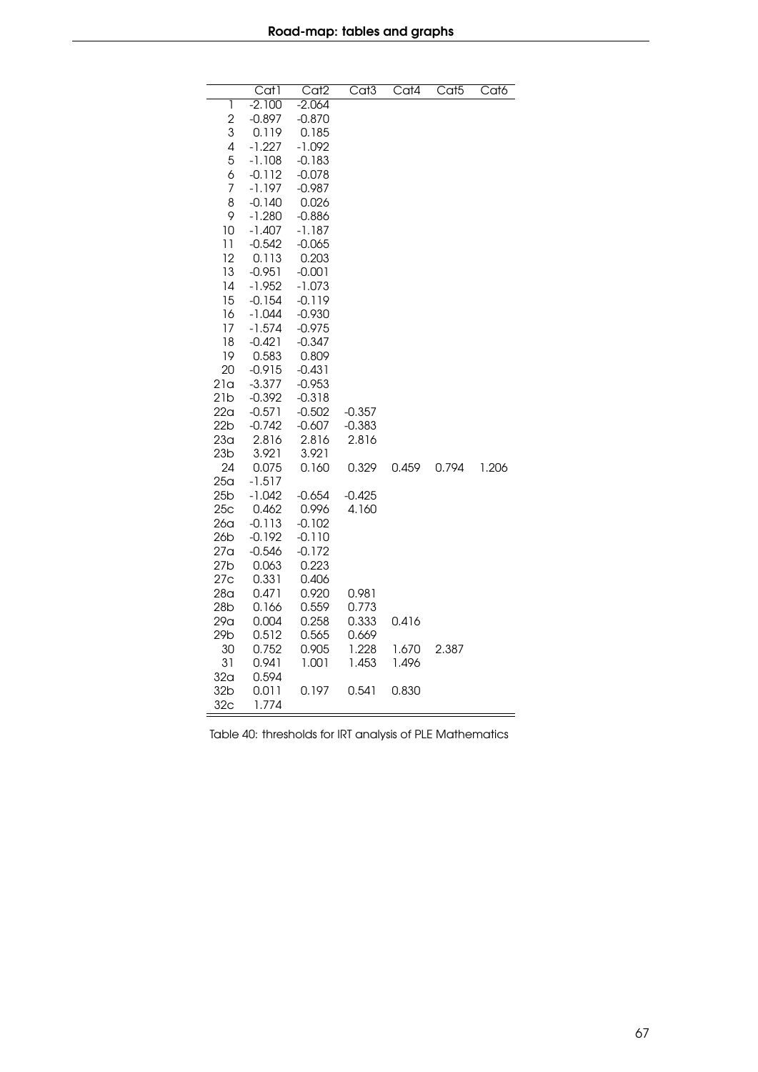|                          | Cat1              | Cat <sub>2</sub>  | $\overline{\text{Cat3}}$ | Cat4  | Cat <sub>5</sub> | Cat6  |
|--------------------------|-------------------|-------------------|--------------------------|-------|------------------|-------|
| ī                        | $-2.100$          | $-2.064$          |                          |       |                  |       |
| $\overline{2}$           | $-0.897$          | $-0.870$          |                          |       |                  |       |
| 3                        | 0.119             | 0.185             |                          |       |                  |       |
| $\overline{\mathcal{L}}$ | $-1.227$          | $-1.092$          |                          |       |                  |       |
| 5                        | $-1.108$          | $-0.183$          |                          |       |                  |       |
| 6                        | $-0.112$          | $-0.078$          |                          |       |                  |       |
| $\overline{7}$           | $-1.197$          | $-0.987$          |                          |       |                  |       |
| 8                        | $-0.140$          | 0.026             |                          |       |                  |       |
| 9                        | $-1.280$          | $-0.886$          |                          |       |                  |       |
| 10                       | $-1.407$          | $-1.187$          |                          |       |                  |       |
| 11                       | $-0.542$          | $-0.065$          |                          |       |                  |       |
| 12<br>13                 | 0.113<br>$-0.951$ | 0.203<br>$-0.001$ |                          |       |                  |       |
| 14                       | $-1.952$          | $-1.073$          |                          |       |                  |       |
| 15                       | $-0.154$          | $-0.119$          |                          |       |                  |       |
| 16                       | $-1.044$          | $-0.930$          |                          |       |                  |       |
| 17                       | $-1.574$          | $-0.975$          |                          |       |                  |       |
| 18                       | $-0.421$          | $-0.347$          |                          |       |                  |       |
| 19                       | 0.583             | 0.809             |                          |       |                  |       |
| 20                       | $-0.915$          | $-0.431$          |                          |       |                  |       |
| 21a                      | $-3.377$          | $-0.953$          |                          |       |                  |       |
| 21b                      | $-0.392$          | $-0.318$          |                          |       |                  |       |
| 22a                      | $-0.571$          | $-0.502$          | $-0.357$                 |       |                  |       |
| 22b                      | $-0.742$          | $-0.607$          | $-0.383$                 |       |                  |       |
| 23 <sub>a</sub>          | 2.816             | 2.816             | 2.816                    |       |                  |       |
| 23 <sub>b</sub>          | 3.921             | 3.921             |                          |       |                  |       |
| 24                       | 0.075             | 0.160             | 0.329                    | 0.459 | 0.794            | 1.206 |
| 25 <sub>a</sub>          | $-1.517$          |                   |                          |       |                  |       |
| 25 <sub>b</sub>          | $-1.042$          | $-0.654$          | $-0.425$                 |       |                  |       |
| 25c                      | 0.462             | 0.996             | 4.160                    |       |                  |       |
| 26 <sub>a</sub>          | $-0.113$          | $-0.102$          |                          |       |                  |       |
| 26b                      | $-0.192$          | $-0.110$          |                          |       |                  |       |
| 27 <sub>a</sub>          | $-0.546$          | $-0.172$          |                          |       |                  |       |
| 27 <sub>b</sub>          | 0.063             | 0.223             |                          |       |                  |       |
| 27c                      | 0.331             | 0.406             |                          |       |                  |       |
| 28 <sub>a</sub>          | 0.471             | 0.920             | 0.981                    |       |                  |       |
| 28b<br>29a               | 0.166<br>0.004    | 0.559<br>0.258    | 0.773<br>0.333           | 0.416 |                  |       |
| 29b                      | 0.512             | 0.565             | 0.669                    |       |                  |       |
| 30                       | 0.752             | 0.905             | 1.228                    | 1.670 | 2.387            |       |
| 31                       | 0.941             | 1.001             | 1.453                    | 1.496 |                  |       |
| 32 <sub>a</sub>          | 0.594             |                   |                          |       |                  |       |
| 32 <sub>b</sub>          | 0.011             | 0.197             | 0.541                    | 0.830 |                  |       |
| 32 <sub>c</sub>          | 1.774             |                   |                          |       |                  |       |

Table 40: thresholds for IRT analysis of PLE Mathematics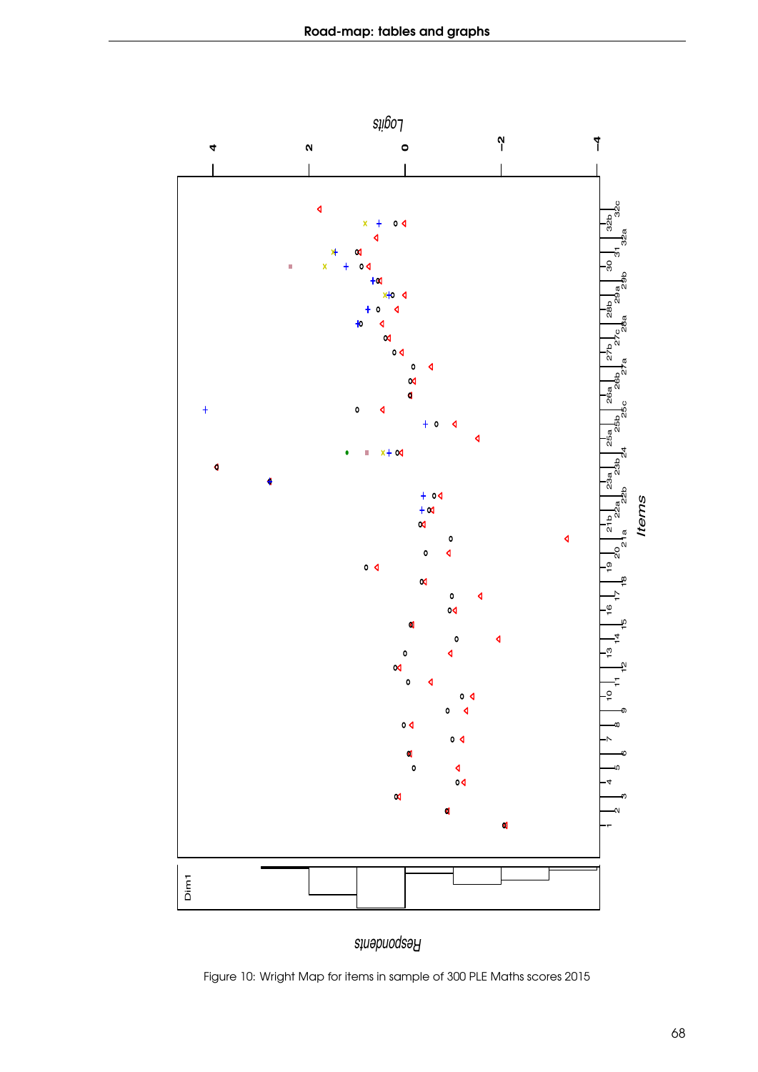

*Respondents*

Figure 10: Wright Map for items in sample of 300 PLE Maths scores 2015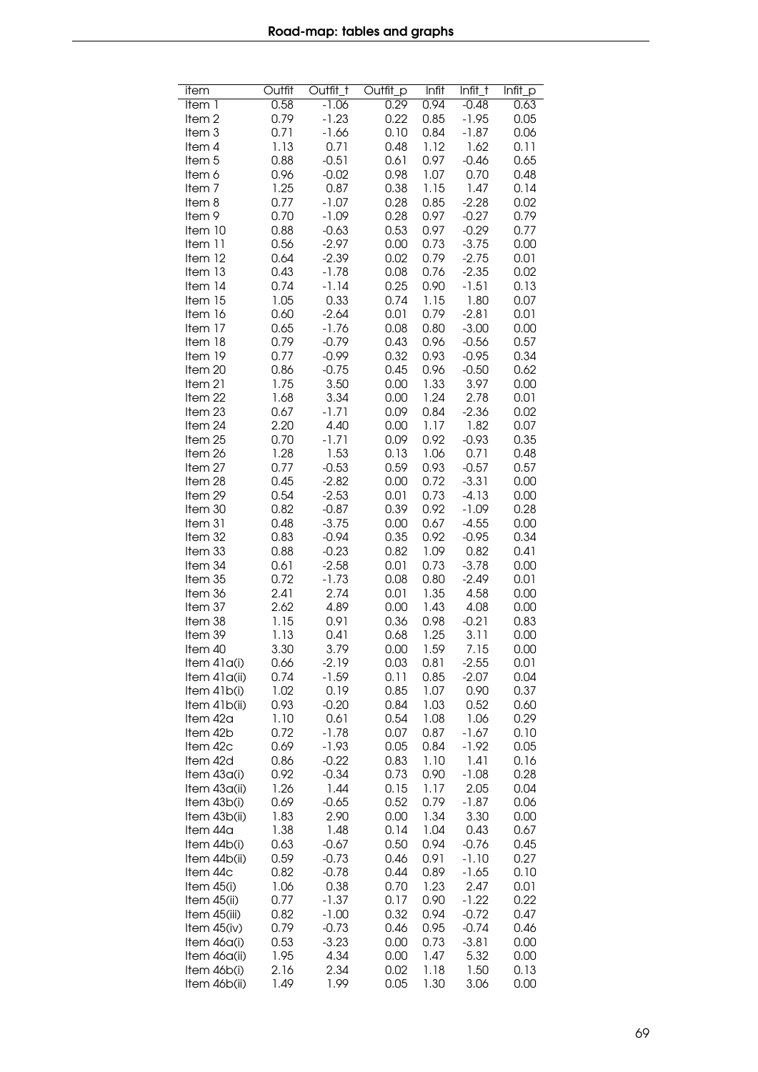| item              | Outfit | Outfit_t | Outfit_p | Infit | $Infit_t$ | Infit_p |
|-------------------|--------|----------|----------|-------|-----------|---------|
| Item 1            | 0.58   | $-1.06$  | 0.29     | 0.94  | $-0.48$   | 0.63    |
| Item <sub>2</sub> | 0.79   | $-1.23$  | 0.22     | 0.85  | $-1.95$   | 0.05    |
| Item 3            | 0.71   | $-1.66$  | 0.10     | 0.84  | $-1.87$   | 0.06    |
| Item 4            | 1.13   | 0.71     | 0.48     | 1.12  | 1.62      | 0.11    |
| Item <sub>5</sub> | 0.88   | $-0.51$  | 0.61     | 0.97  | $-0.46$   | 0.65    |
| ltem 6            | 0.96   | $-0.02$  | 0.98     | 1.07  | 0.70      | 0.48    |
| Item <sub>7</sub> | 1.25   | 0.87     | 0.38     | 1.15  | 1.47      | 0.14    |
| Item 8            | 0.77   | $-1.07$  | 0.28     | 0.85  | $-2.28$   | 0.02    |
| Item 9            | 0.70   | $-1.09$  | 0.28     | 0.97  | $-0.27$   | 0.79    |
| Item 10           | 0.88   | $-0.63$  | 0.53     | 0.97  | $-0.29$   | 0.77    |
| Item 11           | 0.56   | $-2.97$  | 0.00     | 0.73  | $-3.75$   | 0.00    |
|                   |        | $-2.39$  |          |       | $-2.75$   |         |
| Item 12           | 0.64   |          | 0.02     | 0.79  |           | 0.01    |
| Item 13           | 0.43   | $-1.78$  | 0.08     | 0.76  | $-2.35$   | 0.02    |
| Item 14           | 0.74   | $-1.14$  | 0.25     | 0.90  | $-1.51$   | 0.13    |
| Item 15           | 1.05   | 0.33     | 0.74     | 1.15  | 1.80      | 0.07    |
| Item 16           | 0.60   | $-2.64$  | 0.01     | 0.79  | $-2.81$   | 0.01    |
| Item 17           | 0.65   | $-1.76$  | 0.08     | 0.80  | $-3.00$   | 0.00    |
| Item 18           | 0.79   | $-0.79$  | 0.43     | 0.96  | $-0.56$   | 0.57    |
| Item 19           | 0.77   | $-0.99$  | 0.32     | 0.93  | $-0.95$   | 0.34    |
| Item 20           | 0.86   | $-0.75$  | 0.45     | 0.96  | $-0.50$   | 0.62    |
| Item 21           | 1.75   | 3.50     | 0.00     | 1.33  | 3.97      | 0.00    |
| Item 22           | 1.68   | 3.34     | 0.00     | 1.24  | 2.78      | 0.01    |
| Item 23           | 0.67   | $-1.71$  | 0.09     | 0.84  | $-2.36$   | 0.02    |
| Item 24           | 2.20   | 4.40     | 0.00     | 1.17  | 1.82      | 0.07    |
| Item 25           | 0.70   | $-1.71$  | 0.09     | 0.92  | $-0.93$   | 0.35    |
| Item 26           | 1.28   | 1.53     | 0.13     | 1.06  | 0.71      | 0.48    |
| Item 27           | 0.77   | $-0.53$  | 0.59     | 0.93  | $-0.57$   | 0.57    |
|                   | 0.45   | $-2.82$  |          |       | $-3.31$   |         |
| Item 28           |        |          | 0.00     | 0.72  |           | 0.00    |
| Item 29           | 0.54   | $-2.53$  | 0.01     | 0.73  | $-4.13$   | 0.00    |
| Item 30           | 0.82   | $-0.87$  | 0.39     | 0.92  | $-1.09$   | 0.28    |
| Item 31           | 0.48   | $-3.75$  | 0.00     | 0.67  | $-4.55$   | 0.00    |
| Item 32           | 0.83   | $-0.94$  | 0.35     | 0.92  | $-0.95$   | 0.34    |
| Item 33           | 0.88   | $-0.23$  | 0.82     | 1.09  | 0.82      | 0.41    |
| Item 34           | 0.61   | $-2.58$  | 0.01     | 0.73  | $-3.78$   | 0.00    |
| Item 35           | 0.72   | $-1.73$  | 0.08     | 0.80  | $-2.49$   | 0.01    |
| Item 36           | 2.41   | 2.74     | 0.01     | 1.35  | 4.58      | 0.00    |
| Item 37           | 2.62   | 4.89     | 0.00     | 1.43  | 4.08      | 0.00    |
| Item 38           | 1.15   | 0.91     | 0.36     | 0.98  | $-0.21$   | 0.83    |
| Item 39           | 1.13   | 0.41     | 0.68     | 1.25  | 3.11      | 0.00    |
| Item 40           | 3.30   | 3.79     | 0.00     | 1.59  | 7.15      | 0.00    |
| Item $41a(i)$     | 0.66   | -2.19    | 0.03     | 0.81  | $-2.55$   | 0.01    |
| Item 41a(ii)      | 0.74   | $-1.59$  | 0.11     | 0.85  | $-2.07$   | 0.04    |
| Item 41b(i)       | 1.02   | 0.19     | 0.85     | 1.07  | 0.90      | 0.37    |
| Item 41b(ii)      | 0.93   | $-0.20$  | 0.84     | 1.03  | 0.52      | 0.60    |
| Item 42a          | 1.10   | 0.61     | 0.54     | 1.08  | 1.06      | 0.29    |
| Item 42b          | 0.72   | $-1.78$  | 0.07     | 0.87  | $-1.67$   | 0.10    |
| Item 42c          | 0.69   | $-1.93$  | 0.05     | 0.84  | -1.92     | 0.05    |
| Item 42d          | 0.86   | $-0.22$  | 0.83     | 1.10  | 1.41      | 0.16    |
| Item 43a(i)       | 0.92   | $-0.34$  | 0.73     | 0.90  | $-1.08$   | 0.28    |
|                   | 1.26   | 1.44     | 0.15     | 1.17  | 2.05      | 0.04    |
| Item 43a(ii)      |        |          |          |       |           |         |
| Item 43b(i)       | 0.69   | $-0.65$  | 0.52     | 0.79  | $-1.87$   | 0.06    |
| Item 43b(ii)      | 1.83   | 2.90     | 0.00     | 1.34  | 3.30      | 0.00    |
| Item 44a          | 1.38   | 1.48     | 0.14     | 1.04  | 0.43      | 0.67    |
| Item 44b(i)       | 0.63   | $-0.67$  | 0.50     | 0.94  | $-0.76$   | 0.45    |
| Item 44b(ii)      | 0.59   | $-0.73$  | 0.46     | 0.91  | -1.10     | 0.27    |
| Item 44c          | 0.82   | $-0.78$  | 0.44     | 0.89  | $-1.65$   | 0.10    |
| Item 45(i)        | 1.06   | 0.38     | 0.70     | 1.23  | 2.47      | 0.01    |
| Item 45(ii)       | 0.77   | $-1.37$  | 0.17     | 0.90  | $-1.22$   | 0.22    |
| Item 45(iii)      | 0.82   | $-1.00$  | 0.32     | 0.94  | $-0.72$   | 0.47    |
| Item 45(iv)       | 0.79   | $-0.73$  | 0.46     | 0.95  | $-0.74$   | 0.46    |
| Item 46a(i)       | 0.53   | $-3.23$  | 0.00     | 0.73  | $-3.81$   | 0.00    |
| Item 46a(ii)      | 1.95   | 4.34     | 0.00     | 1.47  | 5.32      | 0.00    |
| Item 46b(i)       | 2.16   | 2.34     | 0.02     | 1.18  | 1.50      | 0.13    |
| Item 46b(ii)      | 1.49   | 1.99     | 0.05     | 1.30  | 3.06      | 0.00    |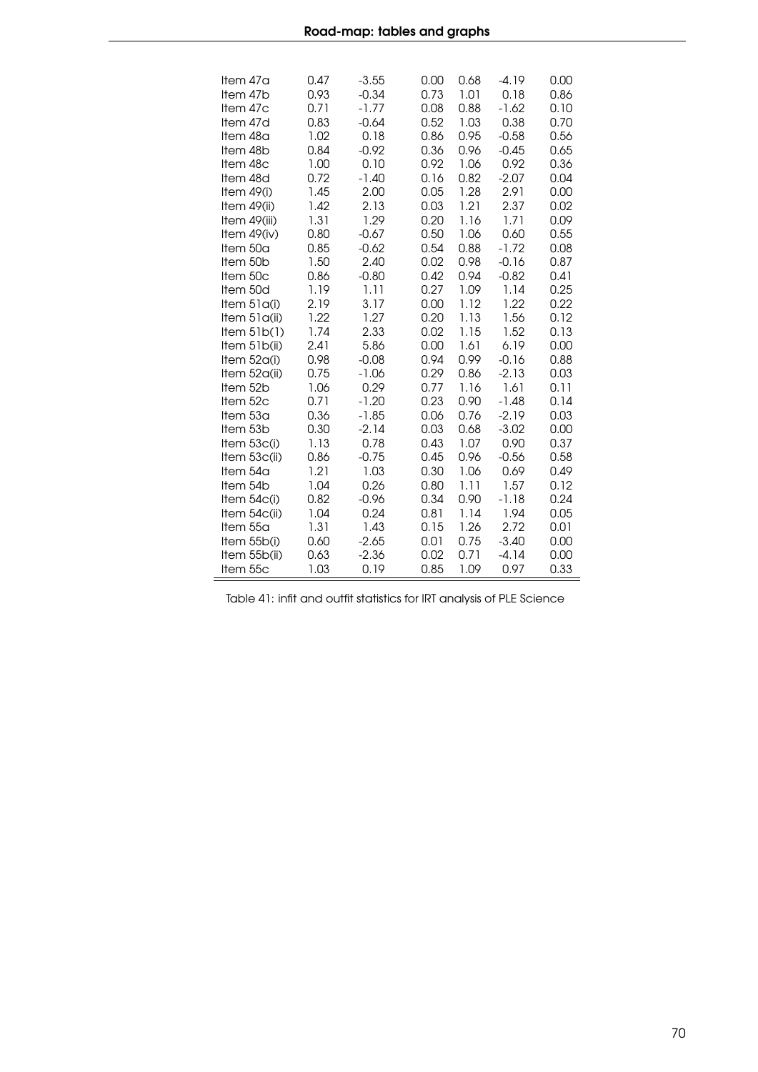| Item 47a<br>Item 47b<br>Item 47c<br>Item 47d<br>Item 48a<br>Item 48b<br>Item 48c<br>Item 48d<br>Item $49(i)$<br>Item 49(ii)<br>Item 49(iii)<br>Item 49(iv)<br>Item 50a<br>Item 50b<br>Item 50c<br>Item 50d<br>Item $51a(i)$<br>Item 51a(ii)<br>Item $51b(1)$<br>Item 51b(ii)<br>Item 52a(i)<br>Item 52a(ii)<br>Item 52b<br>Item 52c<br>Item 53a<br>Item 53b<br>Item 53c(i)<br>Item 53c(ii)<br>Item 54a<br>Item 54b<br>Item $54c(i)$<br>Item 54c(ii)<br>Item 55a<br>Item 55b(i)<br>Item 55b(ii)<br>Item 55c | $-3.55$<br>0.47<br>0.93<br>$-0.34$<br>$-1.77$<br>0.71<br>0.83<br>$-0.64$<br>1.02<br>0.18<br>0.84<br>$-0.92$<br>0.10<br>1.00<br>0.72<br>$-1.40$<br>1.45<br>2.00<br>1.42<br>2.13<br>1.31<br>1.29<br>0.80<br>$-0.67$<br>0.85<br>$-0.62$<br>1.50<br>2.40<br>0.86<br>$-0.80$<br>1.19<br>1.11<br>2.19<br>3.17<br>1.22<br>1.27<br>1.74<br>2.33<br>2.41<br>5.86<br>0.98<br>$-0.08$<br>0.75<br>$-1.06$<br>1.06<br>0.29<br>0.71<br>$-1.20$<br>0.36<br>$-1.85$<br>0.30<br>$-2.14$<br>1.13<br>0.78<br>0.86<br>$-0.75$<br>1.21<br>1.03<br>1.04<br>0.26<br>0.82<br>$-0.96$<br>1.04<br>0.24<br>1.31<br>1.43<br>0.60<br>$-2.65$<br>0.63<br>$-2.36$<br>1.03<br>0.19 | 0.68<br>0.00<br>0.73<br>1.01<br>0.08<br>0.88<br>0.52<br>1.03<br>0.86<br>0.95<br>0.36<br>0.96<br>0.92<br>1.06<br>0.82<br>0.16<br>0.05<br>1.28<br>1.21<br>0.03<br>0.20<br>1.16<br>0.50<br>1.06<br>0.54<br>0.88<br>0.02<br>0.98<br>0.42<br>0.94<br>0.27<br>1.09<br>0.00<br>1.12<br>0.20<br>1.13<br>1.15<br>0.02<br>0.00<br>1.61<br>0.94<br>0.99<br>0.29<br>0.86<br>0.77<br>1.16<br>0.23<br>0.90<br>0.06<br>0.76<br>0.03<br>0.68<br>0.43<br>1.07<br>0.45<br>0.96<br>0.30<br>1.06<br>0.80<br>1.11<br>0.34<br>0.90<br>0.81<br>1.14<br>0.15<br>1.26<br>0.01<br>0.75<br>0.02<br>0.71<br>0.85<br>1.09 | $-4.19$<br>0.00<br>0.18<br>0.86<br>$-1.62$<br>0.10<br>0.38<br>0.70<br>$-0.58$<br>0.56<br>$-0.45$<br>0.65<br>0.92<br>0.36<br>0.04<br>$-2.07$<br>2.91<br>0.00<br>2.37<br>0.02<br>1.71<br>0.09<br>0.55<br>0.60<br>$-1.72$<br>0.08<br>0.87<br>$-0.16$<br>$-0.82$<br>0.41<br>0.25<br>1.14<br>1.22<br>0.22<br>1.56<br>0.12<br>1.52<br>0.13<br>6.19<br>0.00<br>$-0.16$<br>0.88<br>$-2.13$<br>0.03<br>0.11<br>1.61<br>0.14<br>$-1.48$<br>0.03<br>$-2.19$<br>0.00<br>$-3.02$<br>0.37<br>0.90<br>0.58<br>$-0.56$<br>0.69<br>0.49<br>1.57<br>0.12<br>0.24<br>$-1.18$<br>0.05<br>1.94<br>0.01<br>2.72<br>0.00<br>$-3.40$<br>$-4.14$<br>0.00<br>0.97<br>0.33 |
|------------------------------------------------------------------------------------------------------------------------------------------------------------------------------------------------------------------------------------------------------------------------------------------------------------------------------------------------------------------------------------------------------------------------------------------------------------------------------------------------------------|----------------------------------------------------------------------------------------------------------------------------------------------------------------------------------------------------------------------------------------------------------------------------------------------------------------------------------------------------------------------------------------------------------------------------------------------------------------------------------------------------------------------------------------------------------------------------------------------------------------------------------------------------|----------------------------------------------------------------------------------------------------------------------------------------------------------------------------------------------------------------------------------------------------------------------------------------------------------------------------------------------------------------------------------------------------------------------------------------------------------------------------------------------------------------------------------------------------------------------------------------------|-------------------------------------------------------------------------------------------------------------------------------------------------------------------------------------------------------------------------------------------------------------------------------------------------------------------------------------------------------------------------------------------------------------------------------------------------------------------------------------------------------------------------------------------------------------------------------------------------------------------------------------------------|
|------------------------------------------------------------------------------------------------------------------------------------------------------------------------------------------------------------------------------------------------------------------------------------------------------------------------------------------------------------------------------------------------------------------------------------------------------------------------------------------------------------|----------------------------------------------------------------------------------------------------------------------------------------------------------------------------------------------------------------------------------------------------------------------------------------------------------------------------------------------------------------------------------------------------------------------------------------------------------------------------------------------------------------------------------------------------------------------------------------------------------------------------------------------------|----------------------------------------------------------------------------------------------------------------------------------------------------------------------------------------------------------------------------------------------------------------------------------------------------------------------------------------------------------------------------------------------------------------------------------------------------------------------------------------------------------------------------------------------------------------------------------------------|-------------------------------------------------------------------------------------------------------------------------------------------------------------------------------------------------------------------------------------------------------------------------------------------------------------------------------------------------------------------------------------------------------------------------------------------------------------------------------------------------------------------------------------------------------------------------------------------------------------------------------------------------|

Table 41: infit and outfit statistics for IRT analysis of PLE Science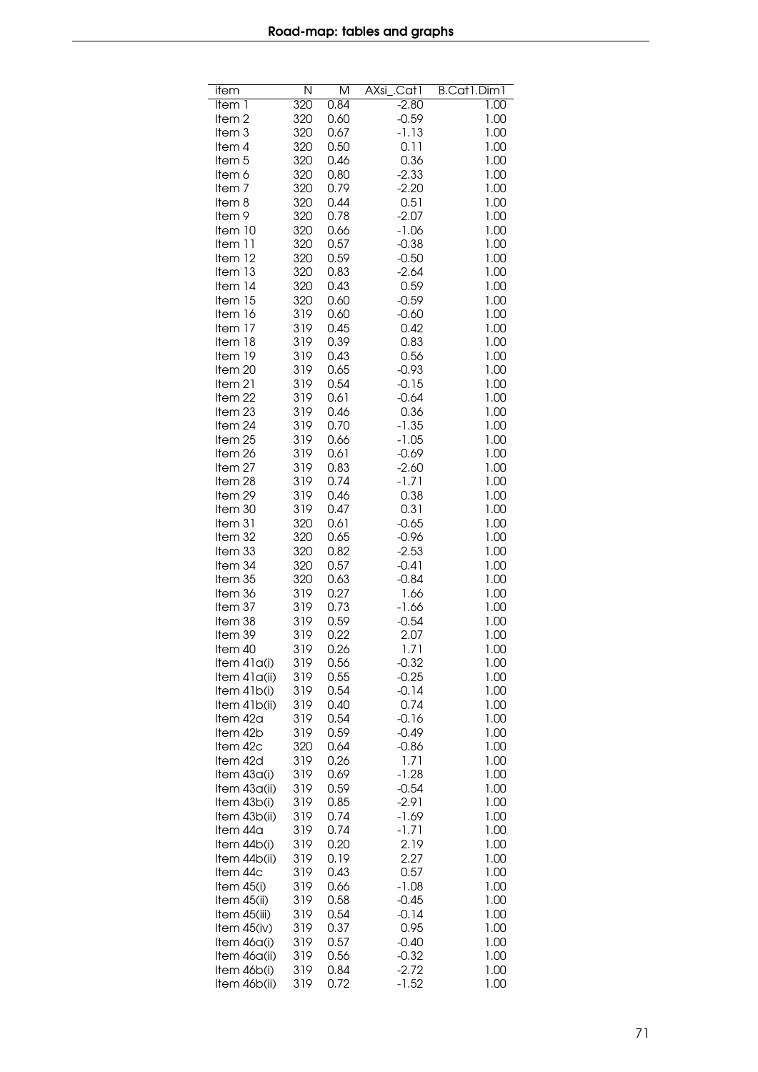| item               | N          | M            | AXsi<br>.Cat1   | B.Cat1.Dim1  |
|--------------------|------------|--------------|-----------------|--------------|
| Item 1             | 320        | 0.84         | $-2.80$         | 1.00         |
| Item <sub>2</sub>  | 320        | 0.60         | $-0.59$         | 1.00         |
| Item <sub>3</sub>  | 320        | 0.67         | $-1.13$         | 1.00         |
| Item 4             | 320        | 0.50         | 0.11            | 1.00         |
| Item <sub>5</sub>  | 320        | 0.46         | 0.36            | 1.00         |
| Item 6             | 320        | 0.80         | $-2.33$         | 1.00         |
| Item <sub>7</sub>  | 320        | 0.79         | $-2.20$         | 1.00         |
| Item 8             | 320        | 0.44         | 0.51            | 1.00         |
| Item 9             | 320        | 0.78         | $-2.07$         | 1.00         |
| Item 10            | 320        | 0.66         | $-1.06$         | 1.00         |
| Item 11            | 320        | 0.57         | $-0.38$         | 1.00         |
| Item 12            | 320        | 0.59         | $-0.50$         | 1.00         |
| Item 13            | 320        | 0.83         | $-2.64$         | 1.00         |
| Item 14            | 320        | 0.43         | 0.59            | 1.00         |
| Item 15            | 320        | 0.60         | $-0.59$         | 1.00         |
| Item 16            | 319        | 0.60         | $-0.60$         | 1.00         |
| Item 17            | 319        | 0.45         | 0.42            | 1.00         |
| Item 18            | 319        | 0.39         | 0.83            | 1.00         |
| Item 19            | 319        | 0.43         | 0.56            | 1.00         |
| Item 20            | 319        | 0.65         | $-0.93$         | 1.00         |
| Item 21            | 319        | 0.54         | $-0.15$         | 1.00         |
| Item 22            | 319        | 0.61         | $-0.64$         | 1.00         |
| Item 23            | 319        | 0.46         | 0.36            | 1.00         |
| Item 24            | 319        | 0.70         | $-1.35$         | 1.00         |
| Item 25            | 319        | 0.66         | $-1.05$         | 1.00         |
| Item 26            | 319        | 0.61         | $-0.69$         | 1.00         |
| Item 27            | 319        | 0.83         | $-2.60$         | 1.00         |
| Item 28            | 319        | 0.74         | $-1.71$         | 1.00         |
| Item 29            | 319        | 0.46         | 0.38            | 1.00         |
| Item 30            | 319        | 0.47         | 0.31            | 1.00         |
| Item 31            | 320        | 0.61         | $-0.65$         | 1.00         |
| Item 32            | 320        | 0.65         | $-0.96$         | 1.00         |
| Item 33            | 320        | 0.82         | $-2.53$         | 1.00         |
| Item 34            | 320        | 0.57         | $-0.41$         | 1.00<br>1.00 |
| Item 35<br>Item 36 | 320<br>319 | 0.63<br>0.27 | $-0.84$<br>1.66 | 1.00         |
| Item 37            | 319        | 0.73         | $-1.66$         | 1.00         |
| Item 38            | 319        | 0.59         | $-0.54$         | 1.00         |
| Item 39            | 319        | 0.22         | 2.07            | 1.00         |
| Item 40            | 319        | 0.26         | 1.71            | 1.00         |
| Item 41a(i)        | 319        | 0.56         | $-0.32$         | 1.00         |
| Item 41a(ii)       | 319        | 0.55         | $-0.25$         | 1.00         |
| Item 41b(i)        | 319        | 0.54         | $-0.14$         | 1.00         |
| Item 41b(ii)       | 319        | 0.40         | 0.74            | 1.00         |
| ltem 42a           | 319        | 0.54         | $-0.16$         | 1.00         |
| Item 42b           | 319        | 0.59         | $-0.49$         | 1.00         |
| Item 42c           | 320        | 0.64         | $-0.86$         | 1.00         |
| Item 42d           | 319        | 0.26         | 1.71            | 1.00         |
| Item 43a(i)        | 319        | 0.69         | $-1.28$         | 1.00         |
| Item 43a(ii)       | 319        | 0.59         | $-0.54$         | 1.00         |
| Item 43b(i)        | 319        | 0.85         | $-2.91$         | 1.00         |
| Item 43b(ii)       | 319        | 0.74         | $-1.69$         | 1.00         |
| ltem 44a           | 319        | 0.74         | $-1.71$         | 1.00         |
| Item 44b(i)        | 319        | 0.20         | 2.19            | 1.00         |
| Item 44b(ii)       | 319        | 0.19         | 2.27            | 1.00         |
| Item 44c           | 319        | 0.43         | 0.57            | 1.00         |
| Item 45(i)         | 319        | 0.66         | $-1.08$         | 1.00         |
| Item 45(ii)        | 319        | 0.58         | $-0.45$         | 1.00         |
| Item 45(iii)       | 319        | 0.54         | $-0.14$         | 1.00         |
| Item 45(iv)        | 319        | 0.37         | 0.95            | 1.00         |
| Item 46a(i)        | 319        | 0.57         | $-0.40$         | 1.00         |
| Item 46a(ii)       | 319        | 0.56         | $-0.32$         | 1.00         |
| Item 46b(i)        | 319        | 0.84         | $-2.72$         | 1.00         |
| Item 46b(ii)       | 319        | 0.72         | $-1.52$         | 1.00         |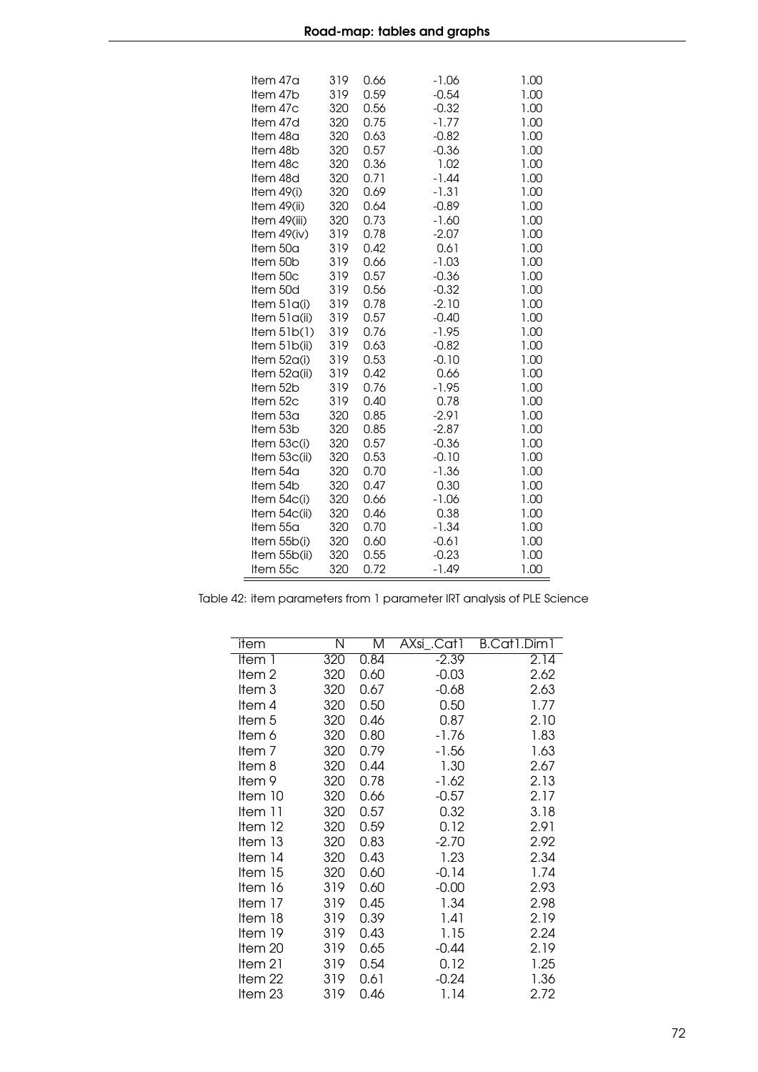|      | Item 47a<br>Item 47b<br>Item 47c<br>Item 47d<br>Item 48a<br>Item 48b<br>Item 48c<br>Item 48d<br>Item $49(i)$<br>Item 49(ii)<br>Item 49(iii)<br>Item $49(iv)$<br>Item 50a<br>Item 50b<br>Item 50c<br>Item 50d<br>Item $51a(i)$<br>Item $51q(ii)$<br>Item $5lb(1)$<br>Item 51b(ii)<br>Item 52a(i)<br>Item 52a(ii)<br>Item 52b<br>Item 52c<br>Item 53a<br>Item 53b<br>Item 53c(i)<br>Item 53c(ii)<br>Item 54a<br>Item 54b<br>Item 54c(i)<br>Item 54c(ii)<br>Item 55a<br>Item 55b(i) | 319<br>320<br>320<br>320<br>320<br>320<br>320<br>320<br>320<br>320<br>319<br>319<br>319<br>319<br>319<br>319<br>319<br>319<br>319<br>319<br>319<br>319<br>319<br>320<br>320<br>320<br>320<br>320<br>320<br>320<br>320<br>320<br>320 | 0.59<br>0.56<br>0.75<br>0.63<br>0.57<br>0.36<br>0.71<br>0.69<br>0.64<br>0.73<br>0.78<br>0.42<br>0.66<br>0.57<br>0.56<br>0.78<br>0.57<br>0.76<br>0.63<br>0.53<br>0.42<br>0.76<br>0.40<br>0.85<br>0.85<br>0.57<br>0.53<br>0.70<br>0.47<br>0.66<br>0.46<br>0.70<br>0.60 | $-0.54$<br>$-0.32$<br>$-1.77$<br>$-0.82$<br>$-0.36$<br>1.02<br>$-1.44$<br>$-1.31$<br>$-0.89$<br>$-1.60$<br>$-2.07$<br>0.61<br>$-1.03$<br>$-0.36$<br>$-0.32$<br>$-2.10$<br>$-0.40$<br>$-1.95$<br>$-0.82$<br>$-0.10$<br>0.66<br>$-1.95$<br>0.78<br>$-2.91$<br>$-2.87$<br>$-0.36$<br>$-0.10$<br>$-1.36$<br>0.30<br>$-1.06$<br>0.38<br>$-1.34$<br>$-0.61$ | 1.00<br>1.00<br>1.00<br>1.00<br>1.00<br>1.00<br>1.00<br>1.00<br>1.00<br>1.00<br>1.00<br>1.00<br>1.00<br>1.00<br>1.00<br>1.00<br>1.00<br>1.00<br>1.00<br>1.00<br>1.00<br>1.00<br>1.00<br>1.00<br>1.00<br>1.00<br>1.00<br>1.00<br>1.00<br>1.00<br>1.00<br>1.00<br>1.00 |
|------|----------------------------------------------------------------------------------------------------------------------------------------------------------------------------------------------------------------------------------------------------------------------------------------------------------------------------------------------------------------------------------------------------------------------------------------------------------------------------------|-------------------------------------------------------------------------------------------------------------------------------------------------------------------------------------------------------------------------------------|----------------------------------------------------------------------------------------------------------------------------------------------------------------------------------------------------------------------------------------------------------------------|-------------------------------------------------------------------------------------------------------------------------------------------------------------------------------------------------------------------------------------------------------------------------------------------------------------------------------------------------------|----------------------------------------------------------------------------------------------------------------------------------------------------------------------------------------------------------------------------------------------------------------------|
| 1.00 | Item 55b(ii)<br>Item 55c                                                                                                                                                                                                                                                                                                                                                                                                                                                         | 320<br>320                                                                                                                                                                                                                          | 0.55<br>0.72                                                                                                                                                                                                                                                         | $-0.23$<br>$-1.49$                                                                                                                                                                                                                                                                                                                                    | 1.00                                                                                                                                                                                                                                                                 |

Table 42: item parameters from 1 parameter IRT analysis of PLE Science

l,

| item              | Ν   | Μ    | AXsi_.Cat1 | B.Cat1.Dim1 |
|-------------------|-----|------|------------|-------------|
| ltem 1            | 320 | 0.84 | $-2.39$    | 2.14        |
| Item <sub>2</sub> | 320 | 0.60 | $-0.03$    | 2.62        |
| Item 3            | 320 | 0.67 | $-0.68$    | 2.63        |
| Item 4            | 320 | 0.50 | 0.50       | 1.77        |
| Item <sub>5</sub> | 320 | 0.46 | 0.87       | 2.10        |
| ltem 6            | 320 | 0.80 | $-1.76$    | 1.83        |
| Item <sub>7</sub> | 320 | 0.79 | $-1.56$    | 1.63        |
| Item 8            | 320 | 0.44 | 1.30       | 2.67        |
| Item 9            | 320 | 0.78 | $-1.62$    | 2.13        |
| ltem 10           | 320 | 0.66 | $-0.57$    | 2.17        |
| Item 11           | 320 | 0.57 | 0.32       | 3.18        |
| Item $12$         | 320 | 0.59 | 0.12       | 2.91        |
| Item 13           | 320 | 0.83 | $-2.70$    | 2.92        |
| Item 14           | 320 | 0.43 | 1.23       | 2.34        |
| Item 15           | 320 | 0.60 | $-0.14$    | 1.74        |
| Item 16           | 319 | 0.60 | $-0.00$    | 2.93        |
| Item 17           | 319 | 0.45 | 1.34       | 2.98        |
| Item 18           | 319 | 0.39 | 1.41       | 2.19        |
| Item 19           | 319 | 0.43 | 1.15       | 2.24        |
| Item 20           | 319 | 0.65 | $-0.44$    | 2.19        |
| ltem 21           | 319 | 0.54 | 0.12       | 1.25        |
| Item 22           | 319 | 0.61 | $-0.24$    | 1.36        |
| Item 23           | 319 | 0.46 | 1.14       | 2.72        |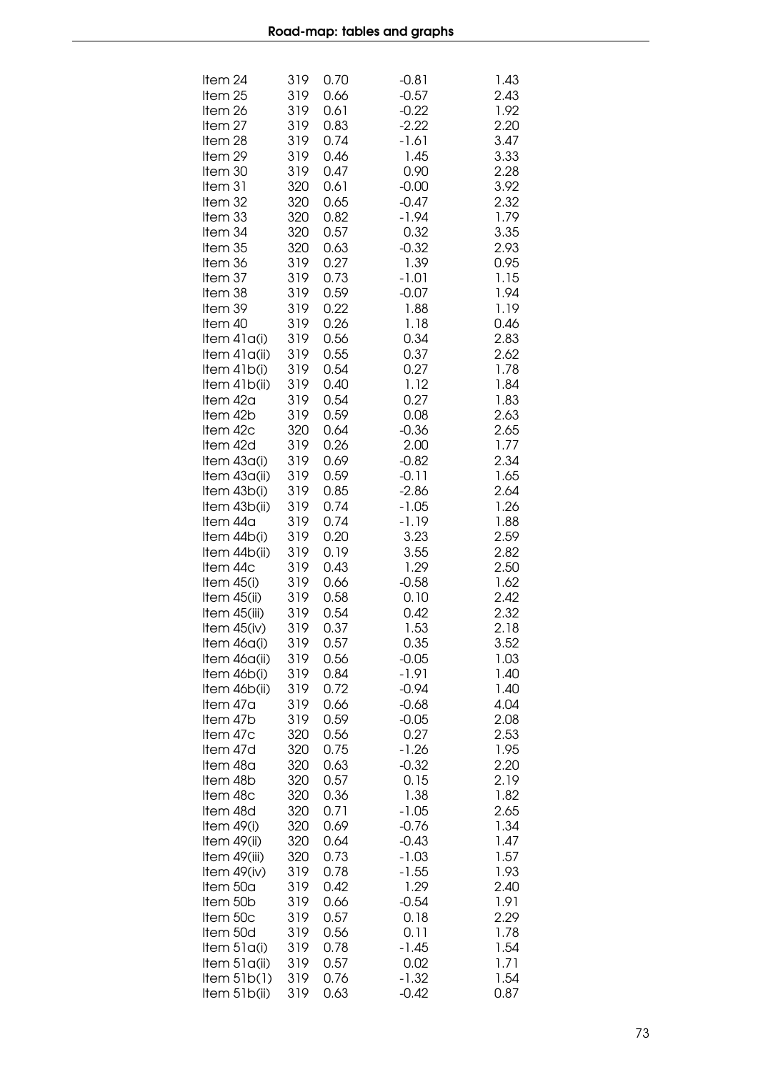| Item 24       | 319 | 0.70 | $-0.81$ | 1.43 |
|---------------|-----|------|---------|------|
| Item 25       | 319 | 0.66 | $-0.57$ | 2.43 |
| ltem 26       | 319 | 0.61 | $-0.22$ | 1.92 |
| ltem 27       | 319 | 0.83 | $-2.22$ | 2.20 |
| ltem 28       | 319 | 0.74 | $-1.61$ | 3.47 |
| ltem 29       | 319 | 0.46 | 1.45    | 3.33 |
| ltem 30       | 319 | 0.47 | 0.90    | 2.28 |
| ltem 31       | 320 | 0.61 | $-0.00$ | 3.92 |
| ltem 32       | 320 | 0.65 | $-0.47$ | 2.32 |
| ltem 33       | 320 | 0.82 | $-1.94$ | 1.79 |
| Item 34       | 320 | 0.57 | 0.32    | 3.35 |
| ltem 35       | 320 | 0.63 | $-0.32$ | 2.93 |
| ltem 36       | 319 | 0.27 | 1.39    | 0.95 |
| ltem 37       | 319 | 0.73 | $-1.01$ | 1.15 |
| ltem 38       | 319 | 0.59 | $-0.07$ | 1.94 |
| ltem 39       | 319 | 0.22 | 1.88    | 1.19 |
| ltem 40       | 319 | 0.26 | 1.18    | 0.46 |
| Item 41a(i)   | 319 | 0.56 | 0.34    | 2.83 |
| ltem 41a(ii)  | 319 | 0.55 | 0.37    | 2.62 |
| ltem 41b(i)   | 319 | 0.54 | 0.27    | 1.78 |
| ltem 41b(ii)  | 319 | 0.40 | 1.12    | 1.84 |
| ltem 42a      | 319 | 0.54 | 0.27    | 1.83 |
| ltem 42b      | 319 | 0.59 | 0.08    | 2.63 |
| ltem 42c      | 320 | 0.64 | $-0.36$ | 2.65 |
| ltem 42d      | 319 | 0.26 | 2.00    | 1.77 |
| Item 43a(i)   | 319 | 0.69 | $-0.82$ | 2.34 |
| ltem 43a(ii)  | 319 | 0.59 | $-0.11$ | 1.65 |
| ltem 43b(i)   | 319 | 0.85 | $-2.86$ | 2.64 |
| ltem 43b(ii)  | 319 | 0.74 | $-1.05$ | 1.26 |
| ltem 44a      | 319 | 0.74 | $-1.19$ | 1.88 |
| Item 44b(i)   | 319 | 0.20 | 3.23    | 2.59 |
| Item 44b(ii)  | 319 | 0.19 | 3.55    | 2.82 |
| ltem 44c      | 319 | 0.43 | 1.29    | 2.50 |
| Item $45(i)$  | 319 | 0.66 | $-0.58$ | 1.62 |
| Item 45(ii)   | 319 | 0.58 | 0.10    | 2.42 |
| Item 45(iii)  | 319 | 0.54 | 0.42    | 2.32 |
| Item 45(iv)   | 319 | 0.37 | 1.53    | 2.18 |
| Item 46a(i)   | 319 | 0.57 | 0.35    | 3.52 |
| Item 46a(ii)  | 319 | 0.56 | $-0.05$ | 1.03 |
| Item 46b(i)   | 319 | 0.84 | $-1.91$ | 1.40 |
| Item 46b(ii)  | 319 | 0.72 | $-0.94$ | 1.40 |
| ltem 47a      | 319 | 0.66 | $-0.68$ | 4.04 |
| ltem 47b      | 319 | 0.59 | $-0.05$ | 2.08 |
| ltem 47c      | 320 | 0.56 | 0.27    | 2.53 |
| ltem 47d      | 320 | 0.75 | $-1.26$ | 1.95 |
| ltem 48a      | 320 | 0.63 | $-0.32$ | 2.20 |
| ltem 48b      | 320 | 0.57 | 0.15    | 2.19 |
| ltem 48c      | 320 | 0.36 | 1.38    | 1.82 |
| ltem 48d      | 320 | 0.71 | $-1.05$ | 2.65 |
| Item 49(i)    | 320 | 0.69 | $-0.76$ | 1.34 |
| Item 49(ii)   | 320 | 0.64 | $-0.43$ | 1.47 |
| Item 49(iii)  | 320 | 0.73 | $-1.03$ | 1.57 |
| Item $49(iv)$ | 319 | 0.78 | $-1.55$ | 1.93 |
| Item 50a      | 319 | 0.42 | 1.29    | 2.40 |
| Item 50b      | 319 | 0.66 | $-0.54$ | 1.91 |
| Item 50c      | 319 | 0.57 | 0.18    | 2.29 |
| Item 50d      | 319 | 0.56 | 0.11    | 1.78 |
| Item 51a(i)   | 319 | 0.78 | $-1.45$ | 1.54 |
| Item 51a(ii)  | 319 | 0.57 | 0.02    | 1.71 |
| Item $5lb(1)$ | 319 | 0.76 | $-1.32$ | 1.54 |
| Item 51b(ii)  | 319 | 0.63 | $-0.42$ | 0.87 |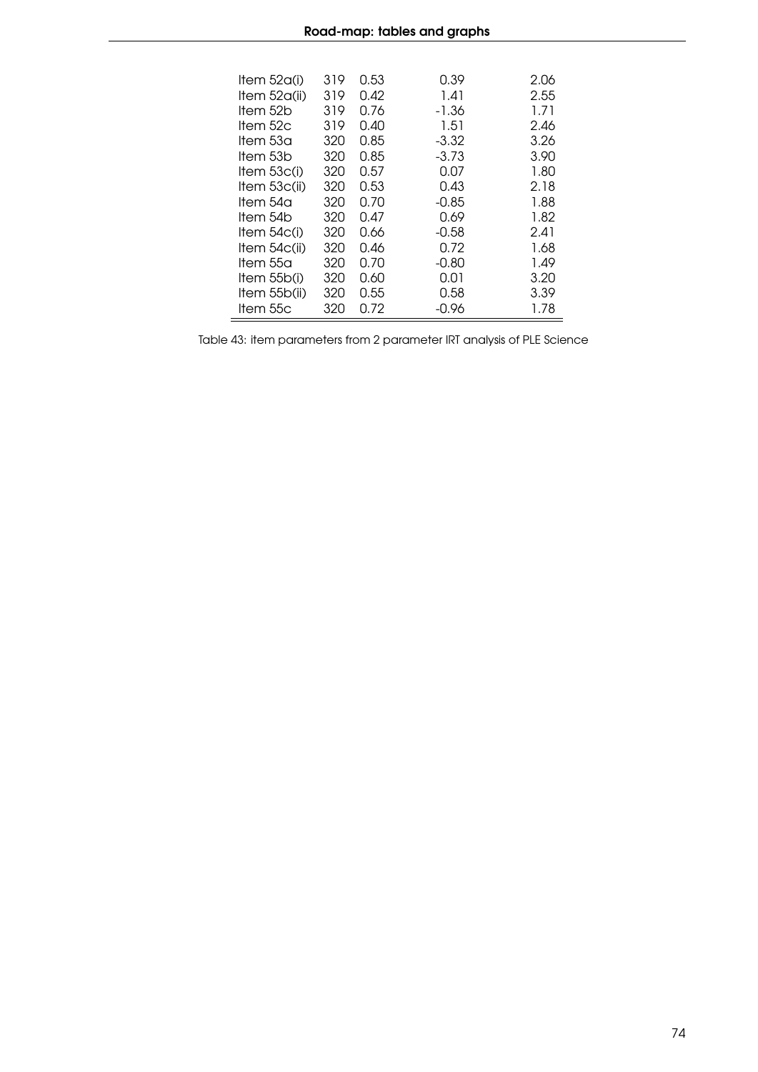| Item $52q(i)$ | 319 | 0.53 | 0.39    | 2.06 |
|---------------|-----|------|---------|------|
| ltem 52a(ii)  | 319 | 0.42 | 1.41    | 2.55 |
| ltem 52b      | 319 | 0.76 | -1.36   | 1.71 |
| ltem 52c      | 319 | 0.40 | 1.51    | 2.46 |
| ltem 53a      | 320 | 0.85 | $-3.32$ | 3.26 |
| ltem 53b      | 320 | 0.85 | $-3.73$ | 3.90 |
| Item $53c(i)$ | 320 | 0.57 | 0.07    | 1.80 |
| Item $53c(i)$ | 320 | 0.53 | 0.43    | 2.18 |
| ltem 54a      | 320 | Ი.7Ი | $-0.85$ | 1.88 |
| ltem 54b      | 320 | 0.47 | 0.69    | 1.82 |
| Item $54c(i)$ | 320 | 0.66 | $-0.58$ | 2.41 |
| Item $54c(i)$ | 320 | 0.46 | 0.72    | 1.68 |
| ltem 55a      | 320 | Ი.7Ი | $-0.80$ | 1.49 |
| Item $55b(i)$ | 320 | 0.60 | 0.01    | 3.20 |
| Item 55b(ii)  | 320 | 0.55 | 0.58    | 3.39 |
| Item 55c      | 320 | 0.72 | $-0.96$ | 1.78 |

Table 43: item parameters from 2 parameter IRT analysis of PLE Science

 $\overline{a}$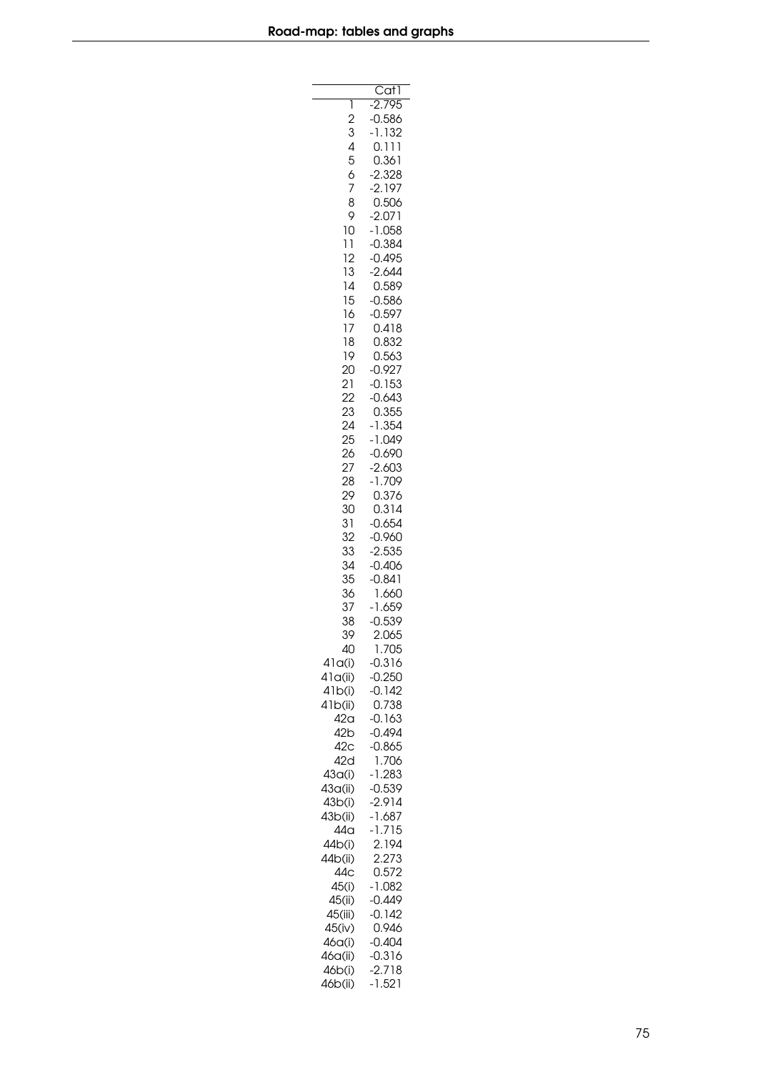|                      | Cat1                 |
|----------------------|----------------------|
| 1                    | 2.795                |
| $\overline{c}$       | 0.586                |
| 3                    | $-1.132$             |
| 456789               | 0.111                |
|                      | 0.361                |
|                      | 2.328                |
|                      | 2.197                |
|                      | 0.506                |
| 10                   | 2.071<br>$-1.058$    |
|                      | $-0.384$             |
| 11<br>12             | 0.495                |
| 13                   | 2.644                |
| $\frac{1}{4}$        | 0.589                |
| 15                   | 0.586                |
| 16                   | $-0.597$             |
| 17                   | 0.418                |
| 18                   | 0.832                |
| 19                   | 0.563                |
| 20<br>$\overline{2}$ | $-0.927$<br>$-0.153$ |
| 22                   | $-0.643$             |
| 23                   | 0.355                |
| 24                   | $-1.354$             |
| 25                   | $-1.049$             |
| 26                   | $-0.690$             |
| 27                   | 2.603                |
| 28                   | -1.709               |
| 29                   | 0.376                |
| 30<br>31             | 0.314<br>0.654       |
| 32                   | $-0.960$             |
| 33                   | 2.535                |
| 34                   | $-0.406$             |
| 35                   | $-0.841$             |
| 36                   | 1.660                |
| 37                   | -1.659               |
| 38                   | 0.539                |
| 39                   | 2.065                |
| 40                   | 1.705                |
| 41q(i)<br>41q(ii)    | $-0.316$<br>$-0.250$ |
| 41b(i)               | $-0.142$             |
| 41b(ii)              | 0.738                |
| 42 <sub>a</sub>      | $-0.163$             |
| 42 <sub>b</sub>      | $-0.494$             |
| 42 <sub>c</sub>      | $-0.865$             |
| 42d                  | 1.706                |
| 43 <sub>a</sub> (i)  | $-1.283$             |
| 43a(ii)              | $-0.539$             |
| 43b(i)<br>43b(ii)    | $-2.914$<br>$-1.687$ |
| 44a                  | $-1.715$             |
| 44b(i)               | 2.194                |
| 44b(ii)              | 2.273                |
| 44c                  | 0.572                |
| 45(i)                | $-1.082$             |
| 45(ii)               | $-0.449$             |
| 45(iii)              | $-0.142$             |
| 45(iv)               | 0.946                |
| 46a(i)               | $-0.404$             |
| 46a(ii)              | $-0.316$             |
| 46b(i)<br>46b(ii)    | $-2.718$<br>$-1.521$ |
|                      |                      |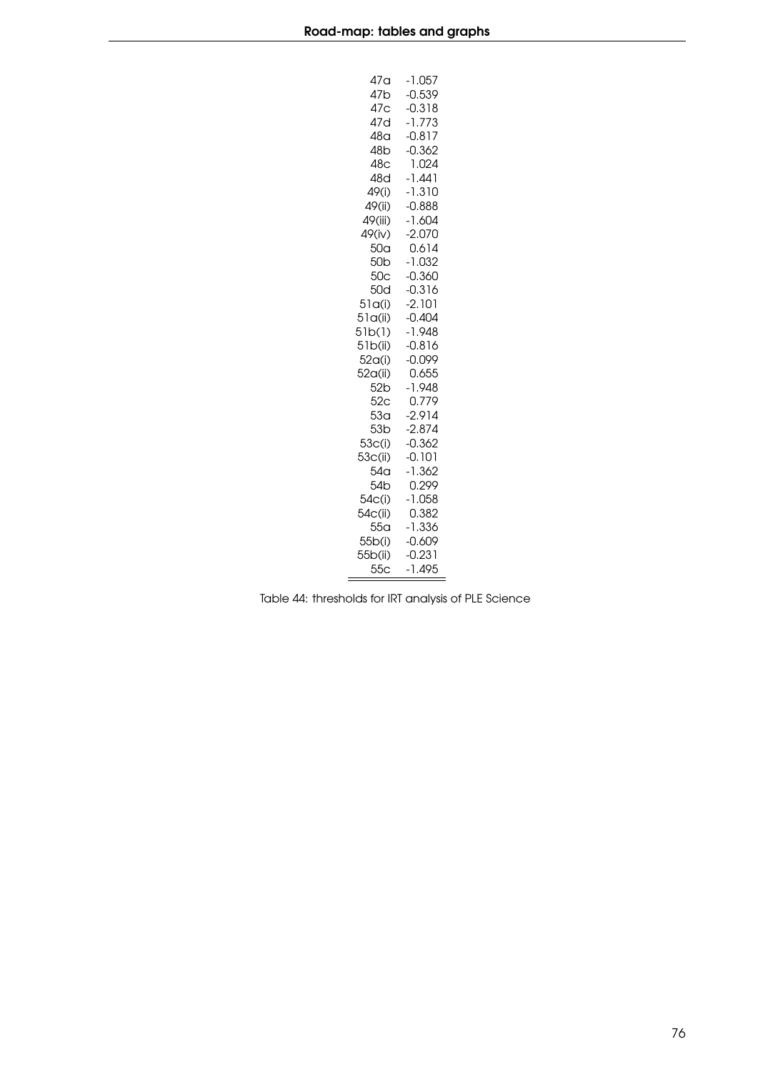| 47a                 | $-1.057$             |
|---------------------|----------------------|
| 47b                 | $-0.539$             |
| 47c                 | $-0.318$             |
| 47d                 | $-1.773$             |
| 48a                 | $-0.817$             |
| 48 <sub>b</sub>     | $-0.362$             |
| 48c                 | 1.024                |
| 48d                 | -1.441               |
| 49(i)               | $-1.310$             |
| 49(ii)              | $-0.888$             |
| 49(iii)             | $-1.604$             |
| 49(iv)              | $-2.070$             |
| 50 <sub>a</sub>     | 0.614                |
| 50 <sub>b</sub>     | $-1.032$             |
| 50 <sub>c</sub>     | $-0.360$             |
| 50d                 | $-0.316$             |
| 51q(i)              | $-2.101$             |
| 51q(ii)             | $-0.404$             |
| 51b(1)              | $-1.948$             |
| 51b(ii)             | $-0.816$             |
| 52 <sub>a</sub> (i) | $-0.099$             |
| 52a(ii)             | 0.655                |
| 52 <sub>b</sub>     | $-1.948$             |
| 52 <sub>C</sub>     | 0.779                |
| 53 <sub>a</sub>     | $-2.914$             |
| 53 <sub>b</sub>     | $-2.874$             |
| 53c(i)              | $-0.362$             |
| 53c(ii)             | $-0.101$             |
| 54 <sub>a</sub>     | -1.362               |
| 54 <sub>b</sub>     | 0.299                |
| 54c(i)              | $-1.058$             |
| 54c(ii)             | 0.382                |
| 55 <sub>a</sub>     | -1.336               |
| 55b(i)              | $-0.609$             |
| 55b(ii)             | $-0.231$<br>$-1.495$ |
| 55 <sub>C</sub>     |                      |

Table 44: thresholds for IRT analysis of PLE Science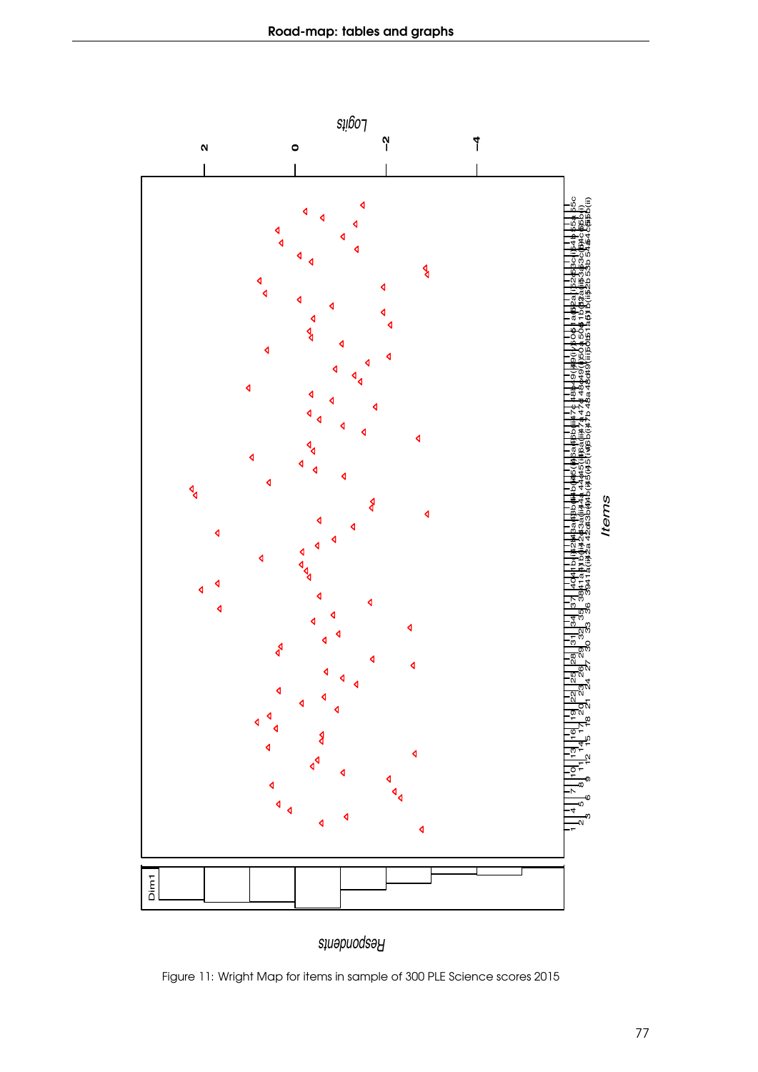

Figure 11: Wright Map for items in sample of 300 PLE Science scores 2015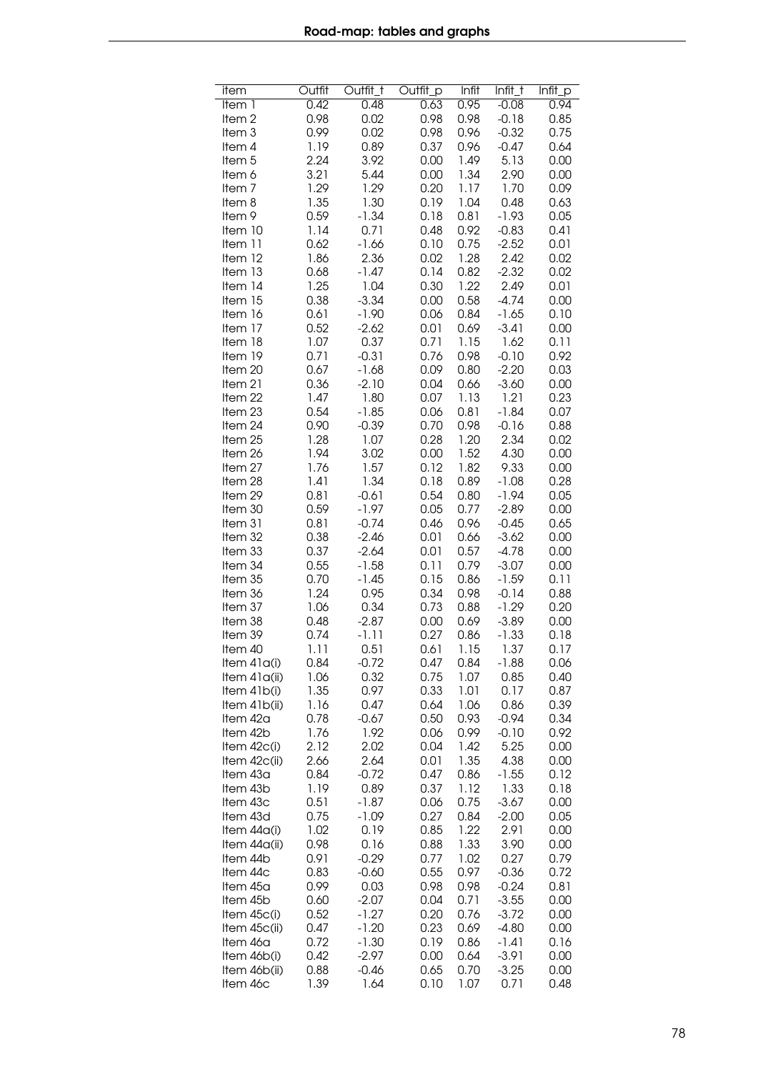| item                      | Outfit       | Outfit_t           | Outfit_p     | Infit        | Infit_t            | $Infit$ <sub>P</sub> |
|---------------------------|--------------|--------------------|--------------|--------------|--------------------|----------------------|
| Item 1                    | 0.42         | 0.48               | 0.63         | 0.95         | $-0.08$            | 0.94                 |
| Item <sub>2</sub>         | 0.98         | 0.02               | 0.98         | 0.98         | $-0.18$            | 0.85                 |
| Item <sub>3</sub>         | 0.99         | 0.02               | 0.98         | 0.96         | $-0.32$            | 0.75                 |
| Item 4                    | 1.19         | 0.89               | 0.37         | 0.96         | $-0.47$            | 0.64                 |
| Item <sub>5</sub>         | 2.24         | 3.92               | 0.00         | 1.49         | 5.13               | 0.00                 |
| ltem 6                    | 3.21         | 5.44               | 0.00         | 1.34         | 2.90               | 0.00                 |
| Item <sub>7</sub>         | 1.29         | 1.29               | 0.20         | 1.17         | 1.70               | 0.09                 |
| Item 8                    | 1.35         | 1.30               | 0.19         | 1.04         | 0.48               | 0.63                 |
| Item 9                    | 0.59         | $-1.34$            | 0.18         | 0.81         | $-1.93$            | 0.05                 |
| Item 10                   | 1.14         | 0.71               | 0.48         | 0.92         | $-0.83$            | 0.41                 |
| Item 11                   | 0.62         | $-1.66$            | 0.10         | 0.75         | $-2.52$            | 0.01                 |
| Item 12                   | 1.86         | 2.36               | 0.02         | 1.28         | 2.42               | 0.02                 |
| Item 13                   | 0.68         | $-1.47$<br>1.04    | 0.14         | 0.82         | $-2.32$<br>2.49    | 0.02                 |
| Item 14<br>Item 15        | 1.25<br>0.38 | $-3.34$            | 0.30<br>0.00 | 1.22<br>0.58 | $-4.74$            | 0.01<br>0.00         |
| Item 16                   | 0.61         | $-1.90$            | 0.06         | 0.84         | $-1.65$            | 0.10                 |
| Item 17                   | 0.52         | $-2.62$            | 0.01         | 0.69         | $-3.41$            | 0.00                 |
| Item 18                   | 1.07         | 0.37               | 0.71         | 1.15         | 1.62               | 0.11                 |
| Item 19                   | 0.71         | $-0.31$            | 0.76         | 0.98         | $-0.10$            | 0.92                 |
| Item 20                   | 0.67         | $-1.68$            | 0.09         | 0.80         | $-2.20$            | 0.03                 |
| Item 21                   | 0.36         | $-2.10$            | 0.04         | 0.66         | $-3.60$            | 0.00                 |
| Item 22                   | 1.47         | 1.80               | 0.07         | 1.13         | 1.21               | 0.23                 |
| Item 23                   | 0.54         | $-1.85$            | 0.06         | 0.81         | $-1.84$            | 0.07                 |
| Item 24                   | 0.90         | $-0.39$            | 0.70         | 0.98         | $-0.16$            | 0.88                 |
| Item 25                   | 1.28         | 1.07               | 0.28         | 1.20         | 2.34               | 0.02                 |
| Item 26                   | 1.94         | 3.02               | 0.00         | 1.52         | 4.30               | 0.00                 |
| Item 27                   | 1.76         | 1.57               | 0.12         | 1.82         | 9.33               | 0.00                 |
| Item 28                   | 1.41         | 1.34               | 0.18         | 0.89         | $-1.08$            | 0.28                 |
| Item 29                   | 0.81         | $-0.61$            | 0.54         | 0.80         | $-1.94$            | 0.05                 |
| Item 30                   | 0.59         | $-1.97$            | 0.05         | 0.77         | $-2.89$            | 0.00                 |
| Item 31<br>Item 32        | 0.81<br>0.38 | $-0.74$<br>$-2.46$ | 0.46<br>0.01 | 0.96<br>0.66 | $-0.45$<br>$-3.62$ | 0.65<br>0.00         |
| Item 33                   | 0.37         | $-2.64$            | 0.01         | 0.57         | $-4.78$            | 0.00                 |
| Item 34                   | 0.55         | $-1.58$            | 0.11         | 0.79         | $-3.07$            | 0.00                 |
| Item 35                   | 0.70         | $-1.45$            | 0.15         | 0.86         | $-1.59$            | 0.11                 |
| Item 36                   | 1.24         | 0.95               | 0.34         | 0.98         | $-0.14$            | 0.88                 |
| Item 37                   | 1.06         | 0.34               | 0.73         | 0.88         | $-1.29$            | 0.20                 |
| Item 38                   | 0.48         | $-2.87$            | 0.00         | 0.69         | $-3.89$            | 0.00                 |
| Item 39                   | 0.74         | $-1.11$            | 0.27         | 0.86         | $-1.33$            | 0.18                 |
| Item 40                   | 1.11         | 0.51               | 0.61         | 1.15         | 1.37               | 0.17                 |
| Item 41a(i)               | 0.84         | $-0.72$            | 0.47         | 0.84         | -1.88              | 0.06                 |
| Item $41a(ii)$            | 1.06         | 0.32               | 0.75         | 1.07         | 0.85               | 0.40                 |
| Item 41b(i)               | 1.35         | 0.97               | 0.33         | 1.01         | 0.17               | 0.87                 |
| Item 41b(ii)              | 1.16         | 0.47               | 0.64         | 1.06         | 0.86               | 0.39                 |
| Item 42a                  | 0.78         | $-0.67$<br>1.92    | 0.50<br>0.06 | 0.93<br>0.99 | $-0.94$<br>$-0.10$ | 0.34<br>0.92         |
| Item 42b<br>Item $42c(i)$ | 1.76<br>2.12 | 2.02               | 0.04         | 1.42         | 5.25               | 0.00                 |
| Item 42c(ii)              | 2.66         | 2.64               | 0.01         | 1.35         | 4.38               | 0.00                 |
| Item 43a                  | 0.84         | $-0.72$            | 0.47         | 0.86         | $-1.55$            | 0.12                 |
| Item 43b                  | 1.19         | 0.89               | 0.37         | 1.12         | 1.33               | 0.18                 |
| Item 43c                  | 0.51         | $-1.87$            | 0.06         | 0.75         | $-3.67$            | 0.00                 |
| Item 43d                  | 0.75         | $-1.09$            | 0.27         | 0.84         | $-2.00$            | 0.05                 |
| Item 44a(i)               | 1.02         | 0.19               | 0.85         | 1.22         | 2.91               | 0.00                 |
| Item 44a(ii)              | 0.98         | 0.16               | 0.88         | 1.33         | 3.90               | 0.00                 |
| Item 44b                  | 0.91         | $-0.29$            | 0.77         | 1.02         | 0.27               | 0.79                 |
| Item 44c                  | 0.83         | $-0.60$            | 0.55         | 0.97         | $-0.36$            | 0.72                 |
| Item 45a                  | 0.99         | 0.03               | 0.98         | 0.98         | $-0.24$            | 0.81                 |
| Item 45b                  | 0.60         | $-2.07$            | 0.04         | 0.71         | $-3.55$            | 0.00                 |
| Item $45c(i)$             | 0.52         | $-1.27$            | 0.20         | 0.76         | $-3.72$            | 0.00                 |
| Item 45c(ii)<br>Item 46a  | 0.47<br>0.72 | $-1.20$<br>$-1.30$ | 0.23<br>0.19 | 0.69<br>0.86 | $-4.80$<br>$-1.41$ | 0.00<br>0.16         |
| Item 46b(i)               | 0.42         | $-2.97$            | 0.00         | 0.64         | $-3.91$            | 0.00                 |
| Item 46b(ii)              | 0.88         | $-0.46$            | 0.65         | 0.70         | $-3.25$            | 0.00                 |
| Item 46c                  | 1.39         | 1.64               | 0.10         | 1.07         | 0.71               | 0.48                 |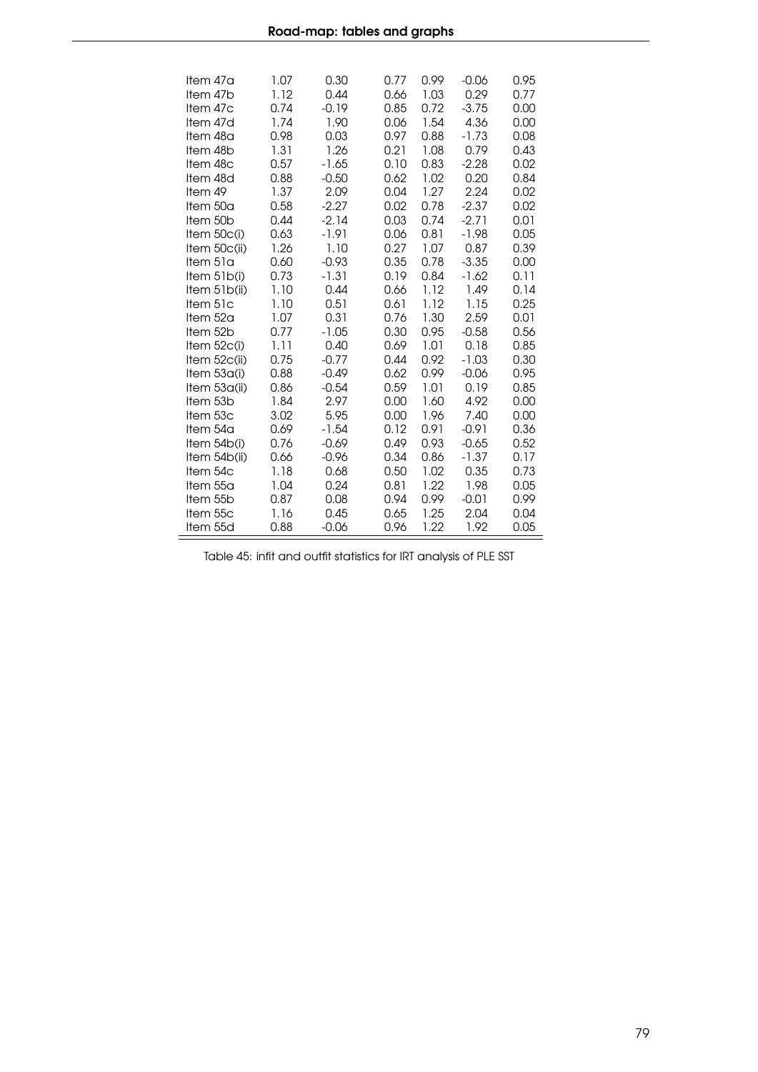| Item 47a      | 1.07 | 0.30    | 0.77 | 0.99 | $-0.06$ | 0.95 |
|---------------|------|---------|------|------|---------|------|
| Item 47b      | 1.12 | 0.44    | 0.66 | 1.03 | 0.29    | 0.77 |
| Item 47c      | 0.74 | $-0.19$ | 0.85 | 0.72 | $-3.75$ | 0.00 |
| Item 47d      | 1.74 | 1.90    | 0.06 | 1.54 | 4.36    | 0.00 |
| Item 48a      | 0.98 | 0.03    | 0.97 | 0.88 | $-1.73$ | 0.08 |
| Item 48b      | 1.31 | 1.26    | 0.21 | 1.08 | 0.79    | 0.43 |
| Item 48c      | 0.57 | $-1.65$ | 0.10 | 0.83 | $-2.28$ | 0.02 |
| Item 48d      | 0.88 | $-0.50$ | 0.62 | 1.02 | 0.20    | 0.84 |
| Item 49       | 1.37 | 2.09    | 0.04 | 1.27 | 2.24    | 0.02 |
| Item 50a      | 0.58 | $-2.27$ | 0.02 | 0.78 | $-2.37$ | 0.02 |
| Item 50b      | 0.44 | $-2.14$ | 0.03 | 0.74 | $-2.71$ | 0.01 |
| Item 50c(i)   | 0.63 | $-1.91$ | 0.06 | 0.81 | $-1.98$ | 0.05 |
| Item 50c(ii)  | 1.26 | 1.10    | 0.27 | 1.07 | 0.87    | 0.39 |
| Item 51a      | 0.60 | $-0.93$ | 0.35 | 0.78 | $-3.35$ | 0.00 |
| Item $51b(i)$ | 0.73 | $-1.31$ | 0.19 | 0.84 | $-1.62$ | 0.11 |
| Item 51b(ii)  | 1.10 | 0.44    | 0.66 | 1.12 | 1.49    | 0.14 |
| Item 51c      | 1.10 | 0.51    | 0.61 | 1.12 | 1.15    | 0.25 |
| Item $52a$    | 1.07 | 0.31    | 0.76 | 1.30 | 2.59    | 0.01 |
| Item 52b      | 0.77 | $-1.05$ | 0.30 | 0.95 | $-0.58$ | 0.56 |
| Item 52c(i)   | 1.11 | 0.40    | 0.69 | 1.01 | 0.18    | 0.85 |
| Item 52c(ii)  | 0.75 | $-0.77$ | 0.44 | 0.92 | $-1.03$ | 0.30 |
| Item 53a(i)   | 0.88 | $-0.49$ | 0.62 | 0.99 | $-0.06$ | 0.95 |
| Item 53a(ii)  | 0.86 | $-0.54$ | 0.59 | 1.01 | 0.19    | 0.85 |
| Item 53b      | 1.84 | 2.97    | 0.00 | 1.60 | 4.92    | 0.00 |
| Item 53c      | 3.02 | 5.95    | 0.00 | 1.96 | 7.40    | 0.00 |
| Item 54a      | 0.69 | $-1.54$ | 0.12 | 0.91 | $-0.91$ | 0.36 |
| Item 54b(i)   | 0.76 | $-0.69$ | 0.49 | 0.93 | $-0.65$ | 0.52 |
| Item 54b(ii)  | 0.66 | $-0.96$ | 0.34 | 0.86 | $-1.37$ | 0.17 |
| Item 54c      | 1.18 | 0.68    | 0.50 | 1.02 | 0.35    | 0.73 |
| Item 55a      | 1.04 | 0.24    | 0.81 | 1.22 | 1.98    | 0.05 |
| Item 55b      | 0.87 | 0.08    | 0.94 | 0.99 | $-0.01$ | 0.99 |
| Item 55c      | 1.16 | 0.45    | 0.65 | 1.25 | 2.04    | 0.04 |
| Item 55d      | 0.88 | $-0.06$ | 0.96 | 1.22 | 1.92    | 0.05 |
|               |      |         |      |      |         |      |

Table 45: infit and outfit statistics for IRT analysis of PLE SST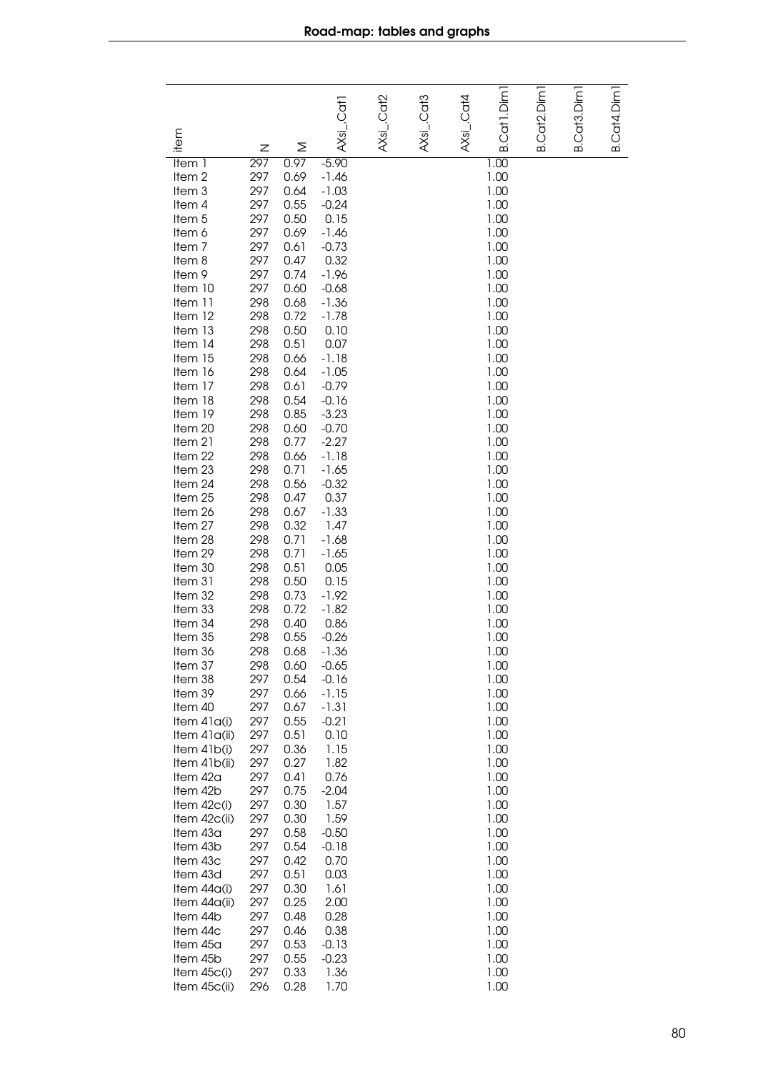|                             |            |              | AXsL.Cat1          | AXsi_.Cat2 | AXsi_.Cat3 | $AXs$ i_.Cat4 | B.Cat1.Dim   | B.Cat2.Dim1 | B.Cat3.Dim1 | B.Cat4.Dim 1 |
|-----------------------------|------------|--------------|--------------------|------------|------------|---------------|--------------|-------------|-------------|--------------|
| item                        | Ζ          | Σ            |                    |            |            |               |              |             |             |              |
| Item 1                      | 297        | 0.97         | $-5.90$            |            |            |               | 1.00         |             |             |              |
| Item <sub>2</sub>           | 297        | 0.69         | $-1.46$            |            |            |               | 1.00         |             |             |              |
| Item 3                      | 297        | 0.64         | $-1.03$            |            |            |               | 1.00         |             |             |              |
| Item 4                      | 297        | 0.55         | $-0.24$            |            |            |               | 1.00         |             |             |              |
| Item 5                      | 297        | 0.50         | 0.15               |            |            |               | 1.00         |             |             |              |
| Item 6                      | 297<br>297 | 0.69<br>0.61 | $-1.46$<br>$-0.73$ |            |            |               | 1.00<br>1.00 |             |             |              |
| Item <sub>7</sub><br>Item 8 | 297        | 0.47         | 0.32               |            |            |               | 1.00         |             |             |              |
| Item 9                      | 297        | 0.74         | $-1.96$            |            |            |               | 1.00         |             |             |              |
| Item 10                     | 297        | 0.60         | $-0.68$            |            |            |               | 1.00         |             |             |              |
| Item 11                     | 298        | 0.68         | $-1.36$            |            |            |               | 1.00         |             |             |              |
| Item 12                     | 298        | 0.72         | $-1.78$            |            |            |               | 1.00         |             |             |              |
| Item 13                     | 298        | 0.50         | 0.10               |            |            |               | 1.00         |             |             |              |
| Item 14                     | 298        | 0.51         | 0.07               |            |            |               | 1.00         |             |             |              |
| Item 15<br>Item 16          | 298<br>298 | 0.66<br>0.64 | $-1.18$<br>$-1.05$ |            |            |               | 1.00<br>1.00 |             |             |              |
| Item 17                     | 298        | 0.61         | $-0.79$            |            |            |               | 1.00         |             |             |              |
| Item 18                     | 298        | 0.54         | $-0.16$            |            |            |               | 1.00         |             |             |              |
| Item 19                     | 298        | 0.85         | $-3.23$            |            |            |               | 1.00         |             |             |              |
| Item 20                     | 298        | 0.60         | $-0.70$            |            |            |               | 1.00         |             |             |              |
| Item 21                     | 298        | 0.77         | $-2.27$            |            |            |               | 1.00         |             |             |              |
| Item 22                     | 298        | 0.66         | $-1.18$            |            |            |               | 1.00         |             |             |              |
| Item 23                     | 298        | 0.71         | $-1.65$            |            |            |               | 1.00         |             |             |              |
| Item 24<br>Item 25          | 298<br>298 | 0.56<br>0.47 | $-0.32$<br>0.37    |            |            |               | 1.00<br>1.00 |             |             |              |
| Item 26                     | 298        | 0.67         | $-1.33$            |            |            |               | 1.00         |             |             |              |
| Item 27                     | 298        | 0.32         | 1.47               |            |            |               | 1.00         |             |             |              |
| Item 28                     | 298        | 0.71         | $-1.68$            |            |            |               | 1.00         |             |             |              |
| Item 29                     | 298        | 0.71         | $-1.65$            |            |            |               | 1.00         |             |             |              |
| Item 30                     | 298        | 0.51         | 0.05               |            |            |               | 1.00         |             |             |              |
| Item 31                     | 298        | 0.50         | 0.15               |            |            |               | 1.00         |             |             |              |
| Item 32<br>Item 33          | 298<br>298 | 0.73<br>0.72 | $-1.92$<br>$-1.82$ |            |            |               | 1.00<br>1.00 |             |             |              |
| Item 34                     | 298        | 0.40         | 0.86               |            |            |               | 1.00         |             |             |              |
| Item 35                     | 298        | 0.55         | $-0.26$            |            |            |               | 1.00         |             |             |              |
| Item 36                     | 298        | 0.68         | $-1.36$            |            |            |               | 1.00         |             |             |              |
| Item 37                     | 298        | 0.60         | $-0.65$            |            |            |               | 1.00         |             |             |              |
| Item 38                     | 297        | 0.54         | $-0.16$            |            |            |               | 1.00         |             |             |              |
| Item 39                     | 297        | 0.66         | $-1.15$            |            |            |               | 1.00         |             |             |              |
| Item 40<br>Item 41a(i)      | 297<br>297 | 0.67<br>0.55 | $-1.31$<br>$-0.21$ |            |            |               | 1.00<br>1.00 |             |             |              |
| Item $41a(ii)$              | 297        | 0.51         | 0.10               |            |            |               | 1.00         |             |             |              |
| Item $41b(i)$               | 297        | 0.36         | 1.15               |            |            |               | 1.00         |             |             |              |
| Item $41b(ii)$              | 297        | 0.27         | 1.82               |            |            |               | 1.00         |             |             |              |
| Item 42a                    | 297        | 0.41         | 0.76               |            |            |               | 1.00         |             |             |              |
| Item 42b                    | 297        | 0.75         | $-2.04$            |            |            |               | 1.00         |             |             |              |
| Item 42c(i)                 | 297        | 0.30         | 1.57               |            |            |               | 1.00         |             |             |              |
| Item 42c(ii)<br>Item 43a    | 297<br>297 | 0.30<br>0.58 | 1.59<br>$-0.50$    |            |            |               | 1.00<br>1.00 |             |             |              |
| Item 43b                    | 297        | 0.54         | $-0.18$            |            |            |               | 1.00         |             |             |              |
| Item 43c                    | 297        | 0.42         | 0.70               |            |            |               | 1.00         |             |             |              |
| Item 43d                    | 297        | 0.51         | 0.03               |            |            |               | 1.00         |             |             |              |
| Item $44a(i)$               | 297        | 0.30         | 1.61               |            |            |               | 1.00         |             |             |              |
| Item 44a(ii)                | 297        | 0.25         | 2.00               |            |            |               | 1.00         |             |             |              |
| Item 44b                    | 297        | 0.48         | 0.28               |            |            |               | 1.00         |             |             |              |
| Item 44c<br>Item 45a        | 297<br>297 | 0.46<br>0.53 | 0.38<br>$-0.13$    |            |            |               | 1.00<br>1.00 |             |             |              |
| Item 45b                    | 297        | 0.55         | $-0.23$            |            |            |               | 1.00         |             |             |              |
| Item 45c(i)                 | 297        | 0.33         | 1.36               |            |            |               | 1.00         |             |             |              |
| Item 45c(ii)                | 296        | 0.28         | 1.70               |            |            |               | 1.00         |             |             |              |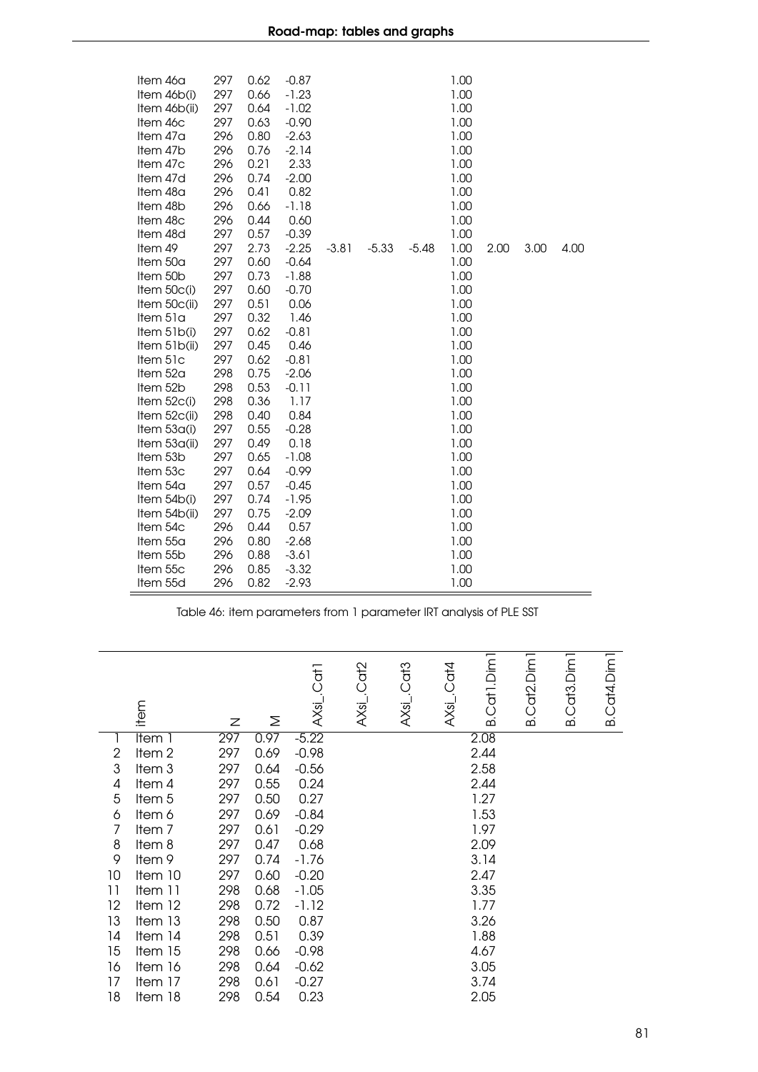| Item 46a<br>Item 46b(i)<br>Item 46b(ii)<br>Item 46c<br>Item 47a<br>Item 47b<br>Item 47c<br>Item 47d<br>Item 48a | 297<br>297<br>297<br>297<br>296<br>296<br>296<br>296<br>296 | 0.62<br>0.66<br>0.64<br>0.63<br>0.80<br>0.76<br>0.21<br>0.74<br>0.41 | $-0.87$<br>$-1.23$<br>$-1.02$<br>$-0.90$<br>$-2.63$<br>$-2.14$<br>2.33<br>$-2.00$<br>0.82 |         |         |         | 1.00<br>1.00<br>1.00<br>1.00<br>1.00<br>1.00<br>1.00<br>1.00<br>1.00 |      |      |      |
|-----------------------------------------------------------------------------------------------------------------|-------------------------------------------------------------|----------------------------------------------------------------------|-------------------------------------------------------------------------------------------|---------|---------|---------|----------------------------------------------------------------------|------|------|------|
| Item 48b                                                                                                        | 296                                                         | 0.66                                                                 | $-1.18$                                                                                   |         |         |         | 1.00                                                                 |      |      |      |
| Item 48c                                                                                                        | 296                                                         | 0.44                                                                 | 0.60                                                                                      |         |         |         | 1.00                                                                 |      |      |      |
| Item 48d                                                                                                        | 297                                                         | 0.57                                                                 | $-0.39$                                                                                   |         |         |         | 1.00                                                                 |      |      |      |
| Item 49                                                                                                         | 297                                                         | 2.73                                                                 | $-2.25$                                                                                   | $-3.81$ | $-5.33$ | $-5.48$ | 1.00                                                                 | 2.00 | 3.00 | 4.00 |
| Item 50a                                                                                                        | 297                                                         | 0.60                                                                 | $-0.64$                                                                                   |         |         |         | 1.00                                                                 |      |      |      |
| Item 50b                                                                                                        | 297                                                         | 0.73                                                                 | $-1.88$                                                                                   |         |         |         | 1.00                                                                 |      |      |      |
| Item 50c(i)                                                                                                     | 297                                                         | 0.60                                                                 | $-0.70$                                                                                   |         |         |         | 1.00                                                                 |      |      |      |
| Item $50c(i)$                                                                                                   | 297                                                         | 0.51                                                                 | 0.06                                                                                      |         |         |         | 1.00                                                                 |      |      |      |
| Item 51a                                                                                                        | 297                                                         | 0.32                                                                 | 1.46                                                                                      |         |         |         | 1.00                                                                 |      |      |      |
| Item 51b(i)                                                                                                     | 297                                                         | 0.62                                                                 | $-0.81$                                                                                   |         |         |         | 1.00                                                                 |      |      |      |
| Item 51b(ii)                                                                                                    | 297                                                         | 0.45                                                                 | 0.46                                                                                      |         |         |         | 1.00                                                                 |      |      |      |
| Item 51c                                                                                                        | 297                                                         | 0.62                                                                 | $-0.81$                                                                                   |         |         |         | 1.00                                                                 |      |      |      |
| Item 52a                                                                                                        | 298                                                         | 0.75                                                                 | $-2.06$                                                                                   |         |         |         | 1.00                                                                 |      |      |      |
| Item 52b                                                                                                        | 298                                                         | 0.53                                                                 | $-0.11$                                                                                   |         |         |         | 1.00                                                                 |      |      |      |
| Item 52c(i)                                                                                                     | 298                                                         | 0.36                                                                 | 1.17                                                                                      |         |         |         | 1.00                                                                 |      |      |      |
| Item $52c(ii)$                                                                                                  | 298                                                         | 0.40                                                                 | 0.84                                                                                      |         |         |         | 1.00                                                                 |      |      |      |
| Item $53a(i)$                                                                                                   | 297                                                         | 0.55                                                                 | $-0.28$                                                                                   |         |         |         | 1.00                                                                 |      |      |      |
| Item 53a(ii)                                                                                                    | 297                                                         | 0.49                                                                 | 0.18                                                                                      |         |         |         | 1.00                                                                 |      |      |      |
| Item 53b                                                                                                        | 297                                                         | 0.65                                                                 | $-1.08$                                                                                   |         |         |         | 1.00                                                                 |      |      |      |
| Item 53c                                                                                                        | 297                                                         | 0.64                                                                 | $-0.99$                                                                                   |         |         |         | 1.00                                                                 |      |      |      |
| Item 54a                                                                                                        | 297                                                         | 0.57                                                                 | $-0.45$                                                                                   |         |         |         | 1.00                                                                 |      |      |      |
| Item $54b(i)$                                                                                                   | 297                                                         | 0.74                                                                 | $-1.95$                                                                                   |         |         |         | 1.00                                                                 |      |      |      |
| Item 54b(ii)                                                                                                    | 297                                                         | 0.75                                                                 | $-2.09$                                                                                   |         |         |         | 1.00                                                                 |      |      |      |
| Item 54c                                                                                                        | 296                                                         | 0.44                                                                 | 0.57                                                                                      |         |         |         | 1.00                                                                 |      |      |      |
| Item 55a                                                                                                        | 296                                                         | 0.80                                                                 | $-2.68$                                                                                   |         |         |         | 1.00                                                                 |      |      |      |
| Item 55b                                                                                                        | 296                                                         | 0.88                                                                 | $-3.61$                                                                                   |         |         |         | 1.00                                                                 |      |      |      |
| Item 55c                                                                                                        | 296                                                         | 0.85                                                                 | $-3.32$                                                                                   |         |         |         | 1.00                                                                 |      |      |      |
| Item 55d                                                                                                        | 296                                                         | 0.82                                                                 | $-2.93$                                                                                   |         |         |         | 1.00                                                                 |      |      |      |

Table 46: item parameters from 1 parameter IRT analysis of PLE SST

|                | item              | Z   | Σ    | Cat <sub>1</sub><br>$AXs$ i | Cat <sub>2</sub><br>$AXs$ <sub>-</sub> | $AXs$ i Cat3 | $AXs$ i Cat4 | B.Cat1.Dim1 | B.Cat2.Dim1 | Cat <sub>3</sub> .Dim <sub>1</sub><br>$\bf{m}$ | <b>B.Cat4.Dim1</b> |
|----------------|-------------------|-----|------|-----------------------------|----------------------------------------|--------------|--------------|-------------|-------------|------------------------------------------------|--------------------|
| 1              | Item 1            | 297 | 0.97 | $-5.22$                     |                                        |              |              | 2.08        |             |                                                |                    |
| $\overline{2}$ | Item <sub>2</sub> | 297 | 0.69 | $-0.98$                     |                                        |              |              | 2.44        |             |                                                |                    |
| 3              | Item 3            | 297 | 0.64 | $-0.56$                     |                                        |              |              | 2.58        |             |                                                |                    |
| 4              | ltem 4            | 297 | 0.55 | 0.24                        |                                        |              |              | 2.44        |             |                                                |                    |
| 5              | Item <sub>5</sub> | 297 | 0.50 | 0.27                        |                                        |              |              | 1.27        |             |                                                |                    |
| 6              | ltem 6            | 297 | 0.69 | $-0.84$                     |                                        |              |              | 1.53        |             |                                                |                    |
| 7              | Item <sub>7</sub> | 297 | 0.61 | $-0.29$                     |                                        |              |              | 1.97        |             |                                                |                    |
| 8              | Item 8            | 297 | 0.47 | 0.68                        |                                        |              |              | 2.09        |             |                                                |                    |
| 9              | ltem 9            | 297 | 0.74 | $-1.76$                     |                                        |              |              | 3.14        |             |                                                |                    |
| 10             | Item 10           | 297 | 0.60 | $-0.20$                     |                                        |              |              | 2.47        |             |                                                |                    |
| 11             | Item 11           | 298 | 0.68 | $-1.05$                     |                                        |              |              | 3.35        |             |                                                |                    |
| 12             | Item 12           | 298 | 0.72 | $-1.12$                     |                                        |              |              | 1.77        |             |                                                |                    |
| 13             | Item 13           | 298 | 0.50 | 0.87                        |                                        |              |              | 3.26        |             |                                                |                    |
| 14             | Item 14           | 298 | 0.51 | 0.39                        |                                        |              |              | 1.88        |             |                                                |                    |
| 15             | Item 15           | 298 | 0.66 | $-0.98$                     |                                        |              |              | 4.67        |             |                                                |                    |
| 16             | Item 16           | 298 | 0.64 | $-0.62$                     |                                        |              |              | 3.05        |             |                                                |                    |
| 17             | Item 17           | 298 | 0.61 | $-0.27$                     |                                        |              |              | 3.74        |             |                                                |                    |
| 18             | Item 18           | 298 | 0.54 | 0.23                        |                                        |              |              | 2.05        |             |                                                |                    |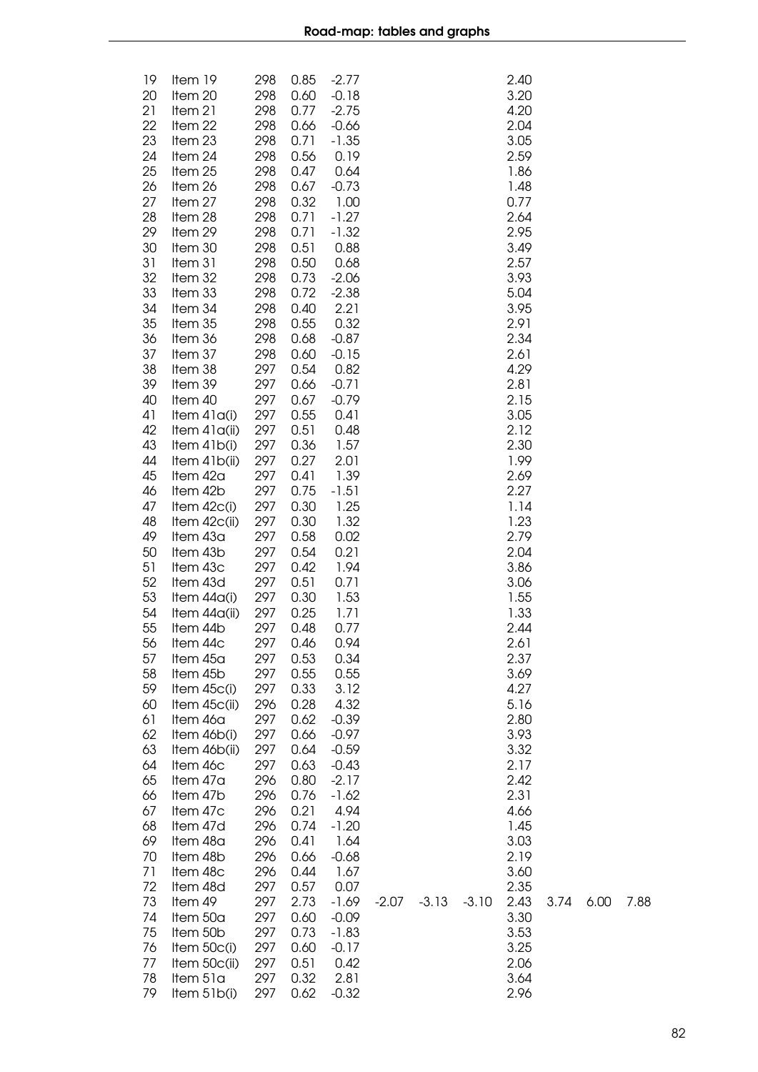| 19<br>20 | Item 19<br>Item 20       | 298<br>298 | 0.85<br>0.60 | $-2.77$<br>$-0.18$ |         |         |         | 2.40<br>3.20 |      |      |      |
|----------|--------------------------|------------|--------------|--------------------|---------|---------|---------|--------------|------|------|------|
| 21       | Item 21                  | 298        | 0.77         | $-2.75$            |         |         |         | 4.20         |      |      |      |
| 22       | Item 22                  | 298        | 0.66         | $-0.66$            |         |         |         | 2.04         |      |      |      |
| 23       | Item 23                  | 298        | 0.71         | $-1.35$            |         |         |         | 3.05         |      |      |      |
| 24<br>25 | Item 24<br>Item 25       | 298<br>298 | 0.56<br>0.47 | 0.19<br>0.64       |         |         |         | 2.59<br>1.86 |      |      |      |
| 26       | Item 26                  | 298        | 0.67         | $-0.73$            |         |         |         | 1.48         |      |      |      |
| 27       | Item 27                  | 298        | 0.32         | 1.00               |         |         |         | 0.77         |      |      |      |
| 28       | Item 28                  | 298        | 0.71         | $-1.27$            |         |         |         | 2.64         |      |      |      |
| 29       | Item 29                  | 298        | 0.71         | $-1.32$            |         |         |         | 2.95         |      |      |      |
| 30<br>31 | Item 30<br>Item 31       | 298<br>298 | 0.51<br>0.50 | 0.88<br>0.68       |         |         |         | 3.49<br>2.57 |      |      |      |
| 32       | Item 32                  | 298        | 0.73         | $-2.06$            |         |         |         | 3.93         |      |      |      |
| 33       | Item 33                  | 298        | 0.72         | $-2.38$            |         |         |         | 5.04         |      |      |      |
| 34       | Item 34                  | 298        | 0.40         | 2.21               |         |         |         | 3.95         |      |      |      |
| 35       | Item 35                  | 298        | 0.55         | 0.32               |         |         |         | 2.91         |      |      |      |
| 36       | Item 36                  | 298        | 0.68         | $-0.87$            |         |         |         | 2.34         |      |      |      |
| 37<br>38 | Item 37<br>Item 38       | 298<br>297 | 0.60<br>0.54 | $-0.15$<br>0.82    |         |         |         | 2.61<br>4.29 |      |      |      |
| 39       | Item 39                  | 297        | 0.66         | $-0.71$            |         |         |         | 2.81         |      |      |      |
| 40       | Item 40                  | 297        | 0.67         | $-0.79$            |         |         |         | 2.15         |      |      |      |
| 41       | Item $41a(i)$            | 297        | 0.55         | 0.41               |         |         |         | 3.05         |      |      |      |
| 42       | Item 41a(ii)             | 297        | 0.51         | 0.48               |         |         |         | 2.12         |      |      |      |
| 43       | Item 41b(i)              | 297        | 0.36         | 1.57               |         |         |         | 2.30         |      |      |      |
| 44<br>45 | Item 41b(ii)<br>Item 42a | 297<br>297 | 0.27<br>0.41 | 2.01<br>1.39       |         |         |         | 1.99<br>2.69 |      |      |      |
| 46       | Item 42b                 | 297        | 0.75         | $-1.51$            |         |         |         | 2.27         |      |      |      |
| 47       | Item $42c(i)$            | 297        | 0.30         | 1.25               |         |         |         | 1.14         |      |      |      |
| 48       | Item 42c(ii)             | 297        | 0.30         | 1.32               |         |         |         | 1.23         |      |      |      |
| 49       | Item 43a                 | 297        | 0.58         | 0.02               |         |         |         | 2.79         |      |      |      |
| 50<br>51 | Item 43b<br>Item 43c     | 297<br>297 | 0.54<br>0.42 | 0.21<br>1.94       |         |         |         | 2.04<br>3.86 |      |      |      |
| 52       | Item 43d                 | 297        | 0.51         | 0.71               |         |         |         | 3.06         |      |      |      |
| 53       | Item $44a(i)$            | 297        | 0.30         | 1.53               |         |         |         | 1.55         |      |      |      |
| 54       | Item 44a(ii)             | 297        | 0.25         | 1.71               |         |         |         | 1.33         |      |      |      |
| 55       | Item 44b                 | 297        | 0.48         | 0.77               |         |         |         | 2.44         |      |      |      |
| 56       | Item 44c                 | 297        | 0.46         | 0.94               |         |         |         | 2.61         |      |      |      |
| 57<br>58 | Item 45a<br>Item 45b     | 297<br>297 | 0.53<br>0.55 | 0.34<br>0.55       |         |         |         | 2.37<br>3.69 |      |      |      |
| 59       | Item $45c(i)$            | 297        | 0.33         | 3.12               |         |         |         | 4.27         |      |      |      |
| 60       | Item 45c(ii)             | 296        | 0.28         | 4.32               |         |         |         | 5.16         |      |      |      |
| 61       | Item 46a                 | 297        | 0.62         | $-0.39$            |         |         |         | 2.80         |      |      |      |
| 62       | Item 46b(i)              | 297        | 0.66         | $-0.97$            |         |         |         | 3.93         |      |      |      |
| 63<br>64 | Item 46b(ii)<br>Item 46c | 297<br>297 | 0.64<br>0.63 | $-0.59$            |         |         |         | 3.32<br>2.17 |      |      |      |
| 65       | Item 47a                 | 296        | 0.80         | $-0.43$<br>$-2.17$ |         |         |         | 2.42         |      |      |      |
| 66       | Item 47b                 | 296        | 0.76         | $-1.62$            |         |         |         | 2.31         |      |      |      |
| 67       | Item 47c                 | 296        | 0.21         | 4.94               |         |         |         | 4.66         |      |      |      |
| 68       | Item 47d                 | 296        | 0.74         | $-1.20$            |         |         |         | 1.45         |      |      |      |
| 69       | Item 48a                 | 296        | 0.41         | 1.64               |         |         |         | 3.03         |      |      |      |
| 70<br>71 | Item 48b<br>Item 48c     | 296<br>296 | 0.66<br>0.44 | $-0.68$<br>1.67    |         |         |         | 2.19<br>3.60 |      |      |      |
| 72       | Item 48d                 | 297        | 0.57         | 0.07               |         |         |         | 2.35         |      |      |      |
| 73       | Item 49                  | 297        | 2.73         | $-1.69$            | $-2.07$ | $-3.13$ | $-3.10$ | 2.43         | 3.74 | 6.00 | 7.88 |
| 74       | Item 50a                 | 297        | 0.60         | $-0.09$            |         |         |         | 3.30         |      |      |      |
| 75       | Item 50b                 | 297        | 0.73         | $-1.83$            |         |         |         | 3.53         |      |      |      |
| 76       | Item 50c(i)              | 297        | 0.60         | $-0.17$            |         |         |         | 3.25         |      |      |      |
| 77<br>78 | Item 50c(ii)<br>Item 51a | 297<br>297 | 0.51<br>0.32 | 0.42<br>2.81       |         |         |         | 2.06<br>3.64 |      |      |      |
| 79       | Item 51b(i)              | 297        | 0.62         | $-0.32$            |         |         |         | 2.96         |      |      |      |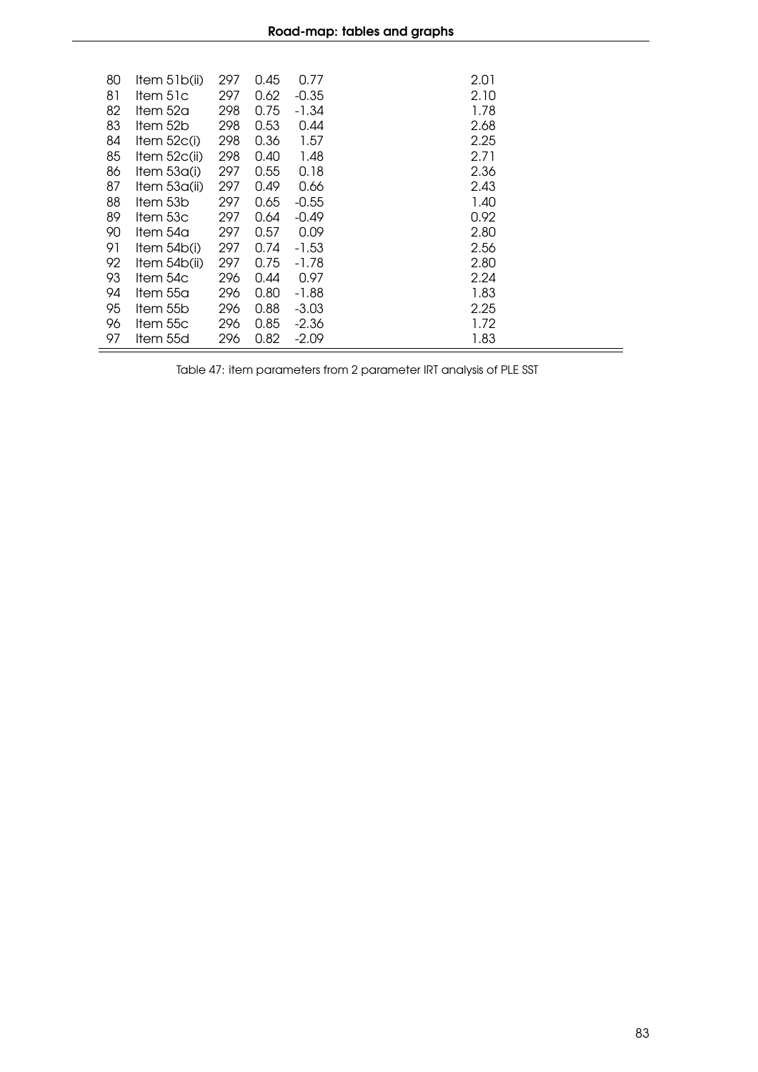| 80 | Item $51b(ii)$ | 297 | 0.45 | 0.77    | 2.01 |
|----|----------------|-----|------|---------|------|
| 81 | ltem 51c       | 297 | 0.62 | $-0.35$ | 2.10 |
|    |                |     |      |         |      |
| 82 | ltem 52a       | 298 | 0.75 | -1.34   | 1.78 |
| 83 | ltem 52b       | 298 | 0.53 | 0.44    | 2.68 |
| 84 | Item $52c(i)$  | 298 | 0.36 | 1.57    | 2.25 |
| 85 | Item $52c(ii)$ | 298 | 0.40 | 1.48    | 2.71 |
| 86 | Item $53a(i)$  | 297 | 0.55 | 0.18    | 2.36 |
| 87 | Item $53a(i)$  | 297 | 0.49 | 0.66    | 2.43 |
| 88 | Item 53b       | 297 | 0.65 | $-0.55$ | 1.40 |
| 89 | Item 53c       | 297 | 0.64 | $-0.49$ | 0.92 |
| 90 | ltem 54a       | 297 | 0.57 | 0.09    | 2.80 |
| 91 | Item $54b(i)$  | 297 | 0.74 | -1.53   | 2.56 |
| 92 | Item 54b(ii)   | 297 | 0.75 | -1.78   | 2.80 |
| 93 | ltem 54c       | 296 | 0.44 | 0.97    | 2.24 |
| 94 | Item 55a       | 296 | 0.80 | -1.88   | 1.83 |
| 95 | Item 55b       | 296 | 0.88 | $-3.03$ | 2.25 |
| 96 | Item 55c       | 296 | 0.85 | $-2.36$ | 1.72 |
| 97 | Item 55d       | 296 | 0.82 | $-2.09$ | 1.83 |

Table 47: item parameters from 2 parameter IRT analysis of PLE SST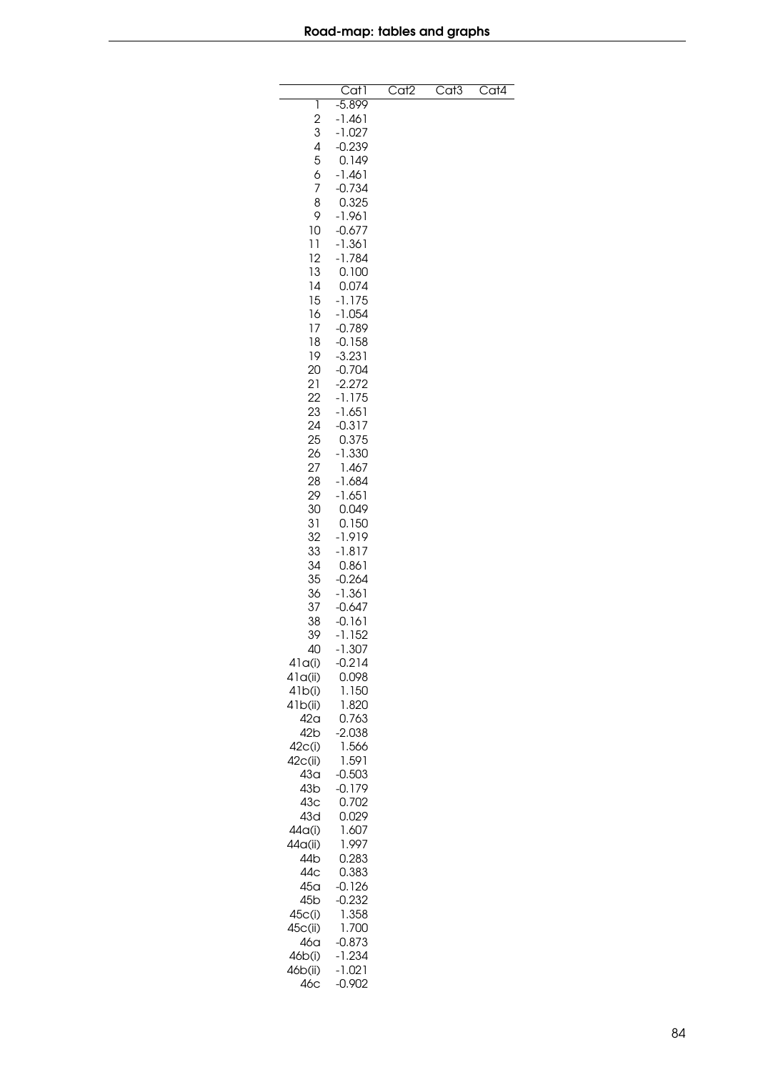|                 | $\overline{Cat}$ | Cat <sub>2</sub> | Cat <sub>3</sub> | $\overline{\text{Cat4}}$ |
|-----------------|------------------|------------------|------------------|--------------------------|
| 1               | $-5.899$         |                  |                  |                          |
| $\overline{c}$  | $-1.461$         |                  |                  |                          |
| 3               | $-1.027$         |                  |                  |                          |
| 4               | $-0.239$         |                  |                  |                          |
| 5               | 0.149            |                  |                  |                          |
| 6               | $-1.461$         |                  |                  |                          |
| 7               | $-0.734$         |                  |                  |                          |
| 8               | 0.325            |                  |                  |                          |
| 9               | $-1.961$         |                  |                  |                          |
| 10              | $-0.677$         |                  |                  |                          |
| 11              | $-1.361$         |                  |                  |                          |
| 12              | $-1.784$         |                  |                  |                          |
| 13              | 0.100            |                  |                  |                          |
| 14              | 0.074            |                  |                  |                          |
| 15              | $-1.175$         |                  |                  |                          |
| 16              | $-1.054$         |                  |                  |                          |
| 17              | $-0.789$         |                  |                  |                          |
| 18              | $-0.158$         |                  |                  |                          |
| 19              | $-3.231$         |                  |                  |                          |
| 20              | $-0.704$         |                  |                  |                          |
| 21              | $-2.272$         |                  |                  |                          |
| 22              | $-1.175$         |                  |                  |                          |
| 23              | $-1.651$         |                  |                  |                          |
| 24              | $-0.317$         |                  |                  |                          |
| 25              | 0.375            |                  |                  |                          |
| 26              | $-1.330$         |                  |                  |                          |
| 27              | 1.467            |                  |                  |                          |
| 28              | $-1.684$         |                  |                  |                          |
| 29              | $-1.651$         |                  |                  |                          |
| 30              | 0.049            |                  |                  |                          |
| 31              | 0.150            |                  |                  |                          |
| 32              | -1.919           |                  |                  |                          |
| 33              | $-1.817$         |                  |                  |                          |
| 34              | 0.861            |                  |                  |                          |
| 35              | $-0.264$         |                  |                  |                          |
| 36              | $-1.361$         |                  |                  |                          |
| 37              | $-0.647$         |                  |                  |                          |
| 38              | $-0.161$         |                  |                  |                          |
| 39              | $-1.152$         |                  |                  |                          |
| 40              | 1.307            |                  |                  |                          |
| 41q(i)          | $-0.214$         |                  |                  |                          |
| 41q(ii)         | 0.098            |                  |                  |                          |
| 41b(i)          | 1.150            |                  |                  |                          |
| 41b(ii)         | 1.820            |                  |                  |                          |
| 42 <sub>a</sub> | 0.763            |                  |                  |                          |
| 42 <sub>b</sub> | $-2.038$         |                  |                  |                          |
| 42c(i)          | 1.566            |                  |                  |                          |
| 42c(ii)         | 1.591            |                  |                  |                          |
| 43a             | $-0.503$         |                  |                  |                          |
| 43 <sub>b</sub> | $-0.179$         |                  |                  |                          |
| 43 <sub>C</sub> | 0.702            |                  |                  |                          |
| 43d             | 0.029            |                  |                  |                          |
| 44a(i)          | 1.607            |                  |                  |                          |
| 44a(ii)         | 1.997            |                  |                  |                          |
| 44b             | 0.283            |                  |                  |                          |
| 44c             | 0.383            |                  |                  |                          |
| 45 <sub>a</sub> | $-0.126$         |                  |                  |                          |
| 45 <sub>b</sub> | $-0.232$         |                  |                  |                          |
| 45c(i)          | 1.358            |                  |                  |                          |
| 45c(ii)         | 1.700            |                  |                  |                          |
| 46a             | $-0.873$         |                  |                  |                          |
| 46b(i)          | $-1.234$         |                  |                  |                          |
| 46b(ii)         | $-1.021$         |                  |                  |                          |
| 46c             | $-0.902$         |                  |                  |                          |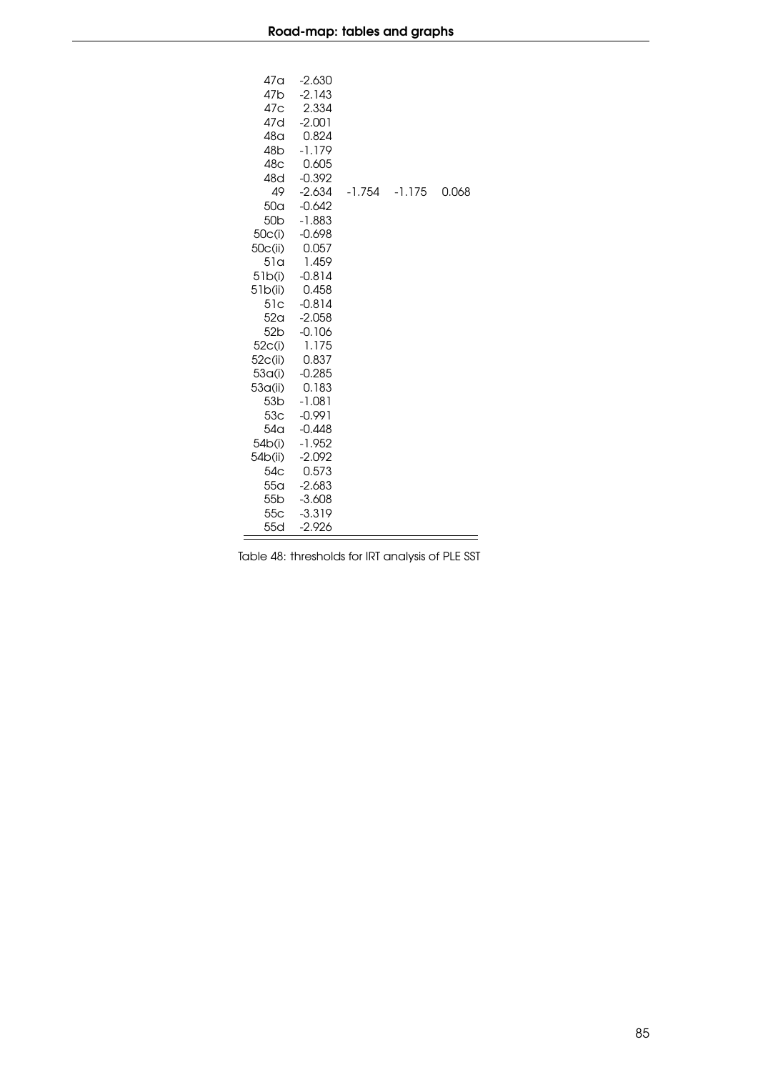| 47a<br>47 <sub>b</sub><br>47c<br>47d<br>48 <sub>G</sub><br>48 <sub>b</sub><br>48 <sub>C</sub><br>48d<br>49 | $-2.630$<br>$-2.143$<br>2.334<br>$-2.001$<br>0.824<br>$-1.179$<br>0.605<br>$-0.392$<br>$-2.634$ | $-1.754$ | $-1.175$ | 0.068 |
|------------------------------------------------------------------------------------------------------------|-------------------------------------------------------------------------------------------------|----------|----------|-------|
| 50 <sub>a</sub>                                                                                            | $-0.642$                                                                                        |          |          |       |
| 50 <sub>b</sub>                                                                                            | $-1.883$                                                                                        |          |          |       |
| 50c(i)                                                                                                     | $-0.698$                                                                                        |          |          |       |
| 50c(i)                                                                                                     | 0.057                                                                                           |          |          |       |
| 51a                                                                                                        | 1.459<br>$-0.814$                                                                               |          |          |       |
| 51b(i)<br>51b(ii)                                                                                          | 0.458                                                                                           |          |          |       |
| 51c                                                                                                        | $-0.814$                                                                                        |          |          |       |
| 52 <sub>q</sub>                                                                                            | $-2.058$                                                                                        |          |          |       |
| 52 <sub>b</sub>                                                                                            | $-0.106$                                                                                        |          |          |       |
| 52 <sub>C</sub> (i)                                                                                        | 1.175                                                                                           |          |          |       |
| 52c(ii)                                                                                                    | 0.837                                                                                           |          |          |       |
| 53 <sub>a</sub> (i)                                                                                        | $-0.285$                                                                                        |          |          |       |
| 53a(ii)                                                                                                    | 0.183                                                                                           |          |          |       |
| 53 <sub>b</sub>                                                                                            | -1.081                                                                                          |          |          |       |
| 53 <sub>C</sub>                                                                                            | $-0.991$                                                                                        |          |          |       |
| 54 <sub>q</sub><br>54b(i)                                                                                  | $-0.448$<br>$-1.952$                                                                            |          |          |       |
| 54b(ii)                                                                                                    | $-2.092$                                                                                        |          |          |       |
| 54 <sub>C</sub>                                                                                            | 0.573                                                                                           |          |          |       |
| 55 <sub>q</sub>                                                                                            | $-2.683$                                                                                        |          |          |       |
| 55 <sub>b</sub>                                                                                            | $-3.608$                                                                                        |          |          |       |
| 55 <sub>C</sub>                                                                                            | $-3.319$                                                                                        |          |          |       |
| 55d                                                                                                        | $-2.926$                                                                                        |          |          |       |

Table 48: thresholds for IRT analysis of PLE SST